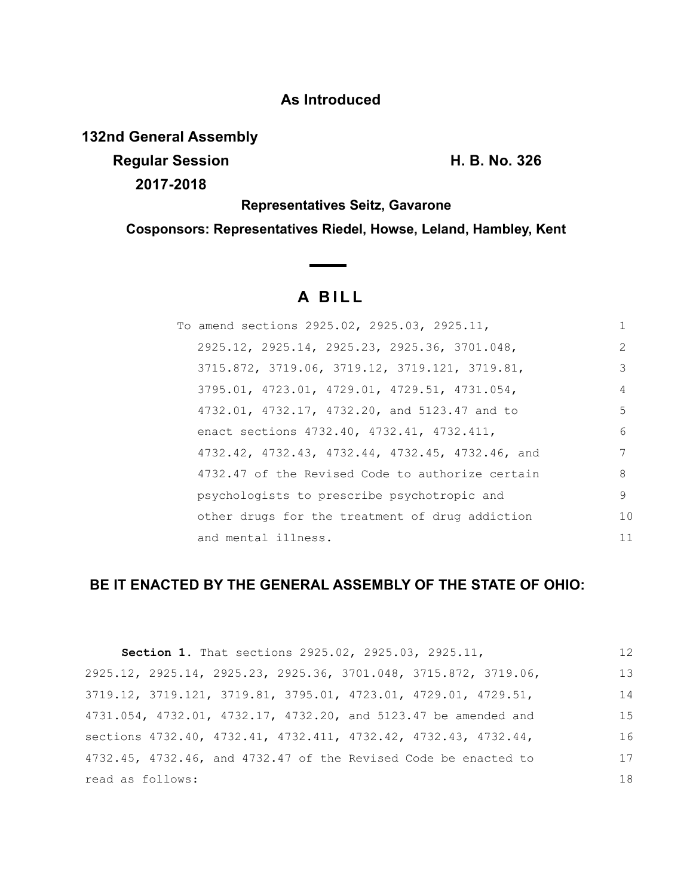## **As Introduced**

**132nd General Assembly**

**Regular Session H. B. No. 326**

**2017-2018**

**Representatives Seitz, Gavarone**

**Cosponsors: Representatives Riedel, Howse, Leland, Hambley, Kent**

# **A B I L L**

**Contract Contract Contract** 

| To amend sections 2925.02, 2925.03, 2925.11,     | 1  |
|--------------------------------------------------|----|
| 2925.12, 2925.14, 2925.23, 2925.36, 3701.048,    | 2  |
| 3715.872, 3719.06, 3719.12, 3719.121, 3719.81,   | 3  |
| 3795.01, 4723.01, 4729.01, 4729.51, 4731.054,    | 4  |
| 4732.01, 4732.17, 4732.20, and 5123.47 and to    | 5  |
| enact sections 4732.40, 4732.41, 4732.411,       | 6  |
| 4732.42, 4732.43, 4732.44, 4732.45, 4732.46, and | 7  |
| 4732.47 of the Revised Code to authorize certain | 8  |
| psychologists to prescribe psychotropic and      | 9  |
| other drugs for the treatment of drug addiction  | 10 |
| and mental illness.                              | 11 |

### **BE IT ENACTED BY THE GENERAL ASSEMBLY OF THE STATE OF OHIO:**

| Section 1. That sections 2925.02, 2925.03, 2925.11,              | 12 |
|------------------------------------------------------------------|----|
| 2925.12, 2925.14, 2925.23, 2925.36, 3701.048, 3715.872, 3719.06, | 13 |
| 3719.12, 3719.121, 3719.81, 3795.01, 4723.01, 4729.01, 4729.51,  | 14 |
| 4731.054, 4732.01, 4732.17, 4732.20, and 5123.47 be amended and  | 15 |
| sections 4732.40, 4732.41, 4732.411, 4732.42, 4732.43, 4732.44,  | 16 |
| 4732.45, 4732.46, and 4732.47 of the Revised Code be enacted to  | 17 |
| read as follows:                                                 | 18 |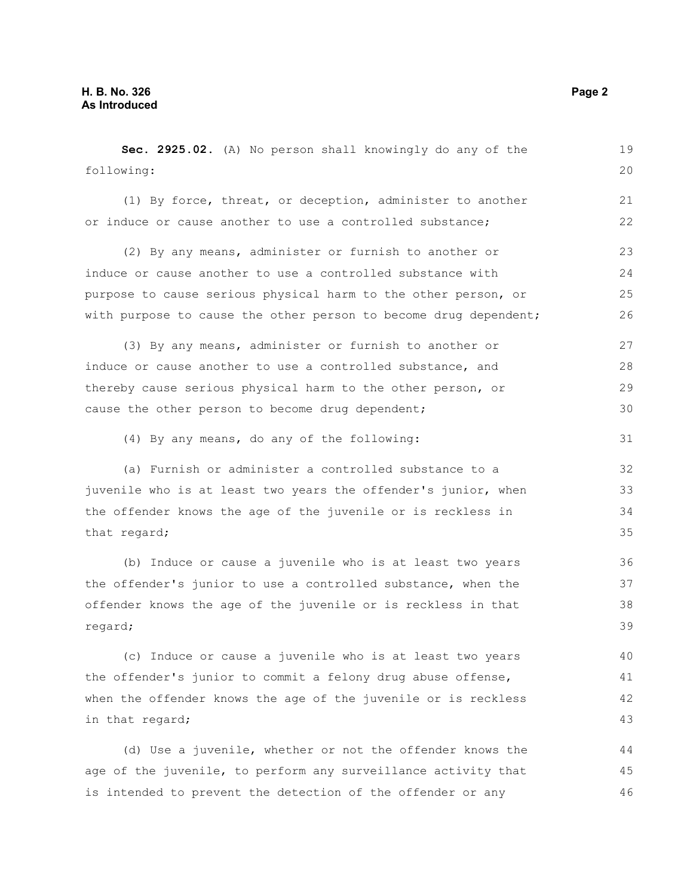**Sec. 2925.02.** (A) No person shall knowingly do any of the following: (1) By force, threat, or deception, administer to another or induce or cause another to use a controlled substance; (2) By any means, administer or furnish to another or induce or cause another to use a controlled substance with purpose to cause serious physical harm to the other person, or with purpose to cause the other person to become drug dependent; (3) By any means, administer or furnish to another or induce or cause another to use a controlled substance, and thereby cause serious physical harm to the other person, or cause the other person to become drug dependent; (4) By any means, do any of the following: (a) Furnish or administer a controlled substance to a juvenile who is at least two years the offender's junior, when the offender knows the age of the juvenile or is reckless in that regard; (b) Induce or cause a juvenile who is at least two years the offender's junior to use a controlled substance, when the offender knows the age of the juvenile or is reckless in that regard; (c) Induce or cause a juvenile who is at least two years the offender's junior to commit a felony drug abuse offense, when the offender knows the age of the juvenile or is reckless in that regard; (d) Use a juvenile, whether or not the offender knows the age of the juvenile, to perform any surveillance activity that is intended to prevent the detection of the offender or any 19 20 21 22 23 24 25 26 27 28 29 30 31 32 33 34 35 36 37 38 39 40 41 42 43 44 45 46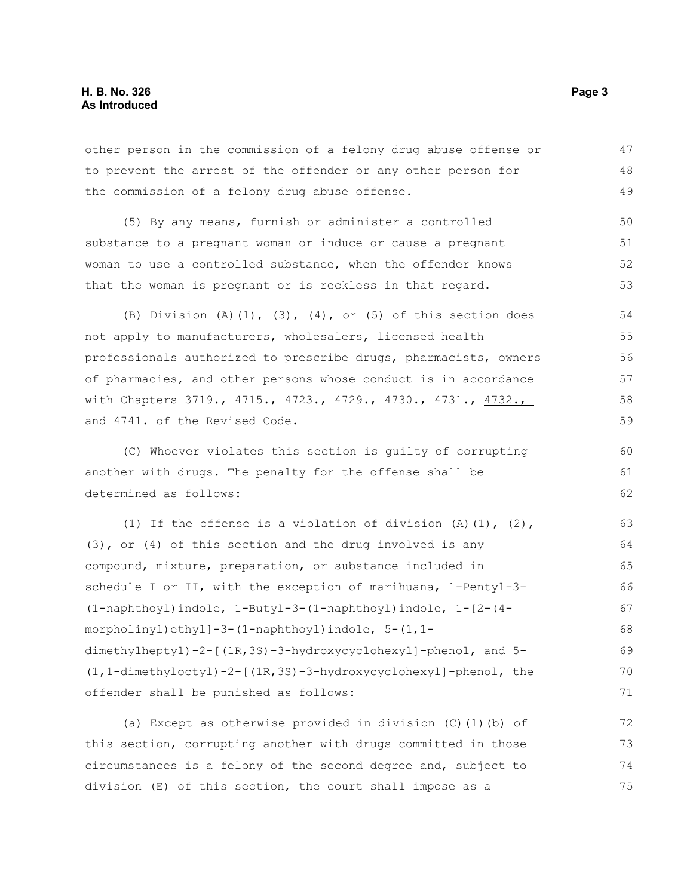other person in the commission of a felony drug abuse offense or to prevent the arrest of the offender or any other person for the commission of a felony drug abuse offense.

(5) By any means, furnish or administer a controlled substance to a pregnant woman or induce or cause a pregnant woman to use a controlled substance, when the offender knows that the woman is pregnant or is reckless in that regard. 50 51 52 53

(B) Division  $(A)$   $(1)$ ,  $(3)$ ,  $(4)$ , or  $(5)$  of this section does not apply to manufacturers, wholesalers, licensed health professionals authorized to prescribe drugs, pharmacists, owners of pharmacies, and other persons whose conduct is in accordance with Chapters 3719., 4715., 4723., 4729., 4730., 4731., 4732., and 4741. of the Revised Code. 54 57

(C) Whoever violates this section is guilty of corrupting another with drugs. The penalty for the offense shall be determined as follows:

(1) If the offense is a violation of division  $(A)$   $(1)$ ,  $(2)$ , (3), or (4) of this section and the drug involved is any compound, mixture, preparation, or substance included in schedule I or II, with the exception of marihuana, 1-Pentyl-3- (1-naphthoyl)indole, 1-Butyl-3-(1-naphthoyl)indole, 1-[2-(4 morpholinyl)ethyl]-3-(1-naphthoyl)indole, 5-(1,1 dimethylheptyl)-2-[(1R,3S)-3-hydroxycyclohexyl]-phenol, and 5- (1,1-dimethyloctyl)-2-[(1R,3S)-3-hydroxycyclohexyl]-phenol, the offender shall be punished as follows: 63 64 65 66 67 68 69 70 71

(a) Except as otherwise provided in division (C)(1)(b) of this section, corrupting another with drugs committed in those circumstances is a felony of the second degree and, subject to division (E) of this section, the court shall impose as a 72 73 74 75

47 48 49

55 56

58 59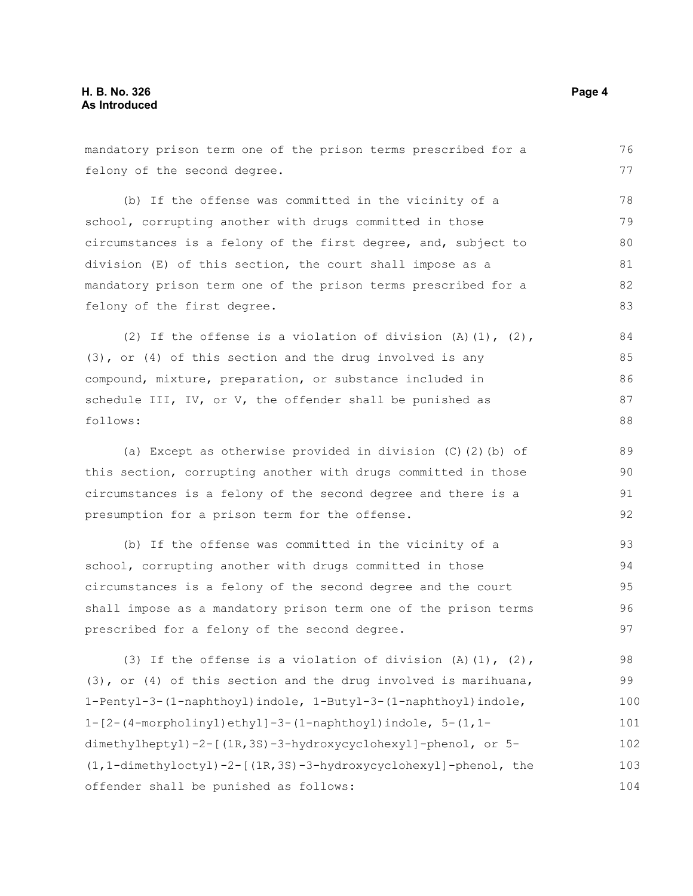felony of the second degree. (b) If the offense was committed in the vicinity of a school, corrupting another with drugs committed in those circumstances is a felony of the first degree, and, subject to division (E) of this section, the court shall impose as a mandatory prison term one of the prison terms prescribed for a felony of the first degree. (2) If the offense is a violation of division  $(A)$   $(1)$ ,  $(2)$ , (3), or (4) of this section and the drug involved is any compound, mixture, preparation, or substance included in schedule III, IV, or V, the offender shall be punished as follows: (a) Except as otherwise provided in division  $(C)$   $(2)$  (b) of this section, corrupting another with drugs committed in those circumstances is a felony of the second degree and there is a presumption for a prison term for the offense. (b) If the offense was committed in the vicinity of a school, corrupting another with drugs committed in those circumstances is a felony of the second degree and the court shall impose as a mandatory prison term one of the prison terms prescribed for a felony of the second degree. (3) If the offense is a violation of division  $(A)$   $(1)$ ,  $(2)$ , (3), or (4) of this section and the drug involved is marihuana, 1-Pentyl-3-(1-naphthoyl)indole, 1-Butyl-3-(1-naphthoyl)indole,  $1-[2-(4-morpholinyl)ethyl]-3-(1-naphthoyl)indole, 5-(1,1$ dimethylheptyl)-2-[(1R,3S)-3-hydroxycyclohexyl]-phenol, or 5- (1,1-dimethyloctyl)-2-[(1R,3S)-3-hydroxycyclohexyl]-phenol, the 77 78 79 80 81 82 83 84 85 86 87 88 89 90 91 92 93 94 95 96 97 98 99 100 101 102 103

offender shall be punished as follows:

mandatory prison term one of the prison terms prescribed for a

76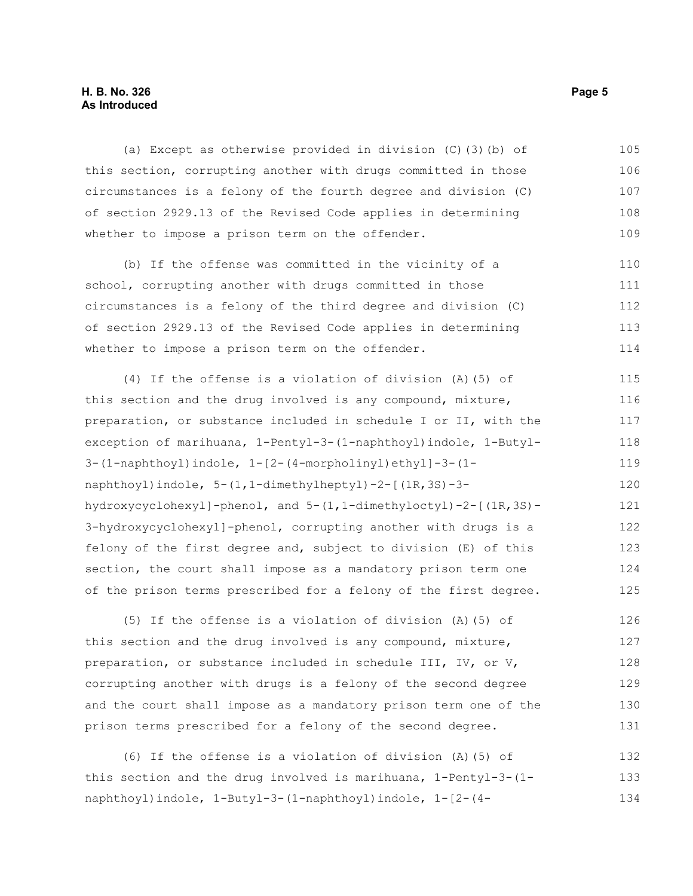#### **H. B. No. 326 Page 5 As Introduced**

(a) Except as otherwise provided in division (C)(3)(b) of this section, corrupting another with drugs committed in those circumstances is a felony of the fourth degree and division (C) of section 2929.13 of the Revised Code applies in determining whether to impose a prison term on the offender. 105 106 107 108 109

(b) If the offense was committed in the vicinity of a school, corrupting another with drugs committed in those circumstances is a felony of the third degree and division (C) of section 2929.13 of the Revised Code applies in determining whether to impose a prison term on the offender. 110 111 112 113 114

(4) If the offense is a violation of division (A)(5) of this section and the drug involved is any compound, mixture, preparation, or substance included in schedule I or II, with the exception of marihuana, 1-Pentyl-3-(1-naphthoyl)indole, 1-Butyl- $3-(1-naphthoyl)$ indole,  $1-[2-(4-morpholinyl)ethyl]-3-(1$ naphthoyl)indole, 5-(1,1-dimethylheptyl)-2-[(1R,3S)-3 hydroxycyclohexyl]-phenol, and 5-(1,1-dimethyloctyl)-2-[(1R,3S)- 3-hydroxycyclohexyl]-phenol, corrupting another with drugs is a felony of the first degree and, subject to division (E) of this section, the court shall impose as a mandatory prison term one of the prison terms prescribed for a felony of the first degree. 115 116 117 118 119 120 121 122 123 124 125

(5) If the offense is a violation of division (A)(5) of this section and the drug involved is any compound, mixture, preparation, or substance included in schedule III, IV, or V, corrupting another with drugs is a felony of the second degree and the court shall impose as a mandatory prison term one of the prison terms prescribed for a felony of the second degree. 126 127 128 129 130 131

(6) If the offense is a violation of division (A)(5) of this section and the drug involved is marihuana, 1-Pentyl-3-(1 naphthoyl)indole, 1-Butyl-3-(1-naphthoyl)indole, 1-[2-(4- 132 133 134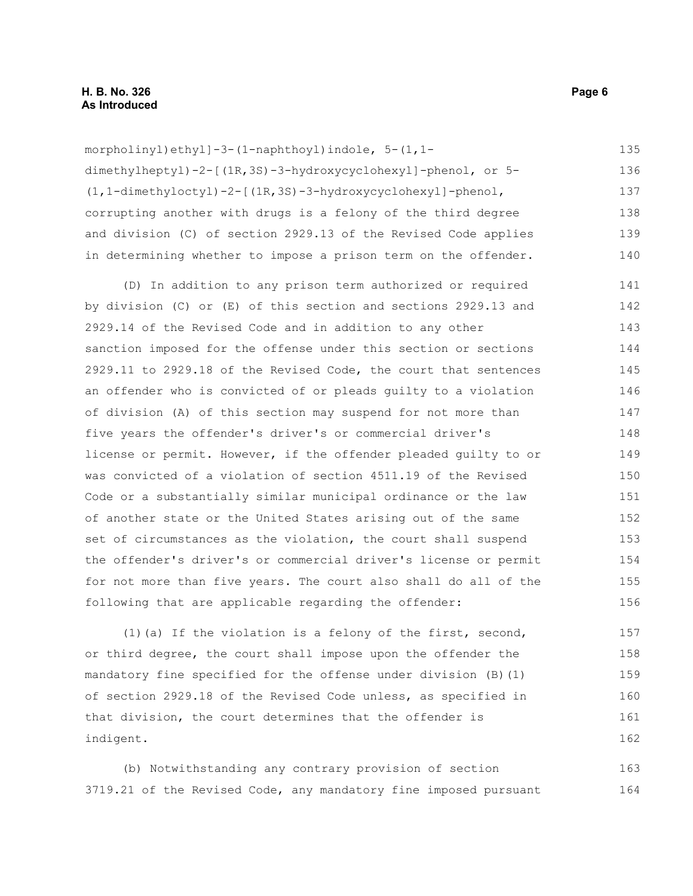morpholinyl)ethyl]-3-(1-naphthoyl)indole, 5-(1,1 dimethylheptyl)-2-[(1R,3S)-3-hydroxycyclohexyl]-phenol, or 5- (1,1-dimethyloctyl)-2-[(1R,3S)-3-hydroxycyclohexyl]-phenol, corrupting another with drugs is a felony of the third degree and division (C) of section 2929.13 of the Revised Code applies in determining whether to impose a prison term on the offender. 135 136 137 138 139 140

(D) In addition to any prison term authorized or required by division (C) or (E) of this section and sections 2929.13 and 2929.14 of the Revised Code and in addition to any other sanction imposed for the offense under this section or sections 2929.11 to 2929.18 of the Revised Code, the court that sentences an offender who is convicted of or pleads guilty to a violation of division (A) of this section may suspend for not more than five years the offender's driver's or commercial driver's license or permit. However, if the offender pleaded guilty to or was convicted of a violation of section 4511.19 of the Revised Code or a substantially similar municipal ordinance or the law of another state or the United States arising out of the same set of circumstances as the violation, the court shall suspend the offender's driver's or commercial driver's license or permit for not more than five years. The court also shall do all of the following that are applicable regarding the offender: 141 142 143 144 145 146 147 148 149 150 151 152 153 154 155 156

(1)(a) If the violation is a felony of the first, second, or third degree, the court shall impose upon the offender the mandatory fine specified for the offense under division (B)(1) of section 2929.18 of the Revised Code unless, as specified in that division, the court determines that the offender is indigent. 157 158 159 160 161 162

(b) Notwithstanding any contrary provision of section 3719.21 of the Revised Code, any mandatory fine imposed pursuant 163 164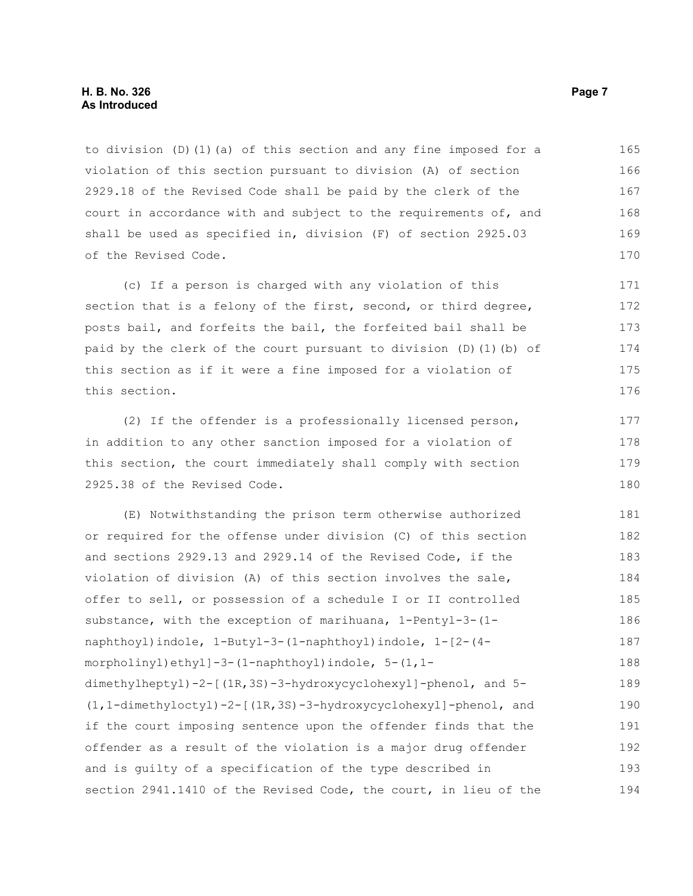to division (D)(1)(a) of this section and any fine imposed for a violation of this section pursuant to division (A) of section 2929.18 of the Revised Code shall be paid by the clerk of the court in accordance with and subject to the requirements of, and shall be used as specified in, division (F) of section 2925.03 of the Revised Code. 165 166 167 168 169 170

(c) If a person is charged with any violation of this section that is a felony of the first, second, or third degree, posts bail, and forfeits the bail, the forfeited bail shall be paid by the clerk of the court pursuant to division (D)(1)(b) of this section as if it were a fine imposed for a violation of this section. 171 172 173 174 175 176

(2) If the offender is a professionally licensed person, in addition to any other sanction imposed for a violation of this section, the court immediately shall comply with section 2925.38 of the Revised Code. 177 178 179 180

(E) Notwithstanding the prison term otherwise authorized or required for the offense under division (C) of this section and sections 2929.13 and 2929.14 of the Revised Code, if the violation of division (A) of this section involves the sale, offer to sell, or possession of a schedule I or II controlled substance, with the exception of marihuana, 1-Pentyl-3-(1 naphthoyl)indole, 1-Butyl-3-(1-naphthoyl)indole, 1-[2-(4 morpholinyl)ethyl]-3-(1-naphthoyl)indole, 5-(1,1 dimethylheptyl)-2-[(1R,3S)-3-hydroxycyclohexyl]-phenol, and 5- (1,1-dimethyloctyl)-2-[(1R,3S)-3-hydroxycyclohexyl]-phenol, and if the court imposing sentence upon the offender finds that the offender as a result of the violation is a major drug offender and is guilty of a specification of the type described in section 2941.1410 of the Revised Code, the court, in lieu of the 181 182 183 184 185 186 187 188 189 190 191 192 193 194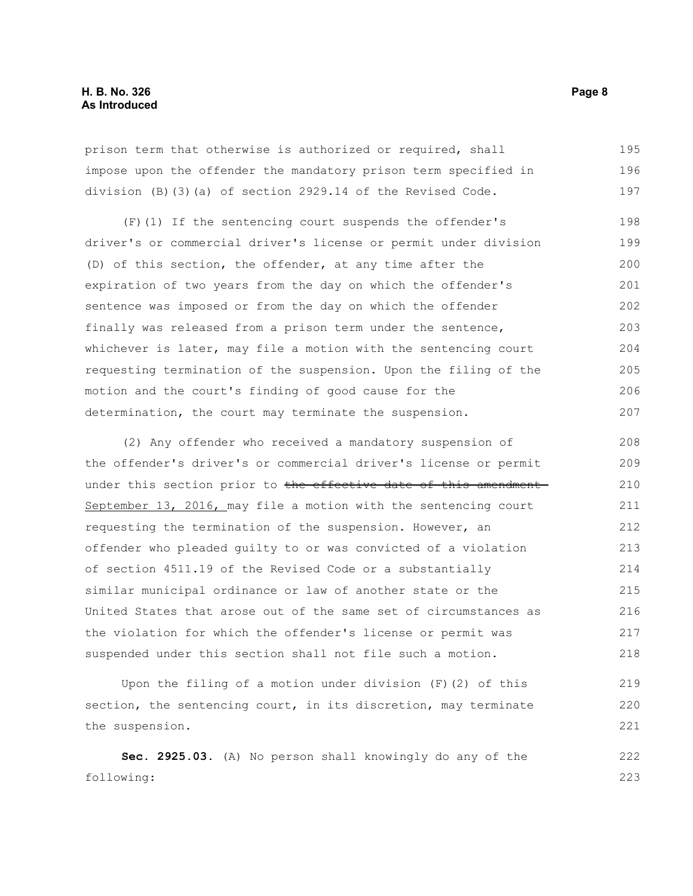prison term that otherwise is authorized or required, shall impose upon the offender the mandatory prison term specified in division (B)(3)(a) of section 2929.14 of the Revised Code. 195 196 197

(F)(1) If the sentencing court suspends the offender's driver's or commercial driver's license or permit under division (D) of this section, the offender, at any time after the expiration of two years from the day on which the offender's sentence was imposed or from the day on which the offender finally was released from a prison term under the sentence, whichever is later, may file a motion with the sentencing court requesting termination of the suspension. Upon the filing of the motion and the court's finding of good cause for the determination, the court may terminate the suspension. 198 199 200 201 202 203 204 205 206 207

(2) Any offender who received a mandatory suspension of the offender's driver's or commercial driver's license or permit under this section prior to the effective date of this amendment September 13, 2016, may file a motion with the sentencing court requesting the termination of the suspension. However, an offender who pleaded guilty to or was convicted of a violation of section 4511.19 of the Revised Code or a substantially similar municipal ordinance or law of another state or the United States that arose out of the same set of circumstances as the violation for which the offender's license or permit was suspended under this section shall not file such a motion. 208 209 210 211 212 213 214 215 216 217 218

Upon the filing of a motion under division (F)(2) of this section, the sentencing court, in its discretion, may terminate the suspension. 219 220 221

**Sec. 2925.03.** (A) No person shall knowingly do any of the following: 222 223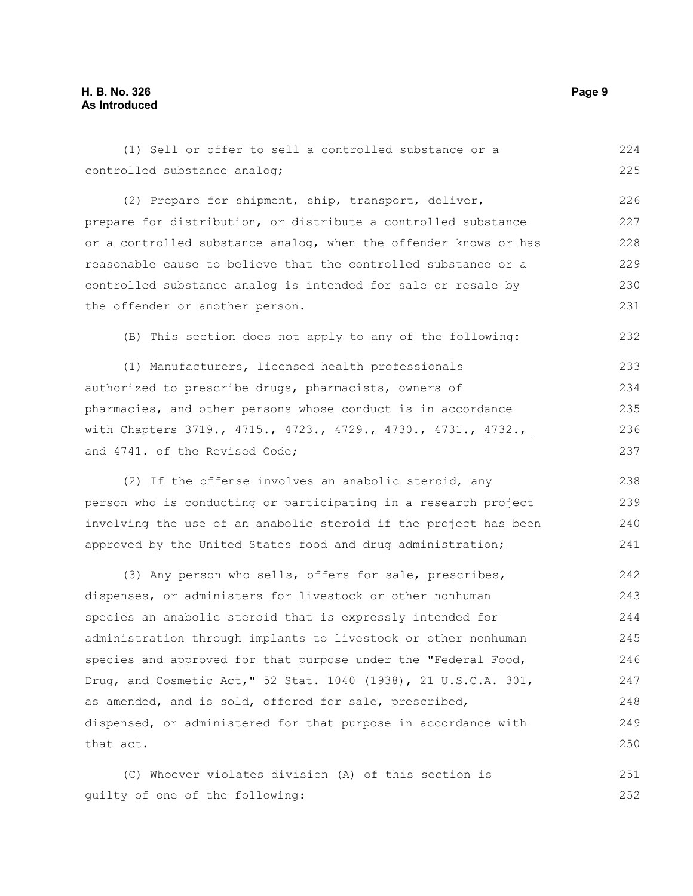controlled substance analog; (2) Prepare for shipment, ship, transport, deliver, prepare for distribution, or distribute a controlled substance or a controlled substance analog, when the offender knows or has reasonable cause to believe that the controlled substance or a controlled substance analog is intended for sale or resale by the offender or another person. (B) This section does not apply to any of the following: (1) Manufacturers, licensed health professionals authorized to prescribe drugs, pharmacists, owners of pharmacies, and other persons whose conduct is in accordance with Chapters 3719., 4715., 4723., 4729., 4730., 4731., 4732., and 4741. of the Revised Code; (2) If the offense involves an anabolic steroid, any person who is conducting or participating in a research project involving the use of an anabolic steroid if the project has been approved by the United States food and drug administration; (3) Any person who sells, offers for sale, prescribes, dispenses, or administers for livestock or other nonhuman species an anabolic steroid that is expressly intended for administration through implants to livestock or other nonhuman species and approved for that purpose under the "Federal Food, Drug, and Cosmetic Act," 52 Stat. 1040 (1938), 21 U.S.C.A. 301, as amended, and is sold, offered for sale, prescribed, dispensed, or administered for that purpose in accordance with that act. (C) Whoever violates division (A) of this section is guilty of one of the following: 225 226 227 228 229 230 231 232 233 234 235 236 237 238 239 240 241 242 243 244 245 246 247 248 249 250 251 252

(1) Sell or offer to sell a controlled substance or a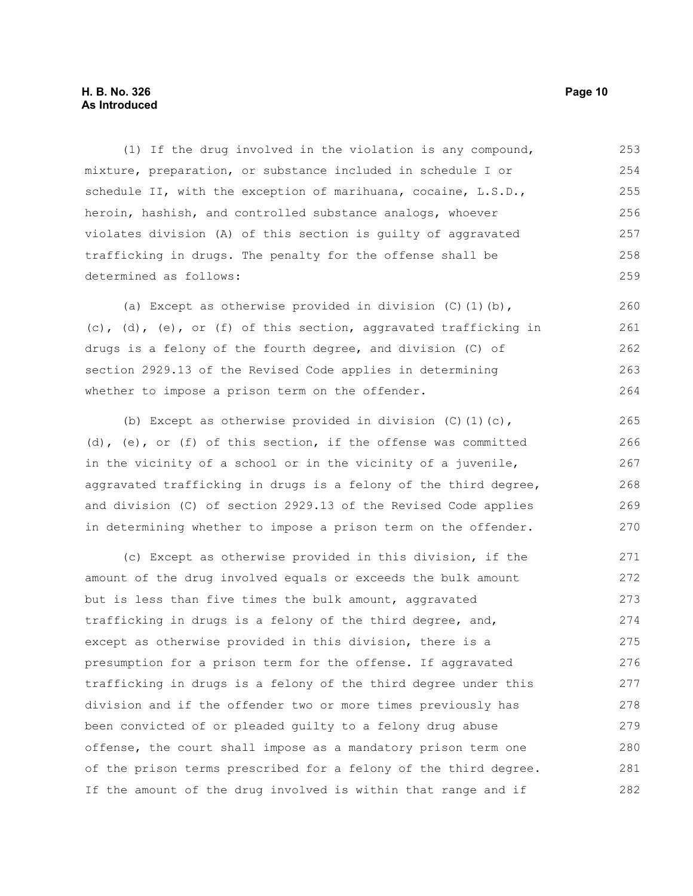#### **H. B. No. 326 Page 10 As Introduced**

(1) If the drug involved in the violation is any compound, mixture, preparation, or substance included in schedule I or schedule II, with the exception of marihuana, cocaine, L.S.D., heroin, hashish, and controlled substance analogs, whoever violates division (A) of this section is guilty of aggravated trafficking in drugs. The penalty for the offense shall be determined as follows: 253 254 255 256 257 258 259

(a) Except as otherwise provided in division  $(C)$  (1)(b), (c), (d), (e), or (f) of this section, aggravated trafficking in drugs is a felony of the fourth degree, and division (C) of section 2929.13 of the Revised Code applies in determining whether to impose a prison term on the offender.

(b) Except as otherwise provided in division (C)(1)(c), (d), (e), or (f) of this section, if the offense was committed in the vicinity of a school or in the vicinity of a juvenile, aggravated trafficking in drugs is a felony of the third degree, and division (C) of section 2929.13 of the Revised Code applies in determining whether to impose a prison term on the offender. 265 266 267 268 269 270

(c) Except as otherwise provided in this division, if the amount of the drug involved equals or exceeds the bulk amount but is less than five times the bulk amount, aggravated trafficking in drugs is a felony of the third degree, and, except as otherwise provided in this division, there is a presumption for a prison term for the offense. If aggravated trafficking in drugs is a felony of the third degree under this division and if the offender two or more times previously has been convicted of or pleaded guilty to a felony drug abuse offense, the court shall impose as a mandatory prison term one of the prison terms prescribed for a felony of the third degree. If the amount of the drug involved is within that range and if 271 272 273 274 275 276 277 278 279 280 281 282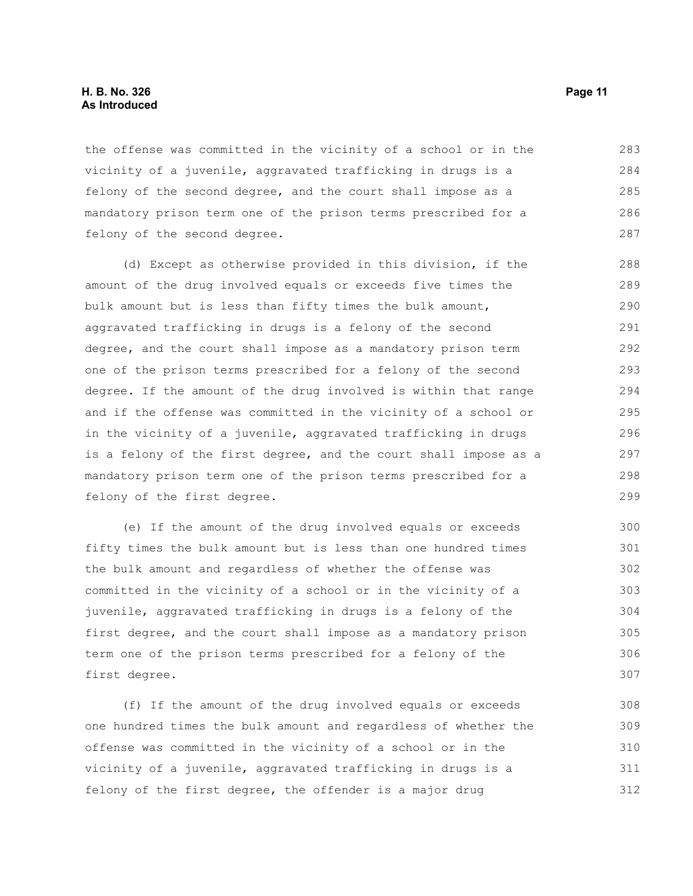#### **H. B. No. 326 Page 11 As Introduced**

the offense was committed in the vicinity of a school or in the vicinity of a juvenile, aggravated trafficking in drugs is a felony of the second degree, and the court shall impose as a mandatory prison term one of the prison terms prescribed for a felony of the second degree. 283 284 285 286 287

(d) Except as otherwise provided in this division, if the amount of the drug involved equals or exceeds five times the bulk amount but is less than fifty times the bulk amount, aggravated trafficking in drugs is a felony of the second degree, and the court shall impose as a mandatory prison term one of the prison terms prescribed for a felony of the second degree. If the amount of the drug involved is within that range and if the offense was committed in the vicinity of a school or in the vicinity of a juvenile, aggravated trafficking in drugs is a felony of the first degree, and the court shall impose as a mandatory prison term one of the prison terms prescribed for a felony of the first degree. 288 289 290 291 292 293 294 295 296 297 298 299

(e) If the amount of the drug involved equals or exceeds fifty times the bulk amount but is less than one hundred times the bulk amount and regardless of whether the offense was committed in the vicinity of a school or in the vicinity of a juvenile, aggravated trafficking in drugs is a felony of the first degree, and the court shall impose as a mandatory prison term one of the prison terms prescribed for a felony of the first degree. 300 301 302 303 304 305 306 307

(f) If the amount of the drug involved equals or exceeds one hundred times the bulk amount and regardless of whether the offense was committed in the vicinity of a school or in the vicinity of a juvenile, aggravated trafficking in drugs is a felony of the first degree, the offender is a major drug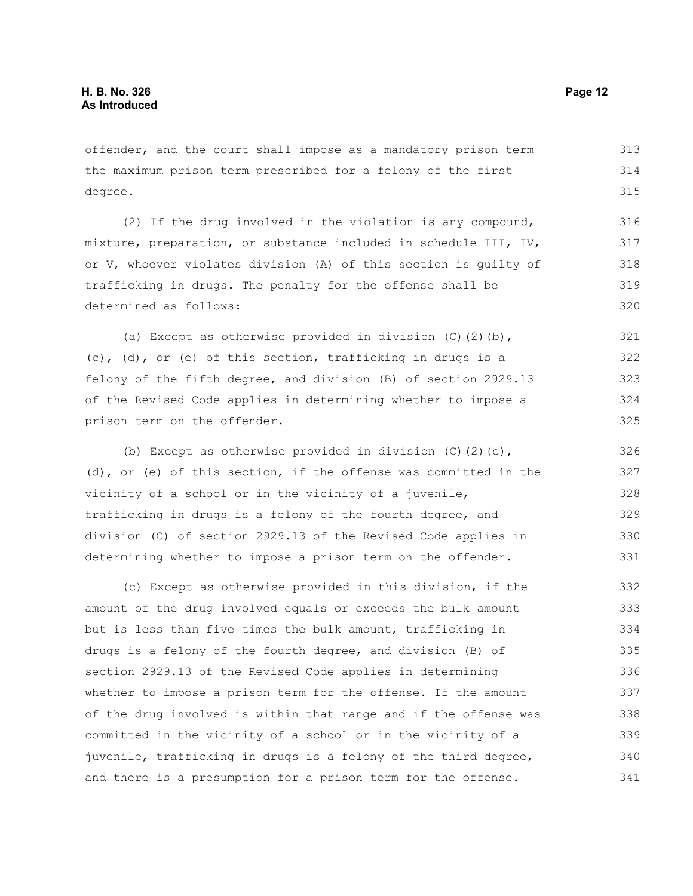offender, and the court shall impose as a mandatory prison term the maximum prison term prescribed for a felony of the first degree. 314

(2) If the drug involved in the violation is any compound, mixture, preparation, or substance included in schedule III, IV, or V, whoever violates division (A) of this section is guilty of trafficking in drugs. The penalty for the offense shall be determined as follows: 316 317 318 319 320

(a) Except as otherwise provided in division (C)(2)(b), (c), (d), or (e) of this section, trafficking in drugs is a felony of the fifth degree, and division (B) of section 2929.13 of the Revised Code applies in determining whether to impose a prison term on the offender. 321 322 323 324 325

(b) Except as otherwise provided in division (C)(2)(c), (d), or (e) of this section, if the offense was committed in the vicinity of a school or in the vicinity of a juvenile, trafficking in drugs is a felony of the fourth degree, and division (C) of section 2929.13 of the Revised Code applies in determining whether to impose a prison term on the offender. 326 327 328 329 330 331

(c) Except as otherwise provided in this division, if the amount of the drug involved equals or exceeds the bulk amount but is less than five times the bulk amount, trafficking in drugs is a felony of the fourth degree, and division (B) of section 2929.13 of the Revised Code applies in determining whether to impose a prison term for the offense. If the amount of the drug involved is within that range and if the offense was committed in the vicinity of a school or in the vicinity of a juvenile, trafficking in drugs is a felony of the third degree, and there is a presumption for a prison term for the offense. 332 333 334 335 336 337 338 339 340 341

313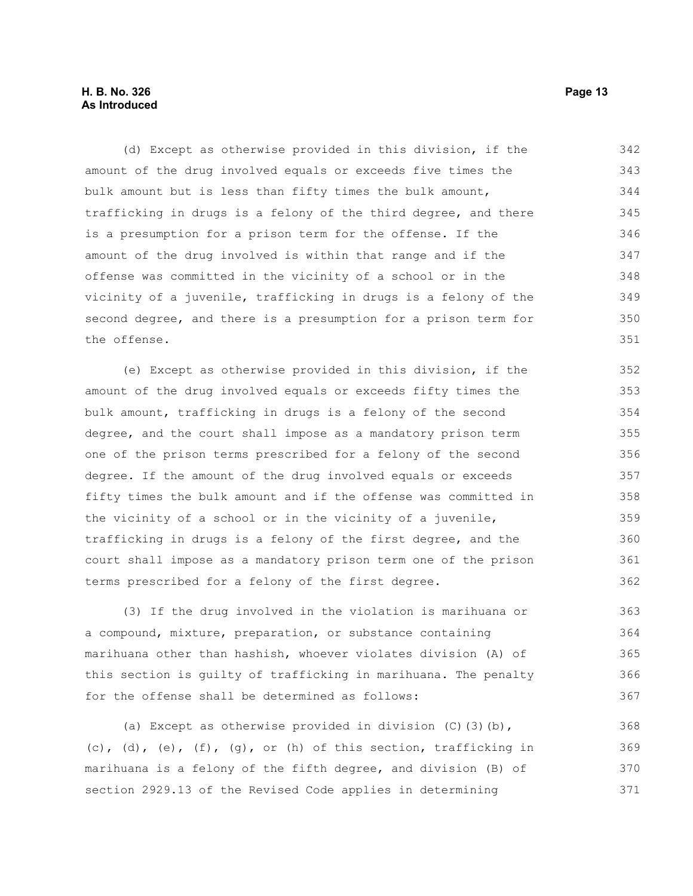#### **H. B. No. 326 Page 13 As Introduced**

(d) Except as otherwise provided in this division, if the amount of the drug involved equals or exceeds five times the bulk amount but is less than fifty times the bulk amount, trafficking in drugs is a felony of the third degree, and there is a presumption for a prison term for the offense. If the amount of the drug involved is within that range and if the offense was committed in the vicinity of a school or in the vicinity of a juvenile, trafficking in drugs is a felony of the second degree, and there is a presumption for a prison term for the offense. 342 343 344 345 346 347 348 349 350 351

(e) Except as otherwise provided in this division, if the amount of the drug involved equals or exceeds fifty times the bulk amount, trafficking in drugs is a felony of the second degree, and the court shall impose as a mandatory prison term one of the prison terms prescribed for a felony of the second degree. If the amount of the drug involved equals or exceeds fifty times the bulk amount and if the offense was committed in the vicinity of a school or in the vicinity of a juvenile, trafficking in drugs is a felony of the first degree, and the court shall impose as a mandatory prison term one of the prison terms prescribed for a felony of the first degree. 352 353 354 355 356 357 358 359 360 361 362

(3) If the drug involved in the violation is marihuana or a compound, mixture, preparation, or substance containing marihuana other than hashish, whoever violates division (A) of this section is guilty of trafficking in marihuana. The penalty for the offense shall be determined as follows: 363 364 365 366 367

(a) Except as otherwise provided in division (C)(3)(b), (c), (d), (e), (f), (g), or (h) of this section, trafficking in marihuana is a felony of the fifth degree, and division (B) of section 2929.13 of the Revised Code applies in determining 368 369 370 371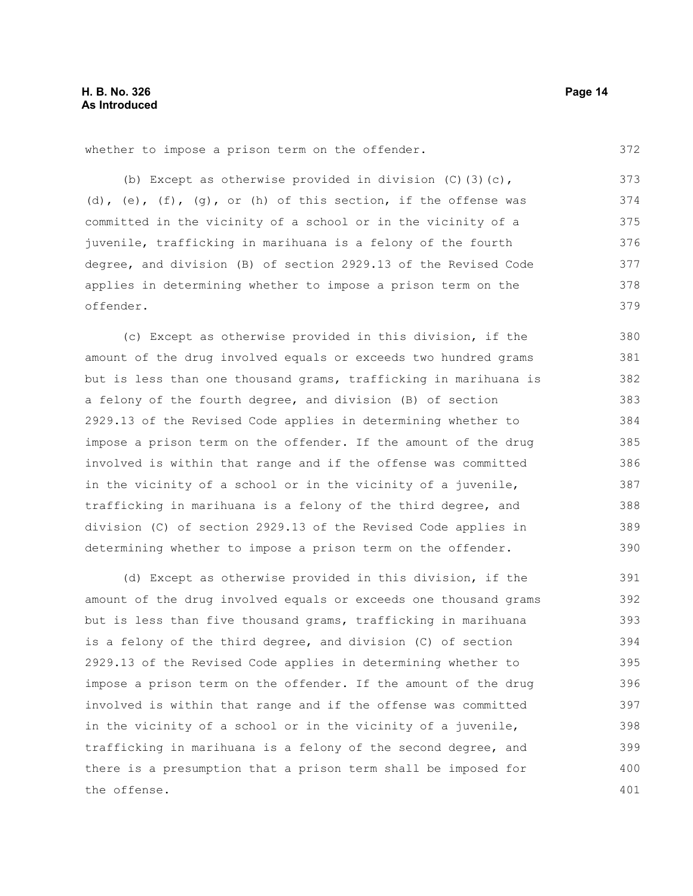whether to impose a prison term on the offender.

(b) Except as otherwise provided in division (C)(3)(c), (d), (e), (f), (g), or (h) of this section, if the offense was committed in the vicinity of a school or in the vicinity of a juvenile, trafficking in marihuana is a felony of the fourth degree, and division (B) of section 2929.13 of the Revised Code applies in determining whether to impose a prison term on the offender. 373 374 376 377 378 379

(c) Except as otherwise provided in this division, if the amount of the drug involved equals or exceeds two hundred grams but is less than one thousand grams, trafficking in marihuana is a felony of the fourth degree, and division (B) of section 2929.13 of the Revised Code applies in determining whether to impose a prison term on the offender. If the amount of the drug involved is within that range and if the offense was committed in the vicinity of a school or in the vicinity of a juvenile, trafficking in marihuana is a felony of the third degree, and division (C) of section 2929.13 of the Revised Code applies in determining whether to impose a prison term on the offender.

(d) Except as otherwise provided in this division, if the amount of the drug involved equals or exceeds one thousand grams but is less than five thousand grams, trafficking in marihuana is a felony of the third degree, and division (C) of section 2929.13 of the Revised Code applies in determining whether to impose a prison term on the offender. If the amount of the drug involved is within that range and if the offense was committed in the vicinity of a school or in the vicinity of a juvenile, trafficking in marihuana is a felony of the second degree, and there is a presumption that a prison term shall be imposed for the offense. 391 392 393 394 395 396 397 398 399 400 401

375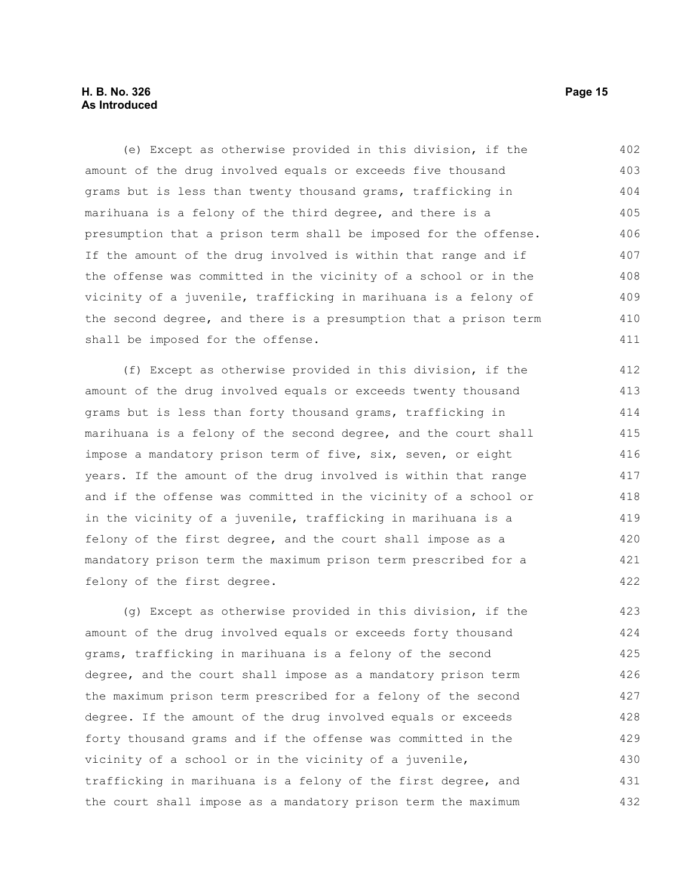#### **H. B. No. 326 Page 15 As Introduced**

(e) Except as otherwise provided in this division, if the amount of the drug involved equals or exceeds five thousand grams but is less than twenty thousand grams, trafficking in marihuana is a felony of the third degree, and there is a presumption that a prison term shall be imposed for the offense. If the amount of the drug involved is within that range and if the offense was committed in the vicinity of a school or in the vicinity of a juvenile, trafficking in marihuana is a felony of the second degree, and there is a presumption that a prison term shall be imposed for the offense. 402 403 404 405 406 407 408 409 410 411

(f) Except as otherwise provided in this division, if the amount of the drug involved equals or exceeds twenty thousand grams but is less than forty thousand grams, trafficking in marihuana is a felony of the second degree, and the court shall impose a mandatory prison term of five, six, seven, or eight years. If the amount of the drug involved is within that range and if the offense was committed in the vicinity of a school or in the vicinity of a juvenile, trafficking in marihuana is a felony of the first degree, and the court shall impose as a mandatory prison term the maximum prison term prescribed for a felony of the first degree.

(g) Except as otherwise provided in this division, if the amount of the drug involved equals or exceeds forty thousand grams, trafficking in marihuana is a felony of the second degree, and the court shall impose as a mandatory prison term the maximum prison term prescribed for a felony of the second degree. If the amount of the drug involved equals or exceeds forty thousand grams and if the offense was committed in the vicinity of a school or in the vicinity of a juvenile, trafficking in marihuana is a felony of the first degree, and the court shall impose as a mandatory prison term the maximum 423 424 425 426 427 428 429 430 431 432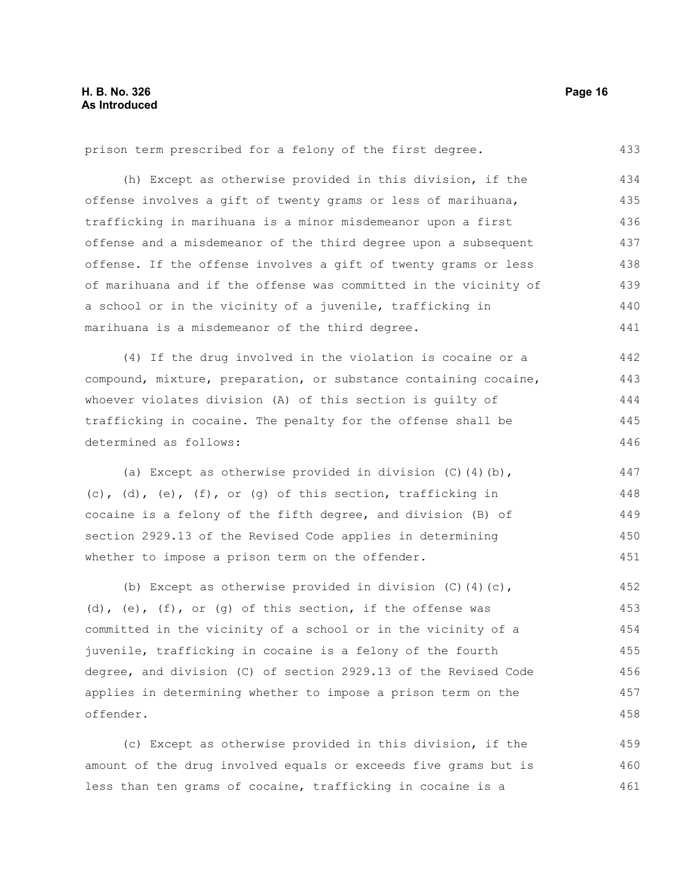433

prison term prescribed for a felony of the first degree.

(h) Except as otherwise provided in this division, if the offense involves a gift of twenty grams or less of marihuana, trafficking in marihuana is a minor misdemeanor upon a first offense and a misdemeanor of the third degree upon a subsequent offense. If the offense involves a gift of twenty grams or less of marihuana and if the offense was committed in the vicinity of a school or in the vicinity of a juvenile, trafficking in marihuana is a misdemeanor of the third degree. 434 435 436 437 438 439 440 441

(4) If the drug involved in the violation is cocaine or a compound, mixture, preparation, or substance containing cocaine, whoever violates division (A) of this section is guilty of trafficking in cocaine. The penalty for the offense shall be determined as follows: 442 443 444 445 446

(a) Except as otherwise provided in division (C)(4)(b), (c), (d), (e), (f), or (g) of this section, trafficking in cocaine is a felony of the fifth degree, and division (B) of section 2929.13 of the Revised Code applies in determining whether to impose a prison term on the offender. 447 448 449 450 451

(b) Except as otherwise provided in division (C)(4)(c), (d), (e), (f), or (g) of this section, if the offense was committed in the vicinity of a school or in the vicinity of a juvenile, trafficking in cocaine is a felony of the fourth degree, and division (C) of section 2929.13 of the Revised Code applies in determining whether to impose a prison term on the offender. 452 453 454 455 456 457 458

(c) Except as otherwise provided in this division, if the amount of the drug involved equals or exceeds five grams but is less than ten grams of cocaine, trafficking in cocaine is a 459 460 461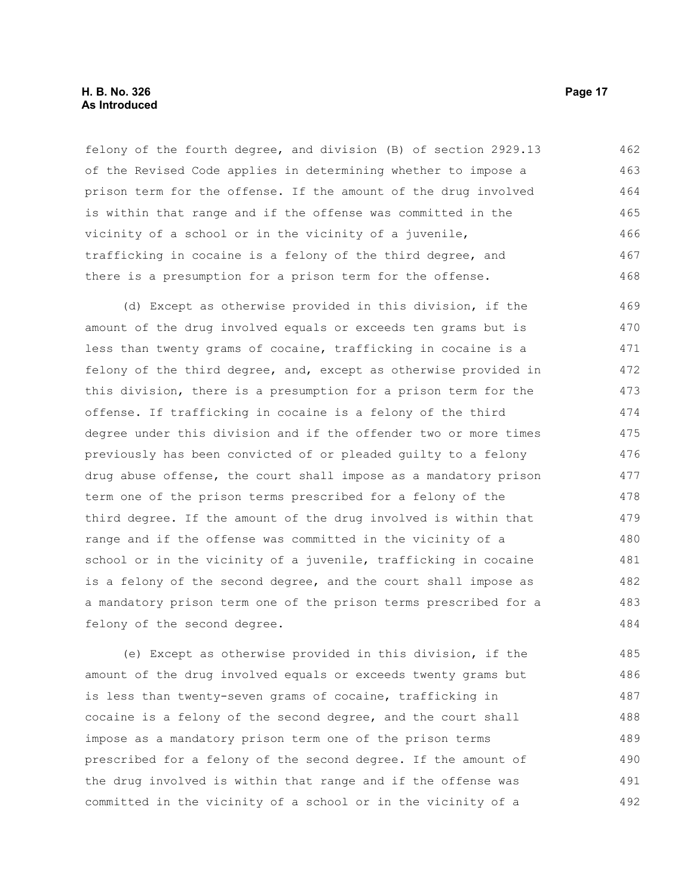#### **H. B. No. 326 Page 17 As Introduced**

felony of the fourth degree, and division (B) of section 2929.13 of the Revised Code applies in determining whether to impose a prison term for the offense. If the amount of the drug involved is within that range and if the offense was committed in the vicinity of a school or in the vicinity of a juvenile, trafficking in cocaine is a felony of the third degree, and there is a presumption for a prison term for the offense. 462 463 464 465 466 467 468

(d) Except as otherwise provided in this division, if the amount of the drug involved equals or exceeds ten grams but is less than twenty grams of cocaine, trafficking in cocaine is a felony of the third degree, and, except as otherwise provided in this division, there is a presumption for a prison term for the offense. If trafficking in cocaine is a felony of the third degree under this division and if the offender two or more times previously has been convicted of or pleaded guilty to a felony drug abuse offense, the court shall impose as a mandatory prison term one of the prison terms prescribed for a felony of the third degree. If the amount of the drug involved is within that range and if the offense was committed in the vicinity of a school or in the vicinity of a juvenile, trafficking in cocaine is a felony of the second degree, and the court shall impose as a mandatory prison term one of the prison terms prescribed for a felony of the second degree. 469 470 471 472 473 474 475 476 477 478 479 480 481 482 483 484

(e) Except as otherwise provided in this division, if the amount of the drug involved equals or exceeds twenty grams but is less than twenty-seven grams of cocaine, trafficking in cocaine is a felony of the second degree, and the court shall impose as a mandatory prison term one of the prison terms prescribed for a felony of the second degree. If the amount of the drug involved is within that range and if the offense was committed in the vicinity of a school or in the vicinity of a 485 486 487 488 489 490 491 492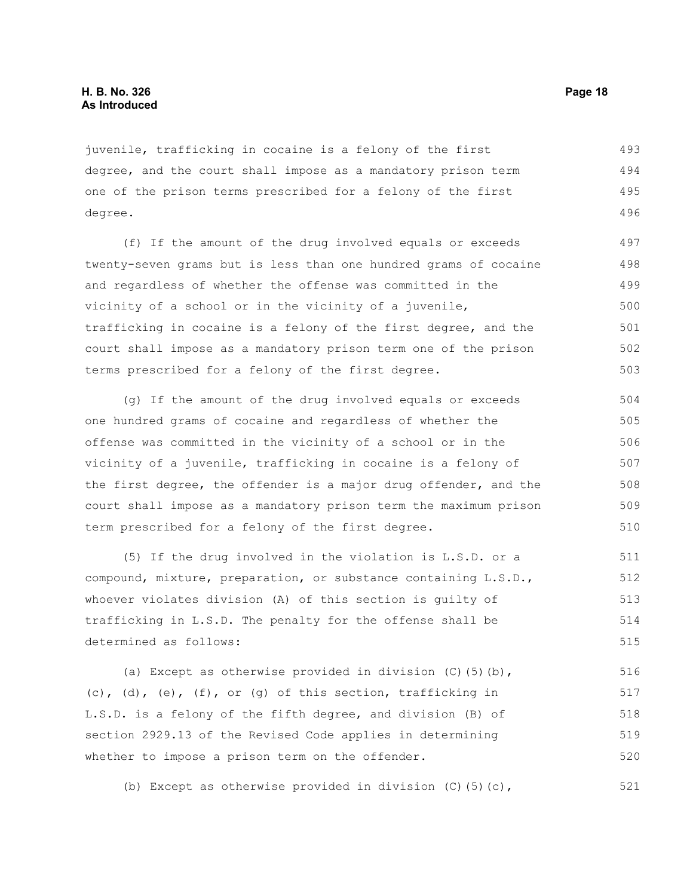juvenile, trafficking in cocaine is a felony of the first degree, and the court shall impose as a mandatory prison term one of the prison terms prescribed for a felony of the first degree. 493 494 495 496

(f) If the amount of the drug involved equals or exceeds twenty-seven grams but is less than one hundred grams of cocaine and regardless of whether the offense was committed in the vicinity of a school or in the vicinity of a juvenile, trafficking in cocaine is a felony of the first degree, and the court shall impose as a mandatory prison term one of the prison terms prescribed for a felony of the first degree. 497 498 499 500 501 502 503

(g) If the amount of the drug involved equals or exceeds one hundred grams of cocaine and regardless of whether the offense was committed in the vicinity of a school or in the vicinity of a juvenile, trafficking in cocaine is a felony of the first degree, the offender is a major drug offender, and the court shall impose as a mandatory prison term the maximum prison term prescribed for a felony of the first degree. 504 505 506 507 508 509 510

(5) If the drug involved in the violation is L.S.D. or a compound, mixture, preparation, or substance containing L.S.D., whoever violates division (A) of this section is guilty of trafficking in L.S.D. The penalty for the offense shall be determined as follows: 511 512 513 514 515

(a) Except as otherwise provided in division  $(C)$  (5)(b), (c), (d), (e), (f), or (g) of this section, trafficking in L.S.D. is a felony of the fifth degree, and division (B) of section 2929.13 of the Revised Code applies in determining whether to impose a prison term on the offender. 516 517 518 519 520

(b) Except as otherwise provided in division (C)(5)(c),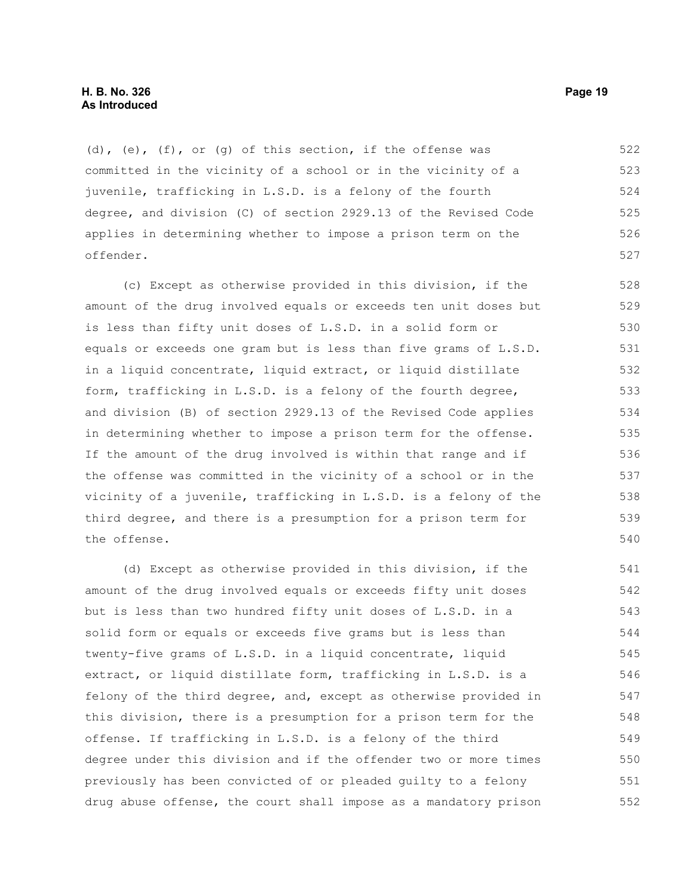(d), (e), (f), or (q) of this section, if the offense was committed in the vicinity of a school or in the vicinity of a juvenile, trafficking in L.S.D. is a felony of the fourth degree, and division (C) of section 2929.13 of the Revised Code applies in determining whether to impose a prison term on the offender. 522 523 524 525 526 527

(c) Except as otherwise provided in this division, if the amount of the drug involved equals or exceeds ten unit doses but is less than fifty unit doses of L.S.D. in a solid form or equals or exceeds one gram but is less than five grams of L.S.D. in a liquid concentrate, liquid extract, or liquid distillate form, trafficking in L.S.D. is a felony of the fourth degree, and division (B) of section 2929.13 of the Revised Code applies in determining whether to impose a prison term for the offense. If the amount of the drug involved is within that range and if the offense was committed in the vicinity of a school or in the vicinity of a juvenile, trafficking in L.S.D. is a felony of the third degree, and there is a presumption for a prison term for the offense.

(d) Except as otherwise provided in this division, if the amount of the drug involved equals or exceeds fifty unit doses but is less than two hundred fifty unit doses of L.S.D. in a solid form or equals or exceeds five grams but is less than twenty-five grams of L.S.D. in a liquid concentrate, liquid extract, or liquid distillate form, trafficking in L.S.D. is a felony of the third degree, and, except as otherwise provided in this division, there is a presumption for a prison term for the offense. If trafficking in L.S.D. is a felony of the third degree under this division and if the offender two or more times previously has been convicted of or pleaded guilty to a felony drug abuse offense, the court shall impose as a mandatory prison 541 542 543 544 545 546 547 548 549 550 551 552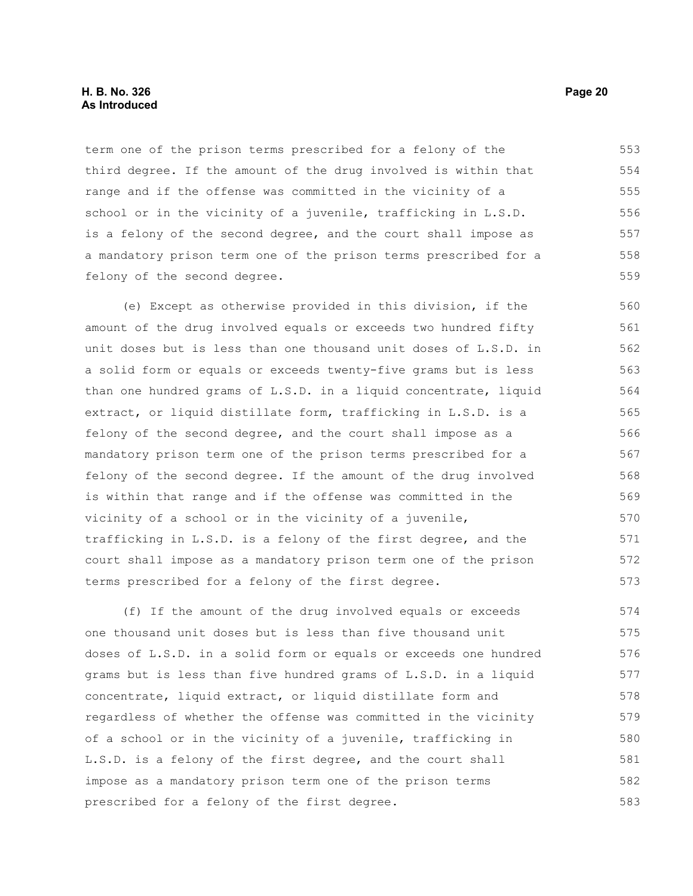#### **H. B. No. 326 Page 20 As Introduced**

term one of the prison terms prescribed for a felony of the third degree. If the amount of the drug involved is within that range and if the offense was committed in the vicinity of a school or in the vicinity of a juvenile, trafficking in L.S.D. is a felony of the second degree, and the court shall impose as a mandatory prison term one of the prison terms prescribed for a felony of the second degree. 553 554 555 556 557 558 559

(e) Except as otherwise provided in this division, if the amount of the drug involved equals or exceeds two hundred fifty unit doses but is less than one thousand unit doses of L.S.D. in a solid form or equals or exceeds twenty-five grams but is less than one hundred grams of L.S.D. in a liquid concentrate, liquid extract, or liquid distillate form, trafficking in L.S.D. is a felony of the second degree, and the court shall impose as a mandatory prison term one of the prison terms prescribed for a felony of the second degree. If the amount of the drug involved is within that range and if the offense was committed in the vicinity of a school or in the vicinity of a juvenile, trafficking in L.S.D. is a felony of the first degree, and the court shall impose as a mandatory prison term one of the prison terms prescribed for a felony of the first degree. 560 561 562 563 564 565 566 567 568 569 570 571 572 573

(f) If the amount of the drug involved equals or exceeds one thousand unit doses but is less than five thousand unit doses of L.S.D. in a solid form or equals or exceeds one hundred grams but is less than five hundred grams of L.S.D. in a liquid concentrate, liquid extract, or liquid distillate form and regardless of whether the offense was committed in the vicinity of a school or in the vicinity of a juvenile, trafficking in L.S.D. is a felony of the first degree, and the court shall impose as a mandatory prison term one of the prison terms prescribed for a felony of the first degree. 574 575 576 577 578 579 580 581 582 583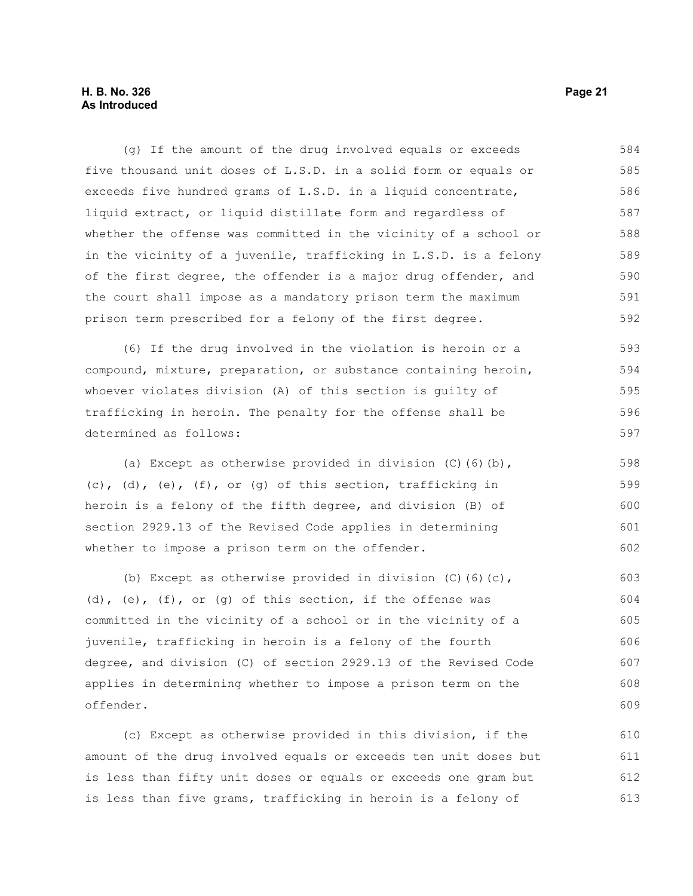#### **H. B. No. 326 Page 21 As Introduced**

(g) If the amount of the drug involved equals or exceeds five thousand unit doses of L.S.D. in a solid form or equals or exceeds five hundred grams of L.S.D. in a liquid concentrate, liquid extract, or liquid distillate form and regardless of whether the offense was committed in the vicinity of a school or in the vicinity of a juvenile, trafficking in L.S.D. is a felony of the first degree, the offender is a major drug offender, and the court shall impose as a mandatory prison term the maximum prison term prescribed for a felony of the first degree. 584 585 586 587 588 589 590 591 592

(6) If the drug involved in the violation is heroin or a compound, mixture, preparation, or substance containing heroin, whoever violates division (A) of this section is guilty of trafficking in heroin. The penalty for the offense shall be determined as follows:

(a) Except as otherwise provided in division  $(C)$  (6)(b), (c), (d), (e), (f), or (g) of this section, trafficking in heroin is a felony of the fifth degree, and division (B) of section 2929.13 of the Revised Code applies in determining whether to impose a prison term on the offender. 598 599 600 601 602

(b) Except as otherwise provided in division (C)(6)(c), (d), (e),  $(f)$ , or  $(g)$  of this section, if the offense was committed in the vicinity of a school or in the vicinity of a juvenile, trafficking in heroin is a felony of the fourth degree, and division (C) of section 2929.13 of the Revised Code applies in determining whether to impose a prison term on the offender. 603 604 605 606 607 608 609

(c) Except as otherwise provided in this division, if the amount of the drug involved equals or exceeds ten unit doses but is less than fifty unit doses or equals or exceeds one gram but is less than five grams, trafficking in heroin is a felony of 610 611 612 613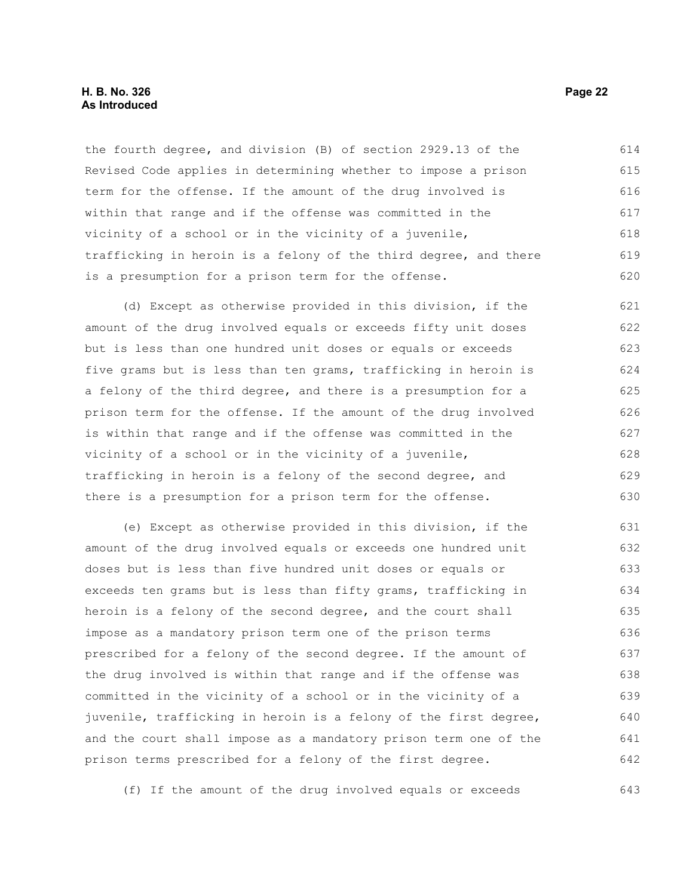#### **H. B. No. 326 Page 22 As Introduced**

the fourth degree, and division (B) of section 2929.13 of the Revised Code applies in determining whether to impose a prison term for the offense. If the amount of the drug involved is within that range and if the offense was committed in the vicinity of a school or in the vicinity of a juvenile, trafficking in heroin is a felony of the third degree, and there is a presumption for a prison term for the offense. 614 615 616 617 618 619 620

(d) Except as otherwise provided in this division, if the amount of the drug involved equals or exceeds fifty unit doses but is less than one hundred unit doses or equals or exceeds five grams but is less than ten grams, trafficking in heroin is a felony of the third degree, and there is a presumption for a prison term for the offense. If the amount of the drug involved is within that range and if the offense was committed in the vicinity of a school or in the vicinity of a juvenile, trafficking in heroin is a felony of the second degree, and there is a presumption for a prison term for the offense. 621 622 623 624 625 626 627 628 629 630

(e) Except as otherwise provided in this division, if the amount of the drug involved equals or exceeds one hundred unit doses but is less than five hundred unit doses or equals or exceeds ten grams but is less than fifty grams, trafficking in heroin is a felony of the second degree, and the court shall impose as a mandatory prison term one of the prison terms prescribed for a felony of the second degree. If the amount of the drug involved is within that range and if the offense was committed in the vicinity of a school or in the vicinity of a juvenile, trafficking in heroin is a felony of the first degree, and the court shall impose as a mandatory prison term one of the prison terms prescribed for a felony of the first degree. 631 632 633 634 635 636 637 638 639 640 641 642

(f) If the amount of the drug involved equals or exceeds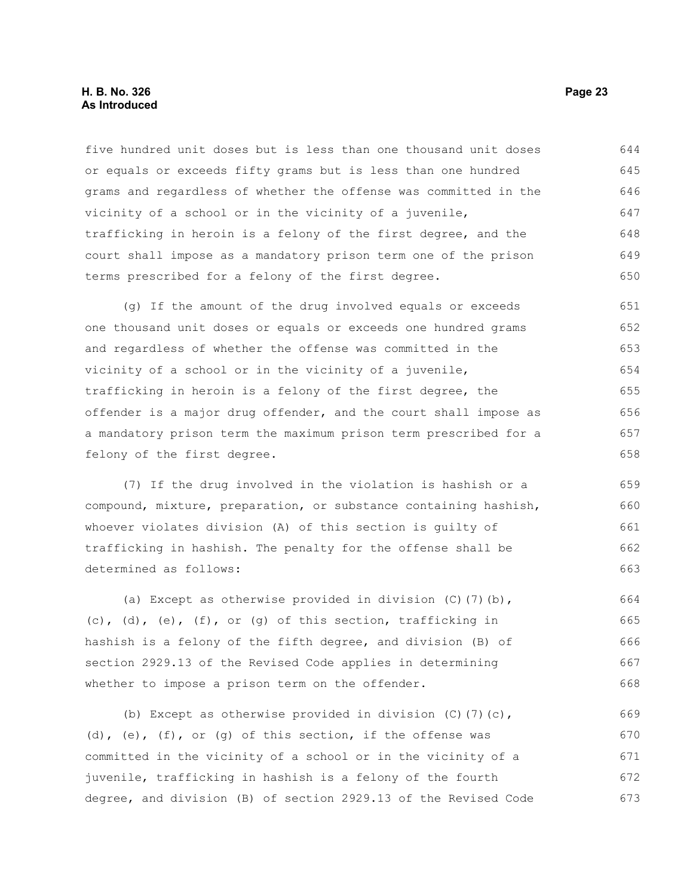#### **H. B. No. 326 Page 23 As Introduced**

five hundred unit doses but is less than one thousand unit doses or equals or exceeds fifty grams but is less than one hundred grams and regardless of whether the offense was committed in the vicinity of a school or in the vicinity of a juvenile, trafficking in heroin is a felony of the first degree, and the court shall impose as a mandatory prison term one of the prison terms prescribed for a felony of the first degree. 644 645 646 647 648 649 650

(g) If the amount of the drug involved equals or exceeds one thousand unit doses or equals or exceeds one hundred grams and regardless of whether the offense was committed in the vicinity of a school or in the vicinity of a juvenile, trafficking in heroin is a felony of the first degree, the offender is a major drug offender, and the court shall impose as a mandatory prison term the maximum prison term prescribed for a felony of the first degree. 651 652 653 654 655 656 657 658

(7) If the drug involved in the violation is hashish or a compound, mixture, preparation, or substance containing hashish, whoever violates division (A) of this section is guilty of trafficking in hashish. The penalty for the offense shall be determined as follows:

(a) Except as otherwise provided in division  $(C)$   $(7)$   $(b)$ , (c), (d), (e),  $(f)$ , or (q) of this section, trafficking in hashish is a felony of the fifth degree, and division (B) of section 2929.13 of the Revised Code applies in determining whether to impose a prison term on the offender. 664 665 666 667 668

(b) Except as otherwise provided in division (C)(7)(c), (d), (e), (f), or (g) of this section, if the offense was committed in the vicinity of a school or in the vicinity of a juvenile, trafficking in hashish is a felony of the fourth degree, and division (B) of section 2929.13 of the Revised Code 669 670 671 672 673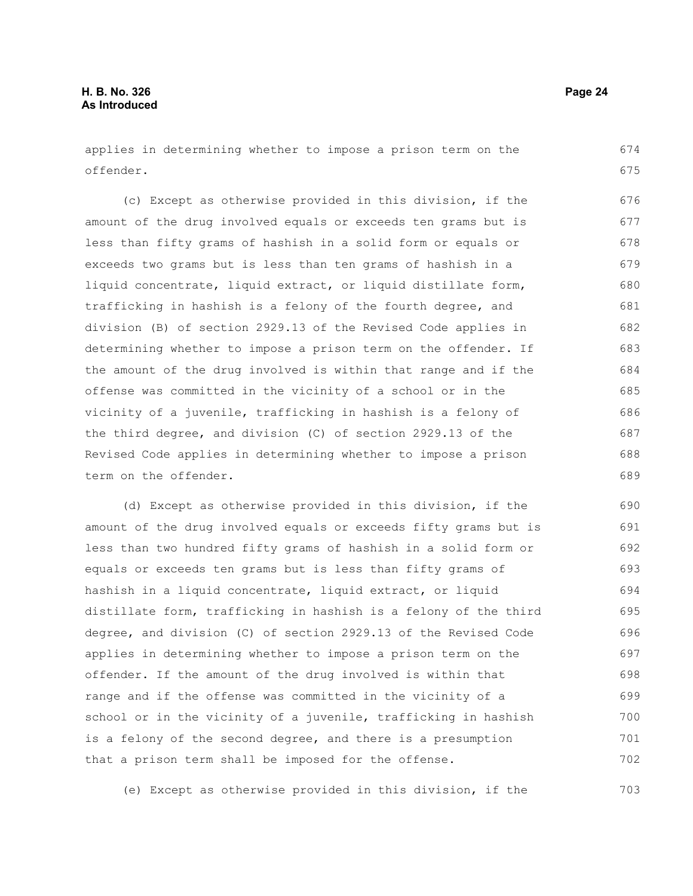applies in determining whether to impose a prison term on the offender.

(c) Except as otherwise provided in this division, if the amount of the drug involved equals or exceeds ten grams but is less than fifty grams of hashish in a solid form or equals or exceeds two grams but is less than ten grams of hashish in a liquid concentrate, liquid extract, or liquid distillate form, trafficking in hashish is a felony of the fourth degree, and division (B) of section 2929.13 of the Revised Code applies in determining whether to impose a prison term on the offender. If the amount of the drug involved is within that range and if the offense was committed in the vicinity of a school or in the vicinity of a juvenile, trafficking in hashish is a felony of the third degree, and division (C) of section 2929.13 of the Revised Code applies in determining whether to impose a prison term on the offender. 676 677 678 679 680 681 682 683 684 685 686 687 688 689

(d) Except as otherwise provided in this division, if the amount of the drug involved equals or exceeds fifty grams but is less than two hundred fifty grams of hashish in a solid form or equals or exceeds ten grams but is less than fifty grams of hashish in a liquid concentrate, liquid extract, or liquid distillate form, trafficking in hashish is a felony of the third degree, and division (C) of section 2929.13 of the Revised Code applies in determining whether to impose a prison term on the offender. If the amount of the drug involved is within that range and if the offense was committed in the vicinity of a school or in the vicinity of a juvenile, trafficking in hashish is a felony of the second degree, and there is a presumption that a prison term shall be imposed for the offense. 690 691 692 693 694 695 696 697 698 699 700 701 702

(e) Except as otherwise provided in this division, if the

674 675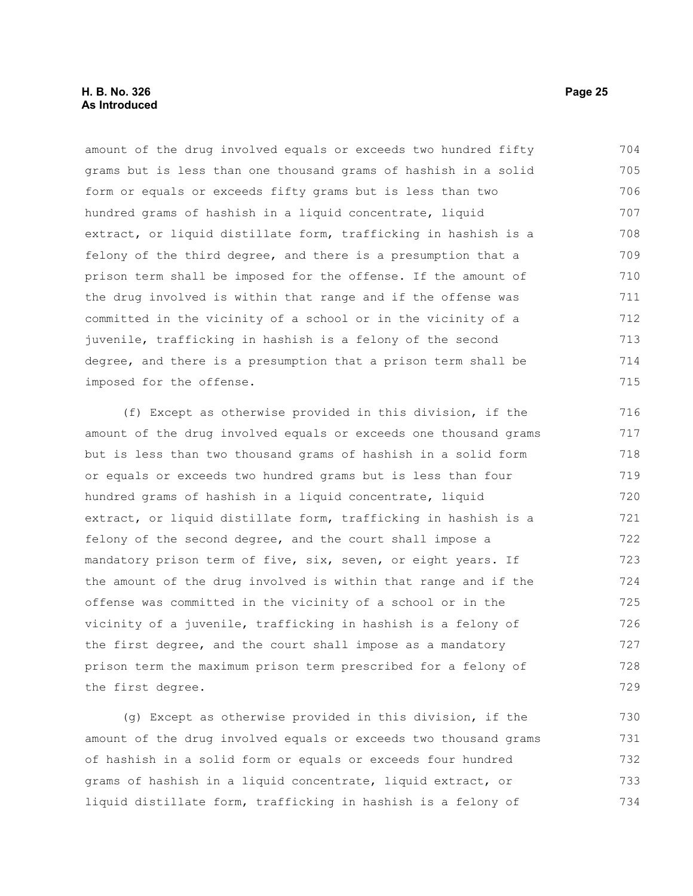#### **H. B. No. 326 Page 25 As Introduced**

amount of the drug involved equals or exceeds two hundred fifty grams but is less than one thousand grams of hashish in a solid form or equals or exceeds fifty grams but is less than two hundred grams of hashish in a liquid concentrate, liquid extract, or liquid distillate form, trafficking in hashish is a felony of the third degree, and there is a presumption that a prison term shall be imposed for the offense. If the amount of the drug involved is within that range and if the offense was committed in the vicinity of a school or in the vicinity of a juvenile, trafficking in hashish is a felony of the second degree, and there is a presumption that a prison term shall be imposed for the offense. 704 705 706 707 708 709 710 711 712 713 714 715

(f) Except as otherwise provided in this division, if the amount of the drug involved equals or exceeds one thousand grams but is less than two thousand grams of hashish in a solid form or equals or exceeds two hundred grams but is less than four hundred grams of hashish in a liquid concentrate, liquid extract, or liquid distillate form, trafficking in hashish is a felony of the second degree, and the court shall impose a mandatory prison term of five, six, seven, or eight years. If the amount of the drug involved is within that range and if the offense was committed in the vicinity of a school or in the vicinity of a juvenile, trafficking in hashish is a felony of the first degree, and the court shall impose as a mandatory prison term the maximum prison term prescribed for a felony of the first degree. 716 717 718 719 720 721 722 723 724 725 726 727 728 729

(g) Except as otherwise provided in this division, if the amount of the drug involved equals or exceeds two thousand grams of hashish in a solid form or equals or exceeds four hundred grams of hashish in a liquid concentrate, liquid extract, or liquid distillate form, trafficking in hashish is a felony of 730 731 732 733 734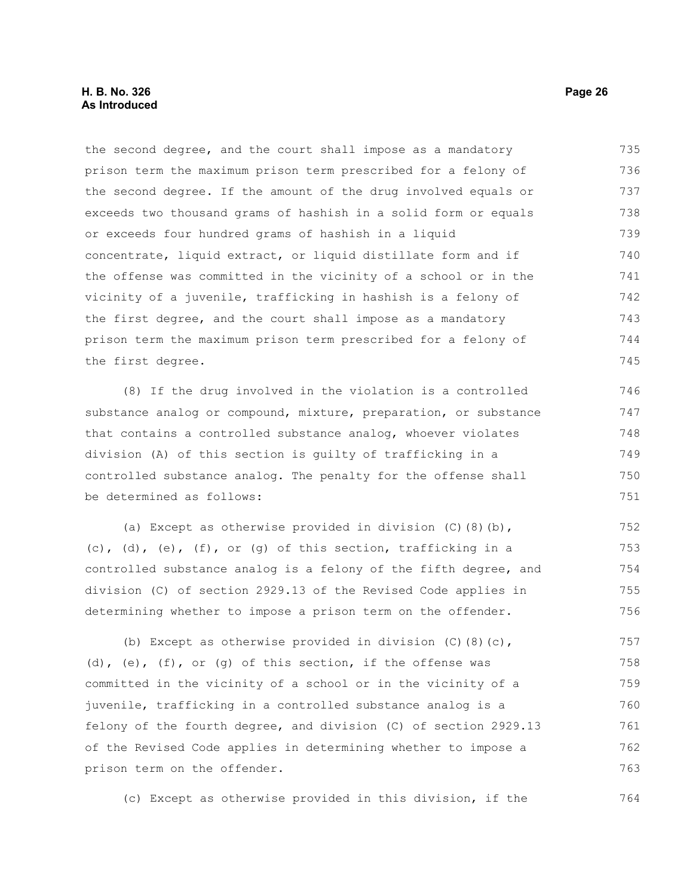#### **H. B. No. 326 Page 26 As Introduced**

the second degree, and the court shall impose as a mandatory prison term the maximum prison term prescribed for a felony of the second degree. If the amount of the drug involved equals or exceeds two thousand grams of hashish in a solid form or equals or exceeds four hundred grams of hashish in a liquid concentrate, liquid extract, or liquid distillate form and if the offense was committed in the vicinity of a school or in the vicinity of a juvenile, trafficking in hashish is a felony of the first degree, and the court shall impose as a mandatory prison term the maximum prison term prescribed for a felony of the first degree. 735 736 737 738 739 740 741 742 743 744 745

(8) If the drug involved in the violation is a controlled substance analog or compound, mixture, preparation, or substance that contains a controlled substance analog, whoever violates division (A) of this section is guilty of trafficking in a controlled substance analog. The penalty for the offense shall be determined as follows:

(a) Except as otherwise provided in division (C)(8)(b), (c),  $(d)$ , (e), (f), or (g) of this section, trafficking in a controlled substance analog is a felony of the fifth degree, and division (C) of section 2929.13 of the Revised Code applies in determining whether to impose a prison term on the offender. 752 753 754 755 756

(b) Except as otherwise provided in division  $(C)$  (8)(c), (d), (e),  $(f)$ , or (q) of this section, if the offense was committed in the vicinity of a school or in the vicinity of a juvenile, trafficking in a controlled substance analog is a felony of the fourth degree, and division (C) of section 2929.13 of the Revised Code applies in determining whether to impose a prison term on the offender. 757 758 759 760 761 762 763

(c) Except as otherwise provided in this division, if the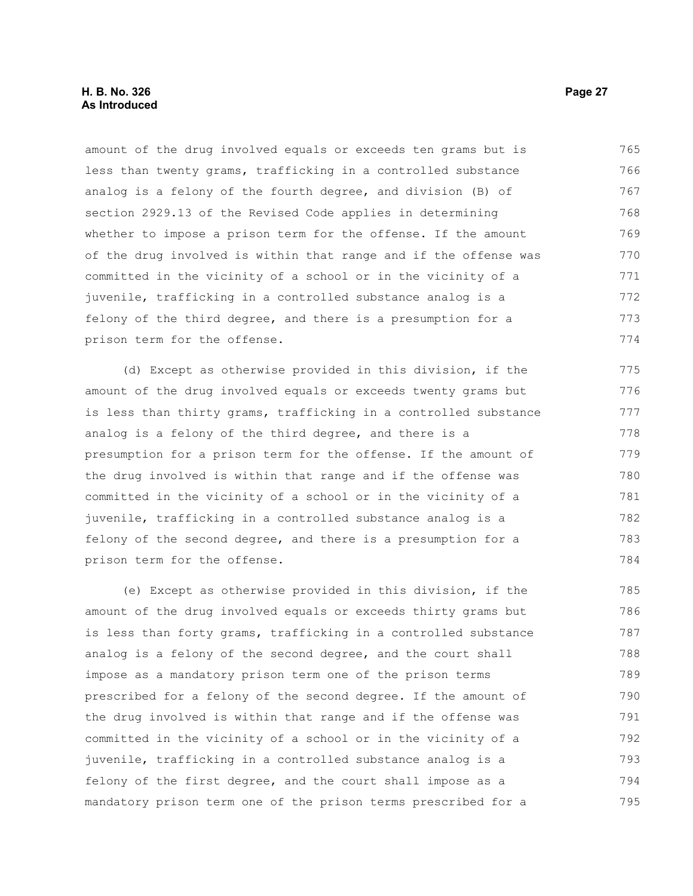#### **H. B. No. 326 Page 27 As Introduced**

amount of the drug involved equals or exceeds ten grams but is less than twenty grams, trafficking in a controlled substance analog is a felony of the fourth degree, and division (B) of section 2929.13 of the Revised Code applies in determining whether to impose a prison term for the offense. If the amount of the drug involved is within that range and if the offense was committed in the vicinity of a school or in the vicinity of a juvenile, trafficking in a controlled substance analog is a felony of the third degree, and there is a presumption for a prison term for the offense. 765 766 767 768 769 770 771 772 773 774

(d) Except as otherwise provided in this division, if the amount of the drug involved equals or exceeds twenty grams but is less than thirty grams, trafficking in a controlled substance analog is a felony of the third degree, and there is a presumption for a prison term for the offense. If the amount of the drug involved is within that range and if the offense was committed in the vicinity of a school or in the vicinity of a juvenile, trafficking in a controlled substance analog is a felony of the second degree, and there is a presumption for a prison term for the offense.

(e) Except as otherwise provided in this division, if the amount of the drug involved equals or exceeds thirty grams but is less than forty grams, trafficking in a controlled substance analog is a felony of the second degree, and the court shall impose as a mandatory prison term one of the prison terms prescribed for a felony of the second degree. If the amount of the drug involved is within that range and if the offense was committed in the vicinity of a school or in the vicinity of a juvenile, trafficking in a controlled substance analog is a felony of the first degree, and the court shall impose as a mandatory prison term one of the prison terms prescribed for a 785 786 787 788 789 790 791 792 793 794 795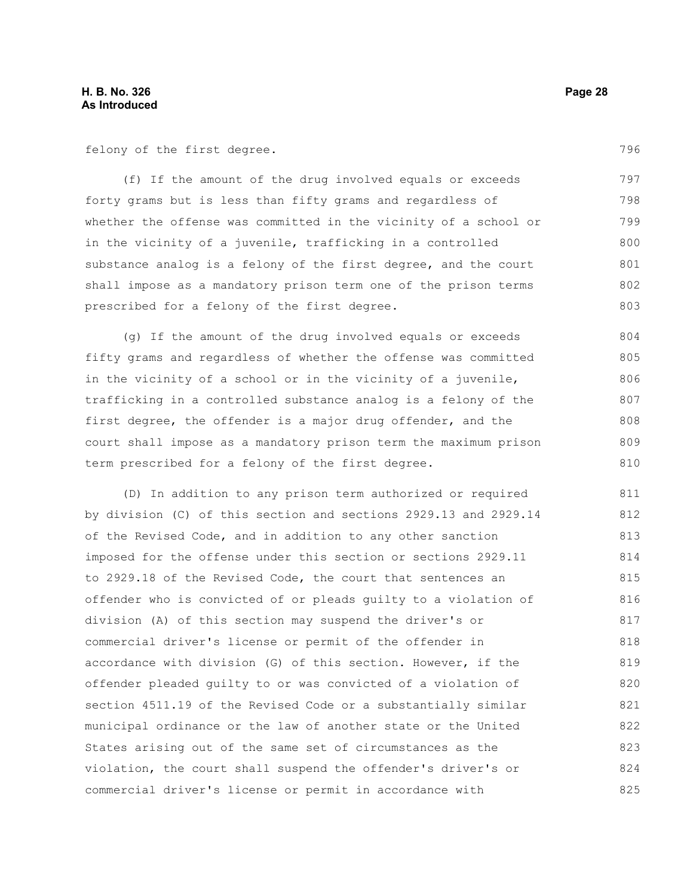felony of the first degree.

(f) If the amount of the drug involved equals or exceeds forty grams but is less than fifty grams and regardless of whether the offense was committed in the vicinity of a school or in the vicinity of a juvenile, trafficking in a controlled substance analog is a felony of the first degree, and the court shall impose as a mandatory prison term one of the prison terms prescribed for a felony of the first degree. 797 798 799 800 801 802 803

(g) If the amount of the drug involved equals or exceeds fifty grams and regardless of whether the offense was committed in the vicinity of a school or in the vicinity of a juvenile, trafficking in a controlled substance analog is a felony of the first degree, the offender is a major drug offender, and the court shall impose as a mandatory prison term the maximum prison term prescribed for a felony of the first degree. 804 805 806 807 808 809 810

(D) In addition to any prison term authorized or required by division (C) of this section and sections 2929.13 and 2929.14 of the Revised Code, and in addition to any other sanction imposed for the offense under this section or sections 2929.11 to 2929.18 of the Revised Code, the court that sentences an offender who is convicted of or pleads guilty to a violation of division (A) of this section may suspend the driver's or commercial driver's license or permit of the offender in accordance with division (G) of this section. However, if the offender pleaded guilty to or was convicted of a violation of section 4511.19 of the Revised Code or a substantially similar municipal ordinance or the law of another state or the United States arising out of the same set of circumstances as the violation, the court shall suspend the offender's driver's or commercial driver's license or permit in accordance with 811 812 813 814 815 816 817 818 819 820 821 822 823 824 825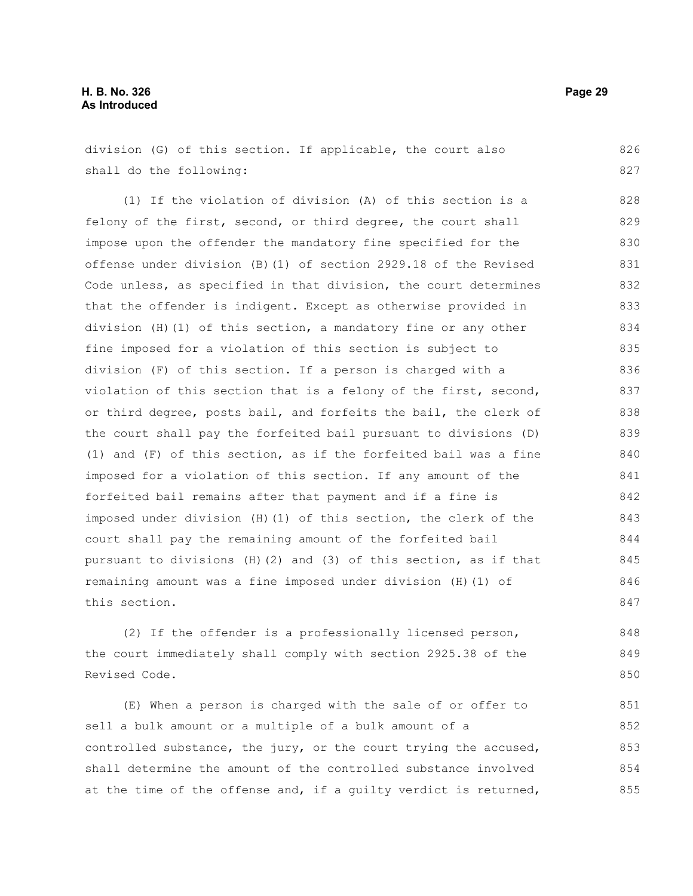848 849 850

| division (G) of this section. If applicable, the court also      | 826 |
|------------------------------------------------------------------|-----|
| shall do the following:                                          | 827 |
| (1) If the violation of division (A) of this section is a        | 828 |
| felony of the first, second, or third degree, the court shall    | 829 |
| impose upon the offender the mandatory fine specified for the    | 830 |
| offense under division (B)(1) of section 2929.18 of the Revised  | 831 |
| Code unless, as specified in that division, the court determines | 832 |
| that the offender is indigent. Except as otherwise provided in   | 833 |
| division (H) (1) of this section, a mandatory fine or any other  | 834 |
| fine imposed for a violation of this section is subject to       | 835 |
| division (F) of this section. If a person is charged with a      | 836 |
| violation of this section that is a felony of the first, second, | 837 |
| or third degree, posts bail, and forfeits the bail, the clerk of | 838 |
| the court shall pay the forfeited bail pursuant to divisions (D) | 839 |
| (1) and (F) of this section, as if the forfeited bail was a fine | 840 |
| imposed for a violation of this section. If any amount of the    | 841 |
| forfeited bail remains after that payment and if a fine is       | 842 |
| imposed under division (H) (1) of this section, the clerk of the | 843 |
| court shall pay the remaining amount of the forfeited bail       | 844 |
| pursuant to divisions (H)(2) and (3) of this section, as if that | 845 |
| remaining amount was a fine imposed under division (H) (1) of    |     |
| this section.                                                    |     |
|                                                                  |     |

(2) If the offender is a professionally licensed person, the court immediately shall comply with section 2925.38 of the Revised Code.

(E) When a person is charged with the sale of or offer to sell a bulk amount or a multiple of a bulk amount of a controlled substance, the jury, or the court trying the accused, shall determine the amount of the controlled substance involved at the time of the offense and, if a guilty verdict is returned, 851 852 853 854 855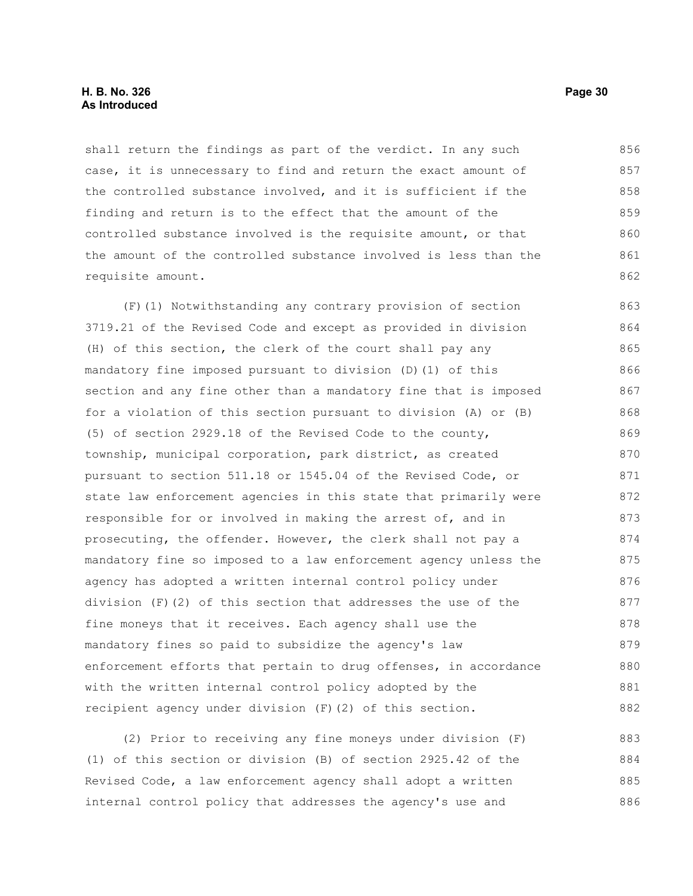shall return the findings as part of the verdict. In any such case, it is unnecessary to find and return the exact amount of the controlled substance involved, and it is sufficient if the finding and return is to the effect that the amount of the controlled substance involved is the requisite amount, or that the amount of the controlled substance involved is less than the requisite amount. 856 857 858 859 860 861 862

(F)(1) Notwithstanding any contrary provision of section 3719.21 of the Revised Code and except as provided in division (H) of this section, the clerk of the court shall pay any mandatory fine imposed pursuant to division (D)(1) of this section and any fine other than a mandatory fine that is imposed for a violation of this section pursuant to division (A) or (B) (5) of section 2929.18 of the Revised Code to the county, township, municipal corporation, park district, as created pursuant to section 511.18 or 1545.04 of the Revised Code, or state law enforcement agencies in this state that primarily were responsible for or involved in making the arrest of, and in prosecuting, the offender. However, the clerk shall not pay a mandatory fine so imposed to a law enforcement agency unless the agency has adopted a written internal control policy under division (F)(2) of this section that addresses the use of the fine moneys that it receives. Each agency shall use the mandatory fines so paid to subsidize the agency's law enforcement efforts that pertain to drug offenses, in accordance with the written internal control policy adopted by the recipient agency under division (F)(2) of this section. 863 864 865 866 867 868 869 870 871 872 873 874 875 876 877 878 879 880 881 882

(2) Prior to receiving any fine moneys under division (F) (1) of this section or division (B) of section 2925.42 of the Revised Code, a law enforcement agency shall adopt a written internal control policy that addresses the agency's use and 883 884 885 886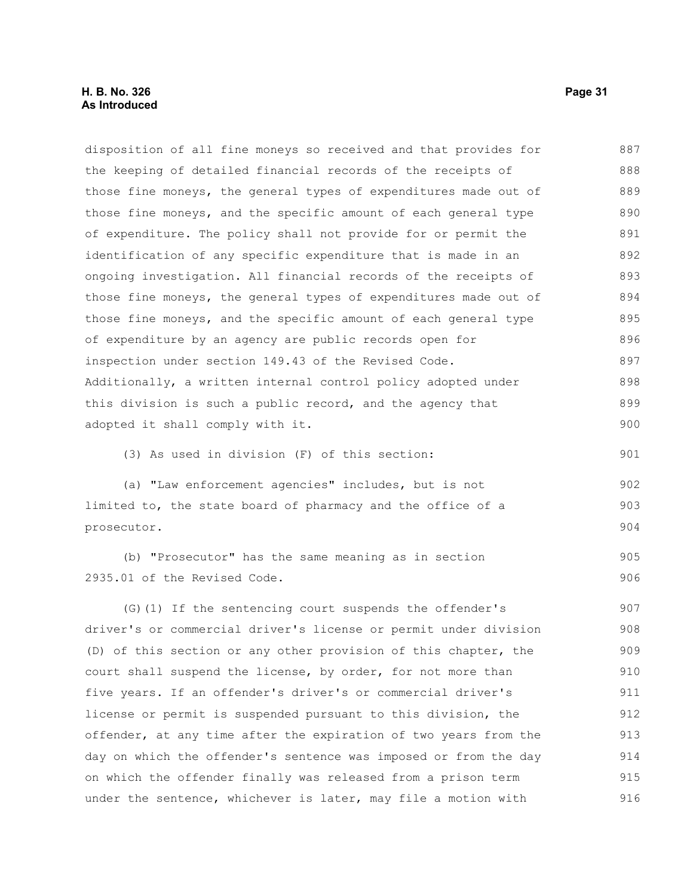#### **H. B. No. 326 Page 31 As Introduced**

disposition of all fine moneys so received and that provides for the keeping of detailed financial records of the receipts of those fine moneys, the general types of expenditures made out of those fine moneys, and the specific amount of each general type of expenditure. The policy shall not provide for or permit the identification of any specific expenditure that is made in an ongoing investigation. All financial records of the receipts of those fine moneys, the general types of expenditures made out of those fine moneys, and the specific amount of each general type of expenditure by an agency are public records open for inspection under section 149.43 of the Revised Code. Additionally, a written internal control policy adopted under this division is such a public record, and the agency that adopted it shall comply with it. (3) As used in division (F) of this section: (a) "Law enforcement agencies" includes, but is not limited to, the state board of pharmacy and the office of a prosecutor. (b) "Prosecutor" has the same meaning as in section 2935.01 of the Revised Code. (G)(1) If the sentencing court suspends the offender's driver's or commercial driver's license or permit under division (D) of this section or any other provision of this chapter, the court shall suspend the license, by order, for not more than five years. If an offender's driver's or commercial driver's license or permit is suspended pursuant to this division, the offender, at any time after the expiration of two years from the day on which the offender's sentence was imposed or from the day on which the offender finally was released from a prison term under the sentence, whichever is later, may file a motion with 887 888 889 890 891 892 893 894 895 896 897 898 899 900 901 902 903 904 905 906 907 908 909 910 911 912 913 914 915 916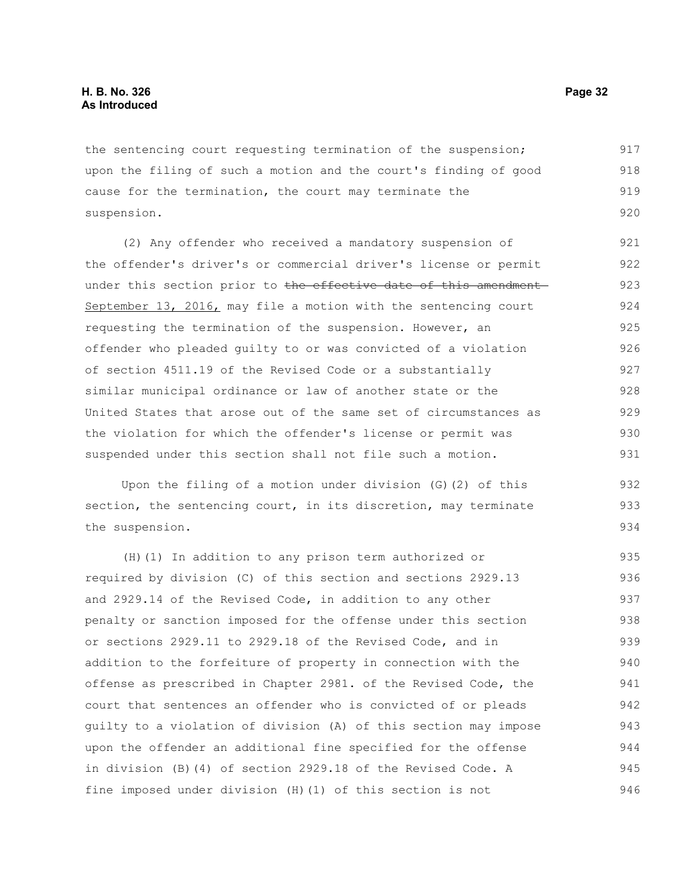the sentencing court requesting termination of the suspension; upon the filing of such a motion and the court's finding of good cause for the termination, the court may terminate the suspension. 917 918 919 920

(2) Any offender who received a mandatory suspension of the offender's driver's or commercial driver's license or permit under this section prior to the effective date of this amendment September 13, 2016, may file a motion with the sentencing court requesting the termination of the suspension. However, an offender who pleaded guilty to or was convicted of a violation of section 4511.19 of the Revised Code or a substantially similar municipal ordinance or law of another state or the United States that arose out of the same set of circumstances as the violation for which the offender's license or permit was suspended under this section shall not file such a motion. 921 922 923 924 925 926 927 928 929 930 931

Upon the filing of a motion under division (G)(2) of this section, the sentencing court, in its discretion, may terminate the suspension. 932 933 934

(H)(1) In addition to any prison term authorized or required by division (C) of this section and sections 2929.13 and 2929.14 of the Revised Code, in addition to any other penalty or sanction imposed for the offense under this section or sections 2929.11 to 2929.18 of the Revised Code, and in addition to the forfeiture of property in connection with the offense as prescribed in Chapter 2981. of the Revised Code, the court that sentences an offender who is convicted of or pleads guilty to a violation of division (A) of this section may impose upon the offender an additional fine specified for the offense in division (B)(4) of section 2929.18 of the Revised Code. A fine imposed under division (H)(1) of this section is not 935 936 937 938 939 940 941 942 943 944 945 946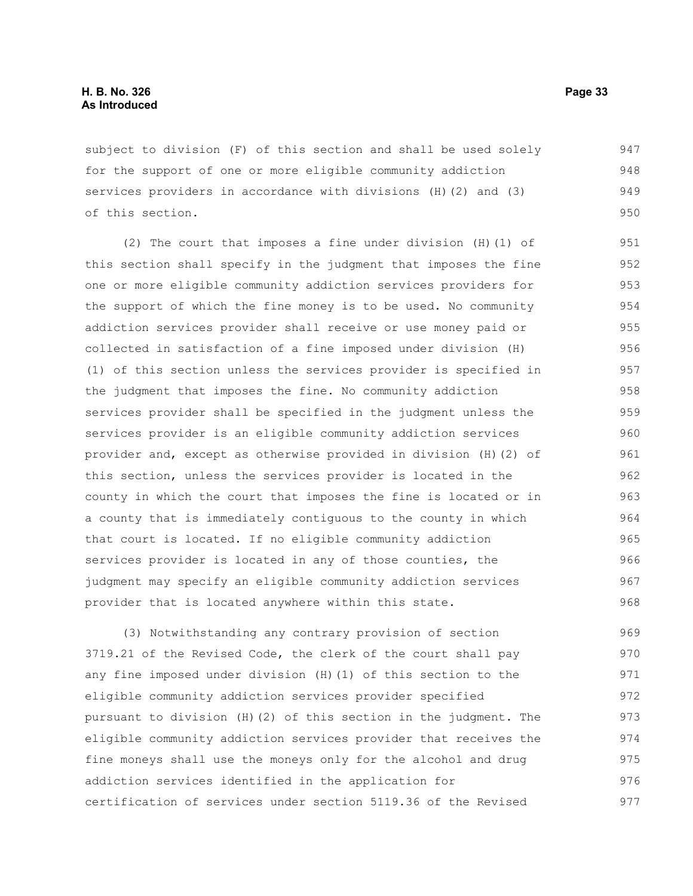subject to division (F) of this section and shall be used solely for the support of one or more eligible community addiction services providers in accordance with divisions (H)(2) and (3) of this section. 947 948 949 950

(2) The court that imposes a fine under division (H)(1) of this section shall specify in the judgment that imposes the fine one or more eligible community addiction services providers for the support of which the fine money is to be used. No community addiction services provider shall receive or use money paid or collected in satisfaction of a fine imposed under division (H) (1) of this section unless the services provider is specified in the judgment that imposes the fine. No community addiction services provider shall be specified in the judgment unless the services provider is an eligible community addiction services provider and, except as otherwise provided in division (H)(2) of this section, unless the services provider is located in the county in which the court that imposes the fine is located or in a county that is immediately contiguous to the county in which that court is located. If no eligible community addiction services provider is located in any of those counties, the judgment may specify an eligible community addiction services provider that is located anywhere within this state. 951 952 953 954 955 956 957 958 959 960 961 962 963 964 965 966 967 968

(3) Notwithstanding any contrary provision of section 3719.21 of the Revised Code, the clerk of the court shall pay any fine imposed under division (H)(1) of this section to the eligible community addiction services provider specified pursuant to division (H)(2) of this section in the judgment. The eligible community addiction services provider that receives the fine moneys shall use the moneys only for the alcohol and drug addiction services identified in the application for certification of services under section 5119.36 of the Revised 969 970 971 972 973 974 975 976 977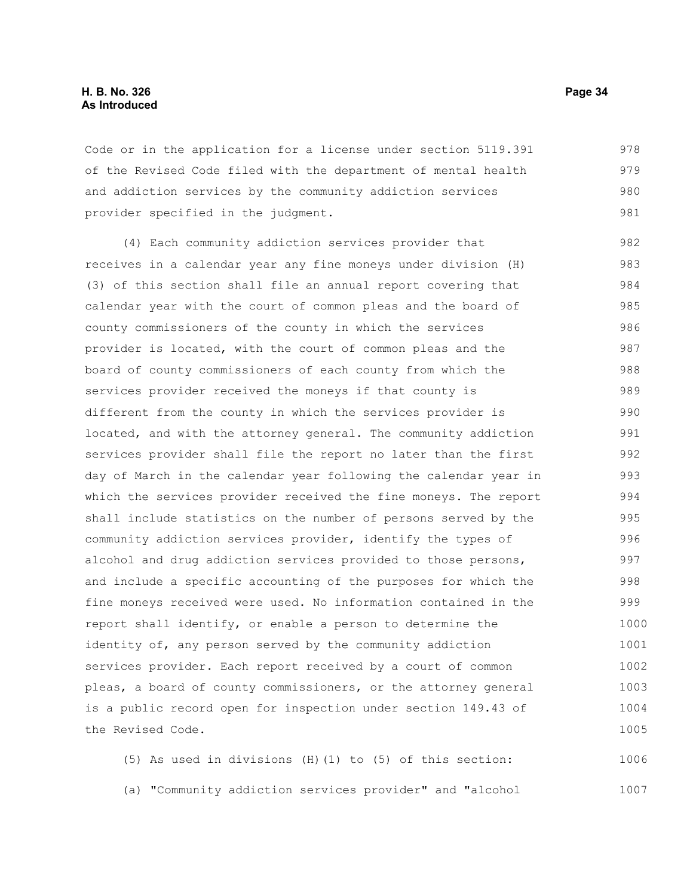Code or in the application for a license under section 5119.391 of the Revised Code filed with the department of mental health and addiction services by the community addiction services provider specified in the judgment. 978 979 980 981

(4) Each community addiction services provider that receives in a calendar year any fine moneys under division (H) (3) of this section shall file an annual report covering that calendar year with the court of common pleas and the board of county commissioners of the county in which the services provider is located, with the court of common pleas and the board of county commissioners of each county from which the services provider received the moneys if that county is different from the county in which the services provider is located, and with the attorney general. The community addiction services provider shall file the report no later than the first day of March in the calendar year following the calendar year in which the services provider received the fine moneys. The report shall include statistics on the number of persons served by the community addiction services provider, identify the types of alcohol and drug addiction services provided to those persons, and include a specific accounting of the purposes for which the fine moneys received were used. No information contained in the report shall identify, or enable a person to determine the identity of, any person served by the community addiction services provider. Each report received by a court of common pleas, a board of county commissioners, or the attorney general is a public record open for inspection under section 149.43 of the Revised Code. 982 983 984 985 986 987 988 989 990 991 992 993 994 995 996 997 998 999 1000 1001 1002 1003 1004 1005

(5) As used in divisions (H)(1) to (5) of this section: (a) "Community addiction services provider" and "alcohol 1006 1007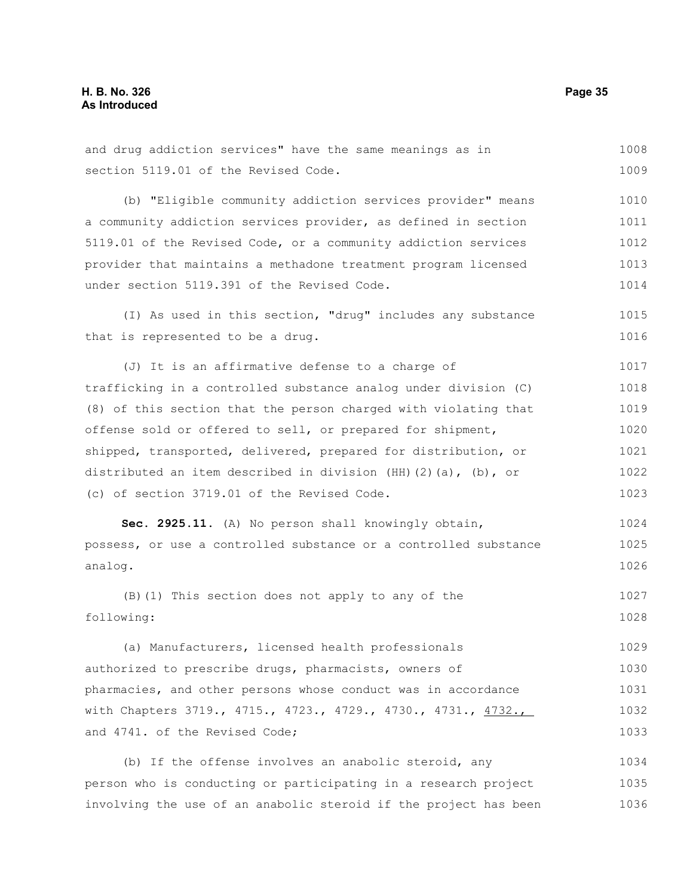section 5119.01 of the Revised Code.

(b) "Eligible community addiction services provider" means a community addiction services provider, as defined in section 5119.01 of the Revised Code, or a community addiction services provider that maintains a methadone treatment program licensed under section 5119.391 of the Revised Code. 1010 1011 1012 1013 1014

(I) As used in this section, "drug" includes any substance that is represented to be a drug. 1015 1016

(J) It is an affirmative defense to a charge of trafficking in a controlled substance analog under division (C) (8) of this section that the person charged with violating that offense sold or offered to sell, or prepared for shipment, shipped, transported, delivered, prepared for distribution, or distributed an item described in division (HH)(2)(a), (b), or (c) of section 3719.01 of the Revised Code. 1017 1018 1019 1020 1021 1022 1023

**Sec. 2925.11.** (A) No person shall knowingly obtain, possess, or use a controlled substance or a controlled substance analog. 1024 1025 1026

(B)(1) This section does not apply to any of the following: 1027 1028

(a) Manufacturers, licensed health professionals authorized to prescribe drugs, pharmacists, owners of pharmacies, and other persons whose conduct was in accordance with Chapters 3719., 4715., 4723., 4729., 4730., 4731., 4732., and 4741. of the Revised Code; 1029 1030 1031 1032 1033

(b) If the offense involves an anabolic steroid, any person who is conducting or participating in a research project involving the use of an anabolic steroid if the project has been 1034 1035 1036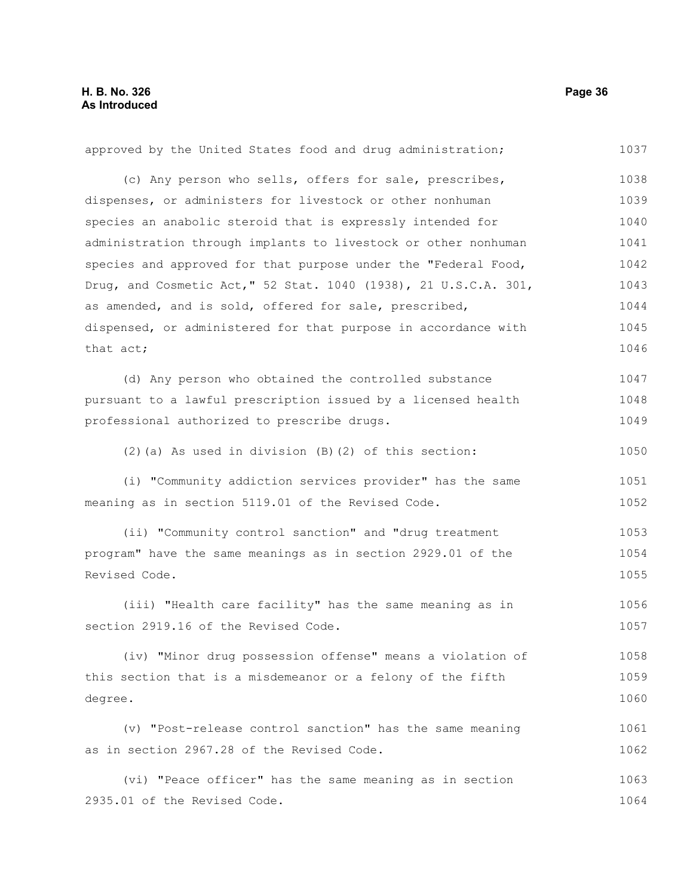| approved by the United States food and drug administration;     | 1037 |
|-----------------------------------------------------------------|------|
| (c) Any person who sells, offers for sale, prescribes,          | 1038 |
| dispenses, or administers for livestock or other nonhuman       | 1039 |
| species an anabolic steroid that is expressly intended for      | 1040 |
| administration through implants to livestock or other nonhuman  | 1041 |
| species and approved for that purpose under the "Federal Food,  | 1042 |
| Drug, and Cosmetic Act," 52 Stat. 1040 (1938), 21 U.S.C.A. 301, | 1043 |
| as amended, and is sold, offered for sale, prescribed,          | 1044 |
| dispensed, or administered for that purpose in accordance with  | 1045 |
| that act;                                                       |      |
| (d) Any person who obtained the controlled substance            | 1047 |
| pursuant to a lawful prescription issued by a licensed health   | 1048 |
| professional authorized to prescribe drugs.                     |      |
| $(2)$ (a) As used in division $(B)$ $(2)$ of this section:      | 1050 |
| (i) "Community addiction services provider" has the same        | 1051 |
| meaning as in section 5119.01 of the Revised Code.              | 1052 |
| (ii) "Community control sanction" and "drug treatment           | 1053 |
| program" have the same meanings as in section 2929.01 of the    | 1054 |
| Revised Code.                                                   |      |
| (iii) "Health care facility" has the same meaning as in         | 1056 |
| section 2919.16 of the Revised Code.                            | 1057 |
| (iv) "Minor drug possession offense" means a violation of       | 1058 |
| this section that is a misdemeanor or a felony of the fifth     | 1059 |
| degree.                                                         |      |
| (v) "Post-release control sanction" has the same meaning        | 1061 |
| as in section 2967.28 of the Revised Code.                      | 1062 |
| (vi) "Peace officer" has the same meaning as in section         | 1063 |
| 2935.01 of the Revised Code.                                    | 1064 |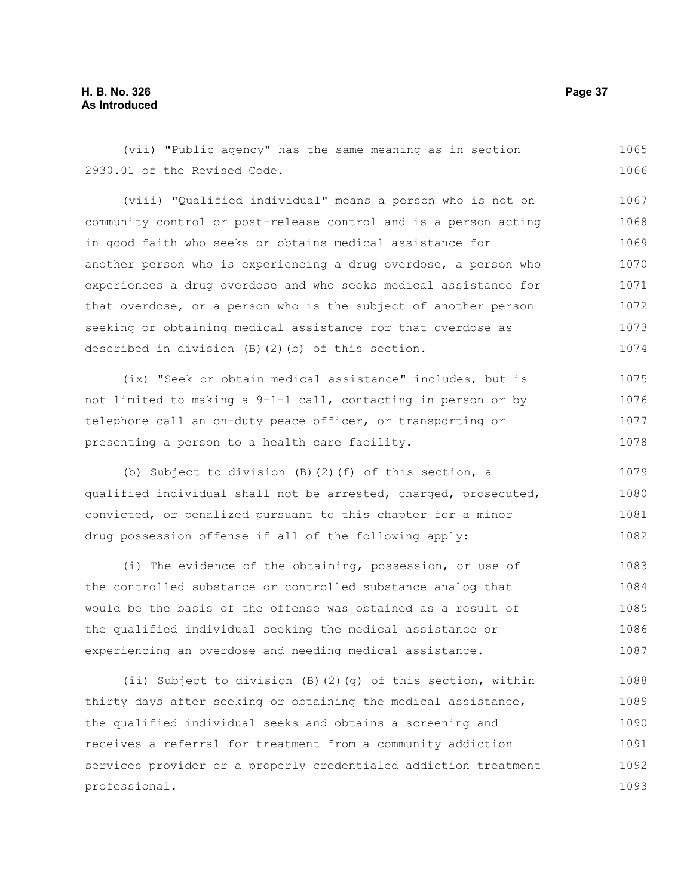# **H. B. No. 326 Page 37 As Introduced**

(vii) "Public agency" has the same meaning as in section 2930.01 of the Revised Code. 1065 1066

(viii) "Qualified individual" means a person who is not on community control or post-release control and is a person acting in good faith who seeks or obtains medical assistance for another person who is experiencing a drug overdose, a person who experiences a drug overdose and who seeks medical assistance for that overdose, or a person who is the subject of another person seeking or obtaining medical assistance for that overdose as described in division (B)(2)(b) of this section. 1067 1068 1069 1070 1071 1072 1073 1074

(ix) "Seek or obtain medical assistance" includes, but is not limited to making a 9-1-1 call, contacting in person or by telephone call an on-duty peace officer, or transporting or presenting a person to a health care facility. 1075 1076 1077 1078

(b) Subject to division (B)(2)(f) of this section, a qualified individual shall not be arrested, charged, prosecuted, convicted, or penalized pursuant to this chapter for a minor drug possession offense if all of the following apply: 1079 1080 1081 1082

(i) The evidence of the obtaining, possession, or use of the controlled substance or controlled substance analog that would be the basis of the offense was obtained as a result of the qualified individual seeking the medical assistance or experiencing an overdose and needing medical assistance. 1083 1084 1085 1086 1087

(ii) Subject to division (B)(2)(g) of this section, within thirty days after seeking or obtaining the medical assistance, the qualified individual seeks and obtains a screening and receives a referral for treatment from a community addiction services provider or a properly credentialed addiction treatment professional. 1088 1089 1090 1091 1092 1093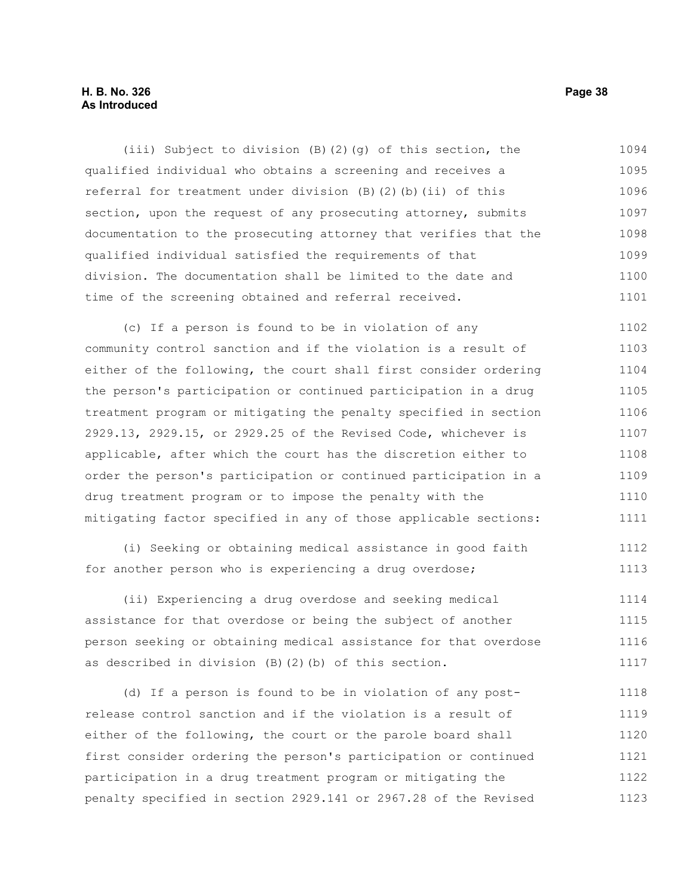# **H. B. No. 326 Page 38 As Introduced**

(iii) Subject to division (B)(2)(g) of this section, the qualified individual who obtains a screening and receives a referral for treatment under division  $(B)$   $(2)$   $(b)$   $(ii)$  of this section, upon the request of any prosecuting attorney, submits documentation to the prosecuting attorney that verifies that the qualified individual satisfied the requirements of that division. The documentation shall be limited to the date and time of the screening obtained and referral received. 1094 1095 1096 1097 1098 1099 1100 1101

(c) If a person is found to be in violation of any community control sanction and if the violation is a result of either of the following, the court shall first consider ordering the person's participation or continued participation in a drug treatment program or mitigating the penalty specified in section 2929.13, 2929.15, or 2929.25 of the Revised Code, whichever is applicable, after which the court has the discretion either to order the person's participation or continued participation in a drug treatment program or to impose the penalty with the mitigating factor specified in any of those applicable sections: 1102 1103 1104 1105 1106 1107 1108 1109 1110 1111

(i) Seeking or obtaining medical assistance in good faith for another person who is experiencing a drug overdose; 1112 1113

(ii) Experiencing a drug overdose and seeking medical assistance for that overdose or being the subject of another person seeking or obtaining medical assistance for that overdose as described in division (B)(2)(b) of this section. 1114 1115 1116 1117

(d) If a person is found to be in violation of any postrelease control sanction and if the violation is a result of either of the following, the court or the parole board shall first consider ordering the person's participation or continued participation in a drug treatment program or mitigating the penalty specified in section 2929.141 or 2967.28 of the Revised 1118 1119 1120 1121 1122 1123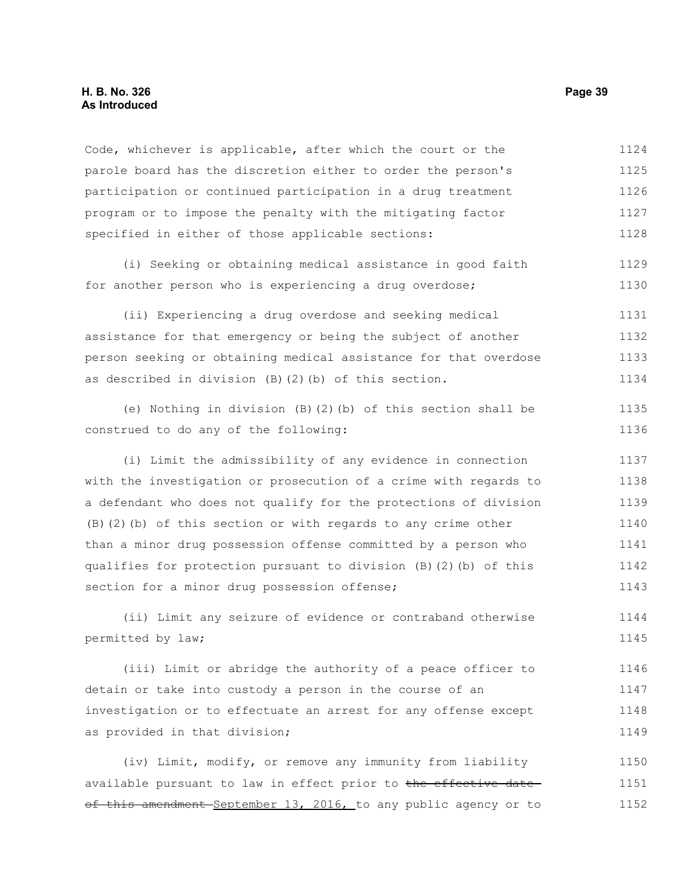#### **H. B. No. 326 Page 39 As Introduced**

Code, whichever is applicable, after which the court or the parole board has the discretion either to order the person's participation or continued participation in a drug treatment program or to impose the penalty with the mitigating factor specified in either of those applicable sections: 1124 1125 1126 1127 1128

(i) Seeking or obtaining medical assistance in good faith for another person who is experiencing a drug overdose; 1129 1130

(ii) Experiencing a drug overdose and seeking medical assistance for that emergency or being the subject of another person seeking or obtaining medical assistance for that overdose as described in division (B)(2)(b) of this section. 1131 1132 1133 1134

(e) Nothing in division (B)(2)(b) of this section shall be construed to do any of the following: 1135 1136

(i) Limit the admissibility of any evidence in connection with the investigation or prosecution of a crime with regards to a defendant who does not qualify for the protections of division (B)(2)(b) of this section or with regards to any crime other than a minor drug possession offense committed by a person who qualifies for protection pursuant to division (B)(2)(b) of this section for a minor drug possession offense; 1137 1138 1139 1140 1141 1142 1143

(ii) Limit any seizure of evidence or contraband otherwise permitted by law; 1144 1145

(iii) Limit or abridge the authority of a peace officer to detain or take into custody a person in the course of an investigation or to effectuate an arrest for any offense except as provided in that division; 1146 1147 1148 1149

(iv) Limit, modify, or remove any immunity from liability available pursuant to law in effect prior to the effective dateof this amendment-September 13, 2016, to any public agency or to 1150 1151 1152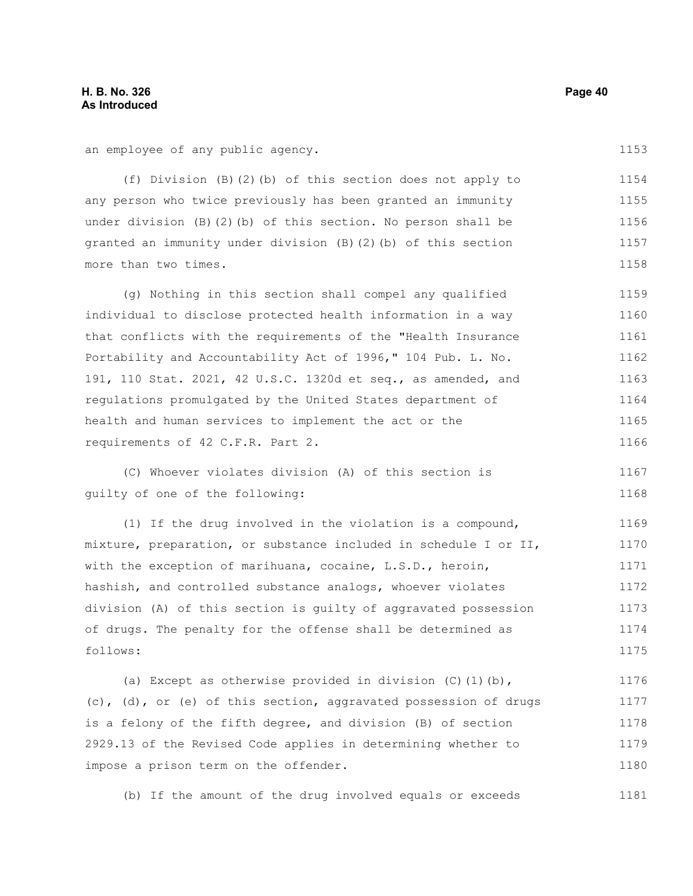an employee of any public agency.

(f) Division (B)(2)(b) of this section does not apply to any person who twice previously has been granted an immunity under division (B)(2)(b) of this section. No person shall be granted an immunity under division (B)(2)(b) of this section more than two times. 1154 1155 1156 1157 1158

(g) Nothing in this section shall compel any qualified individual to disclose protected health information in a way that conflicts with the requirements of the "Health Insurance Portability and Accountability Act of 1996," 104 Pub. L. No. 191, 110 Stat. 2021, 42 U.S.C. 1320d et seq., as amended, and regulations promulgated by the United States department of health and human services to implement the act or the requirements of 42 C.F.R. Part 2. 1159 1160 1161 1162 1163 1164 1165 1166

(C) Whoever violates division (A) of this section is guilty of one of the following: 1167 1168

(1) If the drug involved in the violation is a compound, mixture, preparation, or substance included in schedule I or II, with the exception of marihuana, cocaine, L.S.D., heroin, hashish, and controlled substance analogs, whoever violates division (A) of this section is guilty of aggravated possession of drugs. The penalty for the offense shall be determined as follows: 1169 1170 1171 1172 1173 1174 1175

(a) Except as otherwise provided in division  $(C)$  (1)(b), (c), (d), or (e) of this section, aggravated possession of drugs is a felony of the fifth degree, and division (B) of section 2929.13 of the Revised Code applies in determining whether to impose a prison term on the offender. 1176 1177 1178 1179 1180

(b) If the amount of the drug involved equals or exceeds 1181

1153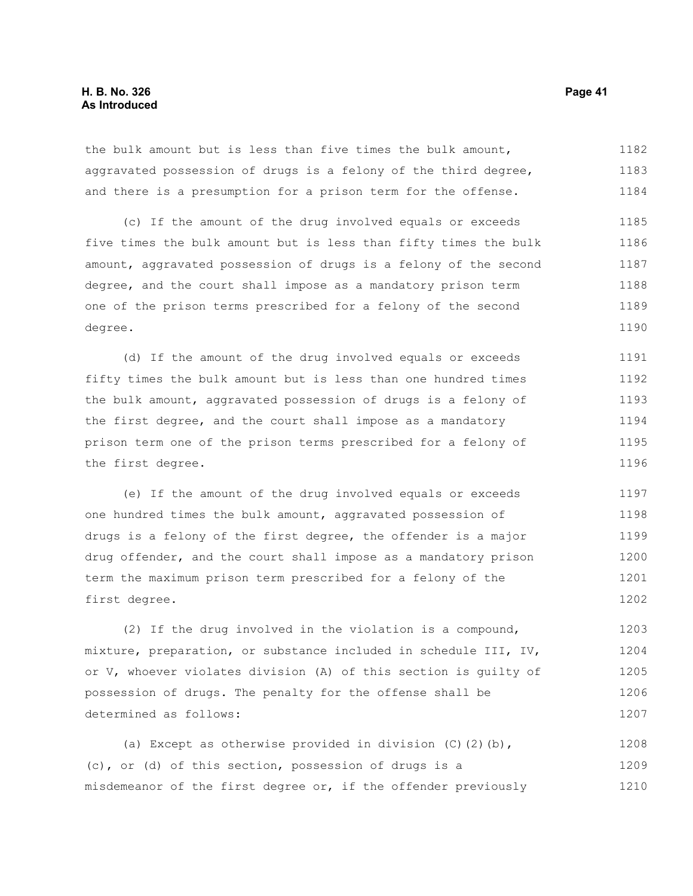the bulk amount but is less than five times the bulk amount, aggravated possession of drugs is a felony of the third degree, and there is a presumption for a prison term for the offense. 1182 1183 1184

(c) If the amount of the drug involved equals or exceeds five times the bulk amount but is less than fifty times the bulk amount, aggravated possession of drugs is a felony of the second degree, and the court shall impose as a mandatory prison term one of the prison terms prescribed for a felony of the second degree. 1185 1186 1187 1188 1189 1190

(d) If the amount of the drug involved equals or exceeds fifty times the bulk amount but is less than one hundred times the bulk amount, aggravated possession of drugs is a felony of the first degree, and the court shall impose as a mandatory prison term one of the prison terms prescribed for a felony of the first degree. 1191 1192 1193 1194 1195 1196

(e) If the amount of the drug involved equals or exceeds one hundred times the bulk amount, aggravated possession of drugs is a felony of the first degree, the offender is a major drug offender, and the court shall impose as a mandatory prison term the maximum prison term prescribed for a felony of the first degree. 1197 1198 1199 1200 1201 1202

(2) If the drug involved in the violation is a compound, mixture, preparation, or substance included in schedule III, IV, or V, whoever violates division (A) of this section is guilty of possession of drugs. The penalty for the offense shall be determined as follows: 1203 1204 1205 1206 1207

(a) Except as otherwise provided in division (C)(2)(b), (c), or (d) of this section, possession of drugs is a misdemeanor of the first degree or, if the offender previously 1208 1209 1210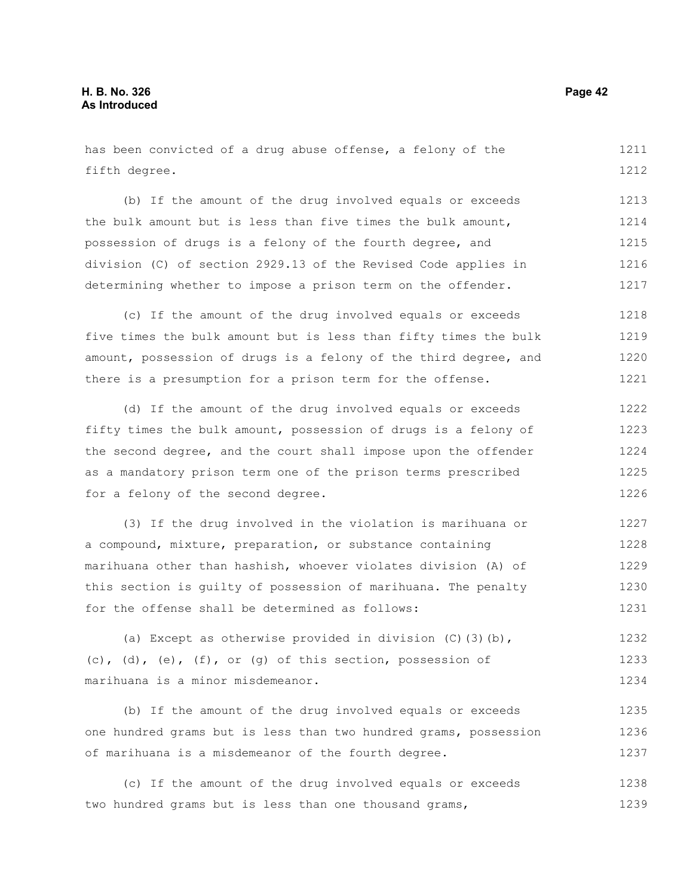has been convicted of a drug abuse offense, a felony of the fifth degree. 1211 1212

(b) If the amount of the drug involved equals or exceeds the bulk amount but is less than five times the bulk amount, possession of drugs is a felony of the fourth degree, and division (C) of section 2929.13 of the Revised Code applies in determining whether to impose a prison term on the offender. 1213 1214 1215 1216 1217

(c) If the amount of the drug involved equals or exceeds five times the bulk amount but is less than fifty times the bulk amount, possession of drugs is a felony of the third degree, and there is a presumption for a prison term for the offense. 1218 1219 1220 1221

(d) If the amount of the drug involved equals or exceeds fifty times the bulk amount, possession of drugs is a felony of the second degree, and the court shall impose upon the offender as a mandatory prison term one of the prison terms prescribed for a felony of the second degree. 1222 1223 1224 1225 1226

(3) If the drug involved in the violation is marihuana or a compound, mixture, preparation, or substance containing marihuana other than hashish, whoever violates division (A) of this section is guilty of possession of marihuana. The penalty for the offense shall be determined as follows: 1227 1228 1229 1230 1231

(a) Except as otherwise provided in division (C)(3)(b),  $(c)$ ,  $(d)$ ,  $(e)$ ,  $(f)$ , or  $(q)$  of this section, possession of marihuana is a minor misdemeanor. 1232 1233 1234

(b) If the amount of the drug involved equals or exceeds one hundred grams but is less than two hundred grams, possession of marihuana is a misdemeanor of the fourth degree. 1235 1236 1237

(c) If the amount of the drug involved equals or exceeds two hundred grams but is less than one thousand grams, 1238 1239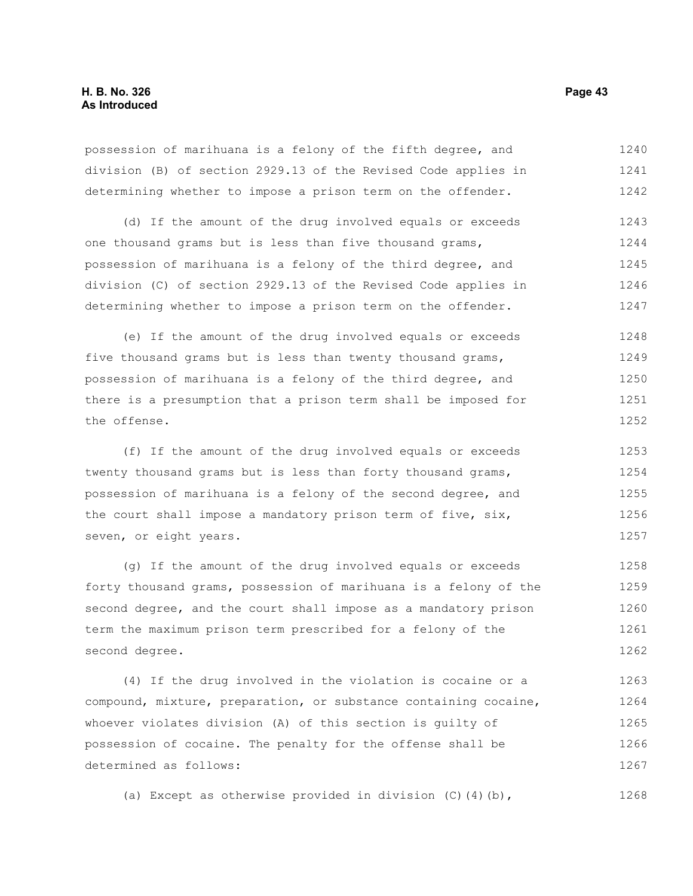possession of marihuana is a felony of the fifth degree, and division (B) of section 2929.13 of the Revised Code applies in determining whether to impose a prison term on the offender. 1240 1241 1242

(d) If the amount of the drug involved equals or exceeds one thousand grams but is less than five thousand grams, possession of marihuana is a felony of the third degree, and division (C) of section 2929.13 of the Revised Code applies in determining whether to impose a prison term on the offender. 1243 1244 1245 1246 1247

(e) If the amount of the drug involved equals or exceeds five thousand grams but is less than twenty thousand grams, possession of marihuana is a felony of the third degree, and there is a presumption that a prison term shall be imposed for the offense. 1248 1249 1250 1251 1252

(f) If the amount of the drug involved equals or exceeds twenty thousand grams but is less than forty thousand grams, possession of marihuana is a felony of the second degree, and the court shall impose a mandatory prison term of five, six, seven, or eight years. 1253 1254 1255 1256 1257

(g) If the amount of the drug involved equals or exceeds forty thousand grams, possession of marihuana is a felony of the second degree, and the court shall impose as a mandatory prison term the maximum prison term prescribed for a felony of the second degree. 1258 1259 1260 1261 1262

(4) If the drug involved in the violation is cocaine or a compound, mixture, preparation, or substance containing cocaine, whoever violates division (A) of this section is guilty of possession of cocaine. The penalty for the offense shall be determined as follows: 1263 1264 1265 1266 1267

(a) Except as otherwise provided in division (C)(4)(b),

1268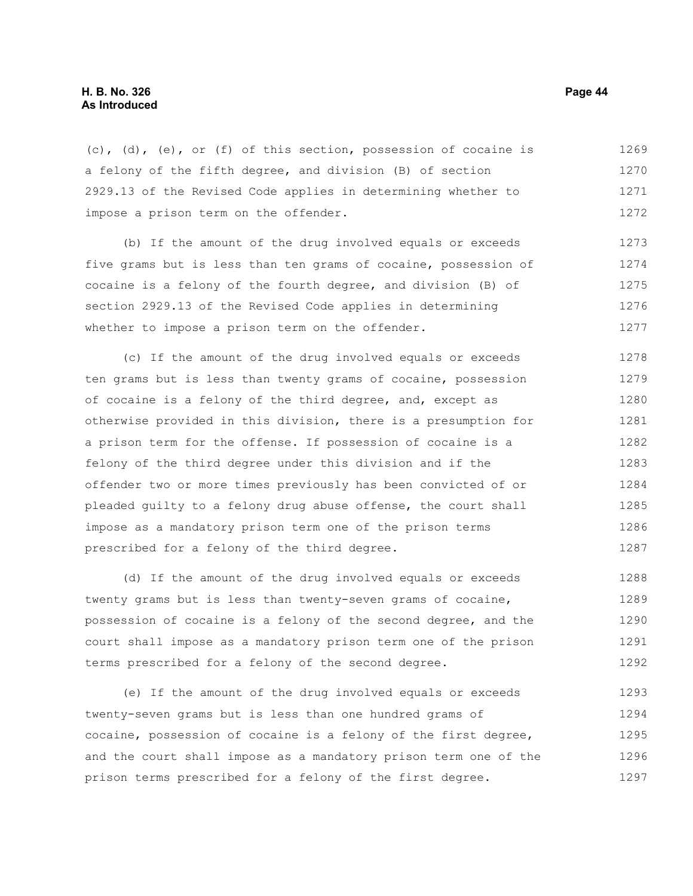(c), (d), (e), or (f) of this section, possession of cocaine is a felony of the fifth degree, and division (B) of section 2929.13 of the Revised Code applies in determining whether to impose a prison term on the offender. 1269 1270 1271 1272

(b) If the amount of the drug involved equals or exceeds five grams but is less than ten grams of cocaine, possession of cocaine is a felony of the fourth degree, and division (B) of section 2929.13 of the Revised Code applies in determining whether to impose a prison term on the offender. 1273 1274 1275 1276 1277

(c) If the amount of the drug involved equals or exceeds ten grams but is less than twenty grams of cocaine, possession of cocaine is a felony of the third degree, and, except as otherwise provided in this division, there is a presumption for a prison term for the offense. If possession of cocaine is a felony of the third degree under this division and if the offender two or more times previously has been convicted of or pleaded guilty to a felony drug abuse offense, the court shall impose as a mandatory prison term one of the prison terms prescribed for a felony of the third degree. 1278 1279 1280 1281 1282 1283 1284 1285 1286 1287

(d) If the amount of the drug involved equals or exceeds twenty grams but is less than twenty-seven grams of cocaine, possession of cocaine is a felony of the second degree, and the court shall impose as a mandatory prison term one of the prison terms prescribed for a felony of the second degree. 1288 1289 1290 1291 1292

(e) If the amount of the drug involved equals or exceeds twenty-seven grams but is less than one hundred grams of cocaine, possession of cocaine is a felony of the first degree, and the court shall impose as a mandatory prison term one of the prison terms prescribed for a felony of the first degree. 1293 1294 1295 1296 1297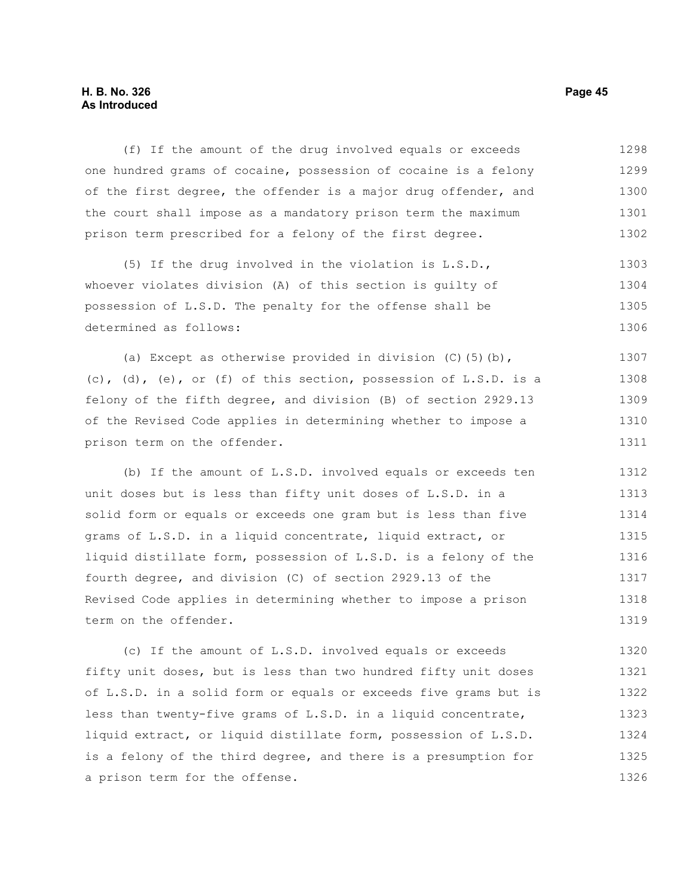# **H. B. No. 326 Page 45 As Introduced**

(f) If the amount of the drug involved equals or exceeds one hundred grams of cocaine, possession of cocaine is a felony of the first degree, the offender is a major drug offender, and the court shall impose as a mandatory prison term the maximum prison term prescribed for a felony of the first degree. 1298 1299 1300 1301 1302

(5) If the drug involved in the violation is L.S.D., whoever violates division (A) of this section is guilty of possession of L.S.D. The penalty for the offense shall be determined as follows: 1303 1304 1305 1306

(a) Except as otherwise provided in division (C)(5)(b), (c), (d), (e), or (f) of this section, possession of L.S.D. is a felony of the fifth degree, and division (B) of section 2929.13 of the Revised Code applies in determining whether to impose a prison term on the offender. 1307 1308 1309 1310 1311

(b) If the amount of L.S.D. involved equals or exceeds ten unit doses but is less than fifty unit doses of L.S.D. in a solid form or equals or exceeds one gram but is less than five grams of L.S.D. in a liquid concentrate, liquid extract, or liquid distillate form, possession of L.S.D. is a felony of the fourth degree, and division (C) of section 2929.13 of the Revised Code applies in determining whether to impose a prison term on the offender. 1312 1313 1314 1315 1316 1317 1318 1319

(c) If the amount of L.S.D. involved equals or exceeds fifty unit doses, but is less than two hundred fifty unit doses of L.S.D. in a solid form or equals or exceeds five grams but is less than twenty-five grams of L.S.D. in a liquid concentrate, liquid extract, or liquid distillate form, possession of L.S.D. is a felony of the third degree, and there is a presumption for a prison term for the offense. 1320 1321 1322 1323 1324 1325 1326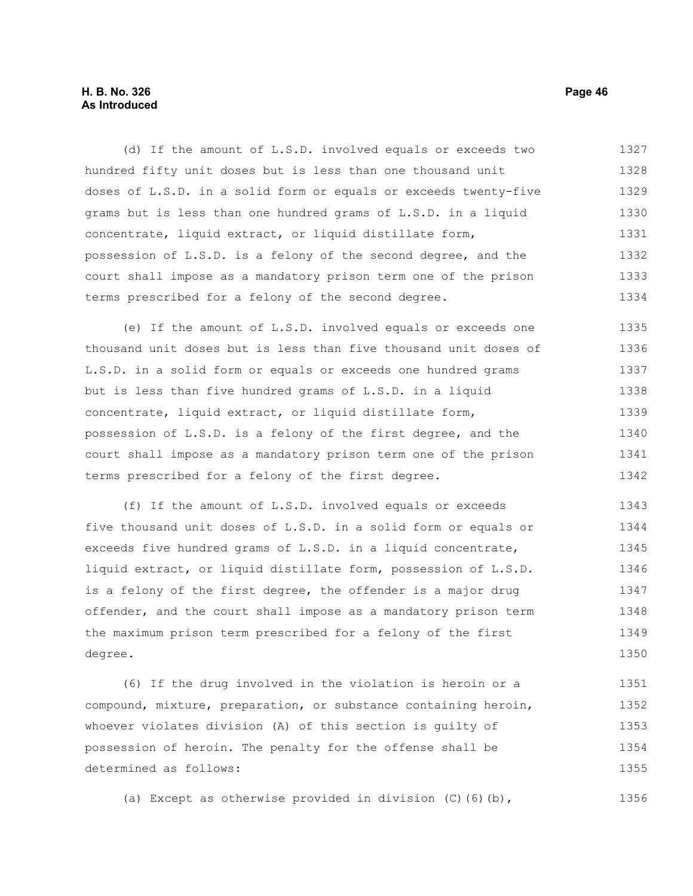# **H. B. No. 326 Page 46 As Introduced**

(d) If the amount of L.S.D. involved equals or exceeds two hundred fifty unit doses but is less than one thousand unit doses of L.S.D. in a solid form or equals or exceeds twenty-five grams but is less than one hundred grams of L.S.D. in a liquid concentrate, liquid extract, or liquid distillate form, possession of L.S.D. is a felony of the second degree, and the court shall impose as a mandatory prison term one of the prison terms prescribed for a felony of the second degree. 1327 1328 1329 1330 1331 1332 1333 1334

(e) If the amount of L.S.D. involved equals or exceeds one thousand unit doses but is less than five thousand unit doses of L.S.D. in a solid form or equals or exceeds one hundred grams but is less than five hundred grams of L.S.D. in a liquid concentrate, liquid extract, or liquid distillate form, possession of L.S.D. is a felony of the first degree, and the court shall impose as a mandatory prison term one of the prison terms prescribed for a felony of the first degree. 1335 1336 1337 1338 1339 1340 1341 1342

(f) If the amount of L.S.D. involved equals or exceeds five thousand unit doses of L.S.D. in a solid form or equals or exceeds five hundred grams of L.S.D. in a liquid concentrate, liquid extract, or liquid distillate form, possession of L.S.D. is a felony of the first degree, the offender is a major drug offender, and the court shall impose as a mandatory prison term the maximum prison term prescribed for a felony of the first degree. 1343 1344 1345 1346 1347 1348 1349 1350

(6) If the drug involved in the violation is heroin or a compound, mixture, preparation, or substance containing heroin, whoever violates division (A) of this section is guilty of possession of heroin. The penalty for the offense shall be determined as follows: 1351 1352 1353 1354 1355

(a) Except as otherwise provided in division  $(C)$  (6)(b),

1356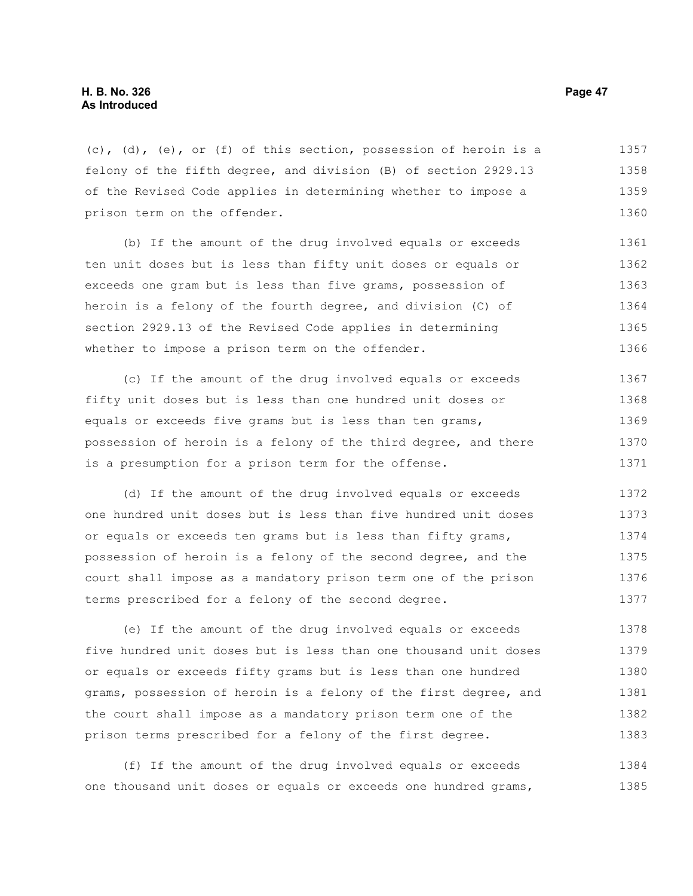(c), (d), (e), or (f) of this section, possession of heroin is a felony of the fifth degree, and division (B) of section 2929.13 of the Revised Code applies in determining whether to impose a prison term on the offender. 1357 1358 1359 1360

(b) If the amount of the drug involved equals or exceeds ten unit doses but is less than fifty unit doses or equals or exceeds one gram but is less than five grams, possession of heroin is a felony of the fourth degree, and division (C) of section 2929.13 of the Revised Code applies in determining whether to impose a prison term on the offender. 1361 1362 1363 1364 1365 1366

(c) If the amount of the drug involved equals or exceeds fifty unit doses but is less than one hundred unit doses or equals or exceeds five grams but is less than ten grams, possession of heroin is a felony of the third degree, and there is a presumption for a prison term for the offense. 1367 1368 1369 1370 1371

(d) If the amount of the drug involved equals or exceeds one hundred unit doses but is less than five hundred unit doses or equals or exceeds ten grams but is less than fifty grams, possession of heroin is a felony of the second degree, and the court shall impose as a mandatory prison term one of the prison terms prescribed for a felony of the second degree. 1372 1373 1374 1375 1376 1377

(e) If the amount of the drug involved equals or exceeds five hundred unit doses but is less than one thousand unit doses or equals or exceeds fifty grams but is less than one hundred grams, possession of heroin is a felony of the first degree, and the court shall impose as a mandatory prison term one of the prison terms prescribed for a felony of the first degree. 1378 1379 1380 1381 1382 1383

(f) If the amount of the drug involved equals or exceeds one thousand unit doses or equals or exceeds one hundred grams, 1384 1385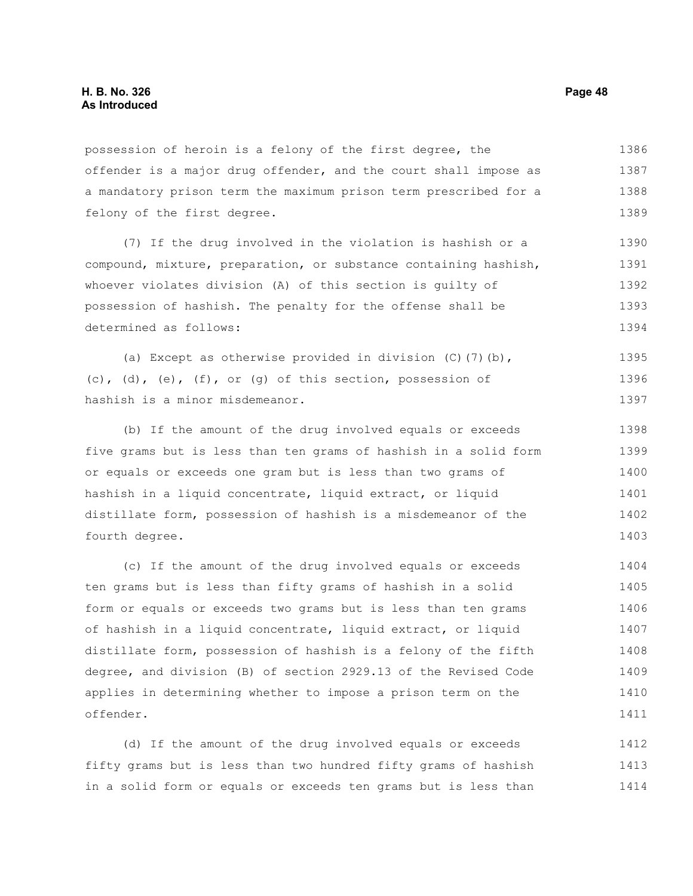possession of heroin is a felony of the first degree, the offender is a major drug offender, and the court shall impose as a mandatory prison term the maximum prison term prescribed for a felony of the first degree. 1386 1387 1388 1389

(7) If the drug involved in the violation is hashish or a compound, mixture, preparation, or substance containing hashish, whoever violates division (A) of this section is guilty of possession of hashish. The penalty for the offense shall be determined as follows: 1390 1391 1392 1393 1394

(a) Except as otherwise provided in division (C)(7)(b), (c), (d), (e), (f), or (g) of this section, possession of hashish is a minor misdemeanor. 1395 1396 1397

(b) If the amount of the drug involved equals or exceeds five grams but is less than ten grams of hashish in a solid form or equals or exceeds one gram but is less than two grams of hashish in a liquid concentrate, liquid extract, or liquid distillate form, possession of hashish is a misdemeanor of the fourth degree. 1398 1399 1400 1401 1402 1403

(c) If the amount of the drug involved equals or exceeds ten grams but is less than fifty grams of hashish in a solid form or equals or exceeds two grams but is less than ten grams of hashish in a liquid concentrate, liquid extract, or liquid distillate form, possession of hashish is a felony of the fifth degree, and division (B) of section 2929.13 of the Revised Code applies in determining whether to impose a prison term on the offender. 1404 1405 1406 1407 1408 1409 1410 1411

(d) If the amount of the drug involved equals or exceeds fifty grams but is less than two hundred fifty grams of hashish in a solid form or equals or exceeds ten grams but is less than 1412 1413 1414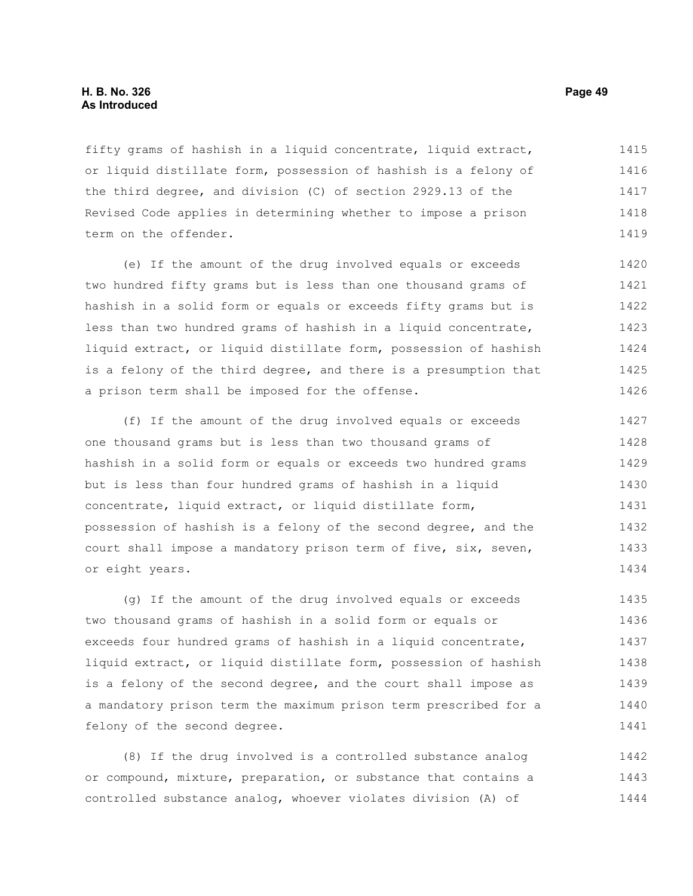fifty grams of hashish in a liquid concentrate, liquid extract, or liquid distillate form, possession of hashish is a felony of the third degree, and division (C) of section 2929.13 of the Revised Code applies in determining whether to impose a prison term on the offender. 1415 1416 1417 1418 1419

(e) If the amount of the drug involved equals or exceeds two hundred fifty grams but is less than one thousand grams of hashish in a solid form or equals or exceeds fifty grams but is less than two hundred grams of hashish in a liquid concentrate, liquid extract, or liquid distillate form, possession of hashish is a felony of the third degree, and there is a presumption that a prison term shall be imposed for the offense. 1420 1421 1422 1423 1424 1425 1426

(f) If the amount of the drug involved equals or exceeds one thousand grams but is less than two thousand grams of hashish in a solid form or equals or exceeds two hundred grams but is less than four hundred grams of hashish in a liquid concentrate, liquid extract, or liquid distillate form, possession of hashish is a felony of the second degree, and the court shall impose a mandatory prison term of five, six, seven, or eight years. 1427 1428 1429 1430 1431 1432 1433 1434

(g) If the amount of the drug involved equals or exceeds two thousand grams of hashish in a solid form or equals or exceeds four hundred grams of hashish in a liquid concentrate, liquid extract, or liquid distillate form, possession of hashish is a felony of the second degree, and the court shall impose as a mandatory prison term the maximum prison term prescribed for a felony of the second degree. 1435 1436 1437 1438 1439 1440 1441

(8) If the drug involved is a controlled substance analog or compound, mixture, preparation, or substance that contains a controlled substance analog, whoever violates division (A) of 1442 1443 1444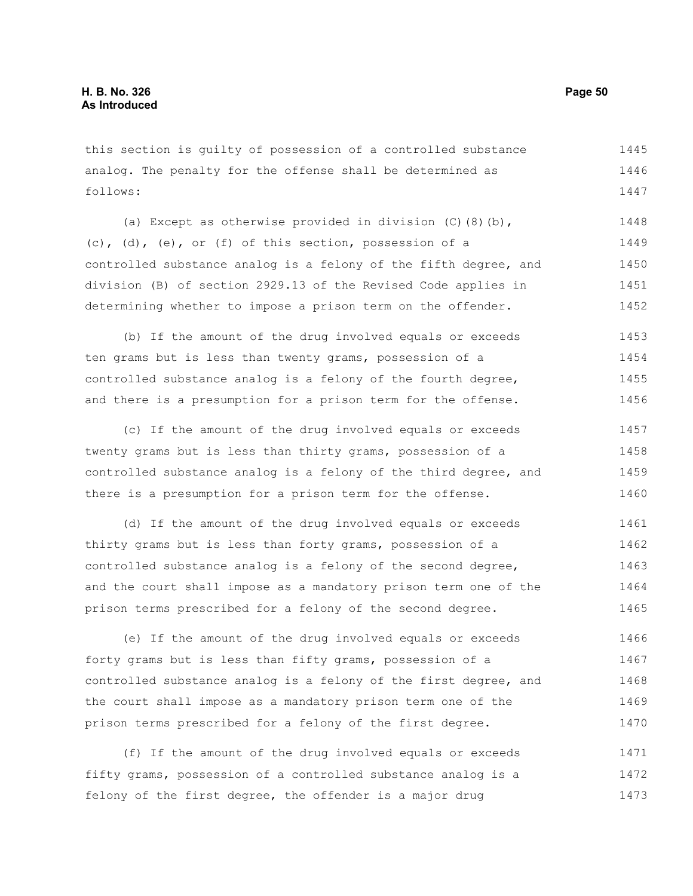this section is guilty of possession of a controlled substance analog. The penalty for the offense shall be determined as follows: 1445 1446 1447

(a) Except as otherwise provided in division (C)(8)(b), (c), (d), (e), or (f) of this section, possession of a controlled substance analog is a felony of the fifth degree, and division (B) of section 2929.13 of the Revised Code applies in determining whether to impose a prison term on the offender. 1448 1449 1450 1451 1452

(b) If the amount of the drug involved equals or exceeds ten grams but is less than twenty grams, possession of a controlled substance analog is a felony of the fourth degree, and there is a presumption for a prison term for the offense. 1453 1454 1455 1456

(c) If the amount of the drug involved equals or exceeds twenty grams but is less than thirty grams, possession of a controlled substance analog is a felony of the third degree, and there is a presumption for a prison term for the offense. 1457 1458 1459 1460

(d) If the amount of the drug involved equals or exceeds thirty grams but is less than forty grams, possession of a controlled substance analog is a felony of the second degree, and the court shall impose as a mandatory prison term one of the prison terms prescribed for a felony of the second degree. 1461 1462 1463 1464 1465

(e) If the amount of the drug involved equals or exceeds forty grams but is less than fifty grams, possession of a controlled substance analog is a felony of the first degree, and the court shall impose as a mandatory prison term one of the prison terms prescribed for a felony of the first degree. 1466 1467 1468 1469 1470

(f) If the amount of the drug involved equals or exceeds fifty grams, possession of a controlled substance analog is a felony of the first degree, the offender is a major drug 1471 1472 1473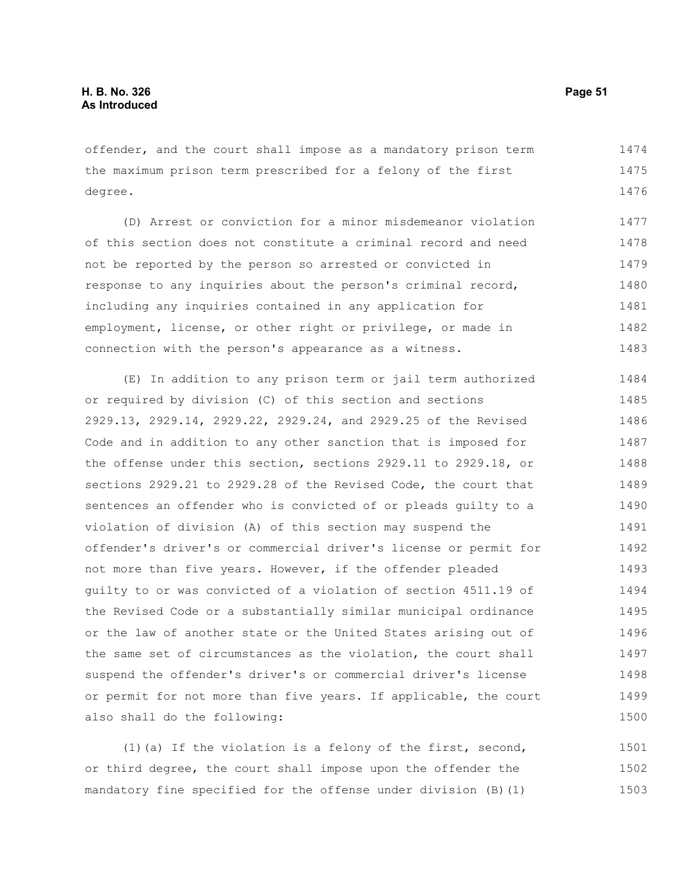offender, and the court shall impose as a mandatory prison term the maximum prison term prescribed for a felony of the first degree. 1474 1475 1476

(D) Arrest or conviction for a minor misdemeanor violation of this section does not constitute a criminal record and need not be reported by the person so arrested or convicted in response to any inquiries about the person's criminal record, including any inquiries contained in any application for employment, license, or other right or privilege, or made in connection with the person's appearance as a witness. 1477 1478 1479 1480 1481 1482 1483

(E) In addition to any prison term or jail term authorized or required by division (C) of this section and sections 2929.13, 2929.14, 2929.22, 2929.24, and 2929.25 of the Revised Code and in addition to any other sanction that is imposed for the offense under this section, sections 2929.11 to 2929.18, or sections 2929.21 to 2929.28 of the Revised Code, the court that sentences an offender who is convicted of or pleads guilty to a violation of division (A) of this section may suspend the offender's driver's or commercial driver's license or permit for not more than five years. However, if the offender pleaded guilty to or was convicted of a violation of section 4511.19 of the Revised Code or a substantially similar municipal ordinance or the law of another state or the United States arising out of the same set of circumstances as the violation, the court shall suspend the offender's driver's or commercial driver's license or permit for not more than five years. If applicable, the court also shall do the following: 1484 1485 1486 1487 1488 1489 1490 1491 1492 1493 1494 1495 1496 1497 1498 1499 1500

(1)(a) If the violation is a felony of the first, second, or third degree, the court shall impose upon the offender the mandatory fine specified for the offense under division (B)(1) 1501 1502 1503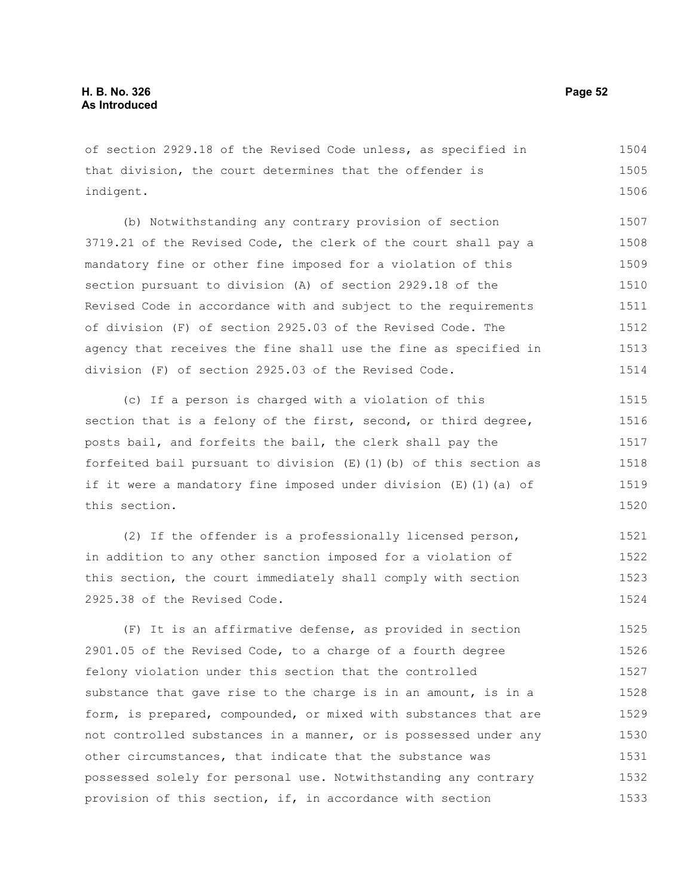of section 2929.18 of the Revised Code unless, as specified in that division, the court determines that the offender is indigent. 1504 1505 1506

(b) Notwithstanding any contrary provision of section 3719.21 of the Revised Code, the clerk of the court shall pay a mandatory fine or other fine imposed for a violation of this section pursuant to division (A) of section 2929.18 of the Revised Code in accordance with and subject to the requirements of division (F) of section 2925.03 of the Revised Code. The agency that receives the fine shall use the fine as specified in division (F) of section 2925.03 of the Revised Code. 1507 1508 1509 1510 1511 1512 1513 1514

(c) If a person is charged with a violation of this section that is a felony of the first, second, or third degree, posts bail, and forfeits the bail, the clerk shall pay the forfeited bail pursuant to division  $(E)$  (1)(b) of this section as if it were a mandatory fine imposed under division (E)(1)(a) of this section. 1515 1516 1517 1518 1519 1520

(2) If the offender is a professionally licensed person, in addition to any other sanction imposed for a violation of this section, the court immediately shall comply with section 2925.38 of the Revised Code. 1521 1522 1523 1524

(F) It is an affirmative defense, as provided in section 2901.05 of the Revised Code, to a charge of a fourth degree felony violation under this section that the controlled substance that gave rise to the charge is in an amount, is in a form, is prepared, compounded, or mixed with substances that are not controlled substances in a manner, or is possessed under any other circumstances, that indicate that the substance was possessed solely for personal use. Notwithstanding any contrary provision of this section, if, in accordance with section 1525 1526 1527 1528 1529 1530 1531 1532 1533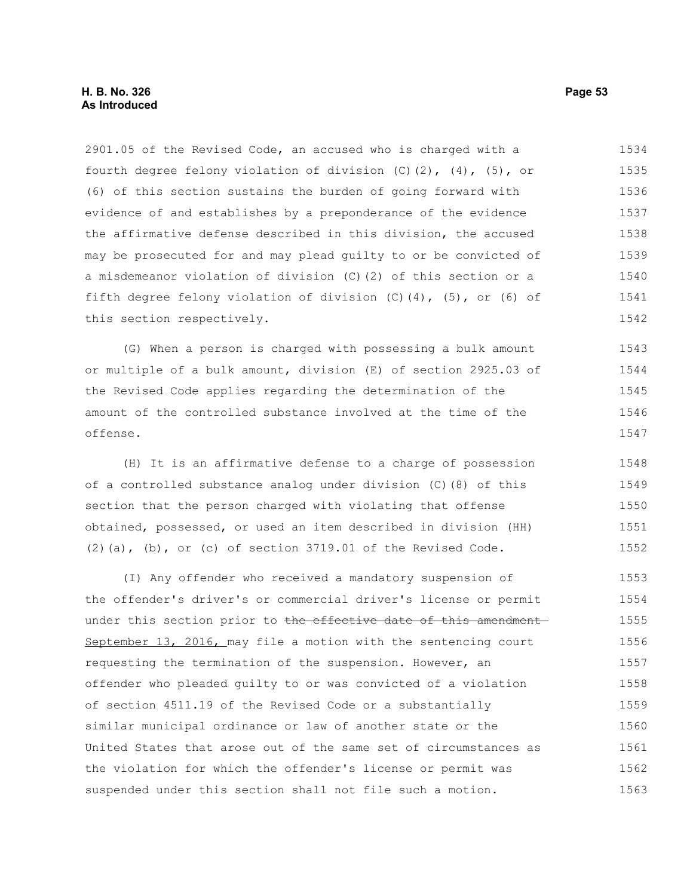2901.05 of the Revised Code, an accused who is charged with a fourth degree felony violation of division (C)(2), (4), (5), or (6) of this section sustains the burden of going forward with evidence of and establishes by a preponderance of the evidence the affirmative defense described in this division, the accused may be prosecuted for and may plead guilty to or be convicted of a misdemeanor violation of division (C)(2) of this section or a fifth degree felony violation of division  $(C)$  (4), (5), or (6) of this section respectively. 1534 1535 1536 1537 1538 1539 1540 1541 1542

(G) When a person is charged with possessing a bulk amount or multiple of a bulk amount, division (E) of section 2925.03 of the Revised Code applies regarding the determination of the amount of the controlled substance involved at the time of the offense. 1543 1544 1545 1546 1547

(H) It is an affirmative defense to a charge of possession of a controlled substance analog under division (C)(8) of this section that the person charged with violating that offense obtained, possessed, or used an item described in division (HH)  $(2)$  (a), (b), or (c) of section 3719.01 of the Revised Code. 1548 1549 1550 1551 1552

(I) Any offender who received a mandatory suspension of the offender's driver's or commercial driver's license or permit under this section prior to the effective date of this amendment September 13, 2016, may file a motion with the sentencing court requesting the termination of the suspension. However, an offender who pleaded guilty to or was convicted of a violation of section 4511.19 of the Revised Code or a substantially similar municipal ordinance or law of another state or the United States that arose out of the same set of circumstances as the violation for which the offender's license or permit was suspended under this section shall not file such a motion. 1553 1554 1555 1556 1557 1558 1559 1560 1561 1562 1563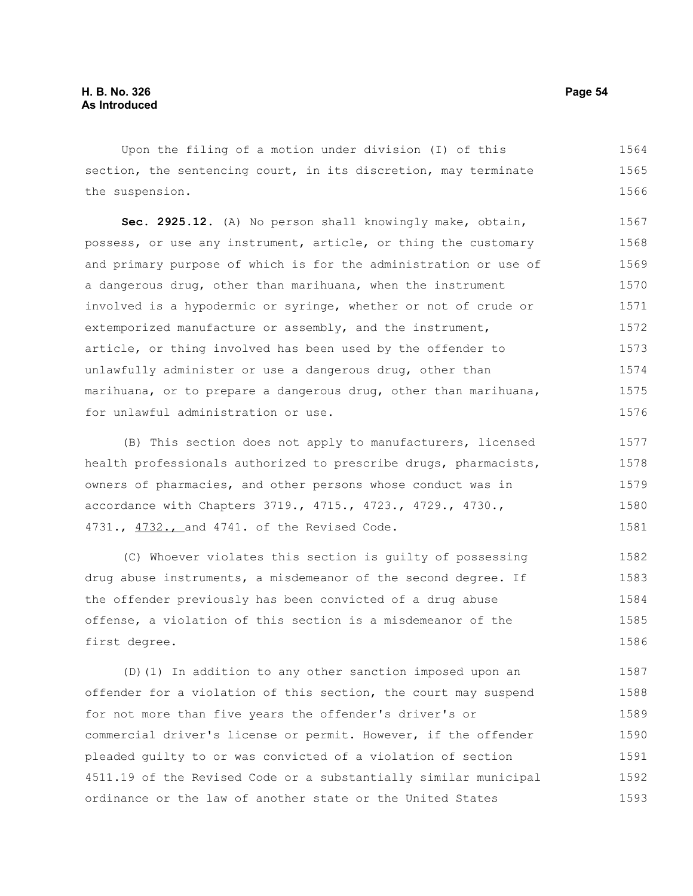Upon the filing of a motion under division (I) of this section, the sentencing court, in its discretion, may terminate the suspension. 1564 1565 1566

**Sec. 2925.12.** (A) No person shall knowingly make, obtain, possess, or use any instrument, article, or thing the customary and primary purpose of which is for the administration or use of a dangerous drug, other than marihuana, when the instrument involved is a hypodermic or syringe, whether or not of crude or extemporized manufacture or assembly, and the instrument, article, or thing involved has been used by the offender to unlawfully administer or use a dangerous drug, other than marihuana, or to prepare a dangerous drug, other than marihuana, for unlawful administration or use. 1567 1568 1569 1570 1571 1572 1573 1574 1575 1576

(B) This section does not apply to manufacturers, licensed health professionals authorized to prescribe drugs, pharmacists, owners of pharmacies, and other persons whose conduct was in accordance with Chapters 3719., 4715., 4723., 4729., 4730., 4731.,  $4732.$ , and 4741. of the Revised Code. 1577 1578 1579 1580 1581

(C) Whoever violates this section is guilty of possessing drug abuse instruments, a misdemeanor of the second degree. If the offender previously has been convicted of a drug abuse offense, a violation of this section is a misdemeanor of the first degree. 1582 1583 1584 1585 1586

(D)(1) In addition to any other sanction imposed upon an offender for a violation of this section, the court may suspend for not more than five years the offender's driver's or commercial driver's license or permit. However, if the offender pleaded guilty to or was convicted of a violation of section 4511.19 of the Revised Code or a substantially similar municipal ordinance or the law of another state or the United States 1587 1588 1589 1590 1591 1592 1593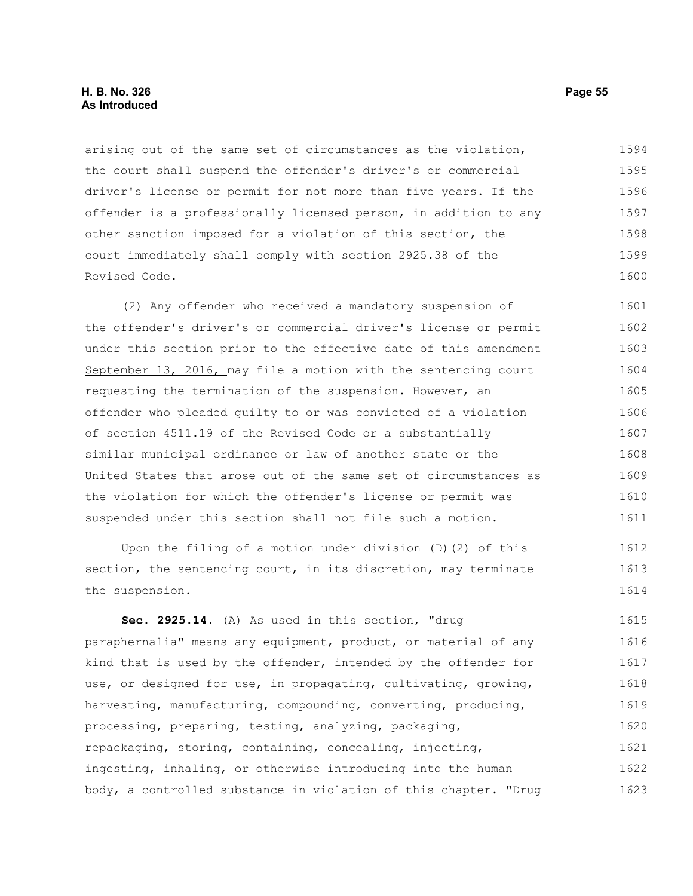# **H. B. No. 326 Page 55 As Introduced**

arising out of the same set of circumstances as the violation, the court shall suspend the offender's driver's or commercial driver's license or permit for not more than five years. If the offender is a professionally licensed person, in addition to any other sanction imposed for a violation of this section, the court immediately shall comply with section 2925.38 of the Revised Code. 1594 1595 1596 1597 1598 1599 1600

(2) Any offender who received a mandatory suspension of the offender's driver's or commercial driver's license or permit under this section prior to the effective date of this amendment September 13, 2016, may file a motion with the sentencing court requesting the termination of the suspension. However, an offender who pleaded guilty to or was convicted of a violation of section 4511.19 of the Revised Code or a substantially similar municipal ordinance or law of another state or the United States that arose out of the same set of circumstances as the violation for which the offender's license or permit was suspended under this section shall not file such a motion. 1601 1602 1603 1604 1605 1606 1607 1608 1609 1610 1611

Upon the filing of a motion under division (D)(2) of this section, the sentencing court, in its discretion, may terminate the suspension. 1612 1613 1614

**Sec. 2925.14.** (A) As used in this section, "drug paraphernalia" means any equipment, product, or material of any kind that is used by the offender, intended by the offender for use, or designed for use, in propagating, cultivating, growing, harvesting, manufacturing, compounding, converting, producing, processing, preparing, testing, analyzing, packaging, repackaging, storing, containing, concealing, injecting, ingesting, inhaling, or otherwise introducing into the human body, a controlled substance in violation of this chapter. "Drug 1615 1616 1617 1618 1619 1620 1621 1622 1623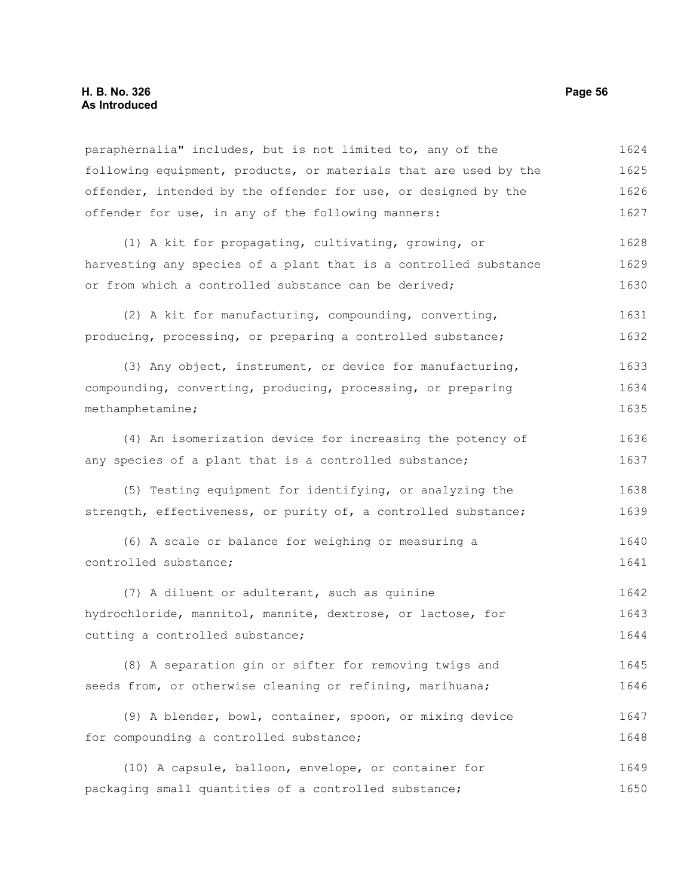paraphernalia" includes, but is not limited to, any of the following equipment, products, or materials that are used by the offender, intended by the offender for use, or designed by the offender for use, in any of the following manners: (1) A kit for propagating, cultivating, growing, or harvesting any species of a plant that is a controlled substance or from which a controlled substance can be derived; (2) A kit for manufacturing, compounding, converting, producing, processing, or preparing a controlled substance; (3) Any object, instrument, or device for manufacturing, compounding, converting, producing, processing, or preparing methamphetamine; (4) An isomerization device for increasing the potency of any species of a plant that is a controlled substance; (5) Testing equipment for identifying, or analyzing the strength, effectiveness, or purity of, a controlled substance; (6) A scale or balance for weighing or measuring a controlled substance; (7) A diluent or adulterant, such as quinine hydrochloride, mannitol, mannite, dextrose, or lactose, for cutting a controlled substance; (8) A separation gin or sifter for removing twigs and seeds from, or otherwise cleaning or refining, marihuana; (9) A blender, bowl, container, spoon, or mixing device for compounding a controlled substance; (10) A capsule, balloon, envelope, or container for packaging small quantities of a controlled substance; 1624 1625 1626 1627 1628 1629 1630 1631 1632 1633 1634 1635 1636 1637 1638 1639 1640 1641 1642 1643 1644 1645 1646 1647 1648 1649 1650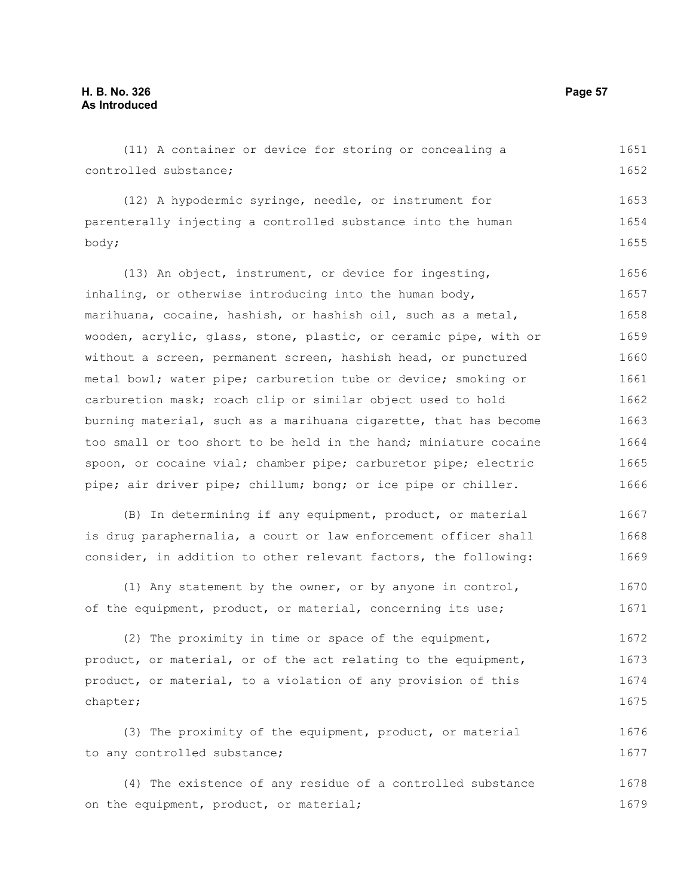(11) A container or device for storing or concealing a controlled substance; (12) A hypodermic syringe, needle, or instrument for parenterally injecting a controlled substance into the human body; (13) An object, instrument, or device for ingesting, inhaling, or otherwise introducing into the human body, marihuana, cocaine, hashish, or hashish oil, such as a metal, wooden, acrylic, glass, stone, plastic, or ceramic pipe, with or without a screen, permanent screen, hashish head, or punctured metal bowl; water pipe; carburetion tube or device; smoking or carburetion mask; roach clip or similar object used to hold burning material, such as a marihuana cigarette, that has become too small or too short to be held in the hand; miniature cocaine spoon, or cocaine vial; chamber pipe; carburetor pipe; electric pipe; air driver pipe; chillum; bong; or ice pipe or chiller. (B) In determining if any equipment, product, or material is drug paraphernalia, a court or law enforcement officer shall consider, in addition to other relevant factors, the following: (1) Any statement by the owner, or by anyone in control, of the equipment, product, or material, concerning its use; (2) The proximity in time or space of the equipment, product, or material, or of the act relating to the equipment, product, or material, to a violation of any provision of this chapter; (3) The proximity of the equipment, product, or material to any controlled substance; (4) The existence of any residue of a controlled substance 1651 1652 1653 1654 1655 1656 1657 1658 1659 1660 1661 1662 1663 1664 1665 1666 1667 1668 1669 1670 1671 1672 1673 1674 1675 1676 1677 1678

on the equipment, product, or material;

1679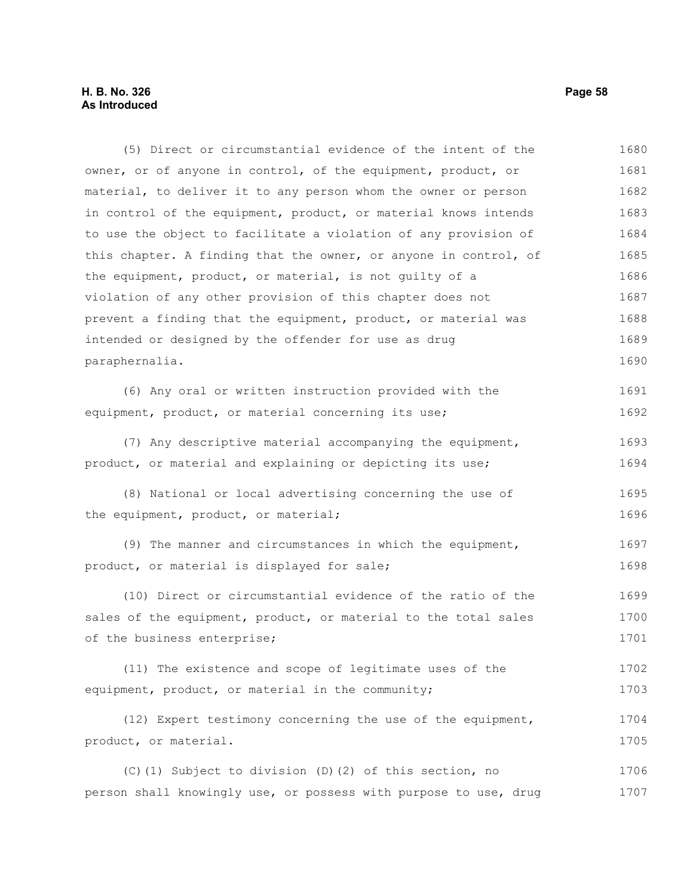# **H. B. No. 326 Page 58 As Introduced**

(5) Direct or circumstantial evidence of the intent of the owner, or of anyone in control, of the equipment, product, or material, to deliver it to any person whom the owner or person in control of the equipment, product, or material knows intends to use the object to facilitate a violation of any provision of this chapter. A finding that the owner, or anyone in control, of the equipment, product, or material, is not guilty of a violation of any other provision of this chapter does not prevent a finding that the equipment, product, or material was intended or designed by the offender for use as drug paraphernalia. (6) Any oral or written instruction provided with the equipment, product, or material concerning its use; (7) Any descriptive material accompanying the equipment, product, or material and explaining or depicting its use; (8) National or local advertising concerning the use of the equipment, product, or material; (9) The manner and circumstances in which the equipment, product, or material is displayed for sale; (10) Direct or circumstantial evidence of the ratio of the sales of the equipment, product, or material to the total sales of the business enterprise; (11) The existence and scope of legitimate uses of the equipment, product, or material in the community; (12) Expert testimony concerning the use of the equipment, product, or material. 1680 1681 1682 1683 1684 1685 1686 1687 1688 1689 1690 1691 1692 1693 1694 1695 1696 1697 1698 1699 1700 1701 1702 1703 1704 1705

(C)(1) Subject to division (D)(2) of this section, no person shall knowingly use, or possess with purpose to use, drug 1706 1707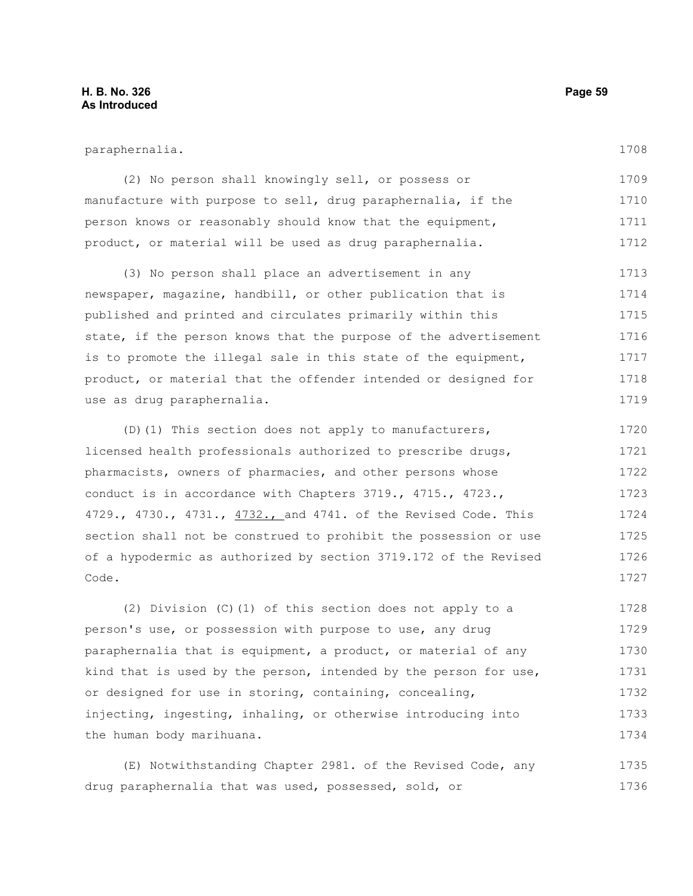| paraphernalia. |
|----------------|
|----------------|

1708

| (2) No person shall knowingly sell, or possess or            | 1709 |
|--------------------------------------------------------------|------|
| manufacture with purpose to sell, drug paraphernalia, if the | 1710 |
| person knows or reasonably should know that the equipment,   | 1711 |
| product, or material will be used as drug paraphernalia.     | 1712 |

(3) No person shall place an advertisement in any newspaper, magazine, handbill, or other publication that is published and printed and circulates primarily within this state, if the person knows that the purpose of the advertisement is to promote the illegal sale in this state of the equipment, product, or material that the offender intended or designed for use as drug paraphernalia. 1713 1714 1715 1716 1717 1718 1719

(D)(1) This section does not apply to manufacturers, licensed health professionals authorized to prescribe drugs, pharmacists, owners of pharmacies, and other persons whose conduct is in accordance with Chapters 3719., 4715., 4723., 4729., 4730., 4731., 4732., and 4741. of the Revised Code. This section shall not be construed to prohibit the possession or use of a hypodermic as authorized by section 3719.172 of the Revised Code. 1720 1721 1722 1723 1724 1725 1726 1727

(2) Division (C)(1) of this section does not apply to a person's use, or possession with purpose to use, any drug paraphernalia that is equipment, a product, or material of any kind that is used by the person, intended by the person for use, or designed for use in storing, containing, concealing, injecting, ingesting, inhaling, or otherwise introducing into the human body marihuana. 1728 1729 1730 1731 1732 1733 1734

(E) Notwithstanding Chapter 2981. of the Revised Code, any drug paraphernalia that was used, possessed, sold, or 1735 1736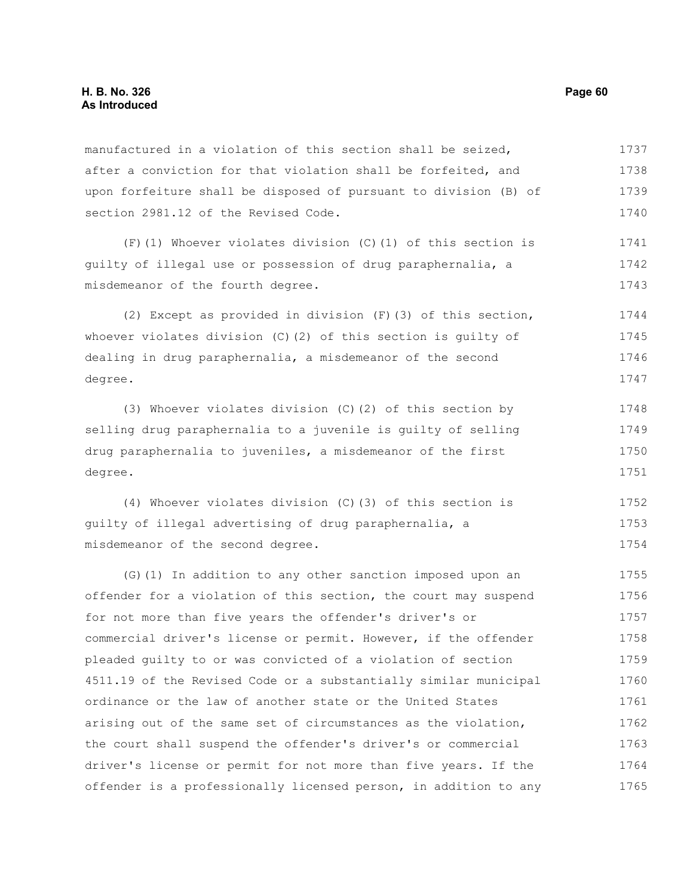manufactured in a violation of this section shall be seized, after a conviction for that violation shall be forfeited, and upon forfeiture shall be disposed of pursuant to division (B) of section 2981.12 of the Revised Code. 1737 1738 1739 1740

(F)(1) Whoever violates division (C)(1) of this section is guilty of illegal use or possession of drug paraphernalia, a misdemeanor of the fourth degree. 1741 1742 1743

(2) Except as provided in division (F)(3) of this section, whoever violates division (C)(2) of this section is guilty of dealing in drug paraphernalia, a misdemeanor of the second degree. 1744 1745 1746 1747

(3) Whoever violates division (C)(2) of this section by selling drug paraphernalia to a juvenile is guilty of selling drug paraphernalia to juveniles, a misdemeanor of the first degree. 1748 1749 1750 1751

(4) Whoever violates division (C)(3) of this section is guilty of illegal advertising of drug paraphernalia, a misdemeanor of the second degree. 1752 1753 1754

(G)(1) In addition to any other sanction imposed upon an offender for a violation of this section, the court may suspend for not more than five years the offender's driver's or commercial driver's license or permit. However, if the offender pleaded guilty to or was convicted of a violation of section 4511.19 of the Revised Code or a substantially similar municipal ordinance or the law of another state or the United States arising out of the same set of circumstances as the violation, the court shall suspend the offender's driver's or commercial driver's license or permit for not more than five years. If the offender is a professionally licensed person, in addition to any 1755 1756 1757 1758 1759 1760 1761 1762 1763 1764 1765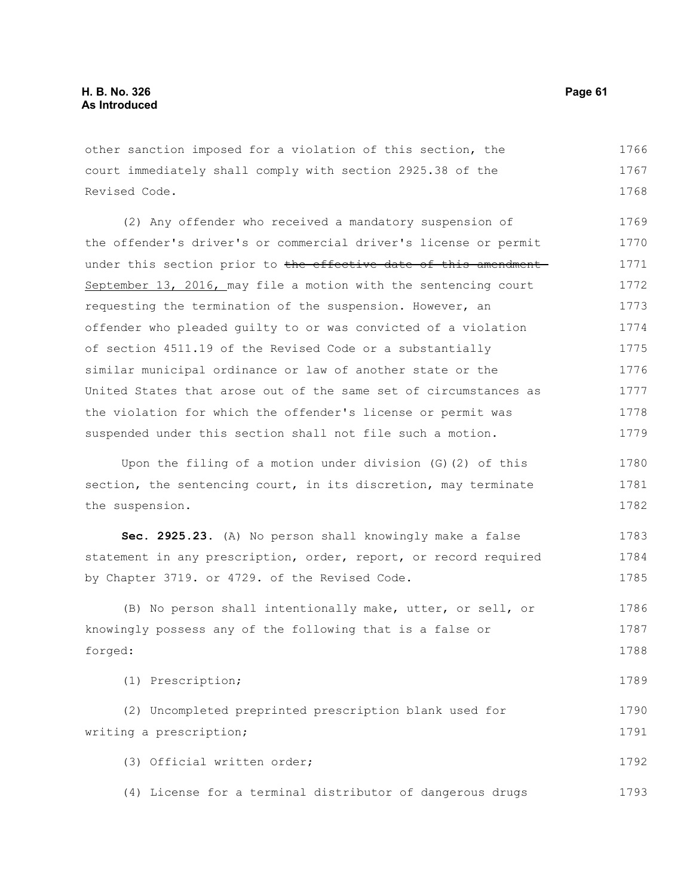other sanction imposed for a violation of this section, the court immediately shall comply with section 2925.38 of the Revised Code. 1766 1767 1768

(2) Any offender who received a mandatory suspension of the offender's driver's or commercial driver's license or permit under this section prior to the effective date of this amendment S eptember 13, 2016, may file a motion with the sentencing court requesting the termination of the suspension. However, an offender who pleaded guilty to or was convicted of a violation of section 4511.19 of the Revised Code or a substantially similar municipal ordinance or law of another state or the United States that arose out of the same set of circumstances as the violation for which the offender's license or permit was suspended under this section shall not file such a motion. 1769 1770 1771 1772 1773 1774 1775 1776 1777 1778 1779

Upon the filing of a motion under division (G)(2) of this section, the sentencing court, in its discretion, may terminate the suspension. 1780 1781 1782

**Sec. 2925.23.** (A) No person shall knowingly make a false statement in any prescription, order, report, or record required by Chapter 3719. or 4729. of the Revised Code. 1783 1784 1785

(B) No person shall intentionally make, utter, or sell, or knowingly possess any of the following that is a false or forged: 1786 1787 1788

(1) Prescription;

(2) Uncompleted preprinted prescription blank used for writing a prescription; 1790 1791

(3) Official written order; 1792

(4) License for a terminal distributor of dangerous drugs 1793

1789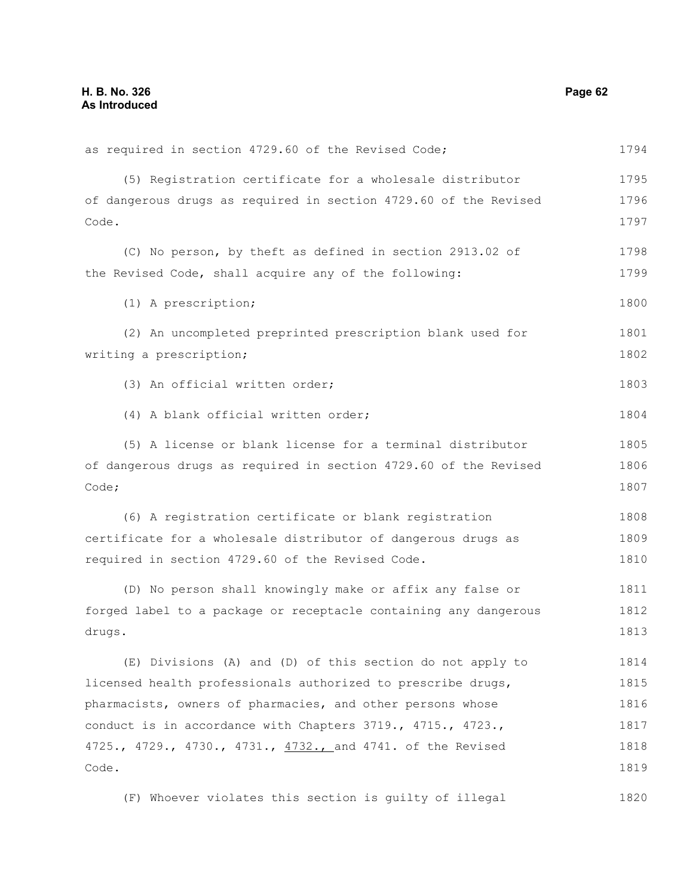as required in section 4729.60 of the Revised Code; (5) Registration certificate for a wholesale distributor of dangerous drugs as required in section 4729.60 of the Revised Code. (C) No person, by theft as defined in section 2913.02 of the Revised Code, shall acquire any of the following: (1) A prescription; (2) An uncompleted preprinted prescription blank used for writing a prescription; (3) An official written order; (4) A blank official written order; (5) A license or blank license for a terminal distributor of dangerous drugs as required in section 4729.60 of the Revised Code; (6) A registration certificate or blank registration certificate for a wholesale distributor of dangerous drugs as required in section 4729.60 of the Revised Code. (D) No person shall knowingly make or affix any false or forged label to a package or receptacle containing any dangerous drugs. (E) Divisions (A) and (D) of this section do not apply to licensed health professionals authorized to prescribe drugs, pharmacists, owners of pharmacies, and other persons whose conduct is in accordance with Chapters 3719., 4715., 4723., 4725., 4729., 4730., 4731., 4732., and 4741. of the Revised Code. (F) Whoever violates this section is guilty of illegal 1794 1795 1796 1797 1798 1799 1800 1801 1802 1803 1804 1805 1806 1807 1808 1809 1810 1811 1812 1813 1814 1815 1816 1817 1818 1819 1820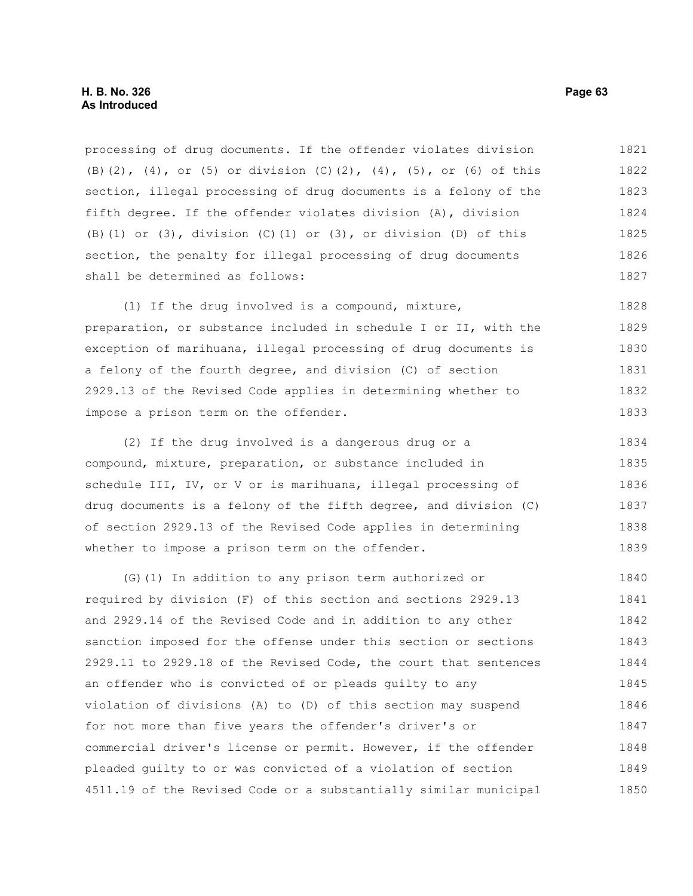processing of drug documents. If the offender violates division (B)(2), (4), or (5) or division  $(C)$ (2), (4), (5), or (6) of this section, illegal processing of drug documents is a felony of the fifth degree. If the offender violates division (A), division (B)(1) or (3), division (C)(1) or (3), or division (D) of this section, the penalty for illegal processing of drug documents shall be determined as follows: 1821 1822 1823 1824 1825 1826 1827

(1) If the drug involved is a compound, mixture, preparation, or substance included in schedule I or II, with the exception of marihuana, illegal processing of drug documents is a felony of the fourth degree, and division (C) of section 2929.13 of the Revised Code applies in determining whether to impose a prison term on the offender. 1828 1829 1830 1831 1832 1833

(2) If the drug involved is a dangerous drug or a compound, mixture, preparation, or substance included in schedule III, IV, or V or is marihuana, illegal processing of drug documents is a felony of the fifth degree, and division (C) of section 2929.13 of the Revised Code applies in determining whether to impose a prison term on the offender. 1834 1835 1836 1837 1838 1839

(G)(1) In addition to any prison term authorized or required by division (F) of this section and sections 2929.13 and 2929.14 of the Revised Code and in addition to any other sanction imposed for the offense under this section or sections 2929.11 to 2929.18 of the Revised Code, the court that sentences an offender who is convicted of or pleads guilty to any violation of divisions (A) to (D) of this section may suspend for not more than five years the offender's driver's or commercial driver's license or permit. However, if the offender pleaded guilty to or was convicted of a violation of section 4511.19 of the Revised Code or a substantially similar municipal 1840 1841 1842 1843 1844 1845 1846 1847 1848 1849 1850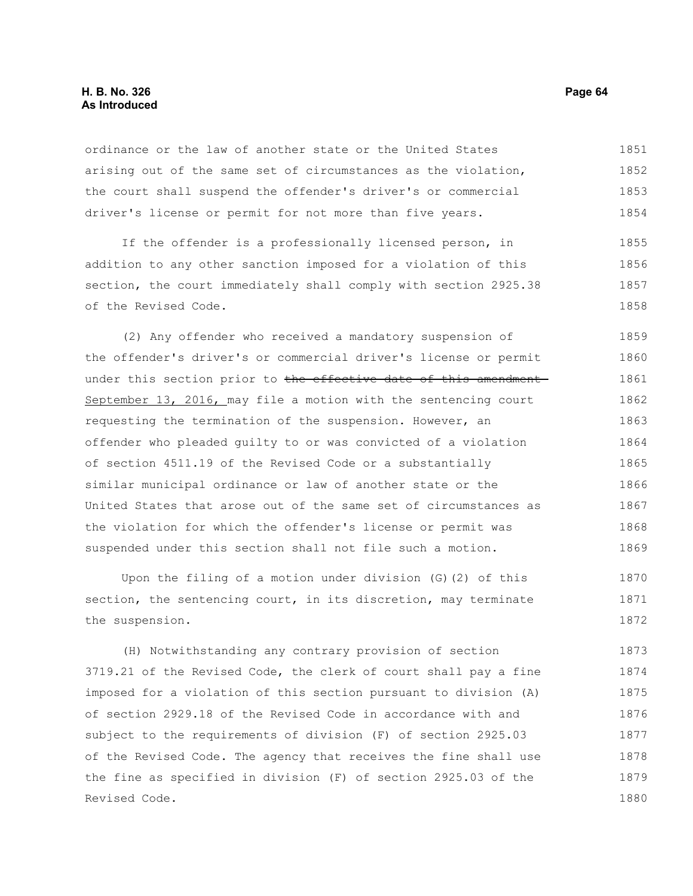# **H. B. No. 326 Page 64 As Introduced**

ordinance or the law of another state or the United States arising out of the same set of circumstances as the violation, the court shall suspend the offender's driver's or commercial driver's license or permit for not more than five years. 1851 1852 1853 1854

If the offender is a professionally licensed person, in addition to any other sanction imposed for a violation of this section, the court immediately shall comply with section 2925.38 of the Revised Code. 1855 1856 1857 1858

(2) Any offender who received a mandatory suspension of the offender's driver's or commercial driver's license or permit under this section prior to the effective date of this amendment September 13, 2016, may file a motion with the sentencing court requesting the termination of the suspension. However, an offender who pleaded guilty to or was convicted of a violation of section 4511.19 of the Revised Code or a substantially similar municipal ordinance or law of another state or the United States that arose out of the same set of circumstances as the violation for which the offender's license or permit was suspended under this section shall not file such a motion. 1859 1860 1861 1862 1863 1864 1865 1866 1867 1868 1869

Upon the filing of a motion under division (G)(2) of this section, the sentencing court, in its discretion, may terminate the suspension. 1870 1871 1872

(H) Notwithstanding any contrary provision of section 3719.21 of the Revised Code, the clerk of court shall pay a fine imposed for a violation of this section pursuant to division (A) of section 2929.18 of the Revised Code in accordance with and subject to the requirements of division (F) of section 2925.03 of the Revised Code. The agency that receives the fine shall use the fine as specified in division (F) of section 2925.03 of the Revised Code. 1873 1874 1875 1876 1877 1878 1879 1880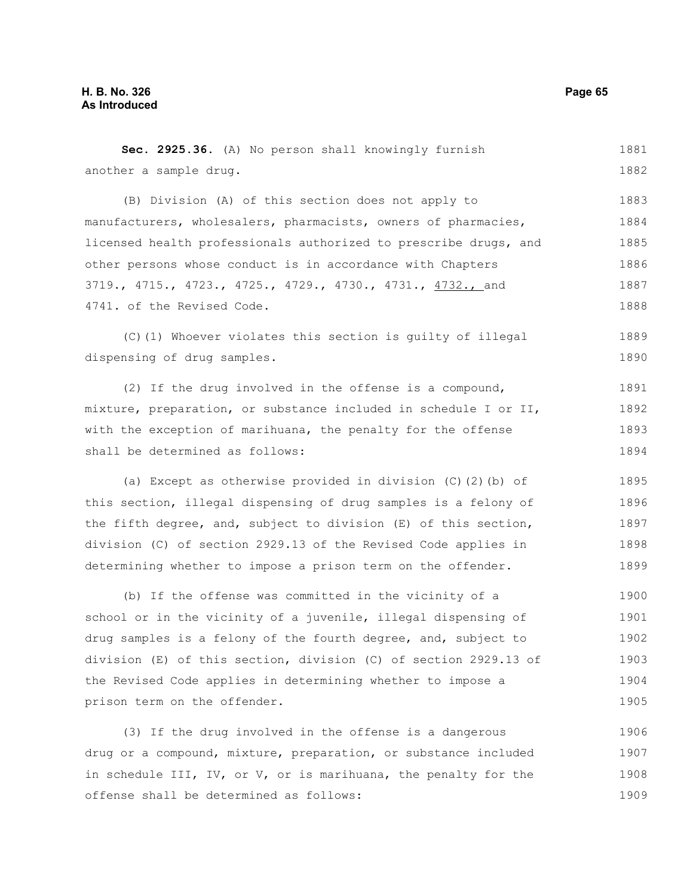| Sec. 2925.36. (A) No person shall knowingly furnish               | 1881 |
|-------------------------------------------------------------------|------|
| another a sample drug.                                            | 1882 |
| (B) Division (A) of this section does not apply to                | 1883 |
| manufacturers, wholesalers, pharmacists, owners of pharmacies,    | 1884 |
| licensed health professionals authorized to prescribe drugs, and  | 1885 |
| other persons whose conduct is in accordance with Chapters        | 1886 |
| 3719., 4715., 4723., 4725., 4729., 4730., 4731., 4732., and       | 1887 |
| 4741. of the Revised Code.                                        | 1888 |
| (C)(1) Whoever violates this section is guilty of illegal         | 1889 |
| dispensing of drug samples.                                       | 1890 |
| (2) If the drug involved in the offense is a compound,            | 1891 |
| mixture, preparation, or substance included in schedule I or II,  | 1892 |
| with the exception of marihuana, the penalty for the offense      | 1893 |
| shall be determined as follows:                                   | 1894 |
| (a) Except as otherwise provided in division $(C)$ $(2)$ $(b)$ of | 1895 |
| this section, illegal dispensing of drug samples is a felony of   | 1896 |
| the fifth degree, and, subject to division (E) of this section,   | 1897 |
| division (C) of section 2929.13 of the Revised Code applies in    | 1898 |
| determining whether to impose a prison term on the offender.      | 1899 |
| (b) If the offense was committed in the vicinity of a             | 1900 |
| school or in the vicinity of a juvenile, illegal dispensing of    | 1901 |
| drug samples is a felony of the fourth degree, and, subject to    | 1902 |
| division (E) of this section, division (C) of section 2929.13 of  | 1903 |
| the Revised Code applies in determining whether to impose a       | 1904 |
| prison term on the offender.                                      | 1905 |
| (3) If the drug involved in the offense is a dangerous            | 1906 |
| drug or a compound, mixture, preparation, or substance included   | 1907 |
| in schedule III, IV, or V, or is marihuana, the penalty for the   | 1908 |
| offense shall be determined as follows:                           | 1909 |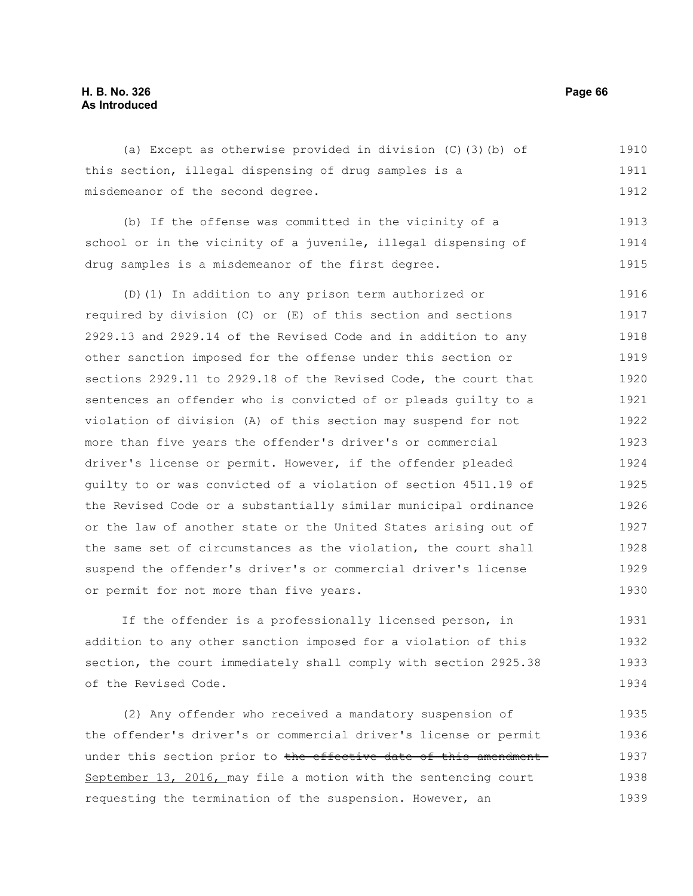# **H. B. No. 326 Page 66 As Introduced**

(a) Except as otherwise provided in division (C)(3)(b) of this section, illegal dispensing of drug samples is a misdemeanor of the second degree. 1910 1911 1912

(b) If the offense was committed in the vicinity of a school or in the vicinity of a juvenile, illegal dispensing of drug samples is a misdemeanor of the first degree. 1913 1914 1915

(D)(1) In addition to any prison term authorized or required by division (C) or (E) of this section and sections 2929.13 and 2929.14 of the Revised Code and in addition to any other sanction imposed for the offense under this section or sections 2929.11 to 2929.18 of the Revised Code, the court that sentences an offender who is convicted of or pleads guilty to a violation of division (A) of this section may suspend for not more than five years the offender's driver's or commercial driver's license or permit. However, if the offender pleaded guilty to or was convicted of a violation of section 4511.19 of the Revised Code or a substantially similar municipal ordinance or the law of another state or the United States arising out of the same set of circumstances as the violation, the court shall suspend the offender's driver's or commercial driver's license or permit for not more than five years. 1916 1917 1918 1919 1920 1921 1922 1923 1924 1925 1926 1927 1928 1929 1930

If the offender is a professionally licensed person, in addition to any other sanction imposed for a violation of this section, the court immediately shall comply with section 2925.38 of the Revised Code. 1931 1932 1933 1934

(2) Any offender who received a mandatory suspension of the offender's driver's or commercial driver's license or permit under this section prior to the effective date of this amendment September 13, 2016, may file a motion with the sentencing court requesting the termination of the suspension. However, an 1935 1936 1937 1938 1939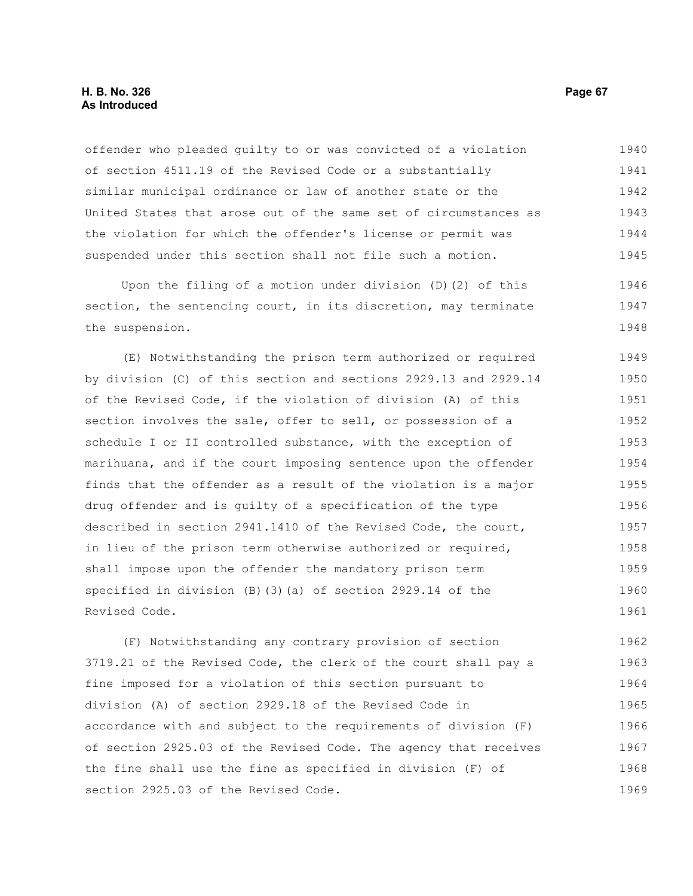## **H. B. No. 326 Page 67 As Introduced**

offender who pleaded guilty to or was convicted of a violation of section 4511.19 of the Revised Code or a substantially similar municipal ordinance or law of another state or the United States that arose out of the same set of circumstances as the violation for which the offender's license or permit was suspended under this section shall not file such a motion. 1940 1941 1942 1943 1944 1945

Upon the filing of a motion under division (D)(2) of this section, the sentencing court, in its discretion, may terminate the suspension. 1946 1947 1948

(E) Notwithstanding the prison term authorized or required by division (C) of this section and sections 2929.13 and 2929.14 of the Revised Code, if the violation of division (A) of this section involves the sale, offer to sell, or possession of a schedule I or II controlled substance, with the exception of marihuana, and if the court imposing sentence upon the offender finds that the offender as a result of the violation is a major drug offender and is guilty of a specification of the type described in section 2941.1410 of the Revised Code, the court, in lieu of the prison term otherwise authorized or required, shall impose upon the offender the mandatory prison term specified in division (B)(3)(a) of section 2929.14 of the Revised Code. 1949 1950 1951 1952 1953 1954 1955 1956 1957 1958 1959 1960 1961

(F) Notwithstanding any contrary provision of section 3719.21 of the Revised Code, the clerk of the court shall pay a fine imposed for a violation of this section pursuant to division (A) of section 2929.18 of the Revised Code in accordance with and subject to the requirements of division (F) of section 2925.03 of the Revised Code. The agency that receives the fine shall use the fine as specified in division (F) of section 2925.03 of the Revised Code. 1962 1963 1964 1965 1966 1967 1968 1969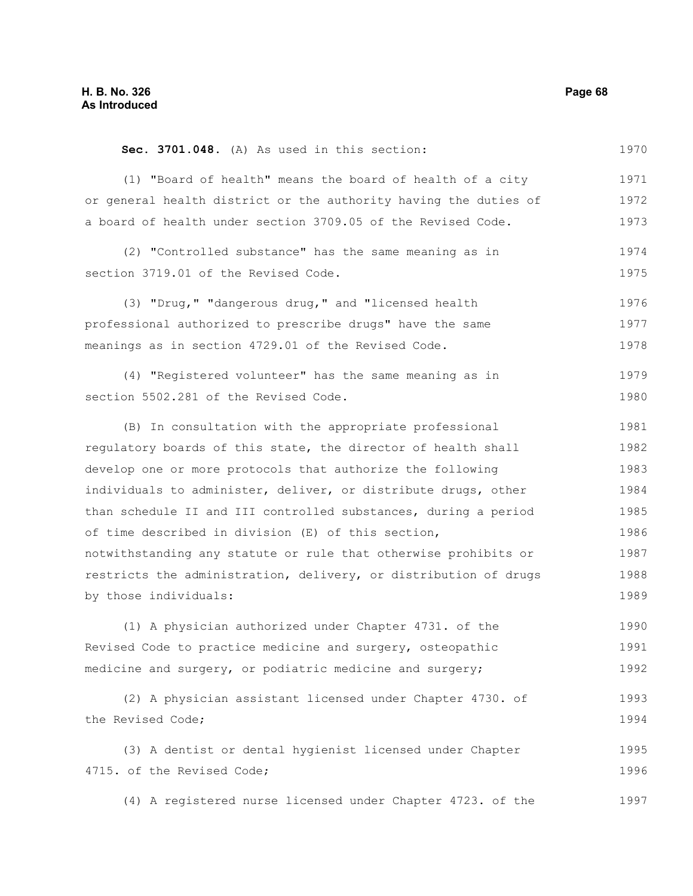**Sec. 3701.048.** (A) As used in this section: (1) "Board of health" means the board of health of a city or general health district or the authority having the duties of a board of health under section 3709.05 of the Revised Code. (2) "Controlled substance" has the same meaning as in section 3719.01 of the Revised Code. (3) "Drug," "dangerous drug," and "licensed health professional authorized to prescribe drugs" have the same meanings as in section 4729.01 of the Revised Code. (4) "Registered volunteer" has the same meaning as in section 5502.281 of the Revised Code. (B) In consultation with the appropriate professional regulatory boards of this state, the director of health shall develop one or more protocols that authorize the following individuals to administer, deliver, or distribute drugs, other than schedule II and III controlled substances, during a period of time described in division (E) of this section, notwithstanding any statute or rule that otherwise prohibits or restricts the administration, delivery, or distribution of drugs by those individuals: (1) A physician authorized under Chapter 4731. of the Revised Code to practice medicine and surgery, osteopathic medicine and surgery, or podiatric medicine and surgery; (2) A physician assistant licensed under Chapter 4730. of the Revised Code; (3) A dentist or dental hygienist licensed under Chapter 4715. of the Revised Code; (4) A registered nurse licensed under Chapter 4723. of the 1970 1971 1972 1973 1974 1975 1976 1977 1978 1979 1980 1981 1982 1983 1984 1985 1986 1987 1988 1989 1990 1991 1992 1993 1994 1995 1996 1997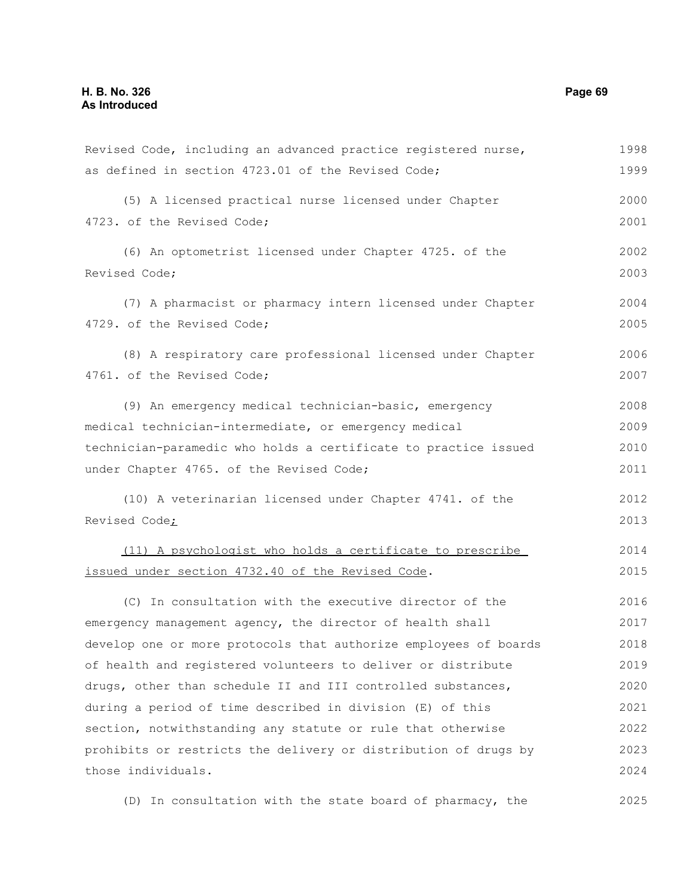Revised Code, including an advanced practice registered nurse, as defined in section 4723.01 of the Revised Code; (5) A licensed practical nurse licensed under Chapter 4723. of the Revised Code; (6) An optometrist licensed under Chapter 4725. of the Revised Code; (7) A pharmacist or pharmacy intern licensed under Chapter 4729. of the Revised Code; (8) A respiratory care professional licensed under Chapter 4761. of the Revised Code; (9) An emergency medical technician-basic, emergency medical technician-intermediate, or emergency medical technician-paramedic who holds a certificate to practice issued under Chapter 4765. of the Revised Code; (10) A veterinarian licensed under Chapter 4741. of the Revised Code; (11) A psychologist who holds a certificate to prescribe issued under section 4732.40 of the Revised Code. (C) In consultation with the executive director of the emergency management agency, the director of health shall develop one or more protocols that authorize employees of boards of health and registered volunteers to deliver or distribute drugs, other than schedule II and III controlled substances, during a period of time described in division (E) of this section, notwithstanding any statute or rule that otherwise prohibits or restricts the delivery or distribution of drugs by those individuals. 1998 1999 2000 2001 2002 2003 2004 2005 2006 2007 2008 2009 2010 2011 2012 2013 2014 2015 2016 2017 2018 2019 2020 2021 2022 2023 2024

(D) In consultation with the state board of pharmacy, the 2025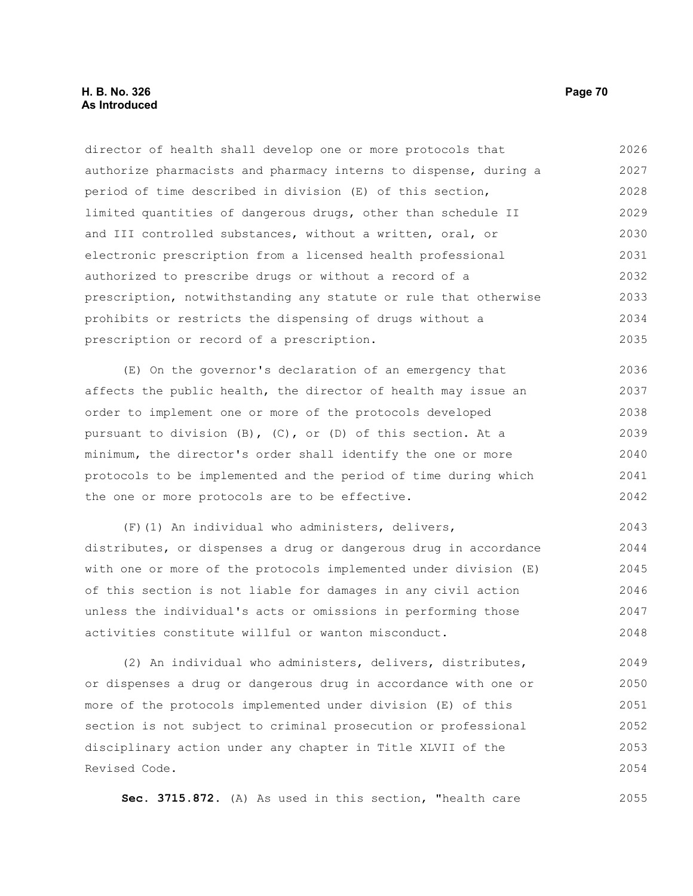# **H. B. No. 326 Page 70 As Introduced**

director of health shall develop one or more protocols that authorize pharmacists and pharmacy interns to dispense, during a period of time described in division (E) of this section, limited quantities of dangerous drugs, other than schedule II and III controlled substances, without a written, oral, or electronic prescription from a licensed health professional authorized to prescribe drugs or without a record of a prescription, notwithstanding any statute or rule that otherwise prohibits or restricts the dispensing of drugs without a prescription or record of a prescription. 2026 2027 2028 2029 2030 2031 2032 2033 2034 2035

(E) On the governor's declaration of an emergency that affects the public health, the director of health may issue an order to implement one or more of the protocols developed pursuant to division (B), (C), or (D) of this section. At a minimum, the director's order shall identify the one or more protocols to be implemented and the period of time during which the one or more protocols are to be effective. 2036 2037 2038 2039 2040 2041 2042

(F)(1) An individual who administers, delivers, distributes, or dispenses a drug or dangerous drug in accordance with one or more of the protocols implemented under division (E) of this section is not liable for damages in any civil action unless the individual's acts or omissions in performing those activities constitute willful or wanton misconduct. 2043 2044 2045 2046 2047 2048

(2) An individual who administers, delivers, distributes, or dispenses a drug or dangerous drug in accordance with one or more of the protocols implemented under division (E) of this section is not subject to criminal prosecution or professional disciplinary action under any chapter in Title XLVII of the Revised Code. 2049 2050 2051 2052 2053 2054

**Sec. 3715.872.** (A) As used in this section, "health care 2055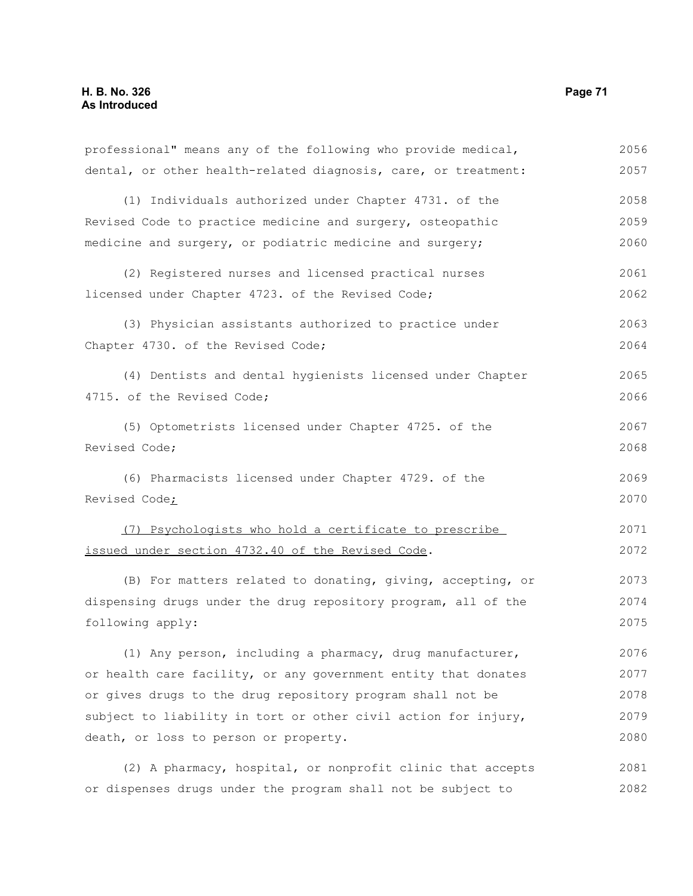| professional" means any of the following who provide medical,  | 2056 |
|----------------------------------------------------------------|------|
| dental, or other health-related diagnosis, care, or treatment: | 2057 |
| (1) Individuals authorized under Chapter 4731. of the          | 2058 |
| Revised Code to practice medicine and surgery, osteopathic     | 2059 |
| medicine and surgery, or podiatric medicine and surgery;       | 2060 |
| (2) Registered nurses and licensed practical nurses            | 2061 |
| licensed under Chapter 4723. of the Revised Code;              | 2062 |
| (3) Physician assistants authorized to practice under          | 2063 |
| Chapter 4730. of the Revised Code;                             | 2064 |
| (4) Dentists and dental hygienists licensed under Chapter      | 2065 |
| 4715. of the Revised Code;                                     | 2066 |
| (5) Optometrists licensed under Chapter 4725. of the           | 2067 |
| Revised Code;                                                  | 2068 |
| (6) Pharmacists licensed under Chapter 4729. of the            | 2069 |
| Revised Code;                                                  | 2070 |
| (7) Psychologists who hold a certificate to prescribe          | 2071 |
| issued under section 4732.40 of the Revised Code.              | 2072 |
| (B) For matters related to donating, giving, accepting, or     | 2073 |
| dispensing drugs under the drug repository program, all of the | 2074 |
| following apply:                                               | 2075 |
| (1) Any person, including a pharmacy, drug manufacturer,       | 2076 |
| or health care facility, or any government entity that donates | 2077 |
| or gives drugs to the drug repository program shall not be     | 2078 |
| subject to liability in tort or other civil action for injury, | 2079 |
| death, or loss to person or property.                          | 2080 |
| (2) A pharmacy, hospital, or nonprofit clinic that accepts     | 2081 |
| or dispenses drugs under the program shall not be subject to   | 2082 |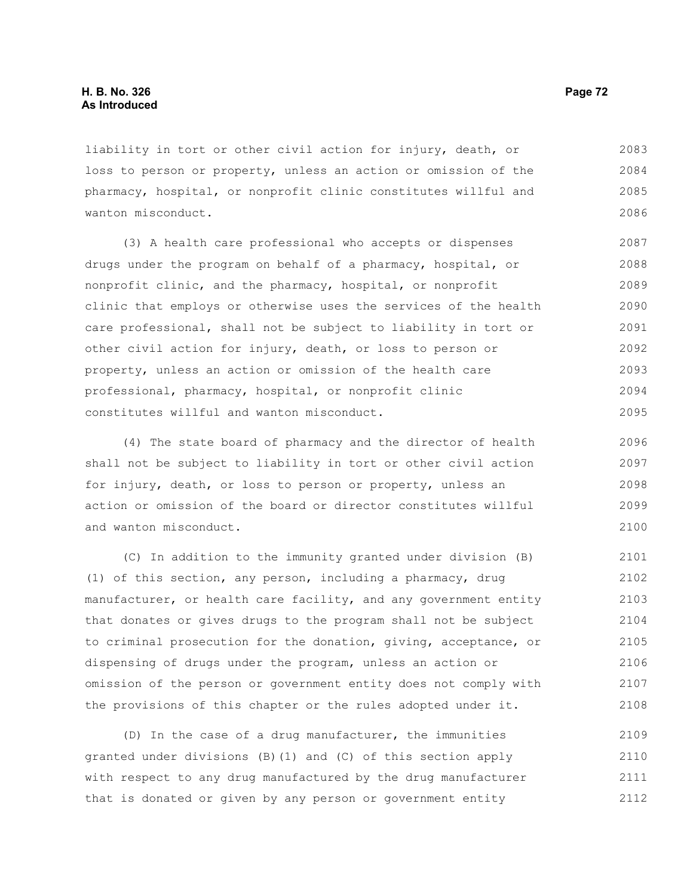# **H. B. No. 326 Page 72 As Introduced**

liability in tort or other civil action for injury, death, or loss to person or property, unless an action or omission of the pharmacy, hospital, or nonprofit clinic constitutes willful and wanton misconduct. 2083 2084 2085 2086

(3) A health care professional who accepts or dispenses drugs under the program on behalf of a pharmacy, hospital, or nonprofit clinic, and the pharmacy, hospital, or nonprofit clinic that employs or otherwise uses the services of the health care professional, shall not be subject to liability in tort or other civil action for injury, death, or loss to person or property, unless an action or omission of the health care professional, pharmacy, hospital, or nonprofit clinic constitutes willful and wanton misconduct. 2087 2088 2089 2090 2091 2092 2093 2094 2095

(4) The state board of pharmacy and the director of health shall not be subject to liability in tort or other civil action for injury, death, or loss to person or property, unless an action or omission of the board or director constitutes willful and wanton misconduct. 2096 2097 2098 2099 2100

(C) In addition to the immunity granted under division (B) (1) of this section, any person, including a pharmacy, drug manufacturer, or health care facility, and any government entity that donates or gives drugs to the program shall not be subject to criminal prosecution for the donation, giving, acceptance, or dispensing of drugs under the program, unless an action or omission of the person or government entity does not comply with the provisions of this chapter or the rules adopted under it. 2101 2102 2103 2104 2105 2106 2107 2108

(D) In the case of a drug manufacturer, the immunities granted under divisions (B)(1) and (C) of this section apply with respect to any drug manufactured by the drug manufacturer that is donated or given by any person or government entity 2109 2110 2111 2112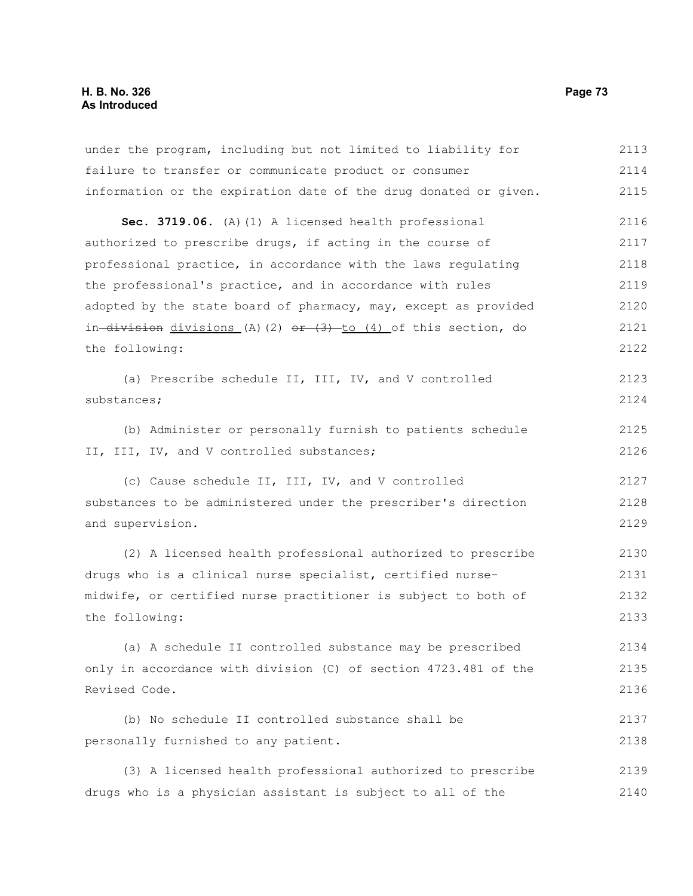under the program, including but not limited to liability for failure to transfer or communicate product or consumer information or the expiration date of the drug donated or given. **Sec. 3719.06.** (A)(1) A licensed health professional authorized to prescribe drugs, if acting in the course of professional practice, in accordance with the laws regulating the professional's practice, and in accordance with rules adopted by the state board of pharmacy, may, except as provided in division divisions (A)(2) or  $(3)$  to (4) of this section, do the following: (a) Prescribe schedule II, III, IV, and V controlled substances; (b) Administer or personally furnish to patients schedule II, III, IV, and V controlled substances; (c) Cause schedule II, III, IV, and V controlled substances to be administered under the prescriber's direction and supervision. (2) A licensed health professional authorized to prescribe drugs who is a clinical nurse specialist, certified nursemidwife, or certified nurse practitioner is subject to both of the following: (a) A schedule II controlled substance may be prescribed only in accordance with division (C) of section 4723.481 of the Revised Code. (b) No schedule II controlled substance shall be personally furnished to any patient. (3) A licensed health professional authorized to prescribe drugs who is a physician assistant is subject to all of the 2113 2114 2115 2116 2117 2118 2119 2120 2121 2122 2123 2124 2125 2126 2127 2128 2129 2130 2131 2132 2133 2134 2135 2136 2137 2138 2139 2140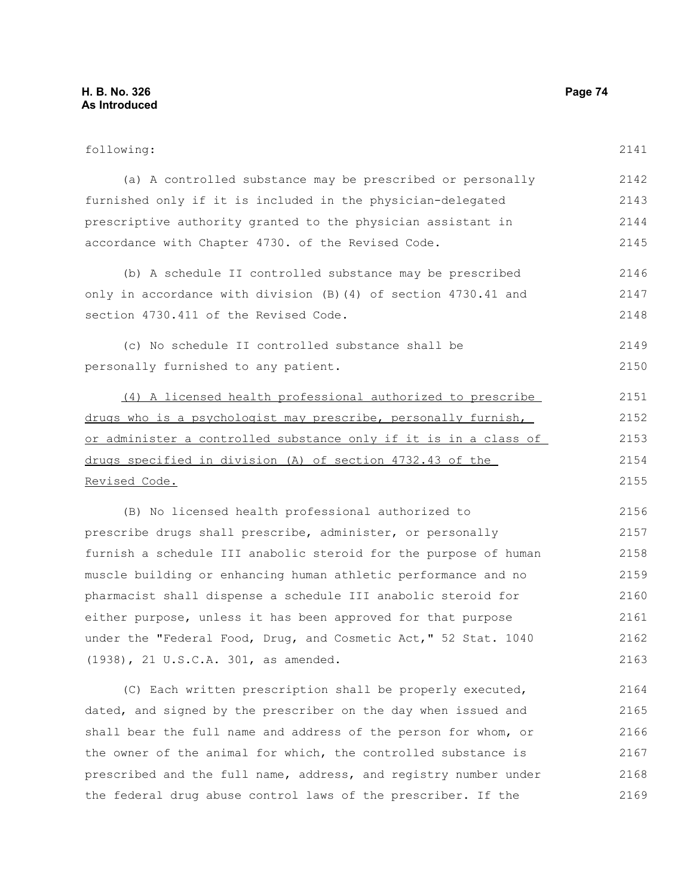2169

| following:                                                       | 2141 |
|------------------------------------------------------------------|------|
| (a) A controlled substance may be prescribed or personally       | 2142 |
| furnished only if it is included in the physician-delegated      | 2143 |
| prescriptive authority granted to the physician assistant in     | 2144 |
| accordance with Chapter 4730. of the Revised Code.               | 2145 |
| (b) A schedule II controlled substance may be prescribed         | 2146 |
| only in accordance with division (B) (4) of section 4730.41 and  | 2147 |
| section 4730.411 of the Revised Code.                            | 2148 |
|                                                                  |      |
| (c) No schedule II controlled substance shall be                 | 2149 |
| personally furnished to any patient.                             | 2150 |
| (4) A licensed health professional authorized to prescribe       | 2151 |
| drugs who is a psychologist may prescribe, personally furnish,   | 2152 |
| or administer a controlled substance only if it is in a class of | 2153 |
| drugs specified in division (A) of section 4732.43 of the        | 2154 |
| Revised Code.                                                    | 2155 |
| (B) No licensed health professional authorized to                | 2156 |
| prescribe drugs shall prescribe, administer, or personally       | 2157 |
| furnish a schedule III anabolic steroid for the purpose of human | 2158 |
| muscle building or enhancing human athletic performance and no   | 2159 |
| pharmacist shall dispense a schedule III anabolic steroid for    | 2160 |
| either purpose, unless it has been approved for that purpose     | 2161 |
| under the "Federal Food, Drug, and Cosmetic Act," 52 Stat. 1040  | 2162 |
| (1938), 21 U.S.C.A. 301, as amended.                             | 2163 |
| (C) Each written prescription shall be properly executed,        | 2164 |
| dated, and signed by the prescriber on the day when issued and   | 2165 |
| shall bear the full name and address of the person for whom, or  | 2166 |
| the owner of the animal for which, the controlled substance is   | 2167 |
|                                                                  |      |
| prescribed and the full name, address, and registry number under | 2168 |

the federal drug abuse control laws of the prescriber. If the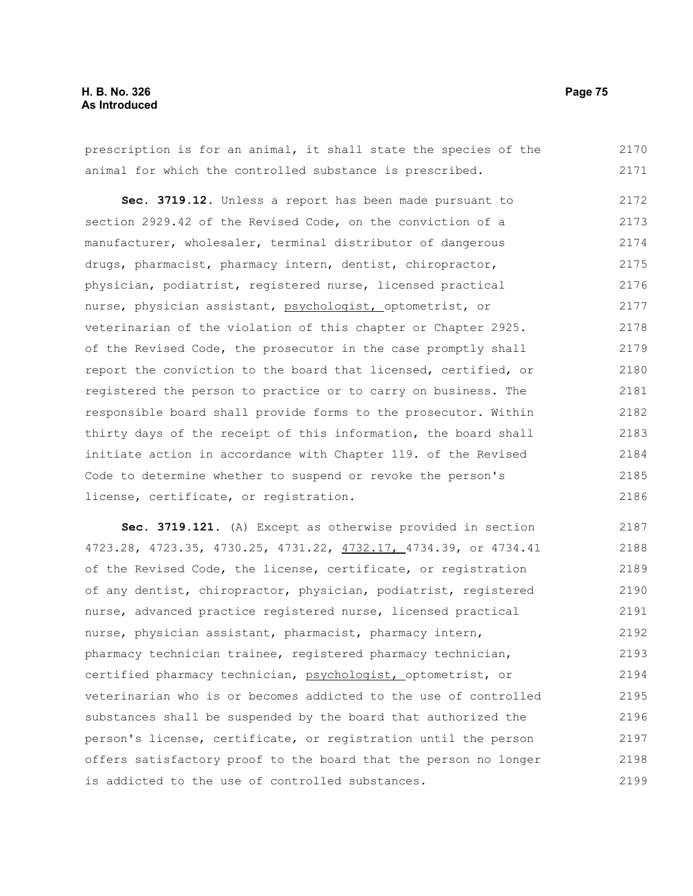prescription is for an animal, it shall state the species of the animal for which the controlled substance is prescribed. 2170 2171

**Sec. 3719.12.** Unless a report has been made pursuant to section 2929.42 of the Revised Code, on the conviction of a manufacturer, wholesaler, terminal distributor of dangerous drugs, pharmacist, pharmacy intern, dentist, chiropractor, physician, podiatrist, registered nurse, licensed practical nurse, physician assistant, psychologist, optometrist, or veterinarian of the violation of this chapter or Chapter 2925. of the Revised Code, the prosecutor in the case promptly shall report the conviction to the board that licensed, certified, or registered the person to practice or to carry on business. The responsible board shall provide forms to the prosecutor. Within thirty days of the receipt of this information, the board shall initiate action in accordance with Chapter 119. of the Revised Code to determine whether to suspend or revoke the person's license, certificate, or registration. 2172 2173 2174 2175 2176 2177 2178 2179 2180 2181 2182 2183 2184 2185 2186

**Sec. 3719.121.** (A) Except as otherwise provided in section 4723.28, 4723.35, 4730.25, 4731.22, 4732.17, 4734.39, or 4734.41 of the Revised Code, the license, certificate, or registration of any dentist, chiropractor, physician, podiatrist, registered nurse, advanced practice registered nurse, licensed practical nurse, physician assistant, pharmacist, pharmacy intern, pharmacy technician trainee, registered pharmacy technician, certified pharmacy technician, psychologist, optometrist, or veterinarian who is or becomes addicted to the use of controlled substances shall be suspended by the board that authorized the person's license, certificate, or registration until the person offers satisfactory proof to the board that the person no longer is addicted to the use of controlled substances. 2187 2188 2189 2190 2191 2192 2193 2194 2195 2196 2197 2198 2199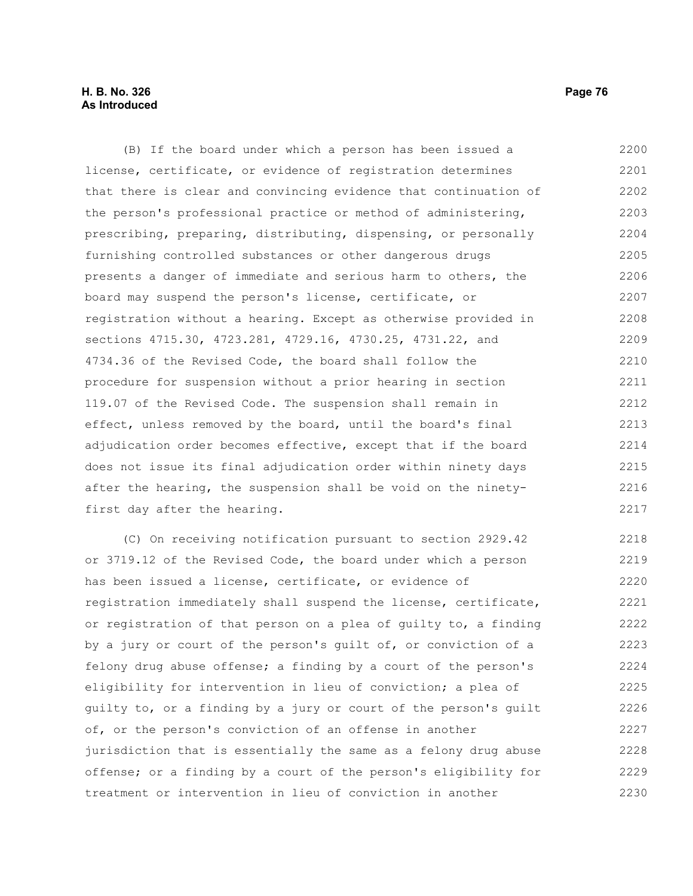## **H. B. No. 326 Page 76 As Introduced**

(B) If the board under which a person has been issued a license, certificate, or evidence of registration determines that there is clear and convincing evidence that continuation of the person's professional practice or method of administering, prescribing, preparing, distributing, dispensing, or personally furnishing controlled substances or other dangerous drugs presents a danger of immediate and serious harm to others, the board may suspend the person's license, certificate, or registration without a hearing. Except as otherwise provided in sections 4715.30, 4723.281, 4729.16, 4730.25, 4731.22, and 4734.36 of the Revised Code, the board shall follow the procedure for suspension without a prior hearing in section 119.07 of the Revised Code. The suspension shall remain in effect, unless removed by the board, until the board's final adjudication order becomes effective, except that if the board does not issue its final adjudication order within ninety days after the hearing, the suspension shall be void on the ninetyfirst day after the hearing. 2200 2201 2202 2203 2204 2205 2206 2207 2208 2209 2210 2211 2212 2213 2214 2215 2216 2217

(C) On receiving notification pursuant to section 2929.42 or 3719.12 of the Revised Code, the board under which a person has been issued a license, certificate, or evidence of registration immediately shall suspend the license, certificate, or registration of that person on a plea of guilty to, a finding by a jury or court of the person's guilt of, or conviction of a felony drug abuse offense; a finding by a court of the person's eligibility for intervention in lieu of conviction; a plea of guilty to, or a finding by a jury or court of the person's guilt of, or the person's conviction of an offense in another jurisdiction that is essentially the same as a felony drug abuse offense; or a finding by a court of the person's eligibility for treatment or intervention in lieu of conviction in another 2218 2219 2220 2221 2222 2223 2224 2225 2226 2227 2228 2229 2230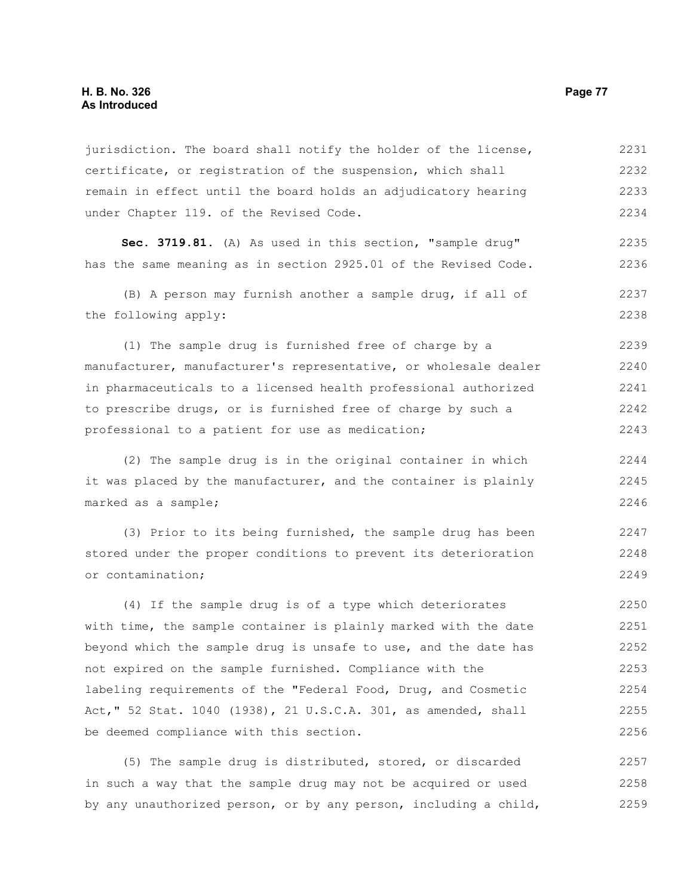jurisdiction. The board shall notify the holder of the license, certificate, or registration of the suspension, which shall remain in effect until the board holds an adjudicatory hearing under Chapter 119. of the Revised Code. 2231 2232 2233 2234

**Sec. 3719.81.** (A) As used in this section, "sample drug" has the same meaning as in section 2925.01 of the Revised Code.

(B) A person may furnish another a sample drug, if all of the following apply: 2237 2238

(1) The sample drug is furnished free of charge by a manufacturer, manufacturer's representative, or wholesale dealer in pharmaceuticals to a licensed health professional authorized to prescribe drugs, or is furnished free of charge by such a professional to a patient for use as medication; 2239 2240 2241 2242 2243

(2) The sample drug is in the original container in which it was placed by the manufacturer, and the container is plainly marked as a sample; 2244 2245 2246

(3) Prior to its being furnished, the sample drug has been stored under the proper conditions to prevent its deterioration or contamination; 2247 2248 2249

(4) If the sample drug is of a type which deteriorates with time, the sample container is plainly marked with the date beyond which the sample drug is unsafe to use, and the date has not expired on the sample furnished. Compliance with the labeling requirements of the "Federal Food, Drug, and Cosmetic Act," 52 Stat. 1040 (1938), 21 U.S.C.A. 301, as amended, shall be deemed compliance with this section. 2250 2251 2252 2253 2254 2255 2256

(5) The sample drug is distributed, stored, or discarded in such a way that the sample drug may not be acquired or used by any unauthorized person, or by any person, including a child, 2257 2258 2259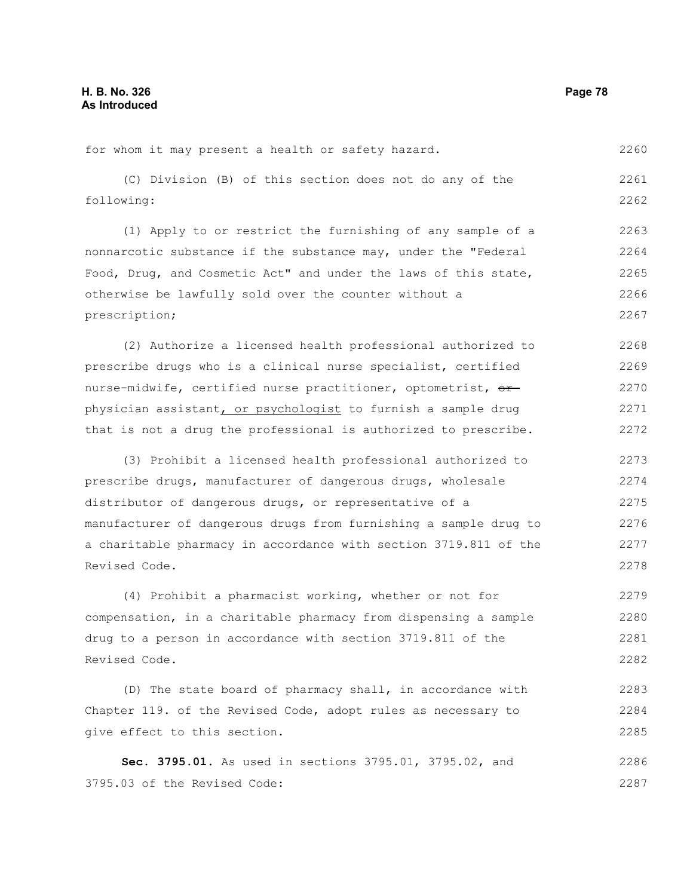| for whom it may present a health or safety hazard.               | 2260 |
|------------------------------------------------------------------|------|
| (C) Division (B) of this section does not do any of the          | 2261 |
| following:                                                       | 2262 |
| (1) Apply to or restrict the furnishing of any sample of a       | 2263 |
| nonnarcotic substance if the substance may, under the "Federal   | 2264 |
| Food, Drug, and Cosmetic Act" and under the laws of this state,  | 2265 |
| otherwise be lawfully sold over the counter without a            | 2266 |
| prescription;                                                    | 2267 |
| (2) Authorize a licensed health professional authorized to       | 2268 |
| prescribe drugs who is a clinical nurse specialist, certified    | 2269 |
| nurse-midwife, certified nurse practitioner, optometrist, or     | 2270 |
| physician assistant, or psychologist to furnish a sample drug    | 2271 |
| that is not a drug the professional is authorized to prescribe.  | 2272 |
| (3) Prohibit a licensed health professional authorized to        | 2273 |
| prescribe drugs, manufacturer of dangerous drugs, wholesale      | 2274 |
| distributor of dangerous drugs, or representative of a           | 2275 |
| manufacturer of dangerous drugs from furnishing a sample drug to | 2276 |
| a charitable pharmacy in accordance with section 3719.811 of the | 2277 |
| Revised Code.                                                    | 2278 |
|                                                                  |      |
| (4) Prohibit a pharmacist working, whether or not for            | 2279 |
| compensation, in a charitable pharmacy from dispensing a sample  | 2280 |
| drug to a person in accordance with section 3719.811 of the      | 2281 |
| Revised Code.                                                    | 2282 |
| (D) The state board of pharmacy shall, in accordance with        | 2283 |
| Chapter 119. of the Revised Code, adopt rules as necessary to    | 2284 |

**Sec. 3795.01.** As used in sections 3795.01, 3795.02, and 3795.03 of the Revised Code: 2286 2287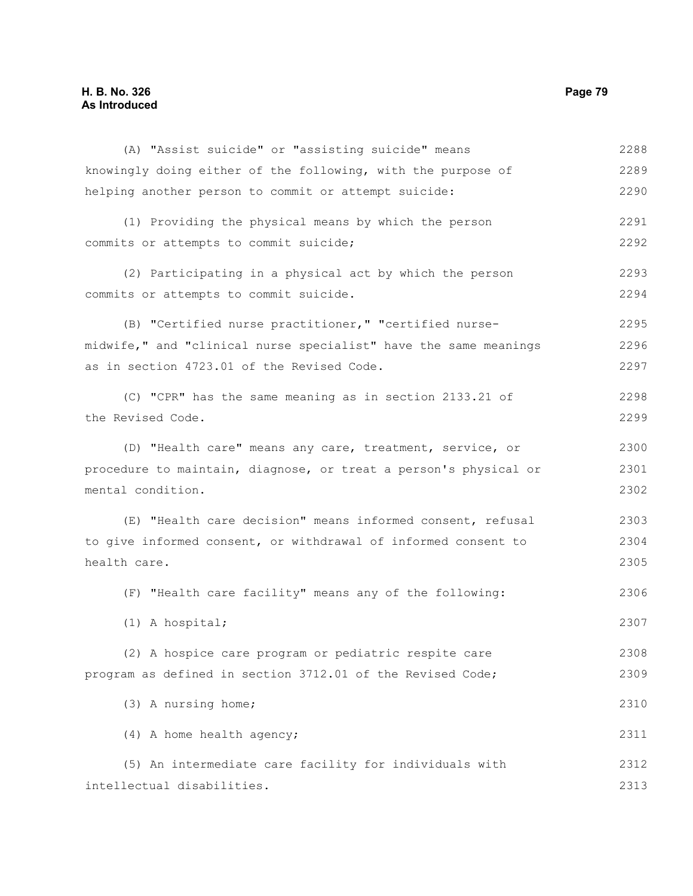# **H. B. No. 326 Page 79 As Introduced**

| (A) "Assist suicide" or "assisting suicide" means                | 2288 |
|------------------------------------------------------------------|------|
| knowingly doing either of the following, with the purpose of     | 2289 |
| helping another person to commit or attempt suicide:             | 2290 |
| (1) Providing the physical means by which the person             | 2291 |
| commits or attempts to commit suicide;                           | 2292 |
| (2) Participating in a physical act by which the person          | 2293 |
| commits or attempts to commit suicide.                           | 2294 |
| (B) "Certified nurse practitioner," "certified nurse-            | 2295 |
| midwife," and "clinical nurse specialist" have the same meanings | 2296 |
| as in section 4723.01 of the Revised Code.                       | 2297 |
| (C) "CPR" has the same meaning as in section 2133.21 of          | 2298 |
| the Revised Code.                                                | 2299 |
| (D) "Health care" means any care, treatment, service, or         | 2300 |
| procedure to maintain, diagnose, or treat a person's physical or | 2301 |
| mental condition.                                                | 2302 |
| (E) "Health care decision" means informed consent, refusal       | 2303 |
| to give informed consent, or withdrawal of informed consent to   | 2304 |
| health care.                                                     | 2305 |
| (F) "Health care facility" means any of the following:           | 2306 |
| $(1)$ A hospital;                                                | 2307 |
| (2) A hospice care program or pediatric respite care             | 2308 |
| program as defined in section 3712.01 of the Revised Code;       | 2309 |
| (3) A nursing home;                                              | 2310 |
| (4) A home health agency;                                        | 2311 |
| (5) An intermediate care facility for individuals with           | 2312 |
| intellectual disabilities.                                       | 2313 |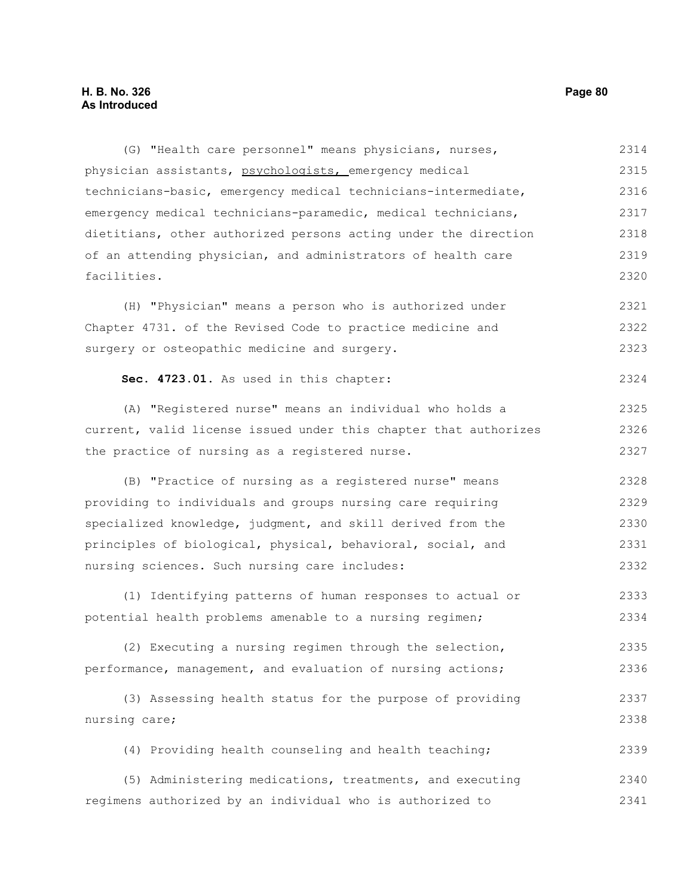#### **H. B. No. 326 Page 80 As Introduced**

(G) "Health care personnel" means physicians, nurses, physician assistants, psychologists, emergency medical technicians-basic, emergency medical technicians-intermediate, emergency medical technicians-paramedic, medical technicians, dietitians, other authorized persons acting under the direction of an attending physician, and administrators of health care facilities. (H) "Physician" means a person who is authorized under Chapter 4731. of the Revised Code to practice medicine and surgery or osteopathic medicine and surgery. **Sec. 4723.01.** As used in this chapter: (A) "Registered nurse" means an individual who holds a current, valid license issued under this chapter that authorizes the practice of nursing as a registered nurse. (B) "Practice of nursing as a registered nurse" means providing to individuals and groups nursing care requiring specialized knowledge, judgment, and skill derived from the principles of biological, physical, behavioral, social, and nursing sciences. Such nursing care includes: (1) Identifying patterns of human responses to actual or potential health problems amenable to a nursing regimen; (2) Executing a nursing regimen through the selection, performance, management, and evaluation of nursing actions; (3) Assessing health status for the purpose of providing nursing care; (4) Providing health counseling and health teaching; (5) Administering medications, treatments, and executing regimens authorized by an individual who is authorized to 2314 2315 2316 2317 2318 2319 2320 2321 2322 2323 2324 2325 2326 2327 2328 2329 2330 2331 2332 2333 2334 2335 2336 2337 2338 2339 2340 2341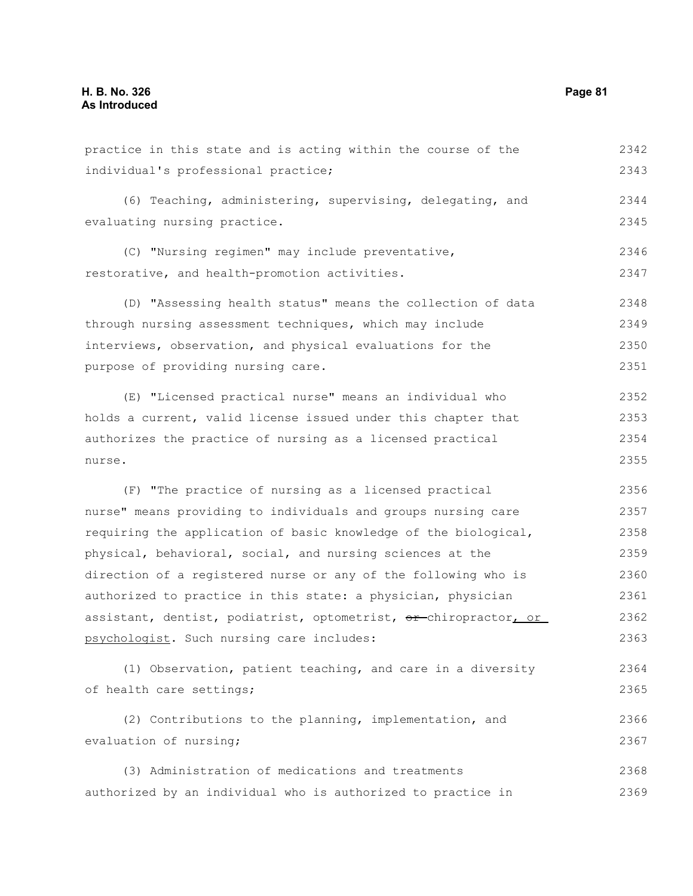individual's professional practice; (6) Teaching, administering, supervising, delegating, and evaluating nursing practice. (C) "Nursing regimen" may include preventative, restorative, and health-promotion activities. (D) "Assessing health status" means the collection of data through nursing assessment techniques, which may include interviews, observation, and physical evaluations for the purpose of providing nursing care. (E) "Licensed practical nurse" means an individual who holds a current, valid license issued under this chapter that authorizes the practice of nursing as a licensed practical nurse. (F) "The practice of nursing as a licensed practical nurse" means providing to individuals and groups nursing care requiring the application of basic knowledge of the biological, physical, behavioral, social, and nursing sciences at the direction of a registered nurse or any of the following who is authorized to practice in this state: a physician, physician assistant, dentist, podiatrist, optometrist, or chiropractor, or psychologist. Such nursing care includes: (1) Observation, patient teaching, and care in a diversity of health care settings; (2) Contributions to the planning, implementation, and evaluation of nursing; (3) Administration of medications and treatments authorized by an individual who is authorized to practice in 2343 2344 2345 2346 2347 2348 2349 2350 2351 2352 2353 2354 2355 2356 2357 2358 2359 2360 2361 2362 2363 2364 2365 2366 2367 2368 2369

practice in this state and is acting within the course of the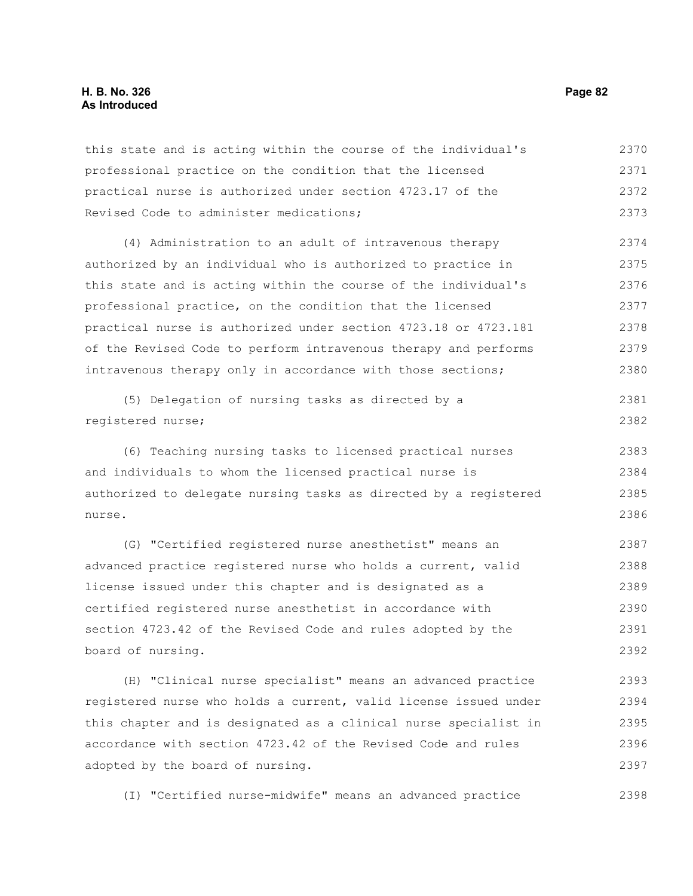#### **H. B. No. 326 Page 82 As Introduced**

this state and is acting within the course of the individual's professional practice on the condition that the licensed practical nurse is authorized under section 4723.17 of the Revised Code to administer medications; 2370 2371 2372 2373

(4) Administration to an adult of intravenous therapy authorized by an individual who is authorized to practice in this state and is acting within the course of the individual's professional practice, on the condition that the licensed practical nurse is authorized under section 4723.18 or 4723.181 of the Revised Code to perform intravenous therapy and performs intravenous therapy only in accordance with those sections; 2374 2375 2376 2377 2378 2379 2380

```
(5) Delegation of nursing tasks as directed by a
registered nurse; 
                                                                              2381
                                                                              2382
```
(6) Teaching nursing tasks to licensed practical nurses and individuals to whom the licensed practical nurse is authorized to delegate nursing tasks as directed by a registered nurse. 2383 2384 2385 2386

(G) "Certified registered nurse anesthetist" means an advanced practice registered nurse who holds a current, valid license issued under this chapter and is designated as a certified registered nurse anesthetist in accordance with section 4723.42 of the Revised Code and rules adopted by the board of nursing. 2387 2388 2389 2390 2391 2392

(H) "Clinical nurse specialist" means an advanced practice registered nurse who holds a current, valid license issued under this chapter and is designated as a clinical nurse specialist in accordance with section 4723.42 of the Revised Code and rules adopted by the board of nursing. 2393 2394 2395 2396 2397

(I) "Certified nurse-midwife" means an advanced practice 2398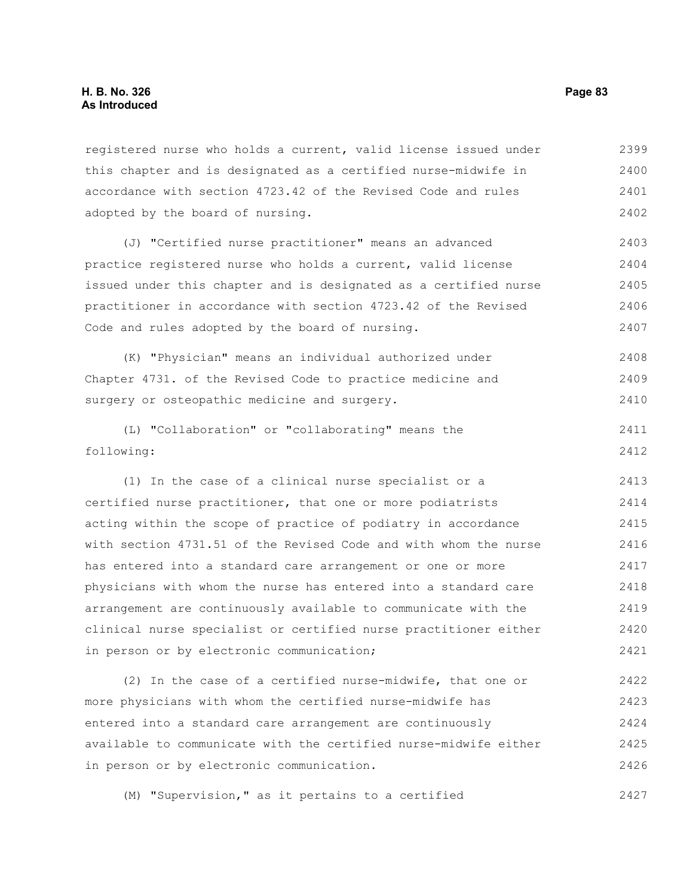#### **H. B. No. 326 Page 83 As Introduced**

registered nurse who holds a current, valid license issued under this chapter and is designated as a certified nurse-midwife in accordance with section 4723.42 of the Revised Code and rules adopted by the board of nursing. 2399 2400 2401 2402

(J) "Certified nurse practitioner" means an advanced practice registered nurse who holds a current, valid license issued under this chapter and is designated as a certified nurse practitioner in accordance with section 4723.42 of the Revised Code and rules adopted by the board of nursing. 2403 2404 2405 2406 2407

(K) "Physician" means an individual authorized under Chapter 4731. of the Revised Code to practice medicine and surgery or osteopathic medicine and surgery. 2408 2409 2410

(L) "Collaboration" or "collaborating" means the following: 2411 2412

(1) In the case of a clinical nurse specialist or a certified nurse practitioner, that one or more podiatrists acting within the scope of practice of podiatry in accordance with section 4731.51 of the Revised Code and with whom the nurse has entered into a standard care arrangement or one or more physicians with whom the nurse has entered into a standard care arrangement are continuously available to communicate with the clinical nurse specialist or certified nurse practitioner either in person or by electronic communication; 2413 2414 2415 2416 2417 2418 2419 2420 2421

(2) In the case of a certified nurse-midwife, that one or more physicians with whom the certified nurse-midwife has entered into a standard care arrangement are continuously available to communicate with the certified nurse-midwife either in person or by electronic communication. 2422 2423 2424 2425 2426

(M) "Supervision," as it pertains to a certified 2427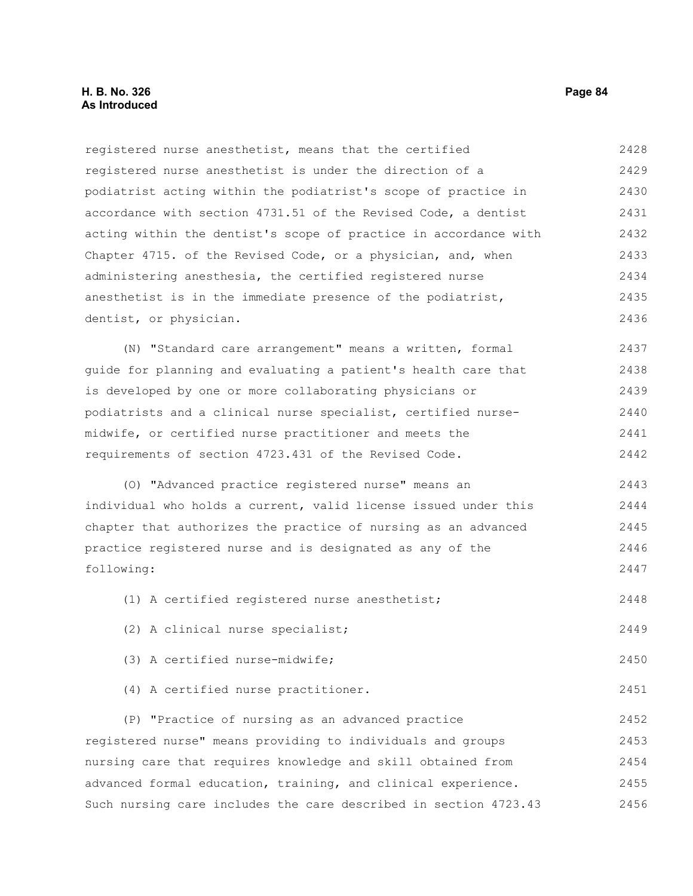#### **H. B. No. 326 Page 84 As Introduced**

registered nurse anesthetist, means that the certified registered nurse anesthetist is under the direction of a podiatrist acting within the podiatrist's scope of practice in accordance with section 4731.51 of the Revised Code, a dentist acting within the dentist's scope of practice in accordance with Chapter 4715. of the Revised Code, or a physician, and, when administering anesthesia, the certified registered nurse anesthetist is in the immediate presence of the podiatrist, dentist, or physician. (N) "Standard care arrangement" means a written, formal guide for planning and evaluating a patient's health care that is developed by one or more collaborating physicians or podiatrists and a clinical nurse specialist, certified nursemidwife, or certified nurse practitioner and meets the requirements of section 4723.431 of the Revised Code. (O) "Advanced practice registered nurse" means an individual who holds a current, valid license issued under this chapter that authorizes the practice of nursing as an advanced practice registered nurse and is designated as any of the following: (1) A certified registered nurse anesthetist; (2) A clinical nurse specialist; (3) A certified nurse-midwife; (4) A certified nurse practitioner. (P) "Practice of nursing as an advanced practice registered nurse" means providing to individuals and groups nursing care that requires knowledge and skill obtained from advanced formal education, training, and clinical experience. Such nursing care includes the care described in section 4723.43 2428 2429 2430 2431 2432 2433 2434 2435 2436 2437 2438 2439 2440 2441 2442 2443 2444 2445 2446 2447 2448 2449 2450 2451 2452 2453 2454 2455 2456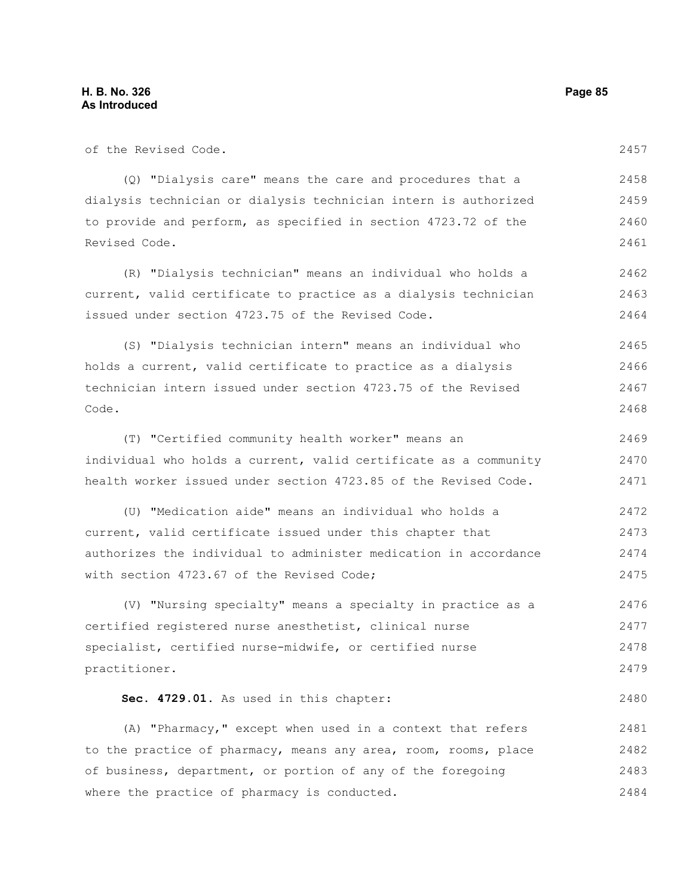of the Revised Code. (Q) "Dialysis care" means the care and procedures that a dialysis technician or dialysis technician intern is authorized to provide and perform, as specified in section 4723.72 of the Revised Code. (R) "Dialysis technician" means an individual who holds a current, valid certificate to practice as a dialysis technician issued under section 4723.75 of the Revised Code. (S) "Dialysis technician intern" means an individual who holds a current, valid certificate to practice as a dialysis technician intern issued under section 4723.75 of the Revised Code. (T) "Certified community health worker" means an individual who holds a current, valid certificate as a community health worker issued under section 4723.85 of the Revised Code. (U) "Medication aide" means an individual who holds a current, valid certificate issued under this chapter that authorizes the individual to administer medication in accordance with section 4723.67 of the Revised Code; (V) "Nursing specialty" means a specialty in practice as a certified registered nurse anesthetist, clinical nurse specialist, certified nurse-midwife, or certified nurse practitioner. **Sec. 4729.01.** As used in this chapter: (A) "Pharmacy," except when used in a context that refers to the practice of pharmacy, means any area, room, rooms, place of business, department, or portion of any of the foregoing where the practice of pharmacy is conducted. 2457 2458 2459 2460 2461 2462 2463 2464 2465 2466 2467 2468 2469 2470 2471 2472 2473 2474 2475 2476 2477 2478 2479 2480 2481 2482 2483 2484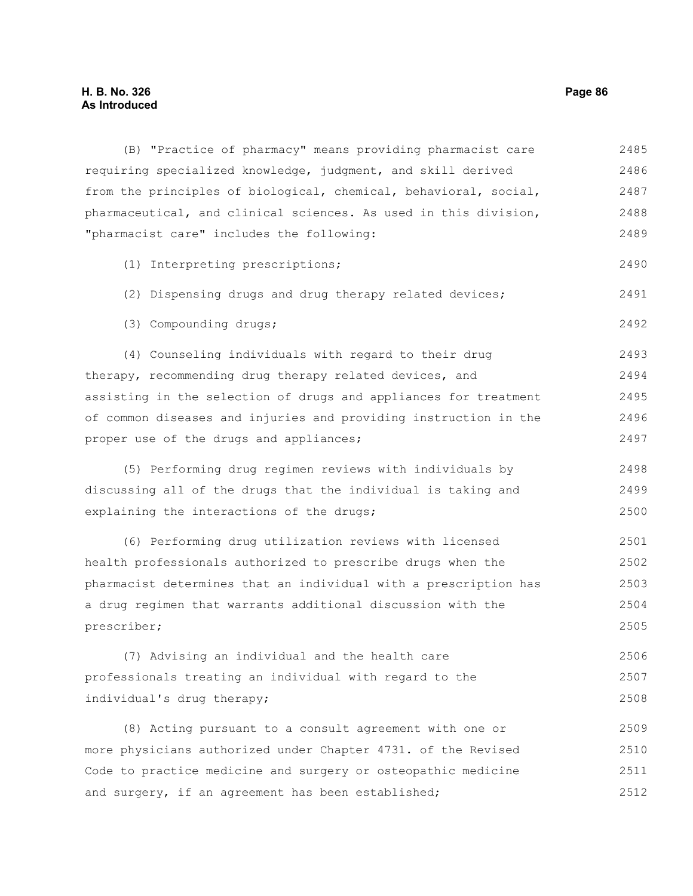## **H. B. No. 326 Page 86 As Introduced**

(B) "Practice of pharmacy" means providing pharmacist care requiring specialized knowledge, judgment, and skill derived from the principles of biological, chemical, behavioral, social, pharmaceutical, and clinical sciences. As used in this division, "pharmacist care" includes the following: (1) Interpreting prescriptions; (2) Dispensing drugs and drug therapy related devices; (3) Compounding drugs; (4) Counseling individuals with regard to their drug therapy, recommending drug therapy related devices, and assisting in the selection of drugs and appliances for treatment of common diseases and injuries and providing instruction in the proper use of the drugs and appliances; (5) Performing drug regimen reviews with individuals by discussing all of the drugs that the individual is taking and explaining the interactions of the drugs; (6) Performing drug utilization reviews with licensed health professionals authorized to prescribe drugs when the pharmacist determines that an individual with a prescription has a drug regimen that warrants additional discussion with the prescriber; (7) Advising an individual and the health care professionals treating an individual with regard to the individual's drug therapy; (8) Acting pursuant to a consult agreement with one or more physicians authorized under Chapter 4731. of the Revised Code to practice medicine and surgery or osteopathic medicine and surgery, if an agreement has been established; 2485 2486 2487 2488 2489 2490 2491 2492 2493 2494 2495 2496 2497 2498 2499 2500 2501 2502 2503 2504 2505 2506 2507 2508 2509 2510 2511 2512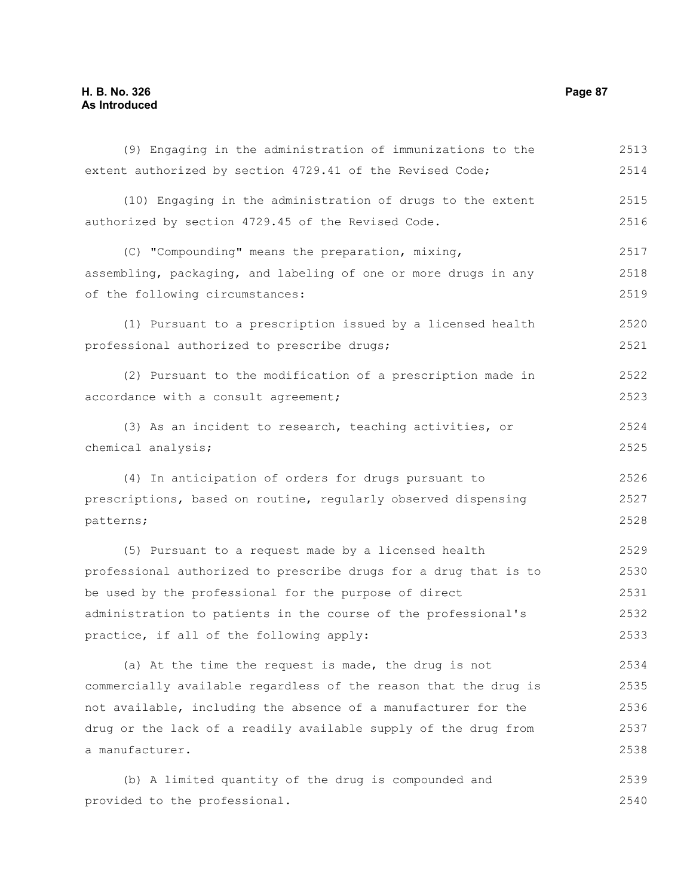| extent authorized by section 4729.41 of the Revised Code;        | 2514 |
|------------------------------------------------------------------|------|
| (10) Engaging in the administration of drugs to the extent       | 2515 |
| authorized by section 4729.45 of the Revised Code.               | 2516 |
| (C) "Compounding" means the preparation, mixing,                 | 2517 |
| assembling, packaging, and labeling of one or more drugs in any  | 2518 |
| of the following circumstances:                                  | 2519 |
| (1) Pursuant to a prescription issued by a licensed health       | 2520 |
| professional authorized to prescribe drugs;                      | 2521 |
| (2) Pursuant to the modification of a prescription made in       | 2522 |
| accordance with a consult agreement;                             | 2523 |
| (3) As an incident to research, teaching activities, or          | 2524 |
| chemical analysis;                                               | 2525 |
| (4) In anticipation of orders for drugs pursuant to              | 2526 |
| prescriptions, based on routine, regularly observed dispensing   | 2527 |
| patterns;                                                        | 2528 |
| (5) Pursuant to a request made by a licensed health              | 2529 |
| professional authorized to prescribe drugs for a drug that is to | 2530 |
| be used by the professional for the purpose of direct            | 2531 |
| administration to patients in the course of the professional's   | 2532 |
| practice, if all of the following apply:                         | 2533 |
| (a) At the time the request is made, the drug is not             | 2534 |
| commercially available regardless of the reason that the drug is | 2535 |
| not available, including the absence of a manufacturer for the   | 2536 |
| drug or the lack of a readily available supply of the drug from  | 2537 |
| a manufacturer.                                                  | 2538 |
| (b) A limited quantity of the drug is compounded and             | 2539 |
| provided to the professional.                                    | 2540 |

(9) Engaging in the administration of immunizations to the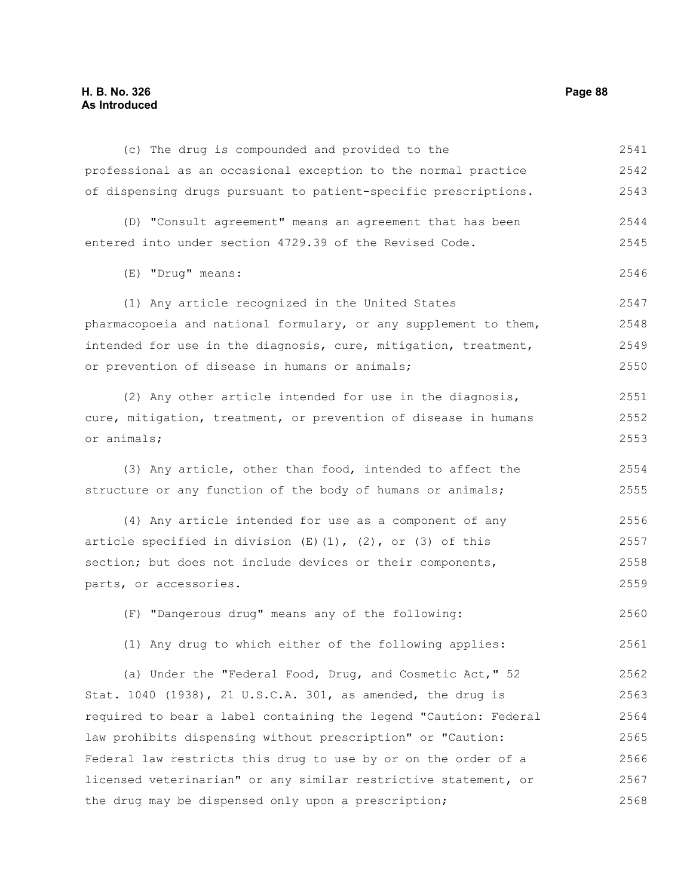#### **H. B. No. 326 Page 88 As Introduced**

(c) The drug is compounded and provided to the professional as an occasional exception to the normal practice of dispensing drugs pursuant to patient-specific prescriptions. (D) "Consult agreement" means an agreement that has been entered into under section 4729.39 of the Revised Code. (E) "Drug" means: (1) Any article recognized in the United States pharmacopoeia and national formulary, or any supplement to them, intended for use in the diagnosis, cure, mitigation, treatment, or prevention of disease in humans or animals; (2) Any other article intended for use in the diagnosis, cure, mitigation, treatment, or prevention of disease in humans or animals; (3) Any article, other than food, intended to affect the structure or any function of the body of humans or animals; (4) Any article intended for use as a component of any article specified in division  $(E)$  (1), (2), or (3) of this section; but does not include devices or their components, parts, or accessories. (F) "Dangerous drug" means any of the following: (1) Any drug to which either of the following applies: (a) Under the "Federal Food, Drug, and Cosmetic Act," 52 Stat. 1040 (1938), 21 U.S.C.A. 301, as amended, the drug is required to bear a label containing the legend "Caution: Federal law prohibits dispensing without prescription" or "Caution: Federal law restricts this drug to use by or on the order of a licensed veterinarian" or any similar restrictive statement, or the drug may be dispensed only upon a prescription; 2541 2542 2543 2544 2545 2546 2547 2548 2549 2550 2551 2552 2553 2554 2555 2556 2557 2558 2559 2560 2561 2562 2563 2564 2565 2566 2567 2568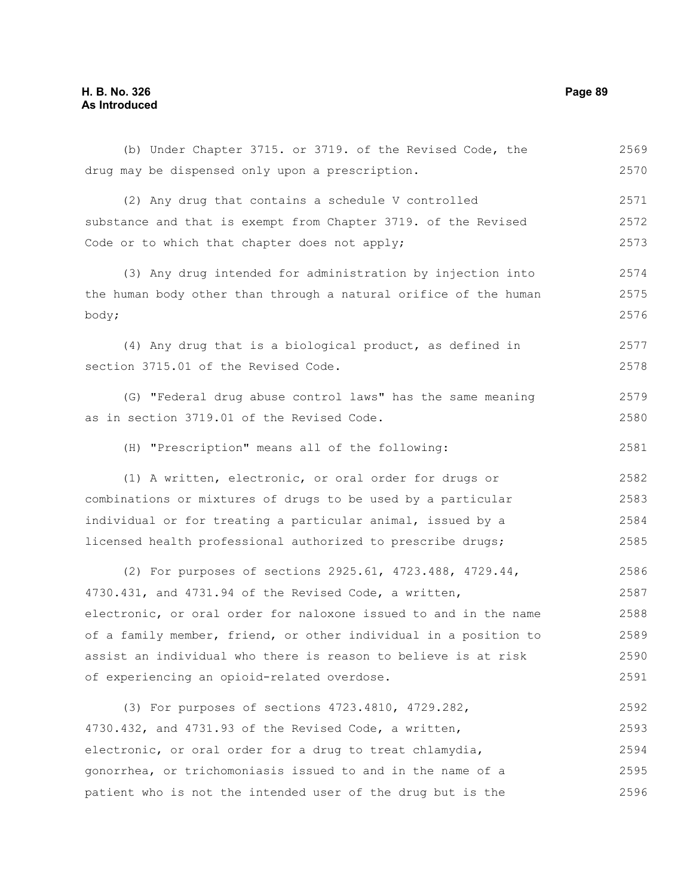(b) Under Chapter 3715. or 3719. of the Revised Code, the drug may be dispensed only upon a prescription. (2) Any drug that contains a schedule V controlled substance and that is exempt from Chapter 3719. of the Revised Code or to which that chapter does not apply; (3) Any drug intended for administration by injection into the human body other than through a natural orifice of the human body; (4) Any drug that is a biological product, as defined in section 3715.01 of the Revised Code. (G) "Federal drug abuse control laws" has the same meaning as in section 3719.01 of the Revised Code. (H) "Prescription" means all of the following: (1) A written, electronic, or oral order for drugs or combinations or mixtures of drugs to be used by a particular individual or for treating a particular animal, issued by a licensed health professional authorized to prescribe drugs; (2) For purposes of sections 2925.61, 4723.488, 4729.44, 4730.431, and 4731.94 of the Revised Code, a written, electronic, or oral order for naloxone issued to and in the name of a family member, friend, or other individual in a position to assist an individual who there is reason to believe is at risk of experiencing an opioid-related overdose. (3) For purposes of sections 4723.4810, 4729.282, 4730.432, and 4731.93 of the Revised Code, a written, electronic, or oral order for a drug to treat chlamydia, gonorrhea, or trichomoniasis issued to and in the name of a patient who is not the intended user of the drug but is the 2569 2570 2571 2572 2573 2574 2575 2576 2577 2578 2579 2580 2581 2582 2583 2584 2585 2586 2587 2588 2589 2590 2591 2592 2593 2594 2595 2596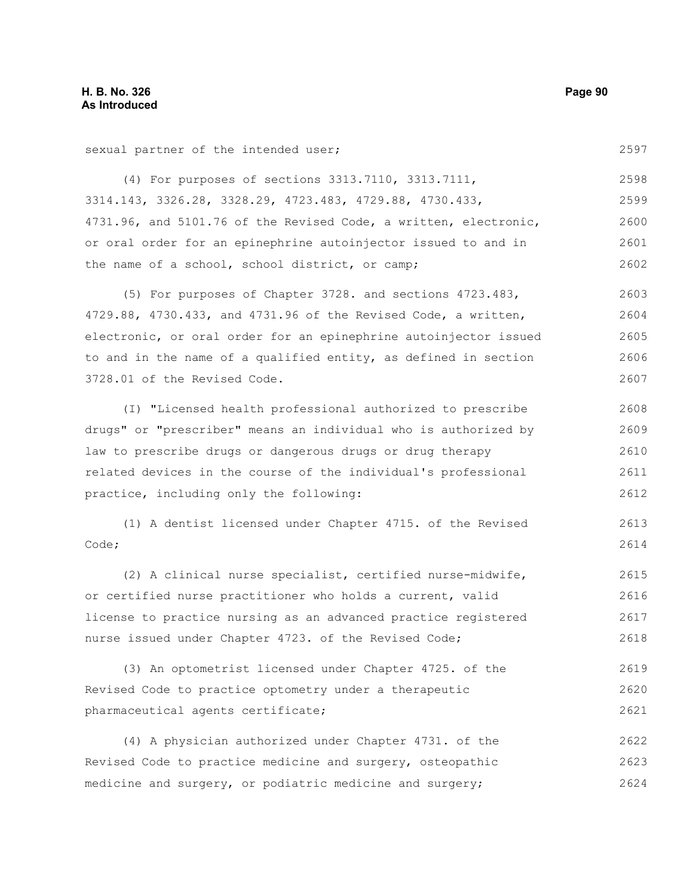sexual partner of the intended user;

(4) For purposes of sections 3313.7110, 3313.7111, 3314.143, 3326.28, 3328.29, 4723.483, 4729.88, 4730.433, 4731.96, and 5101.76 of the Revised Code, a written, electronic, or oral order for an epinephrine autoinjector issued to and in the name of a school, school district, or camp; 2598 2599 2600 2601 2602

(5) For purposes of Chapter 3728. and sections 4723.483, 4729.88, 4730.433, and 4731.96 of the Revised Code, a written, electronic, or oral order for an epinephrine autoinjector issued to and in the name of a qualified entity, as defined in section 3728.01 of the Revised Code. 2603 2604 2605 2606 2607

(I) "Licensed health professional authorized to prescribe drugs" or "prescriber" means an individual who is authorized by law to prescribe drugs or dangerous drugs or drug therapy related devices in the course of the individual's professional practice, including only the following:

(1) A dentist licensed under Chapter 4715. of the Revised Code; 2613 2614

(2) A clinical nurse specialist, certified nurse-midwife, or certified nurse practitioner who holds a current, valid license to practice nursing as an advanced practice registered nurse issued under Chapter 4723. of the Revised Code; 2615 2616 2617 2618

(3) An optometrist licensed under Chapter 4725. of the Revised Code to practice optometry under a therapeutic pharmaceutical agents certificate; 2619 2620 2621

(4) A physician authorized under Chapter 4731. of the Revised Code to practice medicine and surgery, osteopathic medicine and surgery, or podiatric medicine and surgery; 2622 2623 2624

2597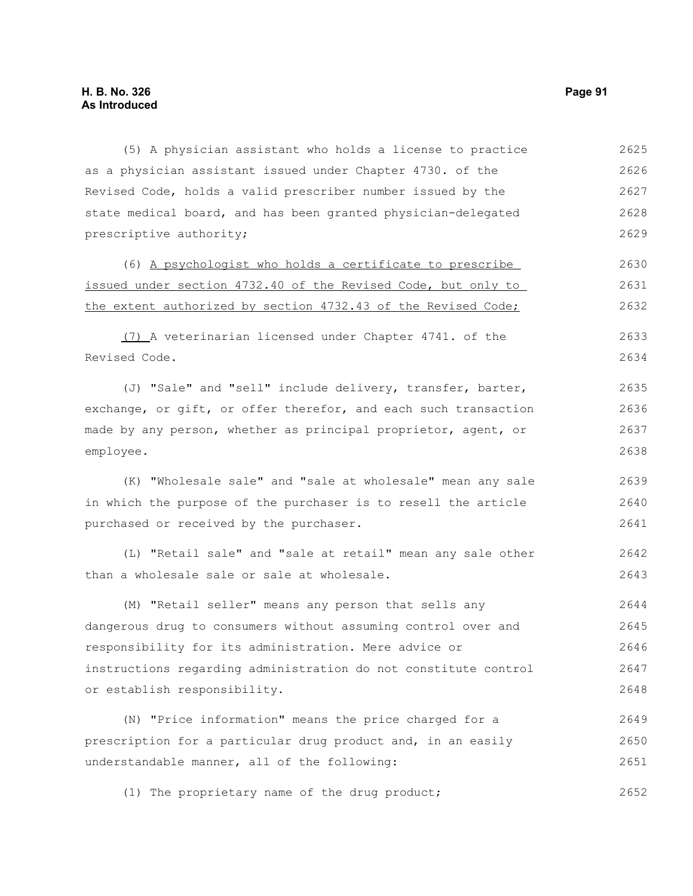| (5) A physician assistant who holds a license to practice       | 2625 |
|-----------------------------------------------------------------|------|
| as a physician assistant issued under Chapter 4730. of the      | 2626 |
| Revised Code, holds a valid prescriber number issued by the     | 2627 |
| state medical board, and has been granted physician-delegated   | 2628 |
| prescriptive authority;                                         | 2629 |
| (6) A psychologist who holds a certificate to prescribe         | 2630 |
| issued under section 4732.40 of the Revised Code, but only to   | 2631 |
| the extent authorized by section 4732.43 of the Revised Code;   | 2632 |
| (7) A veterinarian licensed under Chapter 4741. of the          | 2633 |
| Revised Code.                                                   | 2634 |
| (J) "Sale" and "sell" include delivery, transfer, barter,       | 2635 |
| exchange, or gift, or offer therefor, and each such transaction | 2636 |
| made by any person, whether as principal proprietor, agent, or  | 2637 |
| employee.                                                       | 2638 |
| (K) "Wholesale sale" and "sale at wholesale" mean any sale      | 2639 |
| in which the purpose of the purchaser is to resell the article  | 2640 |
| purchased or received by the purchaser.                         | 2641 |
| (L) "Retail sale" and "sale at retail" mean any sale other      | 2642 |
| than a wholesale sale or sale at wholesale.                     | 2643 |
| (M) "Retail seller" means any person that sells any             | 2644 |
| dangerous drug to consumers without assuming control over and   | 2645 |
| responsibility for its administration. Mere advice or           | 2646 |
| instructions regarding administration do not constitute control | 2647 |
| or establish responsibility.                                    | 2648 |
| (N) "Price information" means the price charged for a           | 2649 |
| prescription for a particular drug product and, in an easily    | 2650 |
| understandable manner, all of the following:                    | 2651 |
| (1) The proprietary name of the drug product;                   | 2652 |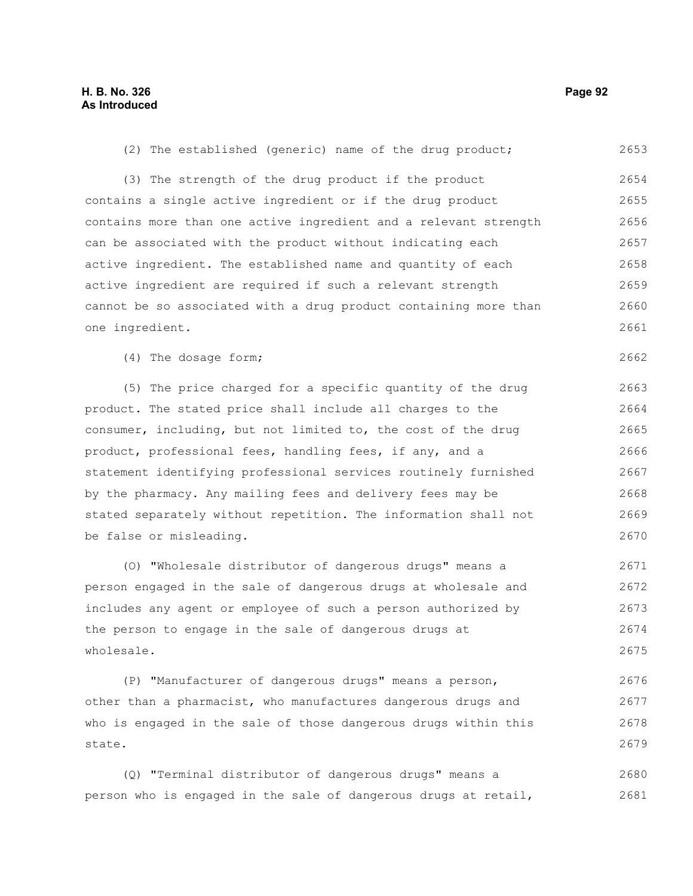state.

2679

| (2) The established (generic) name of the drug product;          | 2653 |
|------------------------------------------------------------------|------|
| (3) The strength of the drug product if the product              | 2654 |
| contains a single active ingredient or if the drug product       | 2655 |
| contains more than one active ingredient and a relevant strength | 2656 |
| can be associated with the product without indicating each       | 2657 |
| active ingredient. The established name and quantity of each     | 2658 |
| active ingredient are required if such a relevant strength       | 2659 |
| cannot be so associated with a drug product containing more than | 2660 |
| one ingredient.                                                  | 2661 |
| (4) The dosage form;                                             | 2662 |
| (5) The price charged for a specific quantity of the drug        | 2663 |
| product. The stated price shall include all charges to the       | 2664 |
| consumer, including, but not limited to, the cost of the drug    | 2665 |
| product, professional fees, handling fees, if any, and a         | 2666 |
| statement identifying professional services routinely furnished  | 2667 |
| by the pharmacy. Any mailing fees and delivery fees may be       | 2668 |
| stated separately without repetition. The information shall not  | 2669 |
| be false or misleading.                                          | 2670 |
| (O) "Wholesale distributor of dangerous drugs" means a           | 2671 |
| person engaged in the sale of dangerous drugs at wholesale and   | 2672 |
| includes any agent or employee of such a person authorized by    | 2673 |
| the person to engage in the sale of dangerous drugs at           | 2674 |
| wholesale.                                                       | 2675 |
| (P) "Manufacturer of dangerous drugs" means a person,            | 2676 |
| other than a pharmacist, who manufactures dangerous drugs and    | 2677 |
| who is engaged in the sale of those dangerous drugs within this  | 2678 |

(Q) "Terminal distributor of dangerous drugs" means a person who is engaged in the sale of dangerous drugs at retail, 2680 2681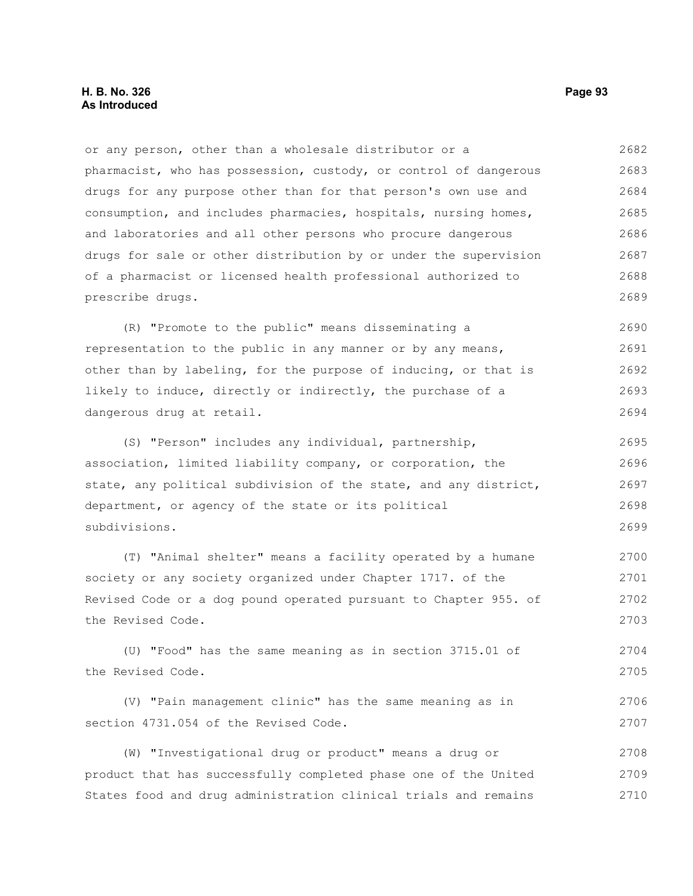or any person, other than a wholesale distributor or a pharmacist, who has possession, custody, or control of dangerous drugs for any purpose other than for that person's own use and consumption, and includes pharmacies, hospitals, nursing homes, and laboratories and all other persons who procure dangerous drugs for sale or other distribution by or under the supervision of a pharmacist or licensed health professional authorized to prescribe drugs. 2682 2683 2684 2685 2686 2687 2688 2689

(R) "Promote to the public" means disseminating a representation to the public in any manner or by any means, other than by labeling, for the purpose of inducing, or that is likely to induce, directly or indirectly, the purchase of a dangerous drug at retail. 2690 2691 2692 2693 2694

(S) "Person" includes any individual, partnership, association, limited liability company, or corporation, the state, any political subdivision of the state, and any district, department, or agency of the state or its political subdivisions. 2695 2696 2697 2698 2699

(T) "Animal shelter" means a facility operated by a humane society or any society organized under Chapter 1717. of the Revised Code or a dog pound operated pursuant to Chapter 955. of the Revised Code. 2700 2701 2702 2703

(U) "Food" has the same meaning as in section 3715.01 of the Revised Code. 2704 2705

(V) "Pain management clinic" has the same meaning as in section 4731.054 of the Revised Code. 2706 2707

(W) "Investigational drug or product" means a drug or product that has successfully completed phase one of the United States food and drug administration clinical trials and remains 2708 2709 2710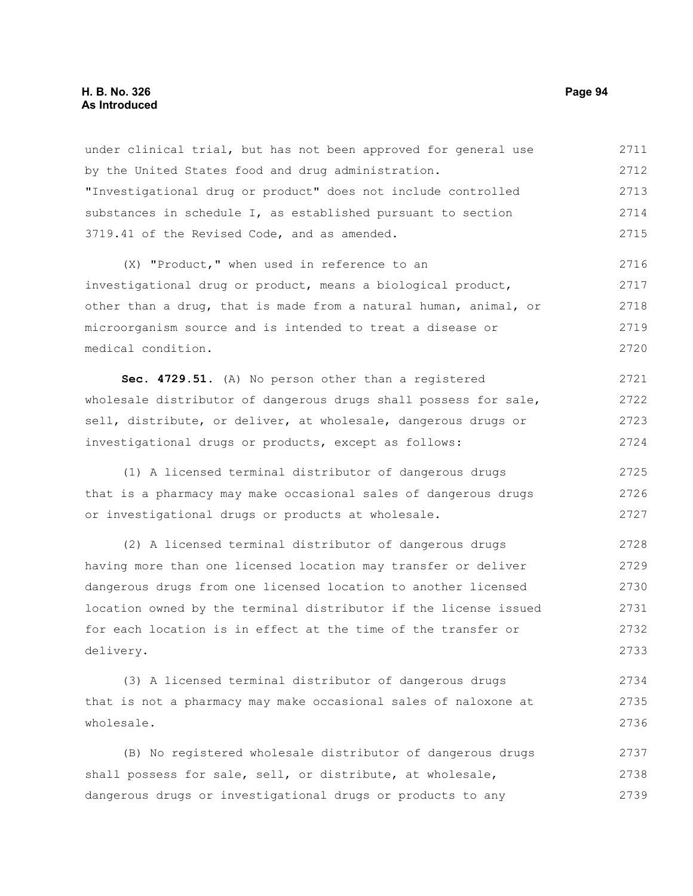#### **H. B. No. 326 Page 94 As Introduced**

under clinical trial, but has not been approved for general use by the United States food and drug administration. "Investigational drug or product" does not include controlled substances in schedule I, as established pursuant to section 3719.41 of the Revised Code, and as amended. (X) "Product," when used in reference to an investigational drug or product, means a biological product, other than a drug, that is made from a natural human, animal, or microorganism source and is intended to treat a disease or medical condition. **Sec. 4729.51.** (A) No person other than a registered wholesale distributor of dangerous drugs shall possess for sale, sell, distribute, or deliver, at wholesale, dangerous drugs or investigational drugs or products, except as follows: (1) A licensed terminal distributor of dangerous drugs that is a pharmacy may make occasional sales of dangerous drugs or investigational drugs or products at wholesale. (2) A licensed terminal distributor of dangerous drugs having more than one licensed location may transfer or deliver dangerous drugs from one licensed location to another licensed location owned by the terminal distributor if the license issued for each location is in effect at the time of the transfer or delivery. (3) A licensed terminal distributor of dangerous drugs that is not a pharmacy may make occasional sales of naloxone at wholesale. (B) No registered wholesale distributor of dangerous drugs shall possess for sale, sell, or distribute, at wholesale, 2711 2712 2713 2714 2715 2716 2717 2718 2719 2720 2721 2722 2723 2724 2725 2726 2727 2728 2729 2730 2731 2732 2733 2734 2735 2736 2737 2738

dangerous drugs or investigational drugs or products to any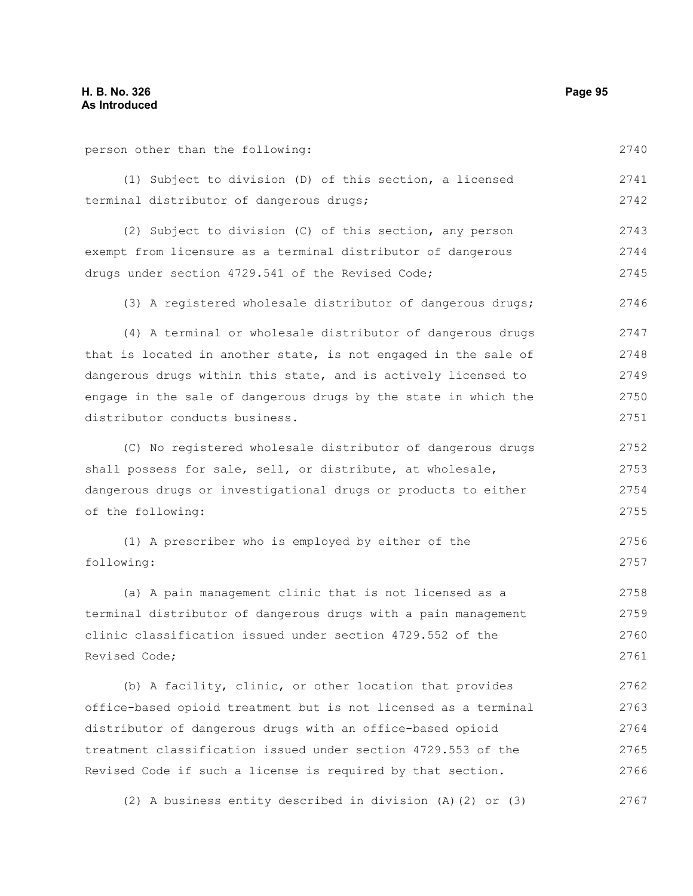| person other than the following:                                | 2740 |
|-----------------------------------------------------------------|------|
| (1) Subject to division (D) of this section, a licensed         | 2741 |
| terminal distributor of dangerous drugs;                        | 2742 |
| (2) Subject to division (C) of this section, any person         | 2743 |
| exempt from licensure as a terminal distributor of dangerous    | 2744 |
| drugs under section 4729.541 of the Revised Code;               | 2745 |
| (3) A registered wholesale distributor of dangerous drugs;      | 2746 |
| (4) A terminal or wholesale distributor of dangerous drugs      | 2747 |
| that is located in another state, is not engaged in the sale of | 2748 |
| dangerous drugs within this state, and is actively licensed to  | 2749 |
| engage in the sale of dangerous drugs by the state in which the | 2750 |
| distributor conducts business.                                  | 2751 |
| (C) No registered wholesale distributor of dangerous drugs      | 2752 |
| shall possess for sale, sell, or distribute, at wholesale,      | 2753 |
| dangerous drugs or investigational drugs or products to either  | 2754 |
| of the following:                                               | 2755 |
| (1) A prescriber who is employed by either of the               | 2756 |
| following:                                                      | 2757 |
| (a) A pain management clinic that is not licensed as a          | 2758 |
| terminal distributor of dangerous drugs with a pain management  | 2759 |
| clinic classification issued under section 4729.552 of the      | 2760 |
| Revised Code;                                                   | 2761 |
| (b) A facility, clinic, or other location that provides         | 2762 |
| office-based opioid treatment but is not licensed as a terminal | 2763 |
| distributor of dangerous drugs with an office-based opioid      | 2764 |
| treatment classification issued under section 4729.553 of the   | 2765 |
| Revised Code if such a license is required by that section.     | 2766 |
| (2) A business entity described in division (A)(2) or (3)       | 2767 |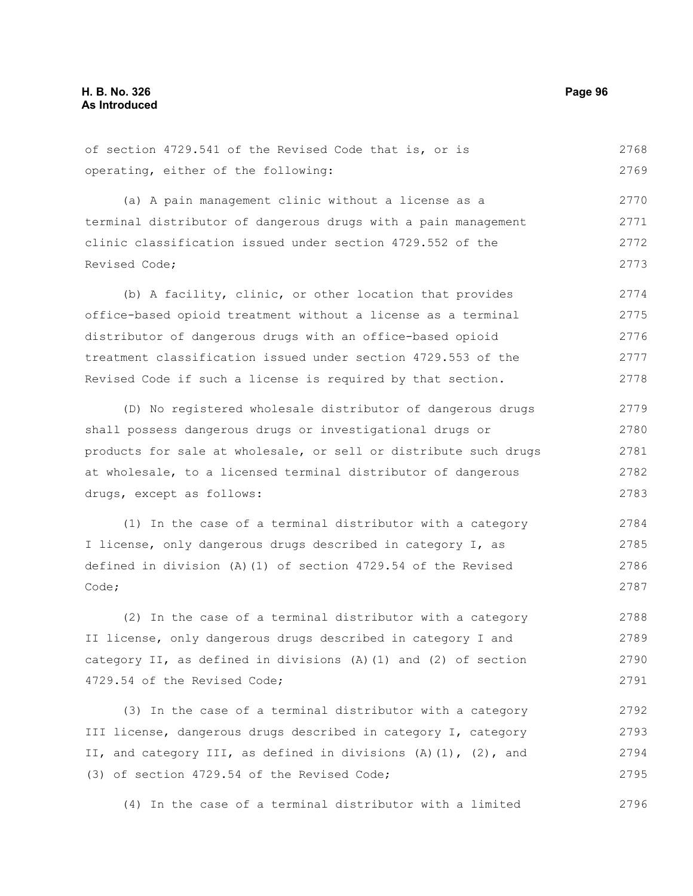2778

#### of section 4729.541 of the Revised Code that is, or is operating, either of the following: (a) A pain management clinic without a license as a terminal distributor of dangerous drugs with a pain management clinic classification issued under section 4729.552 of the Revised Code; (b) A facility, clinic, or other location that provides office-based opioid treatment without a license as a terminal distributor of dangerous drugs with an office-based opioid treatment classification issued under section 4729.553 of the 2768 2769 2770 2771 2772 2773 2774 2775 2776 2777

(D) No registered wholesale distributor of dangerous drugs shall possess dangerous drugs or investigational drugs or products for sale at wholesale, or sell or distribute such drugs at wholesale, to a licensed terminal distributor of dangerous drugs, except as follows: 2779 2780 2781 2782 2783

Revised Code if such a license is required by that section.

(1) In the case of a terminal distributor with a category I license, only dangerous drugs described in category I, as defined in division (A)(1) of section 4729.54 of the Revised Code; 2784 2785 2786 2787

(2) In the case of a terminal distributor with a category II license, only dangerous drugs described in category I and category II, as defined in divisions (A)(1) and (2) of section 4729.54 of the Revised Code; 2788 2789 2790 2791

(3) In the case of a terminal distributor with a category III license, dangerous drugs described in category I, category II, and category III, as defined in divisions (A)(1), (2), and (3) of section 4729.54 of the Revised Code; 2792 2793 2794 2795

(4) In the case of a terminal distributor with a limited 2796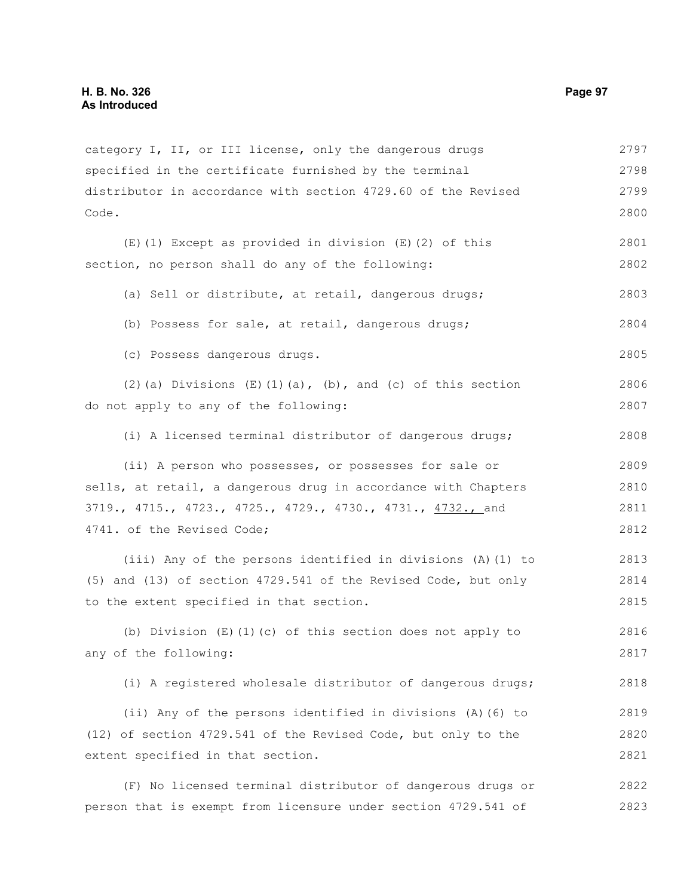| category I, II, or III license, only the dangerous drugs        | 2797 |
|-----------------------------------------------------------------|------|
| specified in the certificate furnished by the terminal          | 2798 |
| distributor in accordance with section 4729.60 of the Revised   | 2799 |
| Code.                                                           | 2800 |
| (E) (1) Except as provided in division (E) (2) of this          | 2801 |
| section, no person shall do any of the following:               | 2802 |
| (a) Sell or distribute, at retail, dangerous drugs;             | 2803 |
| (b) Possess for sale, at retail, dangerous drugs;               | 2804 |
| (c) Possess dangerous drugs.                                    | 2805 |
| $(2)$ (a) Divisions (E) $(1)$ (a), (b), and (c) of this section | 2806 |
| do not apply to any of the following:                           | 2807 |
| (i) A licensed terminal distributor of dangerous drugs;         | 2808 |
| (ii) A person who possesses, or possesses for sale or           | 2809 |
| sells, at retail, a dangerous drug in accordance with Chapters  | 2810 |
| 3719., 4715., 4723., 4725., 4729., 4730., 4731., 4732., and     | 2811 |
| 4741. of the Revised Code;                                      | 2812 |
| (iii) Any of the persons identified in divisions (A) (1) to     | 2813 |
| (5) and (13) of section 4729.541 of the Revised Code, but only  | 2814 |
| to the extent specified in that section.                        | 2815 |
| (b) Division $(E)$ (1) (c) of this section does not apply to    | 2816 |
| any of the following:                                           | 2817 |
| (i) A registered wholesale distributor of dangerous drugs;      | 2818 |
| (ii) Any of the persons identified in divisions (A) (6) to      | 2819 |
| (12) of section 4729.541 of the Revised Code, but only to the   | 2820 |
| extent specified in that section.                               | 2821 |
| (F) No licensed terminal distributor of dangerous drugs or      | 2822 |
| person that is exempt from licensure under section 4729.541 of  | 2823 |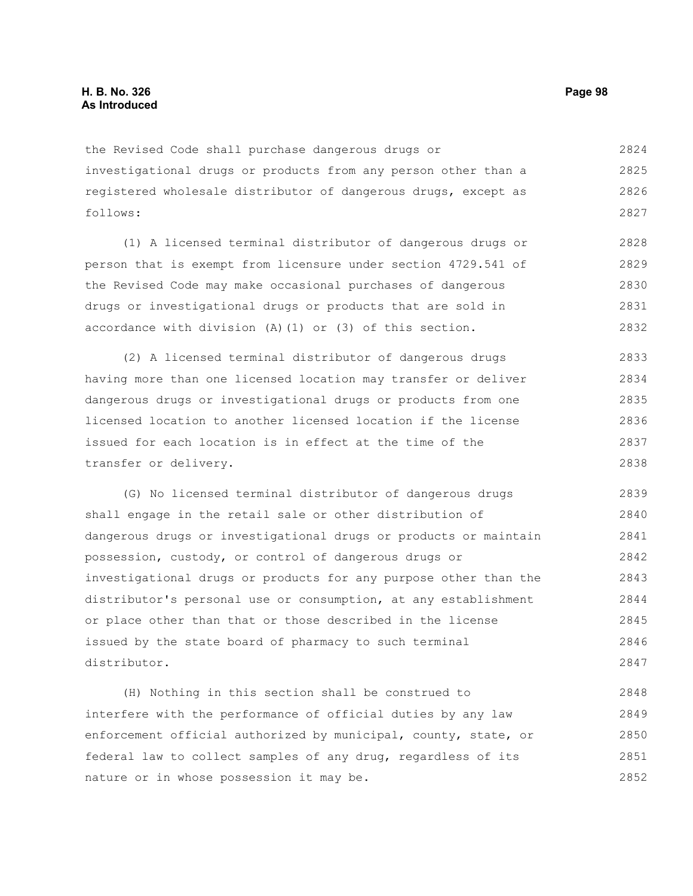the Revised Code shall purchase dangerous drugs or investigational drugs or products from any person other than a registered wholesale distributor of dangerous drugs, except as follows: 2824 2825 2826 2827

(1) A licensed terminal distributor of dangerous drugs or person that is exempt from licensure under section 4729.541 of the Revised Code may make occasional purchases of dangerous drugs or investigational drugs or products that are sold in accordance with division (A)(1) or (3) of this section. 2828 2829 2830 2831 2832

(2) A licensed terminal distributor of dangerous drugs having more than one licensed location may transfer or deliver dangerous drugs or investigational drugs or products from one licensed location to another licensed location if the license issued for each location is in effect at the time of the transfer or delivery. 2833 2834 2835 2836 2837 2838

(G) No licensed terminal distributor of dangerous drugs shall engage in the retail sale or other distribution of dangerous drugs or investigational drugs or products or maintain possession, custody, or control of dangerous drugs or investigational drugs or products for any purpose other than the distributor's personal use or consumption, at any establishment or place other than that or those described in the license issued by the state board of pharmacy to such terminal distributor. 2839 2840 2841 2842 2843 2844 2845 2846 2847

(H) Nothing in this section shall be construed to interfere with the performance of official duties by any law enforcement official authorized by municipal, county, state, or federal law to collect samples of any drug, regardless of its nature or in whose possession it may be. 2848 2849 2850 2851 2852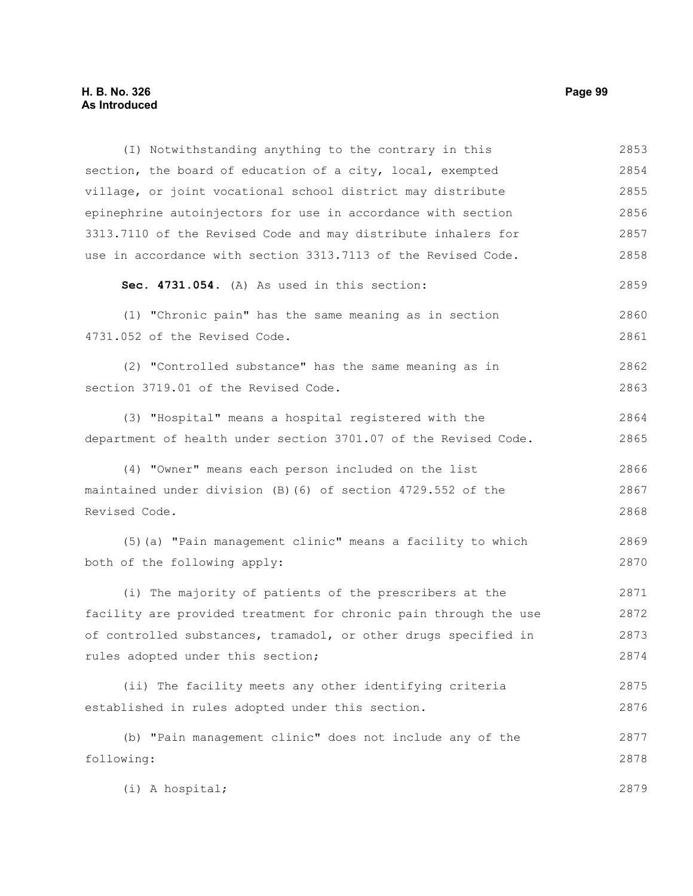# **H. B. No. 326 Page 99 As Introduced**

| (I) Notwithstanding anything to the contrary in this             | 2853 |
|------------------------------------------------------------------|------|
| section, the board of education of a city, local, exempted       | 2854 |
| village, or joint vocational school district may distribute      | 2855 |
| epinephrine autoinjectors for use in accordance with section     | 2856 |
| 3313.7110 of the Revised Code and may distribute inhalers for    | 2857 |
| use in accordance with section 3313.7113 of the Revised Code.    | 2858 |
| Sec. 4731.054. (A) As used in this section:                      | 2859 |
| (1) "Chronic pain" has the same meaning as in section            | 2860 |
| 4731.052 of the Revised Code.                                    | 2861 |
| (2) "Controlled substance" has the same meaning as in            | 2862 |
| section 3719.01 of the Revised Code.                             | 2863 |
| (3) "Hospital" means a hospital registered with the              | 2864 |
| department of health under section 3701.07 of the Revised Code.  | 2865 |
| (4) "Owner" means each person included on the list               | 2866 |
| maintained under division (B) (6) of section 4729.552 of the     | 2867 |
| Revised Code.                                                    | 2868 |
| (5) (a) "Pain management clinic" means a facility to which       | 2869 |
| both of the following apply:                                     | 2870 |
| (i) The majority of patients of the prescribers at the           | 2871 |
| facility are provided treatment for chronic pain through the use | 2872 |
| of controlled substances, tramadol, or other drugs specified in  | 2873 |
| rules adopted under this section;                                | 2874 |
| (ii) The facility meets any other identifying criteria           | 2875 |
| established in rules adopted under this section.                 | 2876 |
| (b) "Pain management clinic" does not include any of the         | 2877 |
| following:                                                       | 2878 |
| (i) A hospital;                                                  | 2879 |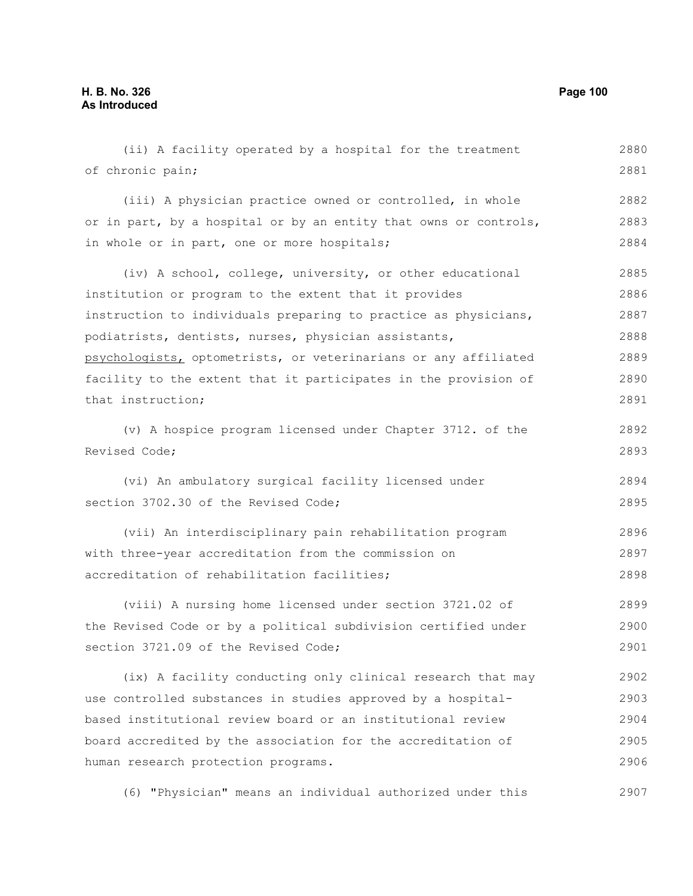| (ii) A facility operated by a hospital for the treatment         | 2880 |
|------------------------------------------------------------------|------|
| of chronic pain;                                                 | 2881 |
| (iii) A physician practice owned or controlled, in whole         | 2882 |
| or in part, by a hospital or by an entity that owns or controls, | 2883 |
| in whole or in part, one or more hospitals;                      | 2884 |
| (iv) A school, college, university, or other educational         | 2885 |
| institution or program to the extent that it provides            | 2886 |
| instruction to individuals preparing to practice as physicians,  | 2887 |
| podiatrists, dentists, nurses, physician assistants,             | 2888 |
| psychologists, optometrists, or veterinarians or any affiliated  | 2889 |
| facility to the extent that it participates in the provision of  | 2890 |
| that instruction;                                                | 2891 |
| (v) A hospice program licensed under Chapter 3712. of the        | 2892 |
| Revised Code;                                                    | 2893 |
| (vi) An ambulatory surgical facility licensed under              | 2894 |
| section 3702.30 of the Revised Code;                             | 2895 |
| (vii) An interdisciplinary pain rehabilitation program           | 2896 |
| with three-year accreditation from the commission on             | 2897 |
| accreditation of rehabilitation facilities;                      | 2898 |
| (viii) A nursing home licensed under section 3721.02 of          | 2899 |
| the Revised Code or by a political subdivision certified under   | 2900 |
| section 3721.09 of the Revised Code;                             | 2901 |
| (ix) A facility conducting only clinical research that may       | 2902 |
| use controlled substances in studies approved by a hospital-     | 2903 |
| based institutional review board or an institutional review      | 2904 |
| board accredited by the association for the accreditation of     | 2905 |
| human research protection programs.                              | 2906 |
| (6) "Physician" means an individual authorized under this        | 2907 |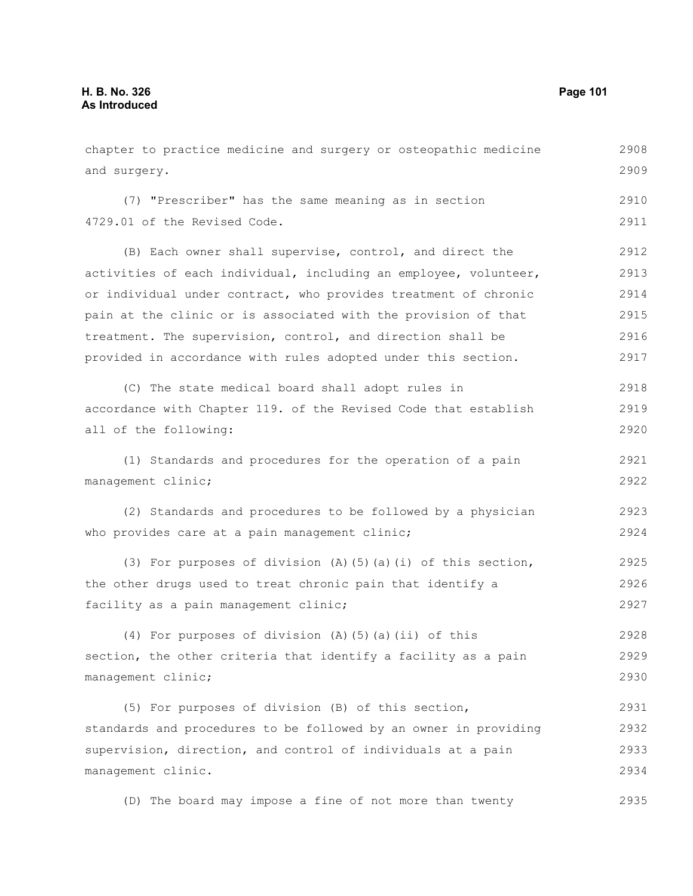| chapter to practice medicine and surgery or osteopathic medicine | 2908 |
|------------------------------------------------------------------|------|
| and surgery.                                                     | 2909 |
| (7) "Prescriber" has the same meaning as in section              | 2910 |
| 4729.01 of the Revised Code.                                     | 2911 |
| (B) Each owner shall supervise, control, and direct the          | 2912 |
| activities of each individual, including an employee, volunteer, | 2913 |
| or individual under contract, who provides treatment of chronic  | 2914 |
| pain at the clinic or is associated with the provision of that   | 2915 |
| treatment. The supervision, control, and direction shall be      | 2916 |
| provided in accordance with rules adopted under this section.    | 2917 |
| (C) The state medical board shall adopt rules in                 | 2918 |
| accordance with Chapter 119. of the Revised Code that establish  | 2919 |
| all of the following:                                            | 2920 |
| (1) Standards and procedures for the operation of a pain         | 2921 |
| management clinic;                                               | 2922 |
| (2) Standards and procedures to be followed by a physician       | 2923 |
| who provides care at a pain management clinic;                   | 2924 |
| (3) For purposes of division (A) (5) (a) (i) of this section,    | 2925 |
| the other drugs used to treat chronic pain that identify a       | 2926 |
| facility as a pain management clinic;                            | 2927 |
| (4) For purposes of division (A) (5) (a) (ii) of this            | 2928 |
| section, the other criteria that identify a facility as a pain   | 2929 |
| management clinic;                                               | 2930 |
| (5) For purposes of division (B) of this section,                | 2931 |
| standards and procedures to be followed by an owner in providing | 2932 |
| supervision, direction, and control of individuals at a pain     | 2933 |
| management clinic.                                               | 2934 |
| (D) The board may impose a fine of not more than twenty          | 2935 |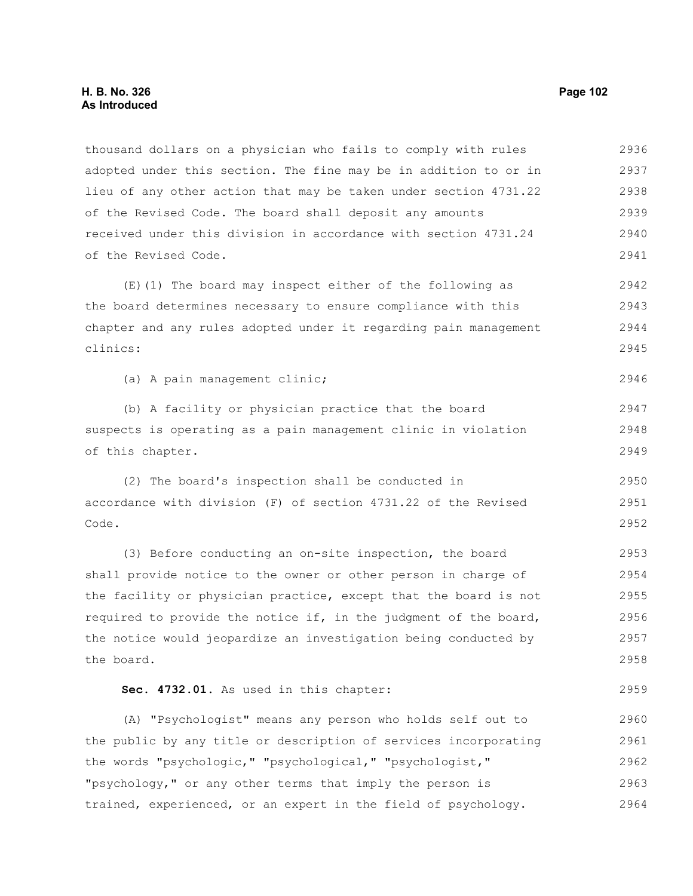#### **H. B. No. 326 Page 102 As Introduced**

thousand dollars on a physician who fails to comply with rules adopted under this section. The fine may be in addition to or in lieu of any other action that may be taken under section 4731.22 of the Revised Code. The board shall deposit any amounts received under this division in accordance with section 4731.24 of the Revised Code. 2936 2937 2938 2939 2940 2941

(E)(1) The board may inspect either of the following as the board determines necessary to ensure compliance with this chapter and any rules adopted under it regarding pain management clinics: 2942 2943 2944 2945

(a) A pain management clinic;

(b) A facility or physician practice that the board suspects is operating as a pain management clinic in violation of this chapter.

(2) The board's inspection shall be conducted in accordance with division (F) of section 4731.22 of the Revised Code. 2950 2951 2952

(3) Before conducting an on-site inspection, the board shall provide notice to the owner or other person in charge of the facility or physician practice, except that the board is not required to provide the notice if, in the judgment of the board, the notice would jeopardize an investigation being conducted by the board. 2953 2954 2955 2956 2957 2958

#### **Sec. 4732.01.** As used in this chapter: 2959

(A) "Psychologist" means any person who holds self out to the public by any title or description of services incorporating the words "psychologic," "psychological," "psychologist," "psychology," or any other terms that imply the person is trained, experienced, or an expert in the field of psychology. 2960 2961 2962 2963 2964

2946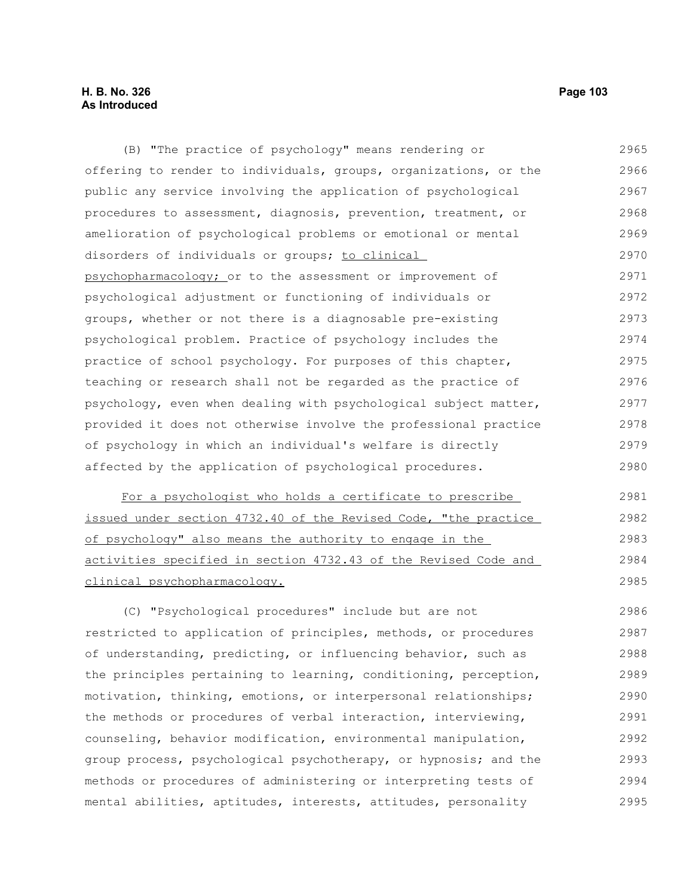## **H. B. No. 326 Page 103 As Introduced**

(B) "The practice of psychology" means rendering or offering to render to individuals, groups, organizations, or the public any service involving the application of psychological procedures to assessment, diagnosis, prevention, treatment, or amelioration of psychological problems or emotional or mental disorders of individuals or groups; to clinical psychopharmacology; or to the assessment or improvement of psychological adjustment or functioning of individuals or groups, whether or not there is a diagnosable pre-existing psychological problem. Practice of psychology includes the practice of school psychology. For purposes of this chapter, teaching or research shall not be regarded as the practice of psychology, even when dealing with psychological subject matter, provided it does not otherwise involve the professional practice of psychology in which an individual's welfare is directly affected by the application of psychological procedures. 2965 2966 2967 2968 2969 2970 2971 2972 2973 2974 2975 2976 2977 2978 2979 2980

For a psychologist who holds a certificate to prescribe issued under section 4732.40 of the Revised Code, "the practice of psychology" also means the authority to engage in the activities specified in section 4732.43 of the Revised Code and clinical psychopharmacology.

(C) "Psychological procedures" include but are not restricted to application of principles, methods, or procedures of understanding, predicting, or influencing behavior, such as the principles pertaining to learning, conditioning, perception, motivation, thinking, emotions, or interpersonal relationships; the methods or procedures of verbal interaction, interviewing, counseling, behavior modification, environmental manipulation, group process, psychological psychotherapy, or hypnosis; and the methods or procedures of administering or interpreting tests of mental abilities, aptitudes, interests, attitudes, personality 2986 2987 2988 2989 2990 2991 2992 2993 2994 2995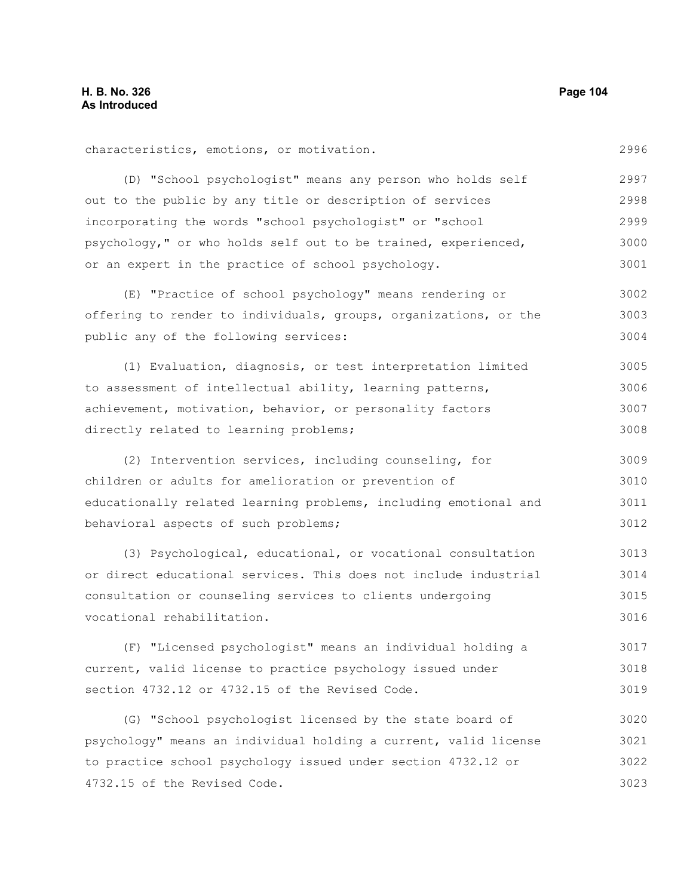| characteristics, emotions, or motivation.                        | 2996 |
|------------------------------------------------------------------|------|
| (D) "School psychologist" means any person who holds self        | 2997 |
| out to the public by any title or description of services        | 2998 |
| incorporating the words "school psychologist" or "school         | 2999 |
| psychology," or who holds self out to be trained, experienced,   | 3000 |
| or an expert in the practice of school psychology.               | 3001 |
| (E) "Practice of school psychology" means rendering or           | 3002 |
| offering to render to individuals, groups, organizations, or the | 3003 |
| public any of the following services:                            | 3004 |
| (1) Evaluation, diagnosis, or test interpretation limited        | 3005 |
| to assessment of intellectual ability, learning patterns,        | 3006 |
| achievement, motivation, behavior, or personality factors        | 3007 |
| directly related to learning problems;                           | 3008 |
| (2) Intervention services, including counseling, for             | 3009 |
| children or adults for amelioration or prevention of             | 3010 |
| educationally related learning problems, including emotional and | 3011 |
| behavioral aspects of such problems;                             | 3012 |
| (3) Psychological, educational, or vocational consultation       | 3013 |
| or direct educational services. This does not include industrial | 3014 |
| consultation or counseling services to clients undergoing        | 3015 |
| vocational rehabilitation.                                       | 3016 |
| (F) "Licensed psychologist" means an individual holding a        | 3017 |
| current, valid license to practice psychology issued under       | 3018 |
| section 4732.12 or 4732.15 of the Revised Code.                  | 3019 |
| (G) "School psychologist licensed by the state board of          | 3020 |
| psychology" means an individual holding a current, valid license | 3021 |
| to practice school psychology issued under section 4732.12 or    | 3022 |
| 4732.15 of the Revised Code.                                     | 3023 |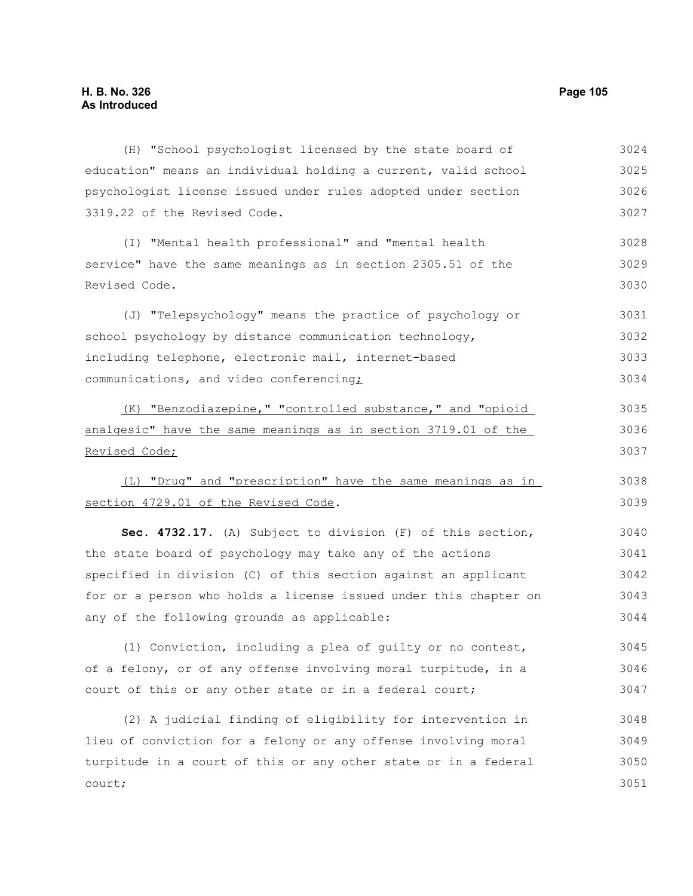| (H) "School psychologist licensed by the state board of          | 3024 |
|------------------------------------------------------------------|------|
| education" means an individual holding a current, valid school   | 3025 |
| psychologist license issued under rules adopted under section    | 3026 |
| 3319.22 of the Revised Code.                                     | 3027 |
| (I) "Mental health professional" and "mental health              | 3028 |
| service" have the same meanings as in section 2305.51 of the     | 3029 |
| Revised Code.                                                    | 3030 |
| (J) "Telepsychology" means the practice of psychology or         | 3031 |
| school psychology by distance communication technology,          | 3032 |
| including telephone, electronic mail, internet-based             | 3033 |
| communications, and video conferencing;                          | 3034 |
| (K) "Benzodiazepine," "controlled substance," and "opioid        | 3035 |
| analgesic" have the same meanings as in section 3719.01 of the   | 3036 |
| Revised Code;                                                    | 3037 |
| (L) "Drug" and "prescription" have the same meanings as in       | 3038 |
|                                                                  |      |
| section 4729.01 of the Revised Code.                             | 3039 |
| Sec. 4732.17. (A) Subject to division (F) of this section,       | 3040 |
| the state board of psychology may take any of the actions        | 3041 |
| specified in division (C) of this section against an applicant   | 3042 |
| for or a person who holds a license issued under this chapter on | 3043 |
| any of the following grounds as applicable:                      | 3044 |
| (1) Conviction, including a plea of guilty or no contest,        | 3045 |
| of a felony, or of any offense involving moral turpitude, in a   | 3046 |
| court of this or any other state or in a federal court;          | 3047 |
| (2) A judicial finding of eligibility for intervention in        | 3048 |
| lieu of conviction for a felony or any offense involving moral   | 3049 |
| turpitude in a court of this or any other state or in a federal  | 3050 |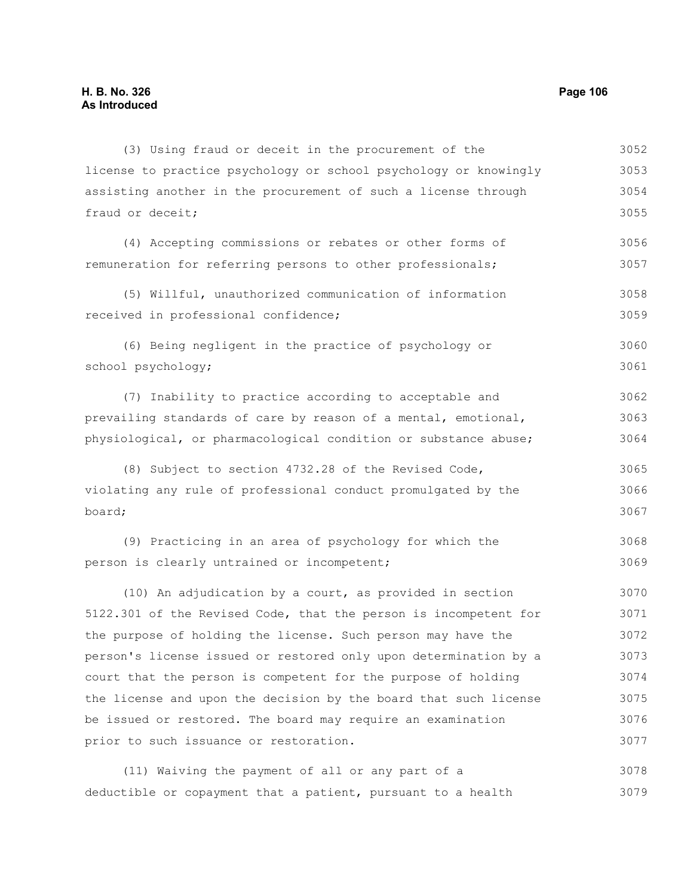| (3) Using fraud or deceit in the procurement of the              | 3052 |
|------------------------------------------------------------------|------|
| license to practice psychology or school psychology or knowingly | 3053 |
| assisting another in the procurement of such a license through   | 3054 |
| fraud or deceit;                                                 | 3055 |
| (4) Accepting commissions or rebates or other forms of           | 3056 |
| remuneration for referring persons to other professionals;       | 3057 |
| (5) Willful, unauthorized communication of information           | 3058 |
| received in professional confidence;                             | 3059 |
| (6) Being negligent in the practice of psychology or             | 3060 |
| school psychology;                                               | 3061 |
| (7) Inability to practice according to acceptable and            | 3062 |
| prevailing standards of care by reason of a mental, emotional,   | 3063 |
| physiological, or pharmacological condition or substance abuse;  | 3064 |
| (8) Subject to section 4732.28 of the Revised Code,              | 3065 |
| violating any rule of professional conduct promulgated by the    | 3066 |
| board;                                                           | 3067 |
| (9) Practicing in an area of psychology for which the            | 3068 |
| person is clearly untrained or incompetent;                      | 3069 |
| (10) An adjudication by a court, as provided in section          | 3070 |
| 5122.301 of the Revised Code, that the person is incompetent for | 3071 |
| the purpose of holding the license. Such person may have the     | 3072 |
| person's license issued or restored only upon determination by a | 3073 |
| court that the person is competent for the purpose of holding    | 3074 |
| the license and upon the decision by the board that such license | 3075 |
| be issued or restored. The board may require an examination      | 3076 |
| prior to such issuance or restoration.                           | 3077 |
| (11) Waiving the payment of all or any part of a                 | 3078 |

deductible or copayment that a patient, pursuant to a health 3079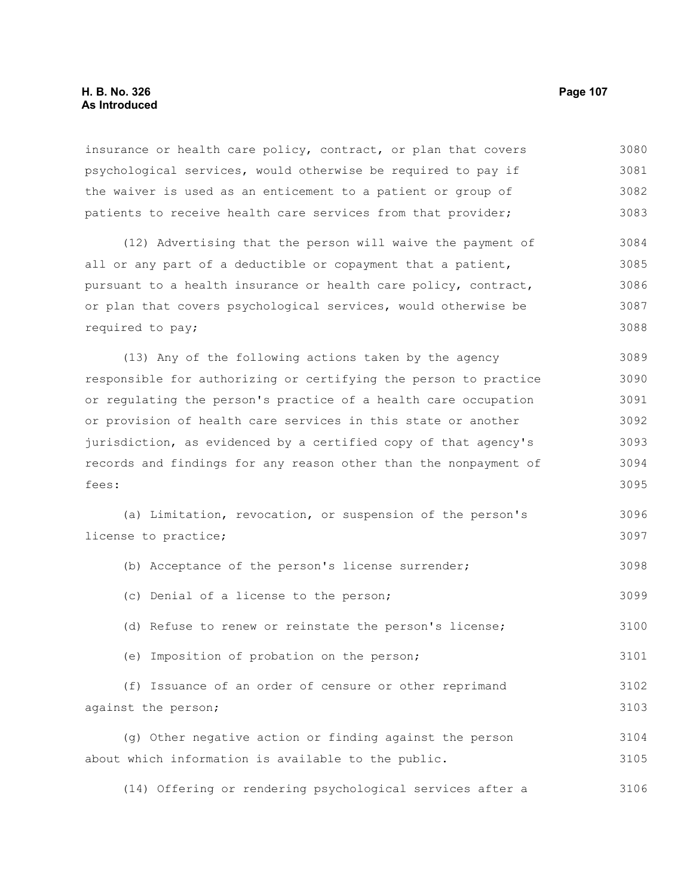#### **H. B. No. 326 Page 107 As Introduced**

insurance or health care policy, contract, or plan that covers psychological services, would otherwise be required to pay if the waiver is used as an enticement to a patient or group of patients to receive health care services from that provider; 3080 3081 3082 3083

(12) Advertising that the person will waive the payment of all or any part of a deductible or copayment that a patient, pursuant to a health insurance or health care policy, contract, or plan that covers psychological services, would otherwise be required to pay; 3084 3085 3086 3087 3088

(13) Any of the following actions taken by the agency responsible for authorizing or certifying the person to practice or regulating the person's practice of a health care occupation or provision of health care services in this state or another jurisdiction, as evidenced by a certified copy of that agency's records and findings for any reason other than the nonpayment of fees: 3089 3090 3091 3092 3093 3094 3095

(a) Limitation, revocation, or suspension of the person's license to practice; 3096 3097

(b) Acceptance of the person's license surrender; 3098

(c) Denial of a license to the person; 3099

(d) Refuse to renew or reinstate the person's license; 3100

(e) Imposition of probation on the person;

(f) Issuance of an order of censure or other reprimand against the person; 3102 3103

(g) Other negative action or finding against the person about which information is available to the public. 3104 3105

(14) Offering or rendering psychological services after a 3106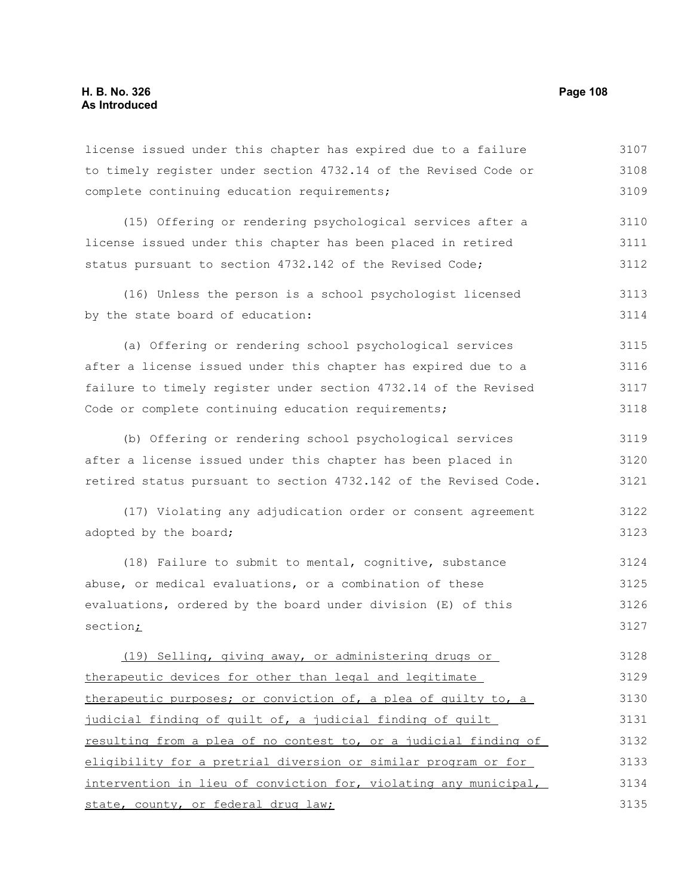license issued under this chapter has expired due to a failure to timely register under section 4732.14 of the Revised Code or complete continuing education requirements; 3107 3108 3109

(15) Offering or rendering psychological services after a license issued under this chapter has been placed in retired status pursuant to section 4732.142 of the Revised Code; 3110 3111 3112

(16) Unless the person is a school psychologist licensed by the state board of education: 3113 3114

(a) Offering or rendering school psychological services after a license issued under this chapter has expired due to a failure to timely register under section 4732.14 of the Revised Code or complete continuing education requirements; 3115 3116 3117 3118

(b) Offering or rendering school psychological services after a license issued under this chapter has been placed in retired status pursuant to section 4732.142 of the Revised Code. 3119 3120 3121

(17) Violating any adjudication order or consent agreement adopted by the board; 3122 3123

(18) Failure to submit to mental, cognitive, substance abuse, or medical evaluations, or a combination of these evaluations, ordered by the board under division (E) of this section; 3124 3125 3126 3127

(19) Selling, giving away, or administering drugs or therapeutic devices for other than legal and legitimate therapeutic purposes; or conviction of, a plea of guilty to, a judicial finding of guilt of, a judicial finding of guilt resulting from a plea of no contest to, or a judicial finding of eligibility for a pretrial diversion or similar program or for intervention in lieu of conviction for, violating any municipal, state, county, or federal drug law; 3128 3129 3130 3131 3132 3133 3134 3135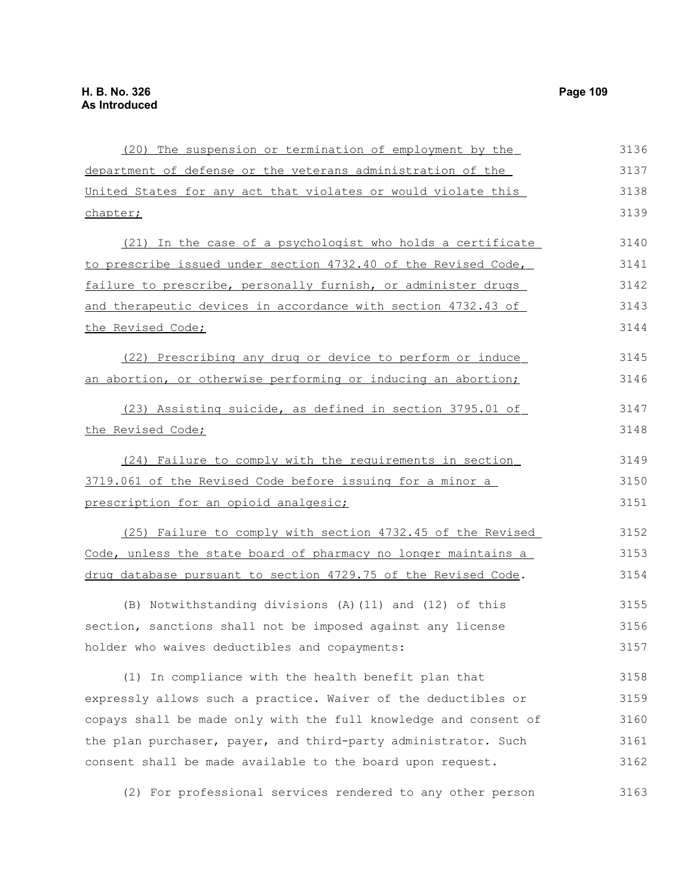(20) The suspension or termination of employment by the department of defense or the veterans administration of the United States for any act that violates or would violate this chapter; (21) In the case of a psychologist who holds a certificate to prescribe issued under section 4732.40 of the Revised Code, failure to prescribe, personally furnish, or administer drugs and therapeutic devices in accordance with section 4732.43 of the Revised Code; (22) Prescribing any drug or device to perform or induce an abortion, or otherwise performing or inducing an abortion; (23) Assisting suicide, as defined in section 3795.01 of the Revised Code; (24) Failure to comply with the requirements in section 3719.061 of the Revised Code before issuing for a minor a prescription for an opioid analgesic; (25) Failure to comply with section 4732.45 of the Revised Code, unless the state board of pharmacy no longer maintains a drug database pursuant to section 4729.75 of the Revised Code. (B) Notwithstanding divisions (A)(11) and (12) of this section, sanctions shall not be imposed against any license holder who waives deductibles and copayments: (1) In compliance with the health benefit plan that expressly allows such a practice. Waiver of the deductibles or copays shall be made only with the full knowledge and consent of the plan purchaser, payer, and third-party administrator. Such consent shall be made available to the board upon request. 3136 3137 3138 3139 3140 3141 3142 3143 3144 3145 3146 3147 3148 3149 3150 3151 3152 3153 3154 3155 3156 3157 3158 3159 3160 3161 3162

(2) For professional services rendered to any other person 3163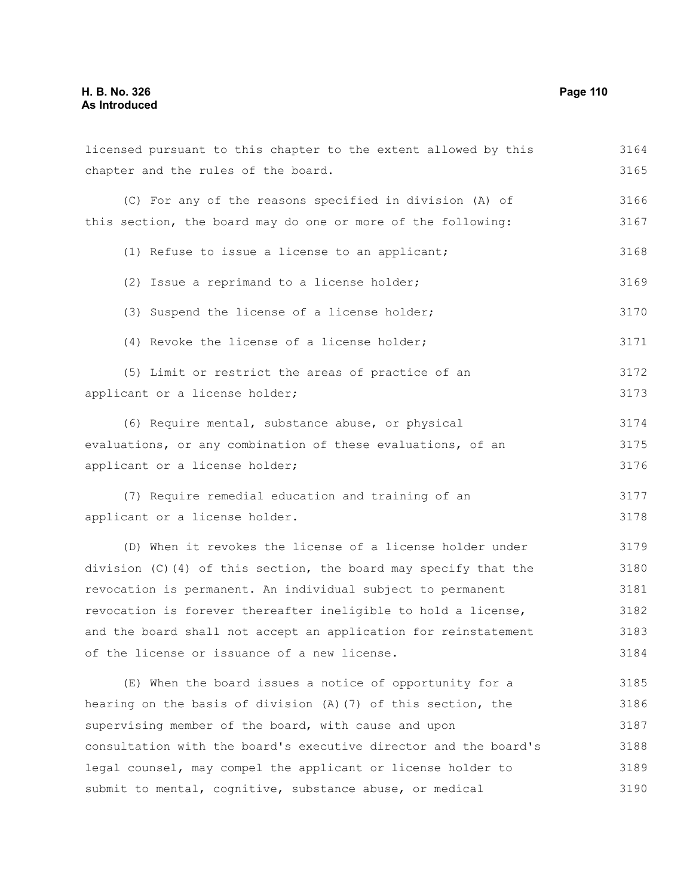| licensed pursuant to this chapter to the extent allowed by this  | 3164 |
|------------------------------------------------------------------|------|
| chapter and the rules of the board.                              | 3165 |
| (C) For any of the reasons specified in division (A) of          | 3166 |
| this section, the board may do one or more of the following:     | 3167 |
| (1) Refuse to issue a license to an applicant;                   | 3168 |
| (2) Issue a reprimand to a license holder;                       | 3169 |
| (3) Suspend the license of a license holder;                     | 3170 |
| (4) Revoke the license of a license holder;                      | 3171 |
| (5) Limit or restrict the areas of practice of an                | 3172 |
| applicant or a license holder;                                   | 3173 |
| (6) Require mental, substance abuse, or physical                 | 3174 |
| evaluations, or any combination of these evaluations, of an      | 3175 |
| applicant or a license holder;                                   | 3176 |
| (7) Require remedial education and training of an                | 3177 |
| applicant or a license holder.                                   | 3178 |
| (D) When it revokes the license of a license holder under        | 3179 |
| division (C)(4) of this section, the board may specify that the  | 3180 |
| revocation is permanent. An individual subject to permanent      | 3181 |
| revocation is forever thereafter ineligible to hold a license,   | 3182 |
| and the board shall not accept an application for reinstatement  | 3183 |
| of the license or issuance of a new license.                     | 3184 |
| (E) When the board issues a notice of opportunity for a          | 3185 |
| hearing on the basis of division (A) (7) of this section, the    | 3186 |
| supervising member of the board, with cause and upon             | 3187 |
| consultation with the board's executive director and the board's | 3188 |
| legal counsel, may compel the applicant or license holder to     | 3189 |
| submit to mental, cognitive, substance abuse, or medical         | 3190 |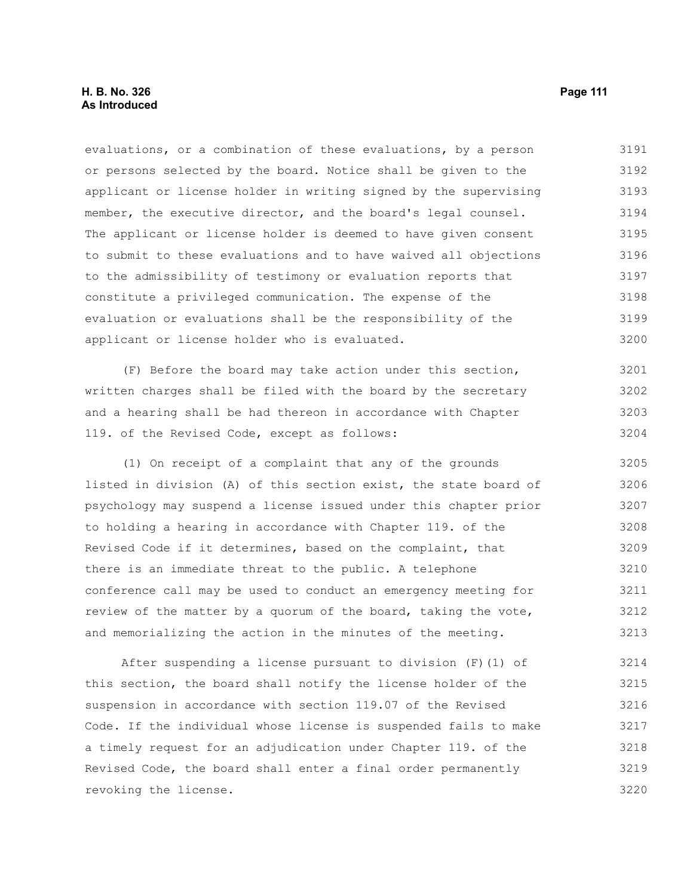evaluations, or a combination of these evaluations, by a person or persons selected by the board. Notice shall be given to the applicant or license holder in writing signed by the supervising member, the executive director, and the board's legal counsel. The applicant or license holder is deemed to have given consent to submit to these evaluations and to have waived all objections to the admissibility of testimony or evaluation reports that constitute a privileged communication. The expense of the evaluation or evaluations shall be the responsibility of the applicant or license holder who is evaluated. 3191 3192 3193 3194 3195 3196 3197 3198 3199 3200

(F) Before the board may take action under this section, written charges shall be filed with the board by the secretary and a hearing shall be had thereon in accordance with Chapter 119. of the Revised Code, except as follows: 3201 3202 3203 3204

(1) On receipt of a complaint that any of the grounds listed in division (A) of this section exist, the state board of psychology may suspend a license issued under this chapter prior to holding a hearing in accordance with Chapter 119. of the Revised Code if it determines, based on the complaint, that there is an immediate threat to the public. A telephone conference call may be used to conduct an emergency meeting for review of the matter by a quorum of the board, taking the vote, and memorializing the action in the minutes of the meeting. 3205 3206 3207 3208 3209 3210 3211 3212 3213

After suspending a license pursuant to division (F)(1) of this section, the board shall notify the license holder of the suspension in accordance with section 119.07 of the Revised Code. If the individual whose license is suspended fails to make a timely request for an adjudication under Chapter 119. of the Revised Code, the board shall enter a final order permanently revoking the license. 3214 3215 3216 3217 3218 3219 3220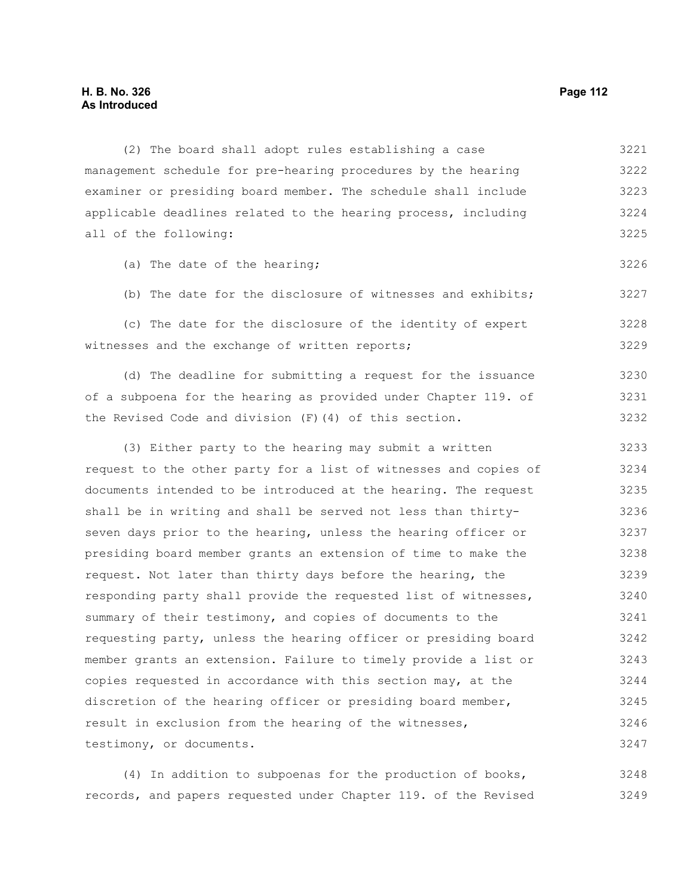# **H. B. No. 326 Page 112 As Introduced**

(2) The board shall adopt rules establishing a case management schedule for pre-hearing procedures by the hearing examiner or presiding board member. The schedule shall include applicable deadlines related to the hearing process, including all of the following: 3221 3222 3223 3224 3225

(a) The date of the hearing;

(b) The date for the disclosure of witnesses and exhibits; 3227

(c) The date for the disclosure of the identity of expert witnesses and the exchange of written reports; 3228 3229

(d) The deadline for submitting a request for the issuance of a subpoena for the hearing as provided under Chapter 119. of the Revised Code and division (F)(4) of this section. 3230 3231 3232

(3) Either party to the hearing may submit a written request to the other party for a list of witnesses and copies of documents intended to be introduced at the hearing. The request shall be in writing and shall be served not less than thirtyseven days prior to the hearing, unless the hearing officer or presiding board member grants an extension of time to make the request. Not later than thirty days before the hearing, the responding party shall provide the requested list of witnesses, summary of their testimony, and copies of documents to the requesting party, unless the hearing officer or presiding board member grants an extension. Failure to timely provide a list or copies requested in accordance with this section may, at the discretion of the hearing officer or presiding board member, result in exclusion from the hearing of the witnesses, testimony, or documents. 3233 3234 3235 3236 3237 3238 3239 3240 3241 3242 3243 3244 3245 3246 3247

(4) In addition to subpoenas for the production of books, records, and papers requested under Chapter 119. of the Revised 3248 3249

3226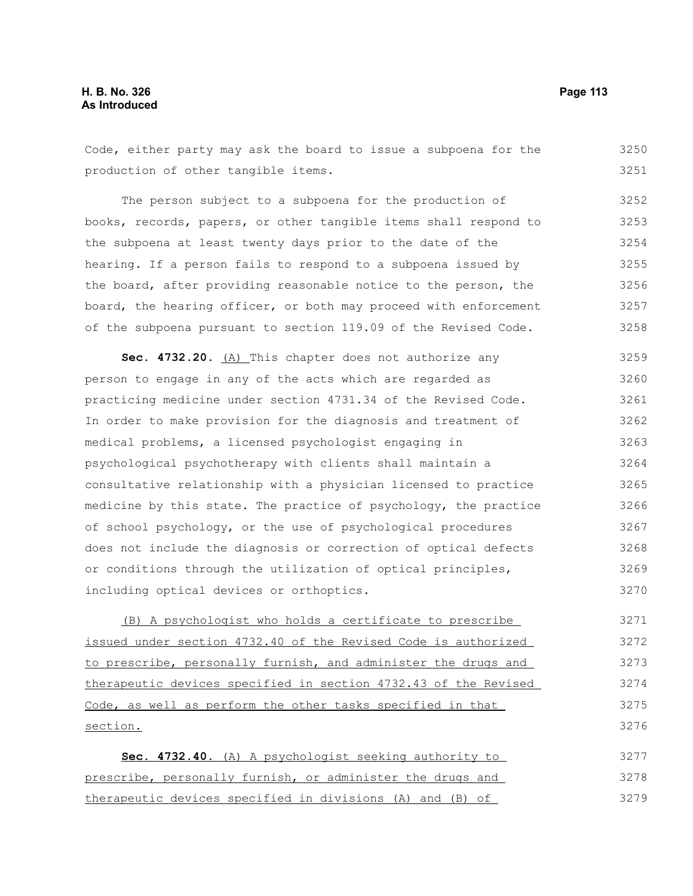Code, either party may ask the board to issue a subpoena for the production of other tangible items. The person subject to a subpoena for the production of books, records, papers, or other tangible items shall respond to the subpoena at least twenty days prior to the date of the hearing. If a person fails to respond to a subpoena issued by the board, after providing reasonable notice to the person, the board, the hearing officer, or both may proceed with enforcement of the subpoena pursuant to section 119.09 of the Revised Code. **Sec. 4732.20.** (A) This chapter does not authorize any person to engage in any of the acts which are regarded as practicing medicine under section 4731.34 of the Revised Code. In order to make provision for the diagnosis and treatment of medical problems, a licensed psychologist engaging in psychological psychotherapy with clients shall maintain a consultative relationship with a physician licensed to practice medicine by this state. The practice of psychology, the practice of school psychology, or the use of psychological procedures does not include the diagnosis or correction of optical defects or conditions through the utilization of optical principles, including optical devices or orthoptics. (B) A psychologist who holds a certificate to prescribe issued under section 4732.40 of the Revised Code is authorized to prescribe, personally furnish, and administer the drugs and 3250 3251 3252 3253 3254 3255 3256 3257 3258 3259 3260 3261 3262 3263 3264 3265 3266 3267 3268 3269 3270 3271 3272 3273

therapeutic devices specified in section 4732.43 of the Revised Code, as well as perform the other tasks specified in that section. 3274 3275 3276

 **Sec. 4732.40.** (A) A psychologist seeking authority to prescribe, personally furnish, or administer the drugs and therapeutic devices specified in divisions (A) and (B) of 3277 3278 3279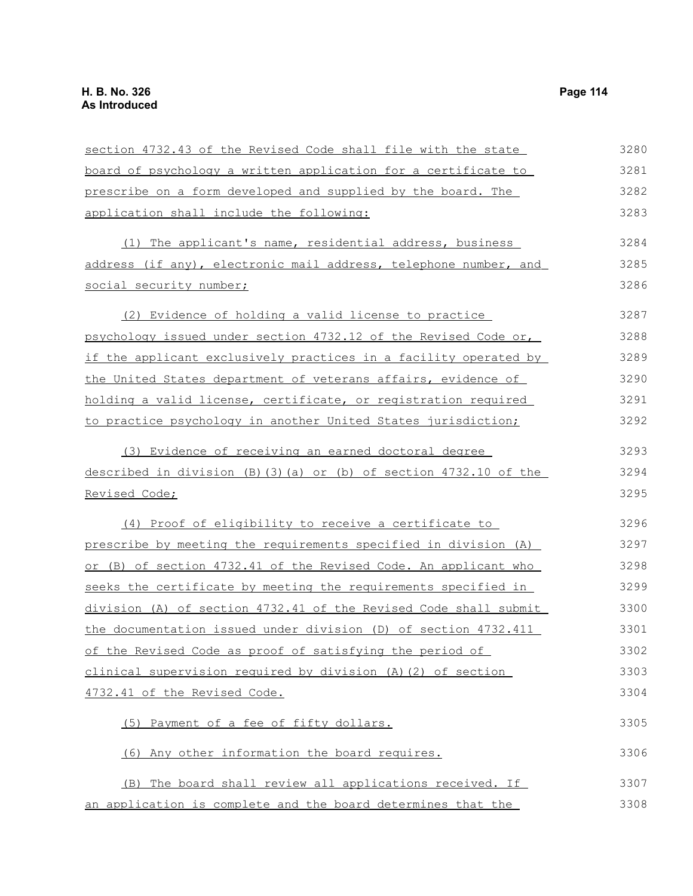section 4732.43 of the Revised Code shall file with the state board of psychology a written application for a certificate to prescribe on a form developed and supplied by the board. The application shall include the following: (1) The applicant's name, residential address, business address ( if any), electronic mail address, telephone number, and social security number; (2) Evidence of holding a valid license to practice psychology issued under section 4732.12 of the Revised Code or, if the applicant exclusively practices in a facility operated by the United States department of veterans affairs, evidence of holding a valid license, certificate, or registration required to practice psychology in another United States jurisdiction; (3) Evidence of receiving an earned doctoral degree described in division (B)(3)(a) or (b) of section 4732.10 of the Revised Code; (4) Proof of eligibility to receive a certificate to prescribe by meeting the requirements specified in division (A) or (B) of section 4732.41 of the Revised Code . An applicant who seeks the certificate by meeting the requirements specified in division (A) of section 4732.41 of the Revised Code shall submit the documentation issued under division (D) of section 4732.411 of the Revised Code as proof of satisfying the period of clinical supervision required by division (A)(2) of section 4732.41 of the Revised Code. (5) Payment of a fee of fifty dollars. (6) Any other information the board requires. (B) The board shall review all applications received. If an application is complete and the board determines that the 3280 3281 3282 3283 3284 3285 3286 3287 3288 3289 3290 3291 3292 3293 3294 3295 3296 3297 3298 3299 3300 3301 3302 3303 3304 3305 3306 3307 3308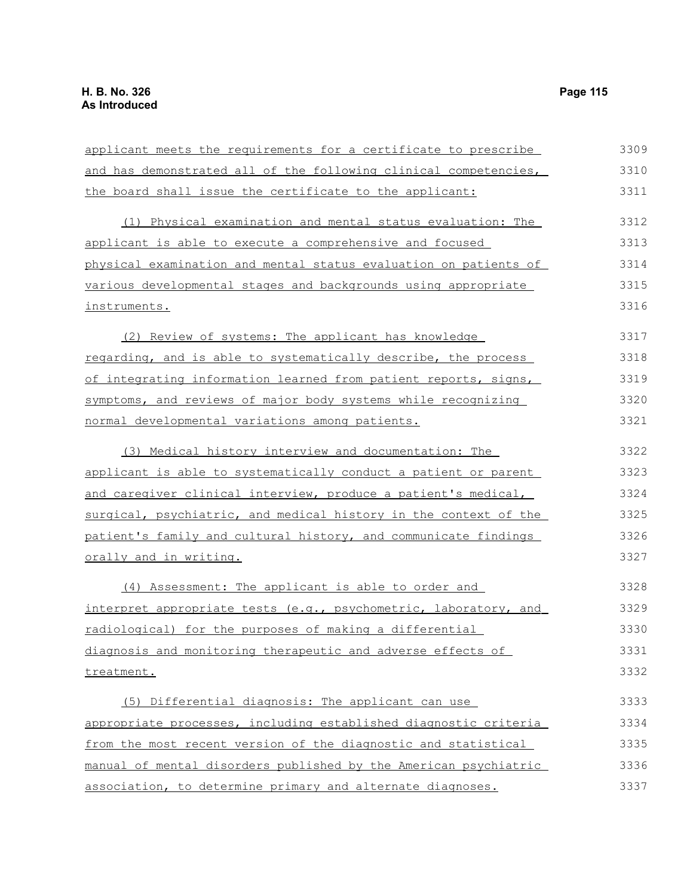applicant meets the requirements for a certificate to prescribe and has demonstrated all of the following clinical competencies, the board shall issue the certificate to the applicant: (1) Physical examination and mental status evaluation: The applicant is able to execute a comprehensive and focused physical examination and mental status evaluation on patients of various developmental stages and backgrounds using appropriate instruments. (2) Review of systems: The applicant has knowledge regarding, and is able to systematically describe, the process of integrating information learned from patient reports, signs, symptoms, and reviews of major body systems while recognizing normal developmental variations among patients. (3) Medical history interview and documentation : The applicant is able to systematically conduct a patient or parent and caregiver clinical interview, produce a patient's medical, surgical, psychiatric, and medical history in the context of the patient's family and cultural history, and communicate findings orally and in writing. (4) Assessment: The applicant is able to order and interpret appropriate tests (e.g., psychometric, laboratory, and radiological) for the purposes of making a differential diagnosis and monitoring therapeutic and adverse effects of treatment. 3309 3310 3311 3312 3313 3314 3315 3316 3317 3318 3319 3320 3321 3322 3323 3324 3325 3326 3327 3328 3329 3330 3331 3332

(5) Differential diagnosis: The applicant can use appropriate processes, including established diagnostic criteria from the most recent version of the diagnostic and statistical manual of mental disorders published by the American psychiatric association, to determine primary and alternate diagnoses. 3333 3334 3335 3336 3337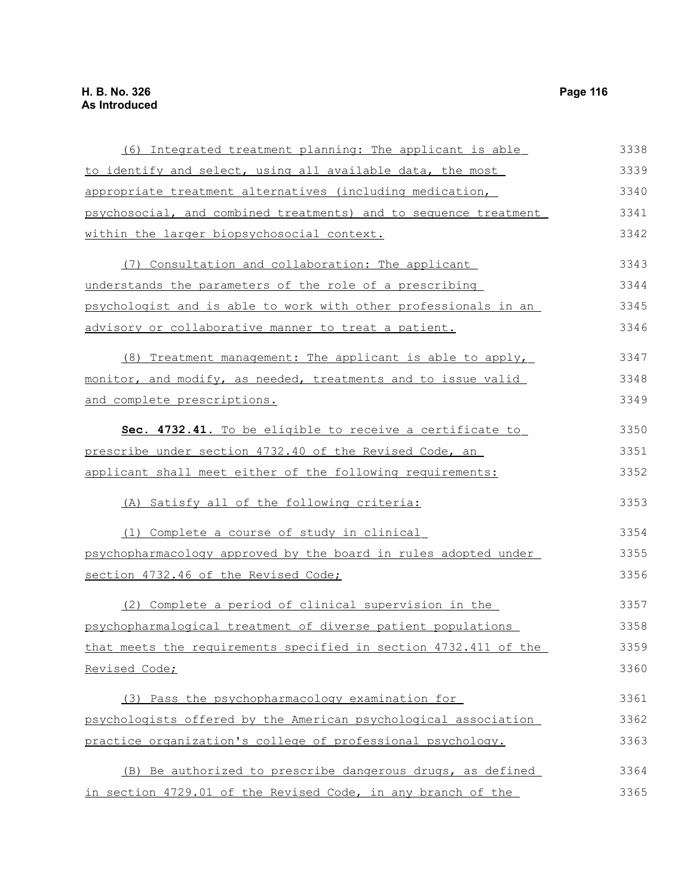| (6) Integrated treatment planning: The applicant is able         | 3338 |
|------------------------------------------------------------------|------|
| to identify and select, using all available data, the most       | 3339 |
| appropriate treatment alternatives (including medication,        | 3340 |
| psychosocial, and combined treatments) and to sequence treatment | 3341 |
| within the larger biopsychosocial context.                       | 3342 |
| (7) Consultation and collaboration: The applicant                | 3343 |
| understands the parameters of the role of a prescribing          | 3344 |
| psychologist and is able to work with other professionals in an  | 3345 |
| advisory or collaborative manner to treat a patient.             | 3346 |
| (8) Treatment management: The applicant is able to apply,        | 3347 |
| monitor, and modify, as needed, treatments and to issue valid    | 3348 |
| and complete prescriptions.                                      | 3349 |
| Sec. 4732.41. To be eligible to receive a certificate to         | 3350 |
| prescribe under section 4732.40 of the Revised Code, an          | 3351 |
| applicant shall meet either of the following requirements:       | 3352 |
| (A) Satisfy all of the following criteria:                       | 3353 |
| (1) Complete a course of study in clinical                       | 3354 |
| psychopharmacology approved by the board in rules adopted under  | 3355 |
| section 4732.46 of the Revised Code;                             | 3356 |
| (2) Complete a period of clinical supervision in the             | 3357 |
| psychopharmalogical treatment of diverse patient populations     | 3358 |
| that meets the requirements specified in section 4732.411 of the | 3359 |
| Revised Code;                                                    | 3360 |
| (3) Pass the psychopharmacology examination for                  | 3361 |
| psychologists offered by the American psychological association  | 3362 |
| practice organization's college of professional psychology.      | 3363 |
| (B) Be authorized to prescribe dangerous drugs, as defined       | 3364 |
| in section 4729.01 of the Revised Code, in any branch of the     | 3365 |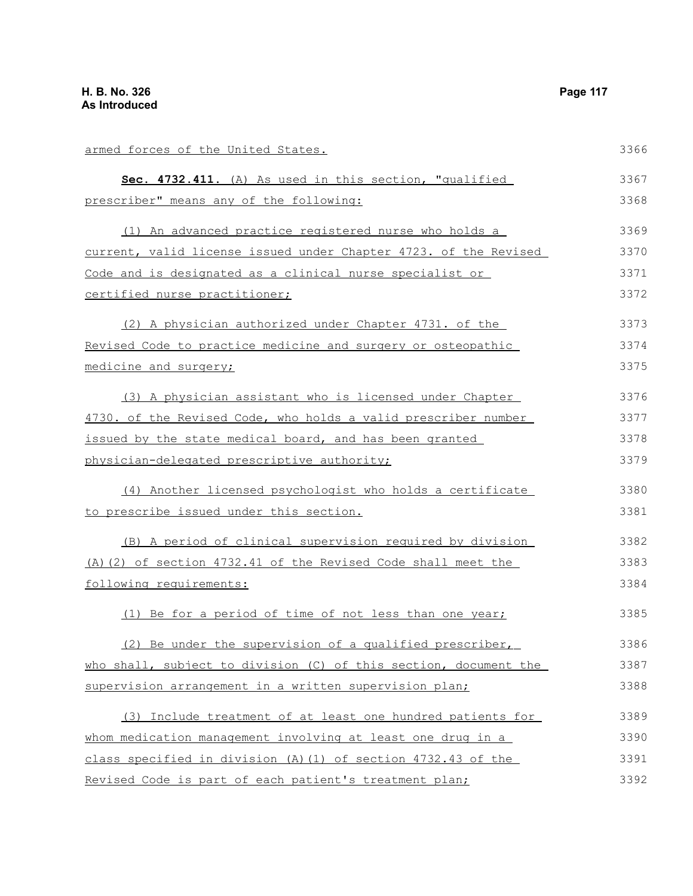armed forces of the United States. **Sec. 4732.411.** (A) As used in this section, "qualified prescriber" means any of the following: (1) An advanced practice registered nurse who holds a current, valid license issued under Chapter 4723. of the Revised Code and is designated as a clinical nurse specialist or certified nurse practitioner; (2) A physician authorized under Chapter 4731. of the Revised Code to practice medicine and surgery or osteopathic medicine and surgery; (3) A physician assistant who is licensed under Chapter 4730. of the Revised Code, who holds a valid prescriber number issued by the state medical board, and has been granted physician-delegated prescriptive authority; (4) Another licensed psychologist who holds a certificate to prescribe issued under this section. (B) A period of clinical supervision required by division (A)(2) of section 4732.41 of the Revised Code shall meet the following requirements: (1) Be for a period of time of not less than one year; (2) Be under the supervision of a qualified prescriber, who shall, subject to division (C) of this section, document the supervision arrangement in a written supervision plan; (3) Include treatment of at least one hundred patients for whom medication management involving at least one drug in a class specified in division (A)(1) of section 4732.43 of the 3366 3367 3368 3369 3370 3371 3372 3373 3374 3375 3376 3377 3378 3379 3380 3381 3382 3383 3384 3385 3386 3387 3388 3389 3390 3391

Revised Code is part of each patient's treatment plan;

3392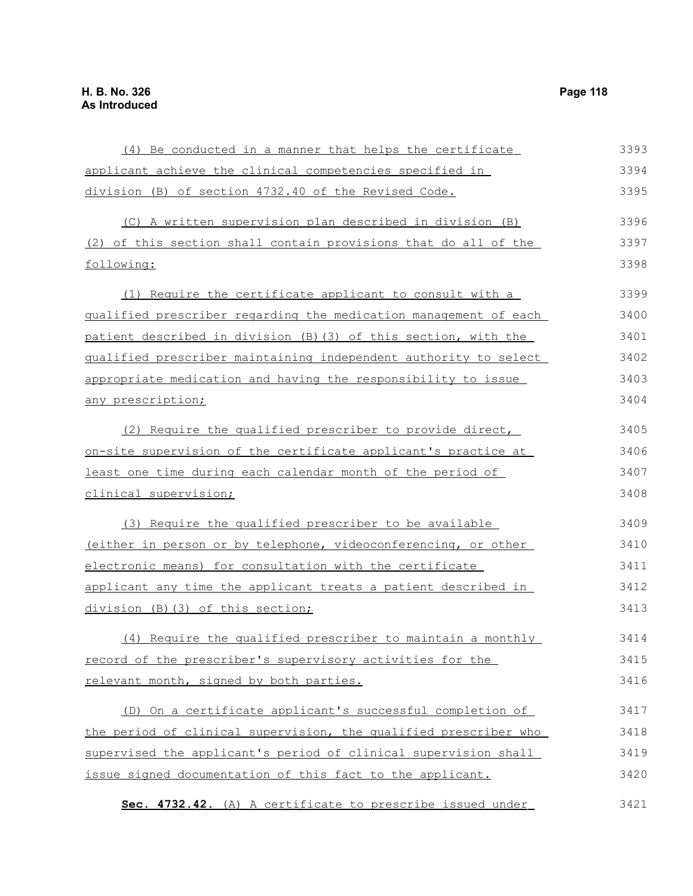(4) Be conducted in a manner that helps the certificate applicant achieve the clinical competencies specified in division (B) of section 4732.40 of the Revised Code. (C) A written supervision plan described in division (B) (2) of this section shall contain provisions that do all of the following: (1) Require the certificate applicant to consult with a qualified prescriber regarding the medication management of each patient described in division (B) (3) of this section, with the qualified prescriber maintaining independent authority to select appropriate medication and having the responsibility to issue any prescription; (2) Require the qualified prescriber to provide direct, on-site supervision of the certificate applicant's practice at least one time during each calendar month of the period of clinical supervision; (3) Require the qualified prescriber to be available (either in person or by telephone, videoconferencing, or other electronic means) for consultation with the certificate applicant any time the applicant treats a patient described in division (B) (3) of this section; (4) Require the qualified prescriber to maintain a monthly record of the prescriber's supervisory activities for the relevant month, signed by both parties. (D) On a certificate applicant's successful completion of the period of clinical supervision, the qualified prescriber who supervised the applicant's period of clinical supervision shall issue signed documentation of this fact to the applicant. 3393 3394 3395 3396 3397 3398 3399 3400 3401 3402 3403 3404 3405 3406 3407 3408 3409 3410 3411 3412 3413 3414 3415 3416 3417 3418 3419 3420

 **Sec. 4732.42.** (A) A certificate to prescribe issued under 3421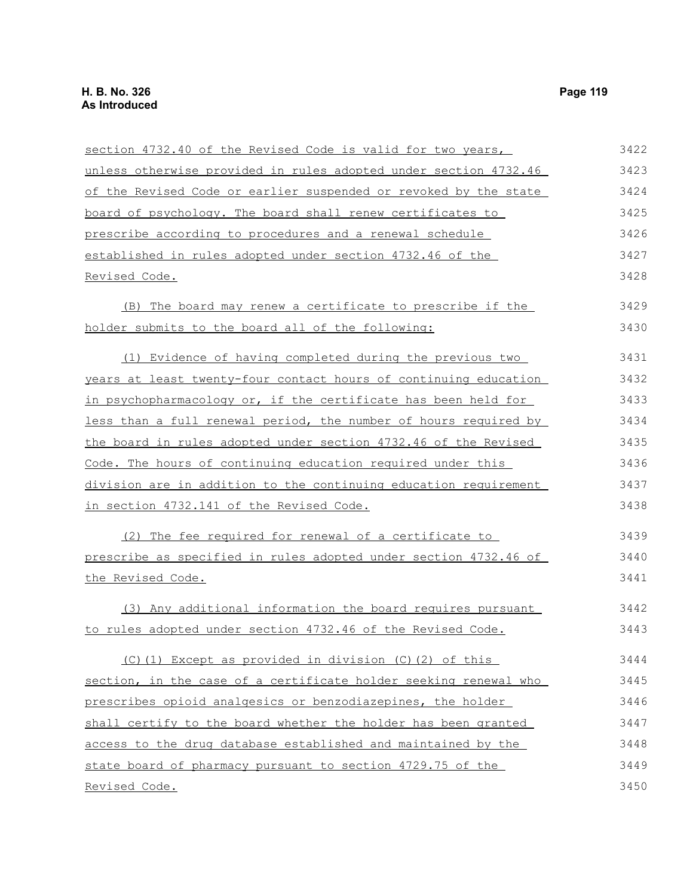| section 4732.40 of the Revised Code is valid for two years,      | 3422 |
|------------------------------------------------------------------|------|
| unless otherwise provided in rules adopted under section 4732.46 | 3423 |
| of the Revised Code or earlier suspended or revoked by the state | 3424 |
| board of psychology. The board shall renew certificates to       | 3425 |
| prescribe according to procedures and a renewal schedule         | 3426 |
| established in rules adopted under section 4732.46 of the        | 3427 |
| Revised Code.                                                    | 3428 |
| (B) The board may renew a certificate to prescribe if the        | 3429 |
| holder submits to the board all of the following:                | 3430 |
| (1) Evidence of having completed during the previous two         | 3431 |
| years at least twenty-four contact hours of continuing education | 3432 |
| in psychopharmacology or, if the certificate has been held for   | 3433 |
| less than a full renewal period, the number of hours required by | 3434 |
| the board in rules adopted under section 4732.46 of the Revised  | 3435 |
| Code. The hours of continuing education required under this      | 3436 |
| division are in addition to the continuing education requirement | 3437 |
| in section 4732.141 of the Revised Code.                         | 3438 |
| (2) The fee required for renewal of a certificate to             | 3439 |
| prescribe as specified in rules adopted under section 4732.46 of | 3440 |
| the Revised Code.                                                | 3441 |
| (3) Any additional information the board requires pursuant       | 3442 |
| to rules adopted under section 4732.46 of the Revised Code.      | 3443 |
| (C)(1) Except as provided in division (C)(2) of this             | 3444 |
| section, in the case of a certificate holder seeking renewal who | 3445 |
| prescribes opioid analgesics or benzodiazepines, the holder      | 3446 |
| shall certify to the board whether the holder has been granted   | 3447 |
| access to the drug database established and maintained by the    | 3448 |
| state board of pharmacy pursuant to section 4729.75 of the       | 3449 |
| Revised Code.                                                    | 3450 |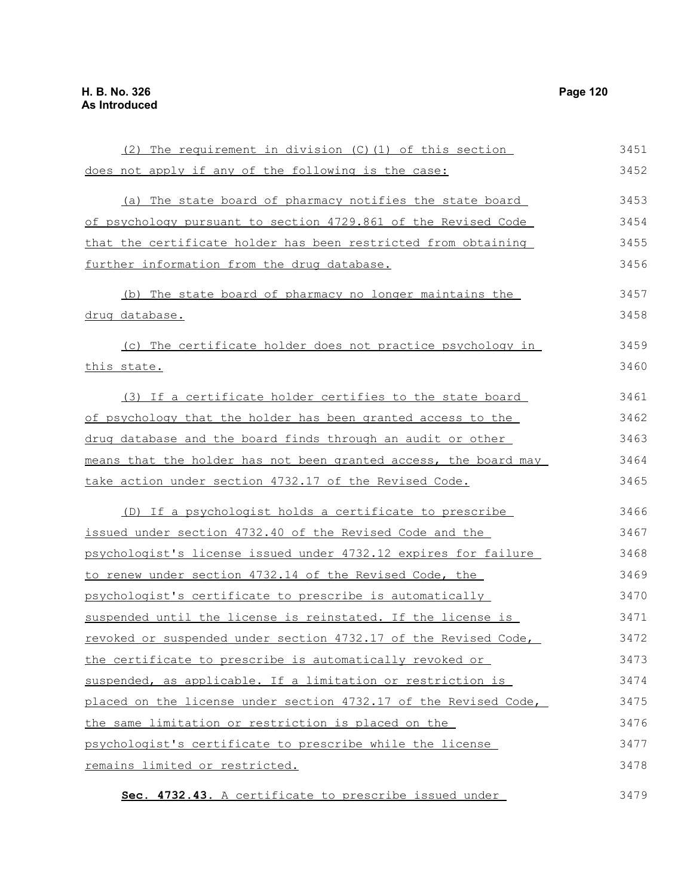(2) The requirement in division (C)(1) of this section does not apply if any of the following is the case: (a) The state board of pharmacy notifies the state board of psychology pursuant to section 4729.861 of the Revised Code that the certificate holder has been restricted from obtaining further information from the drug database. (b) The state board of pharmacy no longer maintains the drug database. (c) The certificate holder does not practice psychology in this state. (3) If a certificate holder certifies to the state board of psychology that the holder has been granted access to the drug database and the board finds through an audit or other means that the holder has not been granted access, the board may take action under section 4732.17 of the Revised Code. (D) If a psychologist holds a certificate to prescribe issued under section 4732.40 of the Revised Code and the psychologist's license issued under 4732.12 expires for failure to renew under section 4732.14 of the Revised Code, the psychologist's certificate to prescribe is automatically suspended until the license is reinstated. If the license is revoked or suspended under section 4732.17 of the Revised Code, the certificate to prescribe is automatically revoked or suspended, as applicable. If a limitation or restriction is placed on the license under section 4732.17 of the Revised Code, the same limitation or restriction is placed on the psychologist's certificate to prescribe while the license remains limited or restricted. 3452 3453 3454 3455 3456 3457 3458 3459 3460 3461 3462 3463 3464 3465 3466 3467 3468 3469 3470 3471 3472 3473 3474 3475 3476 3477 3478

 **Sec. 4732.43.** A certificate to prescribe issued under 3479

3451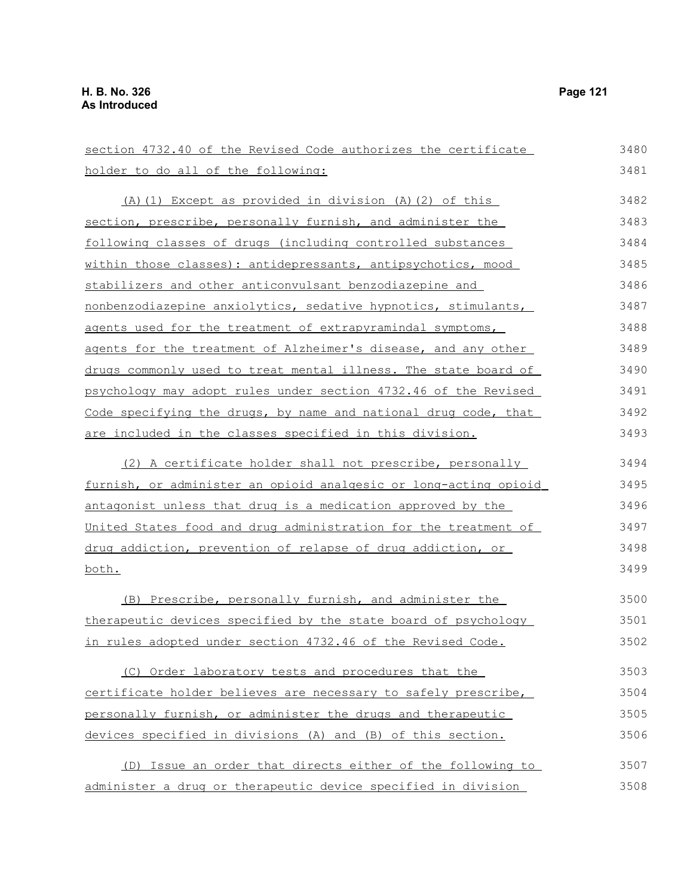| section 4732.40 of the Revised Code authorizes the certificate   | 3480 |
|------------------------------------------------------------------|------|
| holder to do all of the following:                               | 3481 |
| (A) (1) Except as provided in division (A) (2) of this           | 3482 |
| section, prescribe, personally furnish, and administer the       | 3483 |
| following classes of drugs (including controlled substances      | 3484 |
| within those classes): antidepressants, antipsychotics, mood     | 3485 |
| stabilizers and other anticonvulsant benzodiazepine and          | 3486 |
| nonbenzodiazepine anxiolytics, sedative hypnotics, stimulants,   | 3487 |
| agents used for the treatment of extrapyramindal symptoms,       | 3488 |
| agents for the treatment of Alzheimer's disease, and any other   | 3489 |
| drugs commonly used to treat mental illness. The state board of  | 3490 |
| psychology may adopt rules under section 4732.46 of the Revised  | 3491 |
| Code specifying the drugs, by name and national drug code, that  | 3492 |
| are included in the classes specified in this division.          | 3493 |
| (2) A certificate holder shall not prescribe, personally         | 3494 |
| furnish, or administer an opioid analgesic or long-acting opioid | 3495 |
| antagonist unless that drug is a medication approved by the      | 3496 |
| United States food and drug administration for the treatment of  | 3497 |
| drug addiction, prevention of relapse of drug addiction, or      | 3498 |
| <u>both.</u>                                                     | 3499 |
| (B) Prescribe, personally furnish, and administer the            | 3500 |
| therapeutic devices specified by the state board of psychology   | 3501 |
| in rules adopted under section 4732.46 of the Revised Code.      | 3502 |
| (C) Order laboratory tests and procedures that the               | 3503 |
| certificate holder believes are necessary to safely prescribe,   | 3504 |
| personally furnish, or administer the drugs and therapeutic      | 3505 |
| devices specified in divisions (A) and (B) of this section.      | 3506 |
| (D) Issue an order that directs either of the following to       | 3507 |
| administer a drug or therapeutic device specified in division    | 3508 |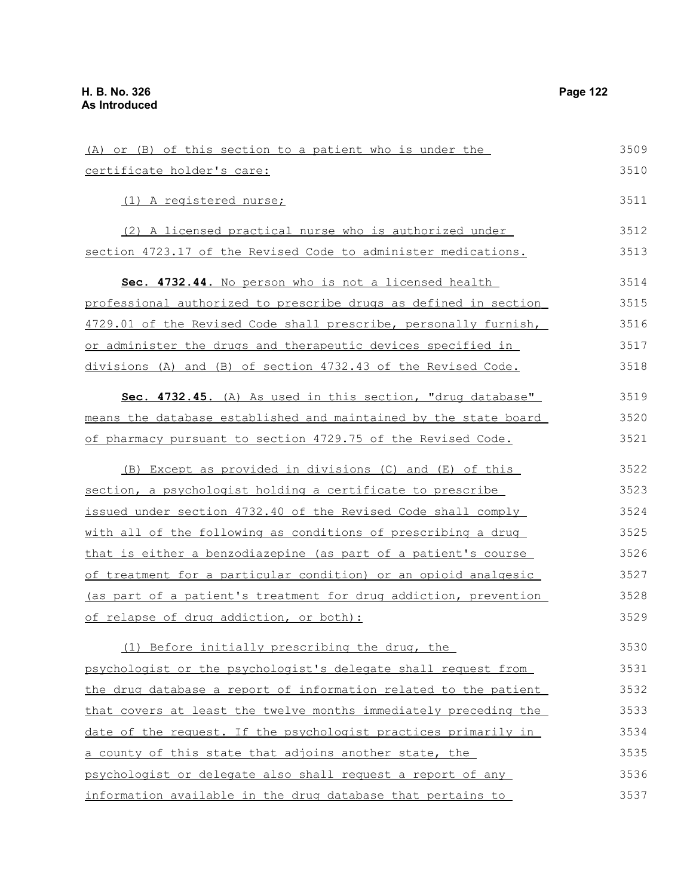(A) or (B) of this section to a patient who is under the certificate holder's care: (1) A registered nurse; (2) A licensed practical nurse who is authorized under section 4723.17 of the Revised Code to administer medications. **Sec. 4732.44.** No person who is not a licensed health professional authorized to prescribe drugs as defined in section 4729.01 of the Revised Code shall prescribe, personally furnish, or administer the drugs and therapeutic devices specified in divisions (A) and (B) of section 4732.43 of the Revised Code. **Sec. 4732.45.** (A) As used in this section, "drug database" means the database established and maintained by the state board of pharmacy pursuant to section 4729.75 of the Revised Code. (B) Except as provided in divisions (C) and (E) of this section, a psychologist holding a certificate to prescribe issued under section 4732.40 of the Revised Code shall comply with all of the following as conditions of prescribing a drug that is either a benzodiazepine (as part of a patient's course of treatment for a particular condition) or an opioid analgesic (as part of a patient's treatment for drug addiction, prevention of relapse of drug addiction, or both): (1) Before initially prescribing the drug, the psychologist or the psychologist's delegate shall request from the drug database a report of information related to the patient that covers at least the twelve months immediately preceding the date of the request. If the psychologist practices primarily in a county of this state that adjoins another state, the psychologist or delegate also shall request a report of any information available in the drug database that pertains to 3509 3510 3511 3512 3513 3514 3515 3516 3517 3518 3519 3520 3521 3522 3523 3524 3525 3526 3527 3528 3529 3530 3531 3532 3533 3534 3535 3536 3537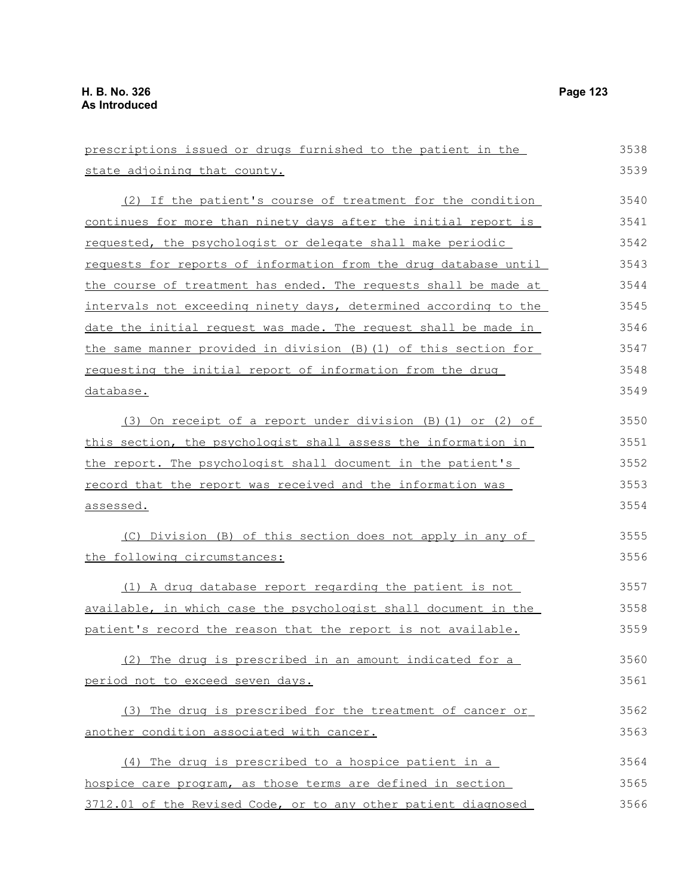| prescriptions issued or drugs furnished to the patient in the    | 3538 |
|------------------------------------------------------------------|------|
| state adjoining that county.                                     | 3539 |
| (2) If the patient's course of treatment for the condition       | 3540 |
| continues for more than ninety days after the initial report is  | 3541 |
| requested, the psychologist or delegate shall make periodic      | 3542 |
| requests for reports of information from the drug database until | 3543 |
| the course of treatment has ended. The requests shall be made at | 3544 |
| intervals not exceeding ninety days, determined according to the | 3545 |
| date the initial request was made. The request shall be made in  | 3546 |
| the same manner provided in division (B) (1) of this section for | 3547 |
| requesting the initial report of information from the drug       | 3548 |
| database.                                                        | 3549 |
| (3) On receipt of a report under division $(B)(1)$ or $(2)$ of   | 3550 |
| this section, the psychologist shall assess the information in   | 3551 |
| the report. The psychologist shall document in the patient's     | 3552 |
| record that the report was received and the information was      | 3553 |
| <u>assessed.</u>                                                 | 3554 |
| (C) Division (B) of this section does not apply in any of        | 3555 |
| the following circumstances:                                     | 3556 |
| (1) A drug database report regarding the patient is not          | 3557 |
| available, in which case the psychologist shall document in the  | 3558 |
| patient's record the reason that the report is not available.    | 3559 |
| (2) The drug is prescribed in an amount indicated for a          | 3560 |
| period not to exceed seven days.                                 | 3561 |
| (3) The drug is prescribed for the treatment of cancer or        | 3562 |
| another condition associated with cancer.                        | 3563 |
| (4) The drug is prescribed to a hospice patient in a             | 3564 |
| hospice care program, as those terms are defined in section      | 3565 |
| 3712.01 of the Revised Code, or to any other patient diagnosed   | 3566 |
|                                                                  |      |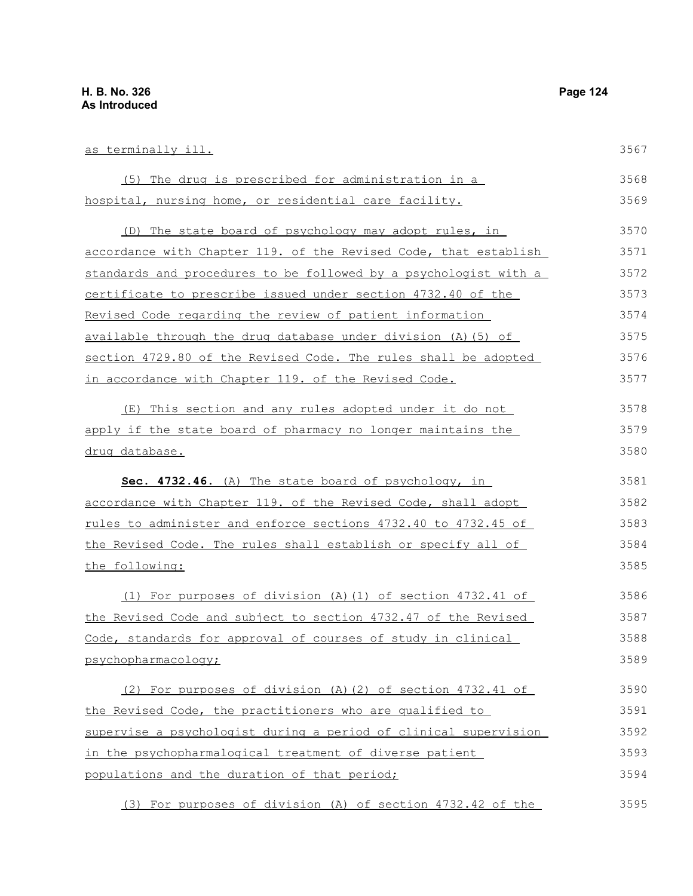| as terminally ill.                                               | 3567 |
|------------------------------------------------------------------|------|
| (5) The drug is prescribed for administration in a               | 3568 |
| hospital, nursing home, or residential care facility.            | 3569 |
| (D) The state board of psychology may adopt rules, in            | 3570 |
| accordance with Chapter 119. of the Revised Code, that establish | 3571 |
| standards and procedures to be followed by a psychologist with a | 3572 |
| certificate to prescribe issued under section 4732.40 of the     | 3573 |
| Revised Code regarding the review of patient information         | 3574 |
| available through the drug database under division (A) (5) of    | 3575 |
| section 4729.80 of the Revised Code. The rules shall be adopted  | 3576 |
| in accordance with Chapter 119. of the Revised Code.             | 3577 |
| (E) This section and any rules adopted under it do not           | 3578 |
| apply if the state board of pharmacy no longer maintains the     | 3579 |
| drug database.                                                   | 3580 |
| Sec. 4732.46. (A) The state board of psychology, in              | 3581 |
| accordance with Chapter 119. of the Revised Code, shall adopt    | 3582 |
| rules to administer and enforce sections 4732.40 to 4732.45 of   | 3583 |
| the Revised Code. The rules shall establish or specify all of    | 3584 |
| the following:                                                   | 3585 |
| (1) For purposes of division (A) (1) of section 4732.41 of       | 3586 |
| the Revised Code and subject to section 4732.47 of the Revised   | 3587 |
| Code, standards for approval of courses of study in clinical     | 3588 |
| psychopharmacology;                                              | 3589 |
| (2) For purposes of division (A) (2) of section 4732.41 of       | 3590 |
| the Revised Code, the practitioners who are qualified to         | 3591 |
| supervise a psychologist during a period of clinical supervision | 3592 |
| in the psychopharmalogical treatment of diverse patient          | 3593 |
| populations and the duration of that period;                     | 3594 |
| (3) For purposes of division (A) of section 4732.42 of the       | 3595 |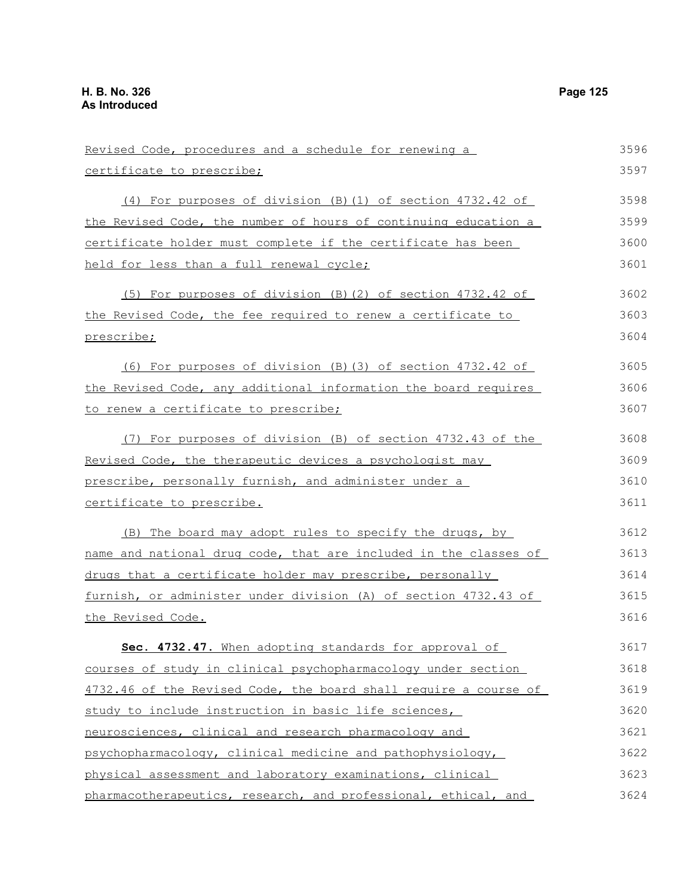| Revised Code, procedures and a schedule for renewing a           | 3596 |
|------------------------------------------------------------------|------|
| certificate to prescribe;                                        | 3597 |
| (4) For purposes of division (B) (1) of section 4732.42 of       | 3598 |
| the Revised Code, the number of hours of continuing education a  | 3599 |
| certificate holder must complete if the certificate has been     | 3600 |
| held for less than a full renewal cycle;                         | 3601 |
| (5) For purposes of division (B) (2) of section 4732.42 of       | 3602 |
| the Revised Code, the fee required to renew a certificate to     | 3603 |
| prescribe;                                                       | 3604 |
| (6) For purposes of division (B) (3) of section 4732.42 of       | 3605 |
| the Revised Code, any additional information the board requires  | 3606 |
| to renew a certificate to prescribe;                             | 3607 |
| (7) For purposes of division (B) of section 4732.43 of the       | 3608 |
| Revised Code, the therapeutic devices a psychologist may         | 3609 |
| prescribe, personally furnish, and administer under a            | 3610 |
| certificate to prescribe.                                        | 3611 |
| (B) The board may adopt rules to specify the drugs, by           | 3612 |
| name and national drug code, that are included in the classes of | 3613 |
| drugs that a certificate holder may prescribe, personally        | 3614 |
| furnish, or administer under division (A) of section 4732.43 of  | 3615 |
| the Revised Code.                                                | 3616 |
| Sec. 4732.47. When adopting standards for approval of            | 3617 |
| courses of study in clinical psychopharmacology under section    | 3618 |
| 4732.46 of the Revised Code, the board shall require a course of | 3619 |
| study to include instruction in basic life sciences,             | 3620 |
| neurosciences, clinical and research pharmacology and            | 3621 |
| psychopharmacology, clinical medicine and pathophysiology,       | 3622 |
| physical assessment and laboratory examinations, clinical        | 3623 |
| pharmacotherapeutics, research, and professional, ethical, and   | 3624 |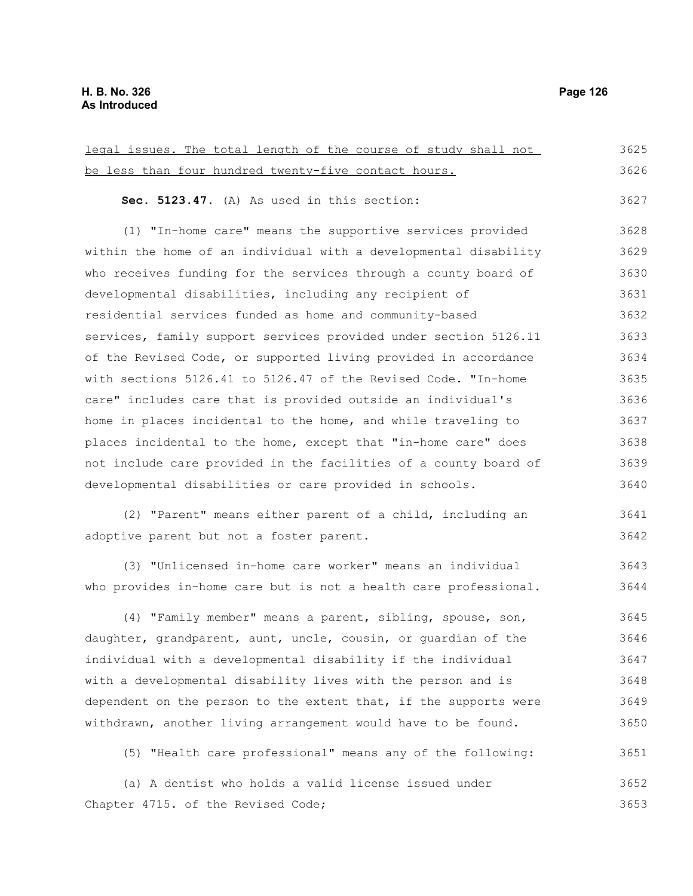legal issues. The total length of the course of study shall not be less than four hundred twenty-five contact hours. **Sec. 5123.47.** (A) As used in this section: (1) "In-home care" means the supportive services provided within the home of an individual with a developmental disability who receives funding for the services through a county board of developmental disabilities, including any recipient of residential services funded as home and community-based services, family support services provided under section 5126.11 of the Revised Code, or supported living provided in accordance with sections 5126.41 to 5126.47 of the Revised Code. "In-home care" includes care that is provided outside an individual's home in places incidental to the home, and while traveling to places incidental to the home, except that "in-home care" does not include care provided in the facilities of a county board of developmental disabilities or care provided in schools. (2) "Parent" means either parent of a child, including an adoptive parent but not a foster parent. (3) "Unlicensed in-home care worker" means an individual who provides in-home care but is not a health care professional. (4) "Family member" means a parent, sibling, spouse, son, daughter, grandparent, aunt, uncle, cousin, or guardian of the individual with a developmental disability if the individual with a developmental disability lives with the person and is dependent on the person to the extent that, if the supports were withdrawn, another living arrangement would have to be found. (5) "Health care professional" means any of the following: 3625 3626 3627 3628 3629 3630 3631 3632 3633 3634 3635 3636 3637 3638 3639 3640 3641 3642 3643 3644 3645 3646 3647 3648 3649 3650 3651

(a) A dentist who holds a valid license issued under Chapter 4715. of the Revised Code; 3652 3653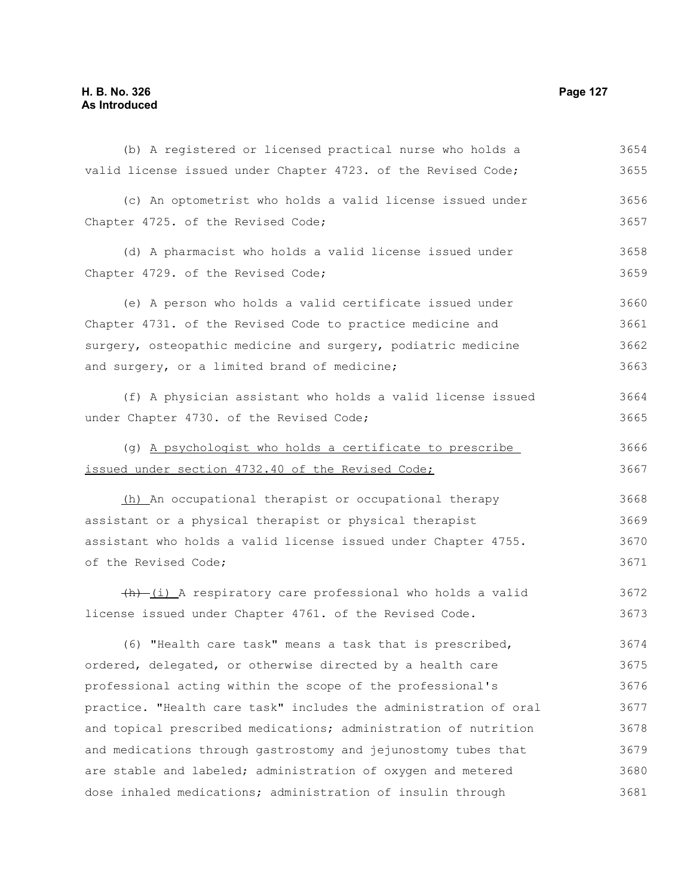| (b) A registered or licensed practical nurse who holds a         | 3654 |
|------------------------------------------------------------------|------|
| valid license issued under Chapter 4723. of the Revised Code;    | 3655 |
| (c) An optometrist who holds a valid license issued under        | 3656 |
| Chapter 4725. of the Revised Code;                               | 3657 |
| (d) A pharmacist who holds a valid license issued under          | 3658 |
| Chapter 4729. of the Revised Code;                               | 3659 |
| (e) A person who holds a valid certificate issued under          | 3660 |
| Chapter 4731. of the Revised Code to practice medicine and       | 3661 |
| surgery, osteopathic medicine and surgery, podiatric medicine    | 3662 |
| and surgery, or a limited brand of medicine;                     | 3663 |
| (f) A physician assistant who holds a valid license issued       | 3664 |
| under Chapter 4730. of the Revised Code;                         | 3665 |
| (q) A psychologist who holds a certificate to prescribe          | 3666 |
| issued under section 4732.40 of the Revised Code;                | 3667 |
| (h) An occupational therapist or occupational therapy            | 3668 |
| assistant or a physical therapist or physical therapist          | 3669 |
| assistant who holds a valid license issued under Chapter 4755.   | 3670 |
| of the Revised Code;                                             | 3671 |
| $(h)$ (i) A respiratory care professional who holds a valid      | 3672 |
| license issued under Chapter 4761. of the Revised Code.          | 3673 |
| (6) "Health care task" means a task that is prescribed,          | 3674 |
| ordered, delegated, or otherwise directed by a health care       | 3675 |
| professional acting within the scope of the professional's       | 3676 |
| practice. "Health care task" includes the administration of oral | 3677 |
| and topical prescribed medications; administration of nutrition  | 3678 |
| and medications through gastrostomy and jejunostomy tubes that   | 3679 |
| are stable and labeled; administration of oxygen and metered     | 3680 |
| dose inhaled medications; administration of insulin through      | 3681 |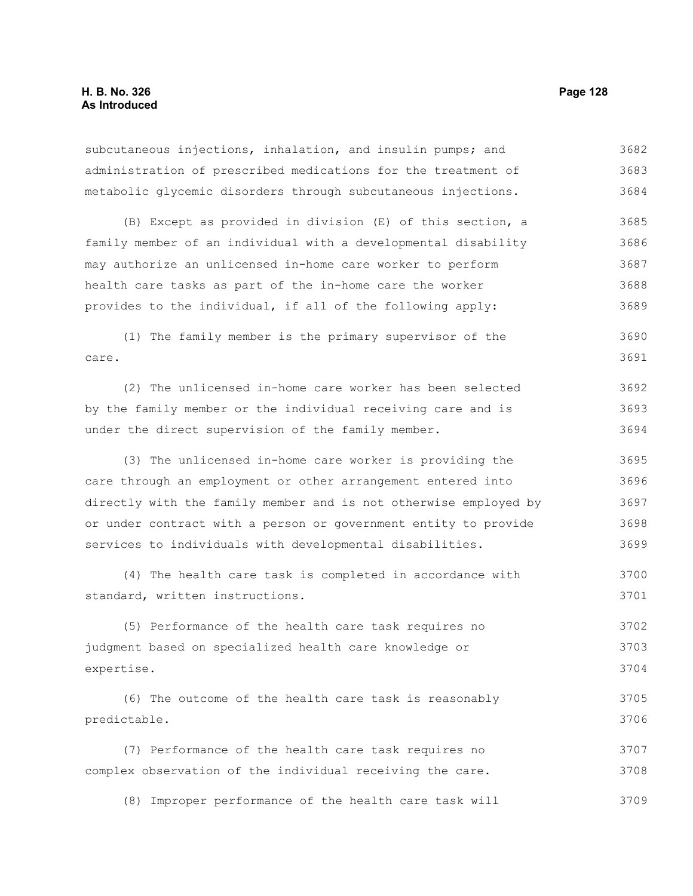## subcutaneous injections, inhalation, and insulin pumps; and administration of prescribed medications for the treatment of metabolic glycemic disorders through subcutaneous injections. (B) Except as provided in division (E) of this section, a family member of an individual with a developmental disability may authorize an unlicensed in-home care worker to perform health care tasks as part of the in-home care the worker provides to the individual, if all of the following apply: (1) The family member is the primary supervisor of the care. (2) The unlicensed in-home care worker has been selected by the family member or the individual receiving care and is under the direct supervision of the family member. (3) The unlicensed in-home care worker is providing the care through an employment or other arrangement entered into directly with the family member and is not otherwise employed by or under contract with a person or government entity to provide services to individuals with developmental disabilities. (4) The health care task is completed in accordance with standard, written instructions. (5) Performance of the health care task requires no judgment based on specialized health care knowledge or expertise. (6) The outcome of the health care task is reasonably predictable. (7) Performance of the health care task requires no complex observation of the individual receiving the care. (8) Improper performance of the health care task will 3682 3683 3684 3685 3686 3687 3688 3689 3690 3691 3692 3693 3694 3695 3696 3697 3698 3699 3700 3701 3702 3703 3704 3705 3706 3707 3708 3709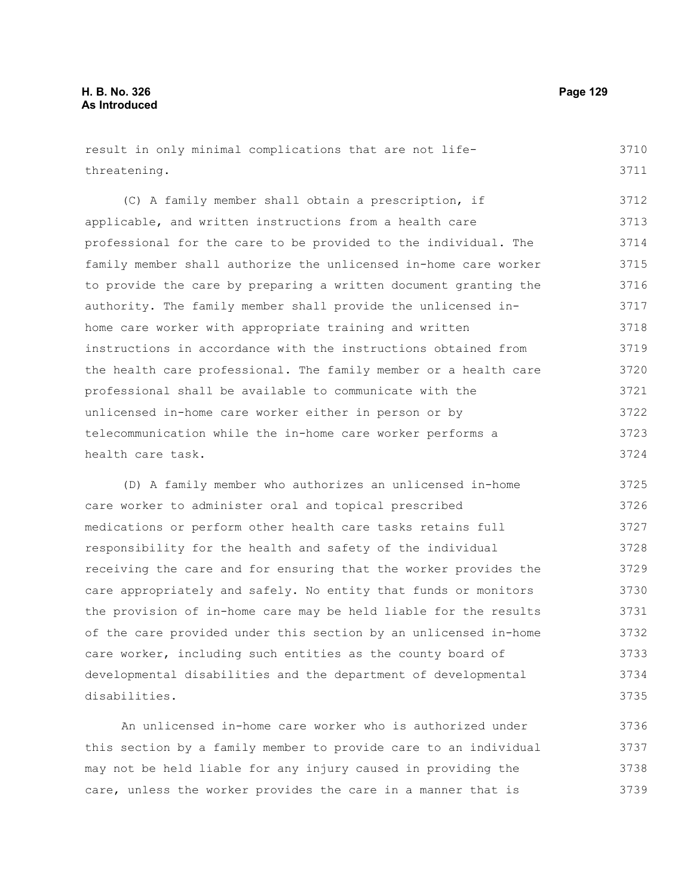result in only minimal complications that are not lifethreatening. (C) A family member shall obtain a prescription, if applicable, and written instructions from a health care professional for the care to be provided to the individual. The family member shall authorize the unlicensed in-home care worker to provide the care by preparing a written document granting the authority. The family member shall provide the unlicensed inhome care worker with appropriate training and written instructions in accordance with the instructions obtained from the health care professional. The family member or a health care professional shall be available to communicate with the unlicensed in-home care worker either in person or by telecommunication while the in-home care worker performs a health care task. 3710 3711 3712 3713 3714 3715 3716 3717 3718 3719 3720 3721 3722 3723 3724

(D) A family member who authorizes an unlicensed in-home care worker to administer oral and topical prescribed medications or perform other health care tasks retains full responsibility for the health and safety of the individual receiving the care and for ensuring that the worker provides the care appropriately and safely. No entity that funds or monitors the provision of in-home care may be held liable for the results of the care provided under this section by an unlicensed in-home care worker, including such entities as the county board of developmental disabilities and the department of developmental disabilities. 3725 3726 3727 3728 3729 3730 3731 3732 3733 3734 3735

An unlicensed in-home care worker who is authorized under this section by a family member to provide care to an individual may not be held liable for any injury caused in providing the care, unless the worker provides the care in a manner that is 3736 3737 3738 3739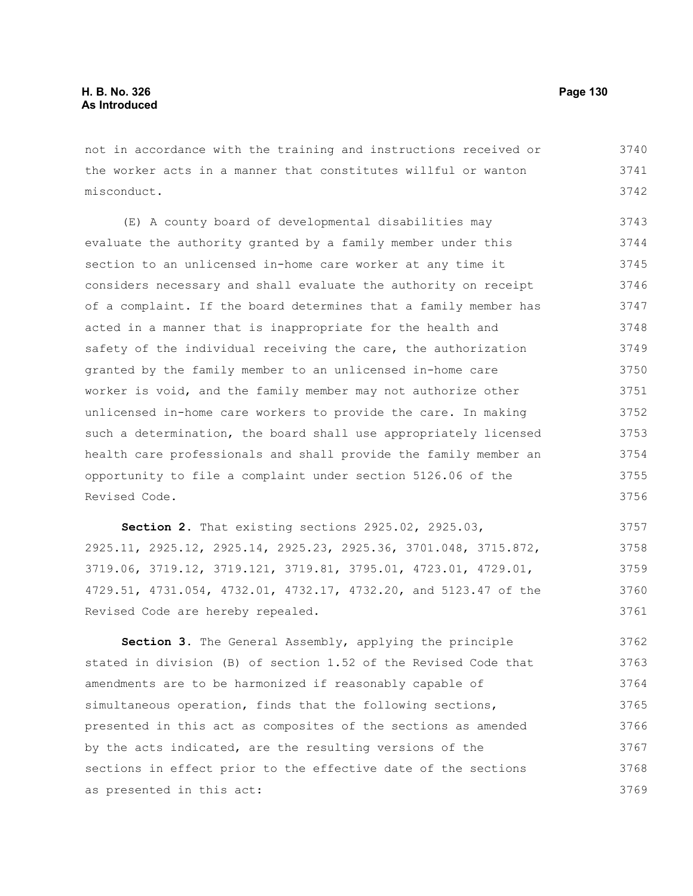not in accordance with the training and instructions received or the worker acts in a manner that constitutes willful or wanton misconduct. 3740 3741 3742

(E) A county board of developmental disabilities may evaluate the authority granted by a family member under this section to an unlicensed in-home care worker at any time it considers necessary and shall evaluate the authority on receipt of a complaint. If the board determines that a family member has acted in a manner that is inappropriate for the health and safety of the individual receiving the care, the authorization granted by the family member to an unlicensed in-home care worker is void, and the family member may not authorize other unlicensed in-home care workers to provide the care. In making such a determination, the board shall use appropriately licensed health care professionals and shall provide the family member an opportunity to file a complaint under section 5126.06 of the Revised Code. 3743 3744 3745 3746 3747 3748 3749 3750 3751 3752 3753 3754 3755 3756

**Section 2.** That existing sections 2925.02, 2925.03, 2925.11, 2925.12, 2925.14, 2925.23, 2925.36, 3701.048, 3715.872, 3719.06, 3719.12, 3719.121, 3719.81, 3795.01, 4723.01, 4729.01, 4729.51, 4731.054, 4732.01, 4732.17, 4732.20, and 5123.47 of the Revised Code are hereby repealed. 3757 3758 3759 3760 3761

**Section 3.** The General Assembly, applying the principle stated in division (B) of section 1.52 of the Revised Code that amendments are to be harmonized if reasonably capable of simultaneous operation, finds that the following sections, presented in this act as composites of the sections as amended by the acts indicated, are the resulting versions of the sections in effect prior to the effective date of the sections as presented in this act: 3762 3763 3764 3765 3766 3767 3768 3769